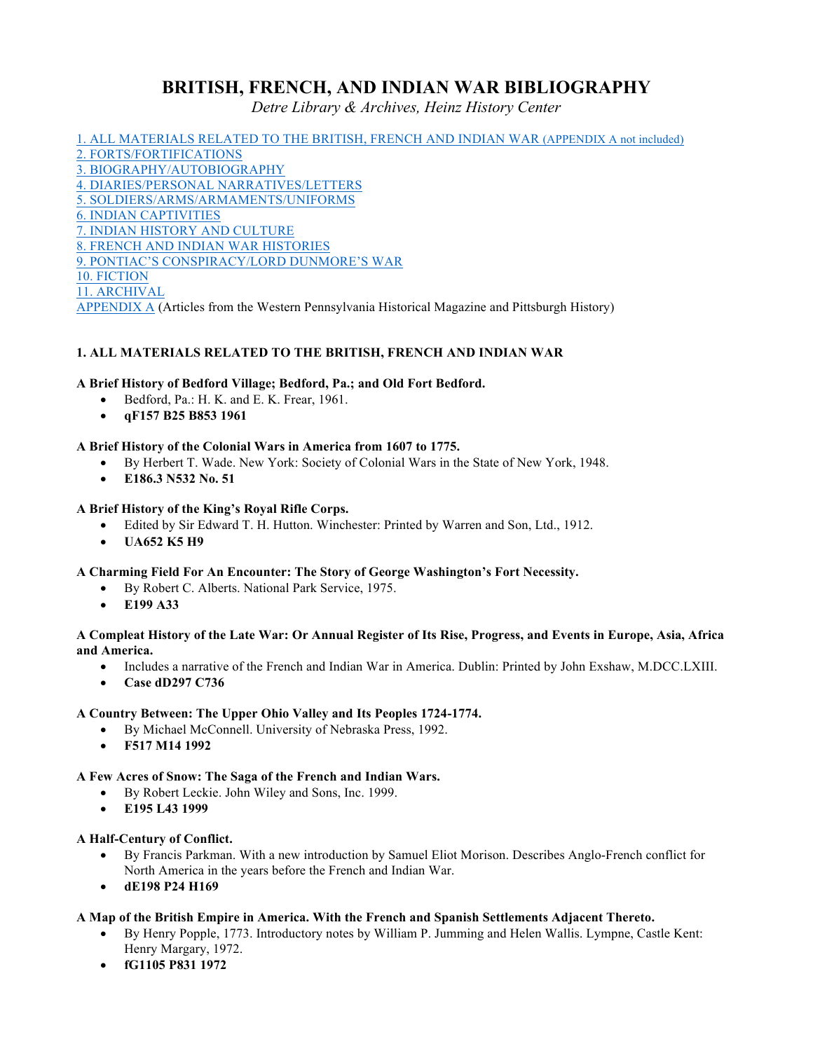# **BRITISH, FRENCH, AND INDIAN WAR BIBLIOGRAPHY**

*Detre Library & Archives, Heinz History Center*

1. ALL MATERIALS RELATED TO THE BRITISH, FRENCH AND INDIAN WAR (APPENDIX A not included) 2. FORTS/FORTIFICATIONS 3. BIOGRAPHY/AUTOBIOGRAPHY 4. DIARIES/PERSONAL NARRATIVES/LETTERS 5. SOLDIERS/ARMS/ARMAMENTS/UNIFORMS 6. INDIAN CAPTIVITIES 7. INDIAN HISTORY AND CULTURE 8. FRENCH AND INDIAN WAR HISTORIES 9. PONTIAC'S CONSPIRACY/LORD DUNMORE'S WAR 10. FICTION 11. ARCHIVAL

## APPENDIX A (Articles from the Western Pennsylvania Historical Magazine and Pittsburgh History)

## **1. ALL MATERIALS RELATED TO THE BRITISH, FRENCH AND INDIAN WAR**

## **A Brief History of Bedford Village; Bedford, Pa.; and Old Fort Bedford.**

- Bedford, Pa.: H. K. and E. K. Frear, 1961.
- **qF157 B25 B853 1961**

## **A Brief History of the Colonial Wars in America from 1607 to 1775.**

- By Herbert T. Wade. New York: Society of Colonial Wars in the State of New York, 1948.
- **E186.3 N532 No. 51**

## **A Brief History of the King's Royal Rifle Corps.**

- Edited by Sir Edward T. H. Hutton. Winchester: Printed by Warren and Son, Ltd., 1912.
- **UA652 K5 H9**

## **A Charming Field For An Encounter: The Story of George Washington's Fort Necessity.**

- By Robert C. Alberts. National Park Service, 1975.
- **E199 A33**

#### **A Compleat History of the Late War: Or Annual Register of Its Rise, Progress, and Events in Europe, Asia, Africa and America.**

- Includes a narrative of the French and Indian War in America. Dublin: Printed by John Exshaw, M.DCC.LXIII.
- **Case dD297 C736**

## **A Country Between: The Upper Ohio Valley and Its Peoples 1724-1774.**

- By Michael McConnell. University of Nebraska Press, 1992.
- **F517 M14 1992**

## **A Few Acres of Snow: The Saga of the French and Indian Wars.**

- By Robert Leckie. John Wiley and Sons, Inc. 1999.
- **E195 L43 1999**

## **A Half-Century of Conflict.**

- By Francis Parkman. With a new introduction by Samuel Eliot Morison. Describes Anglo-French conflict for North America in the years before the French and Indian War.
- **dE198 P24 H169**

## **A Map of the British Empire in America. With the French and Spanish Settlements Adjacent Thereto.**

- By Henry Popple, 1773. Introductory notes by William P. Jumming and Helen Wallis. Lympne, Castle Kent: Henry Margary, 1972.
- **fG1105 P831 1972**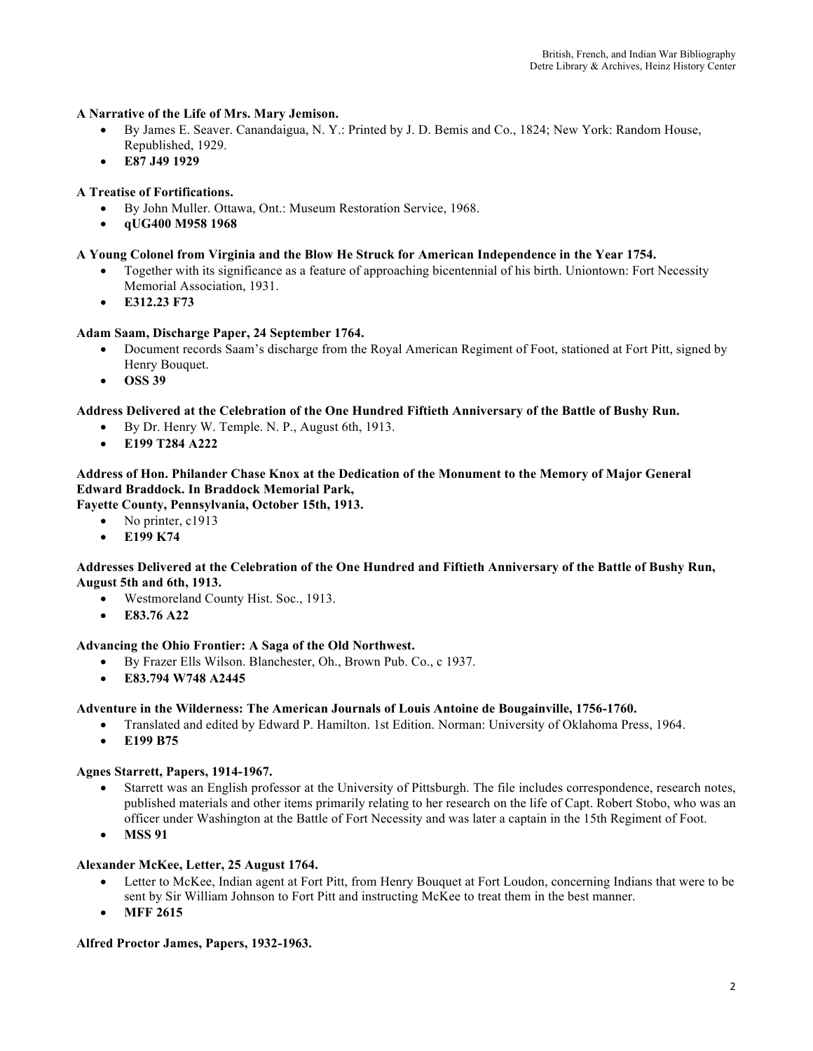## **A Narrative of the Life of Mrs. Mary Jemison.**

- By James E. Seaver. Canandaigua, N. Y.: Printed by J. D. Bemis and Co., 1824; New York: Random House, Republished, 1929.
- **E87 J49 1929**

## **A Treatise of Fortifications.**

- By John Muller. Ottawa, Ont.: Museum Restoration Service, 1968.
- **qUG400 M958 1968**

#### **A Young Colonel from Virginia and the Blow He Struck for American Independence in the Year 1754.**

- Together with its significance as a feature of approaching bicentennial of his birth. Uniontown: Fort Necessity Memorial Association, 1931.
- **E312.23 F73**

## **Adam Saam, Discharge Paper, 24 September 1764.**

- Document records Saam's discharge from the Royal American Regiment of Foot, stationed at Fort Pitt, signed by Henry Bouquet.
- **OSS 39**

## **Address Delivered at the Celebration of the One Hundred Fiftieth Anniversary of the Battle of Bushy Run.**

- By Dr. Henry W. Temple. N. P., August 6th, 1913.
- **E199 T284 A222**

## **Address of Hon. Philander Chase Knox at the Dedication of the Monument to the Memory of Major General Edward Braddock. In Braddock Memorial Park,**

**Fayette County, Pennsylvania, October 15th, 1913.** 

- No printer, c1913
	- **E199 K74**

#### **Addresses Delivered at the Celebration of the One Hundred and Fiftieth Anniversary of the Battle of Bushy Run, August 5th and 6th, 1913.**

- Westmoreland County Hist. Soc., 1913.
- **E83.76 A22**

## **Advancing the Ohio Frontier: A Saga of the Old Northwest.**

- By Frazer Ells Wilson. Blanchester, Oh., Brown Pub. Co., c 1937.
- **E83.794 W748 A2445**

## **Adventure in the Wilderness: The American Journals of Louis Antoine de Bougainville, 1756-1760.**

- Translated and edited by Edward P. Hamilton. 1st Edition. Norman: University of Oklahoma Press, 1964.
- **E199 B75**

## **Agnes Starrett, Papers, 1914-1967.**

- Starrett was an English professor at the University of Pittsburgh. The file includes correspondence, research notes, published materials and other items primarily relating to her research on the life of Capt. Robert Stobo, who was an officer under Washington at the Battle of Fort Necessity and was later a captain in the 15th Regiment of Foot.
- **MSS 91**

## **Alexander McKee, Letter, 25 August 1764.**

- Letter to McKee, Indian agent at Fort Pitt, from Henry Bouquet at Fort Loudon, concerning Indians that were to be sent by Sir William Johnson to Fort Pitt and instructing McKee to treat them in the best manner.
- **MFF 2615**

## **Alfred Proctor James, Papers, 1932-1963.**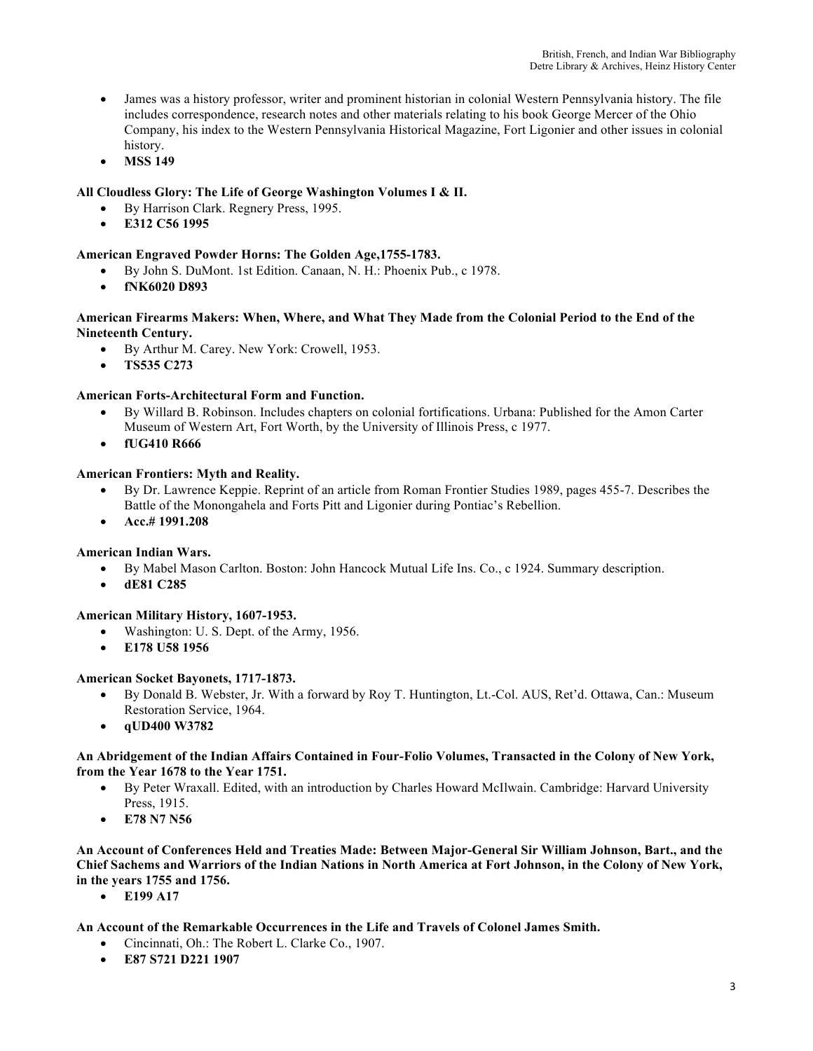- James was a history professor, writer and prominent historian in colonial Western Pennsylvania history. The file includes correspondence, research notes and other materials relating to his book George Mercer of the Ohio Company, his index to the Western Pennsylvania Historical Magazine, Fort Ligonier and other issues in colonial history.
- **MSS 149**

## **All Cloudless Glory: The Life of George Washington Volumes I & II.**

- By Harrison Clark. Regnery Press, 1995.
- **E312 C56 1995**

## **American Engraved Powder Horns: The Golden Age,1755-1783.**

- By John S. DuMont. 1st Edition. Canaan, N. H.: Phoenix Pub., c 1978.
- **fNK6020 D893**

## **American Firearms Makers: When, Where, and What They Made from the Colonial Period to the End of the Nineteenth Century.**

- By Arthur M. Carey. New York: Crowell, 1953.
- **TS535 C273**

## **American Forts-Architectural Form and Function.**

- By Willard B. Robinson. Includes chapters on colonial fortifications. Urbana: Published for the Amon Carter Museum of Western Art, Fort Worth, by the University of Illinois Press, c 1977.
- **fUG410 R666**

## **American Frontiers: Myth and Reality.**

- By Dr. Lawrence Keppie. Reprint of an article from Roman Frontier Studies 1989, pages 455-7. Describes the Battle of the Monongahela and Forts Pitt and Ligonier during Pontiac's Rebellion.
- **Acc.# 1991.208**

## **American Indian Wars.**

- By Mabel Mason Carlton. Boston: John Hancock Mutual Life Ins. Co., c 1924. Summary description.
- **dE81 C285**

## **American Military History, 1607-1953.**

- Washington: U. S. Dept. of the Army, 1956.
- **E178 U58 1956**

## **American Socket Bayonets, 1717-1873.**

- By Donald B. Webster, Jr. With a forward by Roy T. Huntington, Lt.-Col. AUS, Ret'd. Ottawa, Can.: Museum Restoration Service, 1964.
- **qUD400 W3782**

## **An Abridgement of the Indian Affairs Contained in Four-Folio Volumes, Transacted in the Colony of New York, from the Year 1678 to the Year 1751.**

- By Peter Wraxall. Edited, with an introduction by Charles Howard McIlwain. Cambridge: Harvard University Press, 1915.
- **E78 N7 N56**

## **An Account of Conferences Held and Treaties Made: Between Major-General Sir William Johnson, Bart., and the Chief Sachems and Warriors of the Indian Nations in North America at Fort Johnson, in the Colony of New York, in the years 1755 and 1756.**

• **E199 A17**

## **An Account of the Remarkable Occurrences in the Life and Travels of Colonel James Smith.**

- Cincinnati, Oh.: The Robert L. Clarke Co., 1907.
- **E87 S721 D221 1907**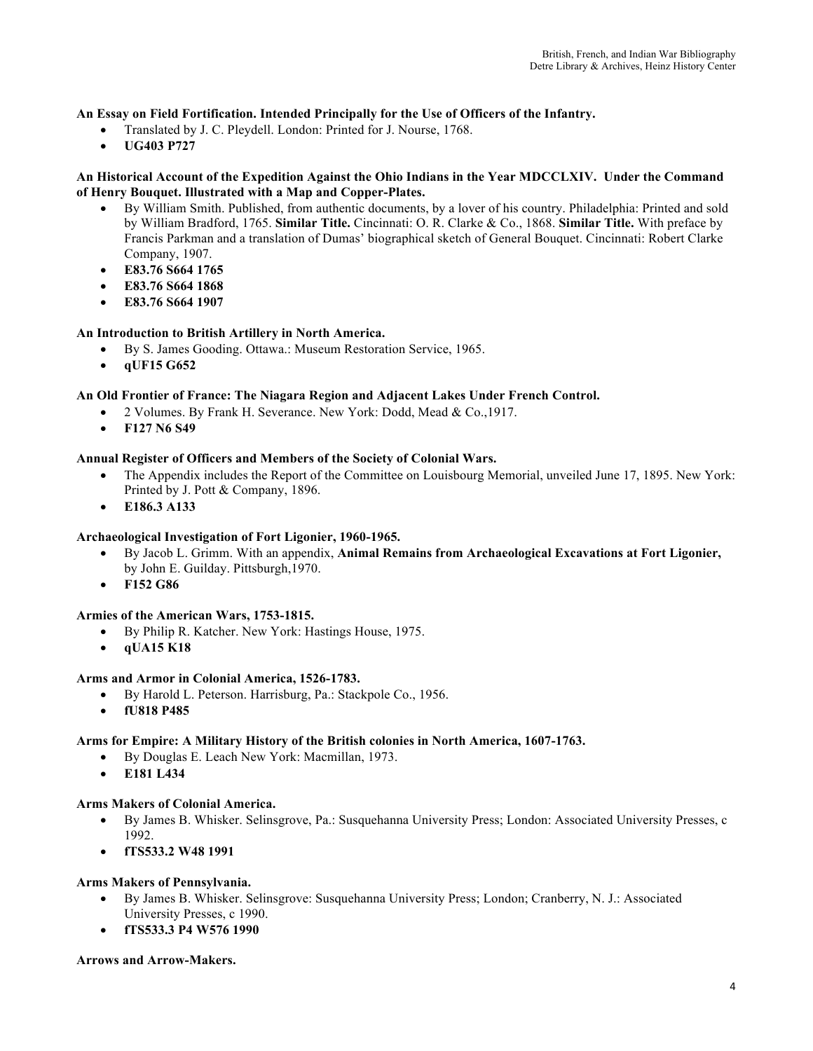## **An Essay on Field Fortification. Intended Principally for the Use of Officers of the Infantry.**

- Translated by J. C. Pleydell. London: Printed for J. Nourse, 1768.
- **UG403 P727**

## **An Historical Account of the Expedition Against the Ohio Indians in the Year MDCCLXIV. Under the Command of Henry Bouquet. Illustrated with a Map and Copper-Plates.**

- By William Smith. Published, from authentic documents, by a lover of his country. Philadelphia: Printed and sold by William Bradford, 1765. **Similar Title.** Cincinnati: O. R. Clarke & Co., 1868. **Similar Title.** With preface by Francis Parkman and a translation of Dumas' biographical sketch of General Bouquet. Cincinnati: Robert Clarke Company, 1907.
- **E83.76 S664 1765**
- **E83.76 S664 1868**
- **E83.76 S664 1907**

## **An Introduction to British Artillery in North America.**

- By S. James Gooding. Ottawa.: Museum Restoration Service, 1965.
- **qUF15 G652**

## **An Old Frontier of France: The Niagara Region and Adjacent Lakes Under French Control.**

- 2 Volumes. By Frank H. Severance. New York: Dodd, Mead & Co.,1917.
- **F127 N6 S49**

## **Annual Register of Officers and Members of the Society of Colonial Wars.**

- The Appendix includes the Report of the Committee on Louisbourg Memorial, unveiled June 17, 1895. New York: Printed by J. Pott & Company, 1896.
- **E186.3 A133**

## **Archaeological Investigation of Fort Ligonier, 1960-1965.**

- By Jacob L. Grimm. With an appendix, **Animal Remains from Archaeological Excavations at Fort Ligonier,**  by John E. Guilday. Pittsburgh,1970.
- **F152 G86**

## **Armies of the American Wars, 1753-1815.**

- By Philip R. Katcher. New York: Hastings House, 1975.
- **qUA15 K18**

## **Arms and Armor in Colonial America, 1526-1783.**

- By Harold L. Peterson. Harrisburg, Pa.: Stackpole Co., 1956.
- **fU818 P485**

## **Arms for Empire: A Military History of the British colonies in North America, 1607-1763.**

- By Douglas E. Leach New York: Macmillan, 1973.
- **E181 L434**

## **Arms Makers of Colonial America.**

- By James B. Whisker. Selinsgrove, Pa.: Susquehanna University Press; London: Associated University Presses, c 1992.
- **fTS533.2 W48 1991**

## **Arms Makers of Pennsylvania.**

- By James B. Whisker. Selinsgrove: Susquehanna University Press; London; Cranberry, N. J.: Associated University Presses, c 1990.
- **fTS533.3 P4 W576 1990**

#### **Arrows and Arrow-Makers.**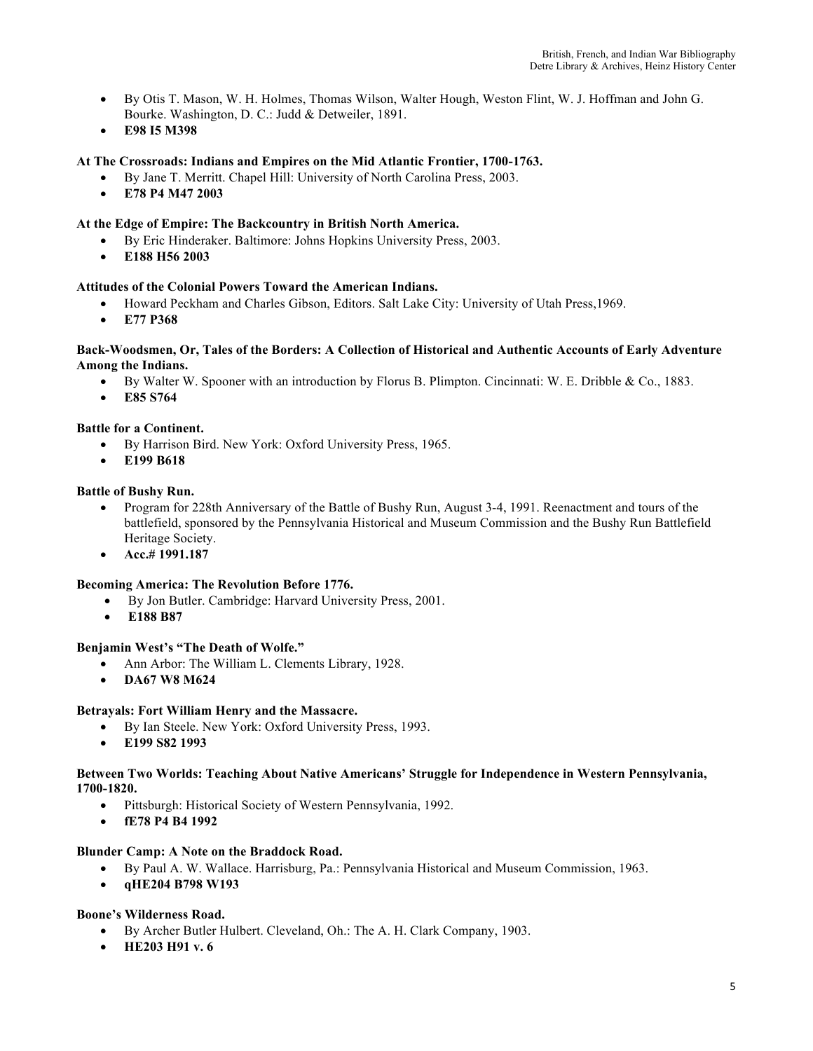- By Otis T. Mason, W. H. Holmes, Thomas Wilson, Walter Hough, Weston Flint, W. J. Hoffman and John G. Bourke. Washington, D. C.: Judd & Detweiler, 1891.
- **E98 I5 M398**

## **At The Crossroads: Indians and Empires on the Mid Atlantic Frontier, 1700-1763.**

- By Jane T. Merritt. Chapel Hill: University of North Carolina Press, 2003.
- **E78 P4 M47 2003**

## **At the Edge of Empire: The Backcountry in British North America.**

- By Eric Hinderaker. Baltimore: Johns Hopkins University Press, 2003.
- **E188 H56 2003**

## **Attitudes of the Colonial Powers Toward the American Indians.**

- Howard Peckham and Charles Gibson, Editors. Salt Lake City: University of Utah Press, 1969.
- **E77 P368**

#### **Back-Woodsmen, Or, Tales of the Borders: A Collection of Historical and Authentic Accounts of Early Adventure Among the Indians.**

- By Walter W. Spooner with an introduction by Florus B. Plimpton. Cincinnati: W. E. Dribble & Co., 1883.
- **E85 S764**

#### **Battle for a Continent.**

- By Harrison Bird. New York: Oxford University Press, 1965.
- **E199 B618**

#### **Battle of Bushy Run.**

- Program for 228th Anniversary of the Battle of Bushy Run, August 3-4, 1991. Reenactment and tours of the battlefield, sponsored by the Pennsylvania Historical and Museum Commission and the Bushy Run Battlefield Heritage Society.
- **Acc.# 1991.187**

## **Becoming America: The Revolution Before 1776.**

- By Jon Butler. Cambridge: Harvard University Press, 2001.
- **E188 B87**

## **Benjamin West's "The Death of Wolfe."**

- Ann Arbor: The William L. Clements Library, 1928.
- **DA67 W8 M624**

## **Betrayals: Fort William Henry and the Massacre.**

- By Ian Steele. New York: Oxford University Press, 1993.
- **E199 S82 1993**

## **Between Two Worlds: Teaching About Native Americans' Struggle for Independence in Western Pennsylvania, 1700-1820.**

- Pittsburgh: Historical Society of Western Pennsylvania, 1992.
- **fE78 P4 B4 1992**

## **Blunder Camp: A Note on the Braddock Road.**

- By Paul A. W. Wallace. Harrisburg, Pa.: Pennsylvania Historical and Museum Commission, 1963.
- **qHE204 B798 W193**

## **Boone's Wilderness Road.**

- By Archer Butler Hulbert. Cleveland, Oh.: The A. H. Clark Company, 1903.
- **HE203 H91 v. 6**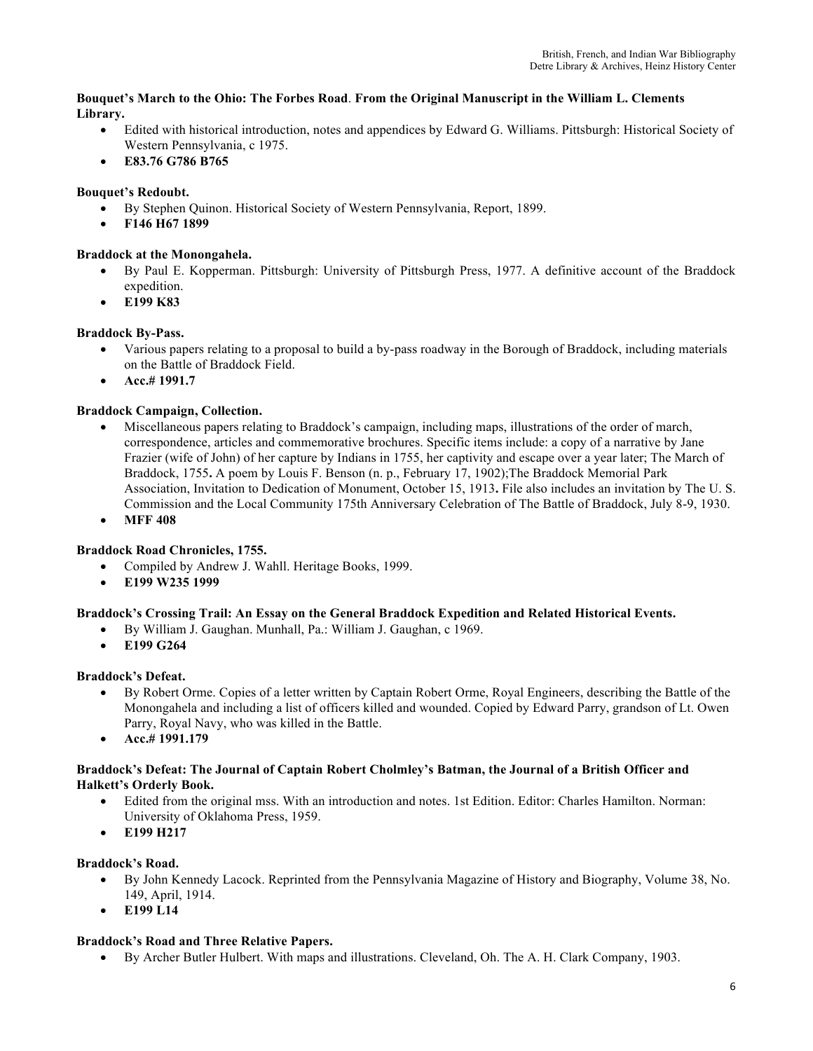#### **Bouquet's March to the Ohio: The Forbes Road**. **From the Original Manuscript in the William L. Clements Library.**

- Edited with historical introduction, notes and appendices by Edward G. Williams. Pittsburgh: Historical Society of Western Pennsylvania, c 1975.
- **E83.76 G786 B765**

## **Bouquet's Redoubt.**

- By Stephen Quinon. Historical Society of Western Pennsylvania, Report, 1899.
- **F146 H67 1899**

## **Braddock at the Monongahela.**

- By Paul E. Kopperman. Pittsburgh: University of Pittsburgh Press, 1977. A definitive account of the Braddock expedition.
- **E199 K83**

## **Braddock By-Pass.**

- Various papers relating to a proposal to build a by-pass roadway in the Borough of Braddock, including materials on the Battle of Braddock Field.
- **Acc.# 1991.7**

## **Braddock Campaign, Collection.**

- Miscellaneous papers relating to Braddock's campaign, including maps, illustrations of the order of march, correspondence, articles and commemorative brochures. Specific items include: a copy of a narrative by Jane Frazier (wife of John) of her capture by Indians in 1755, her captivity and escape over a year later; The March of Braddock, 1755**.** A poem by Louis F. Benson (n. p., February 17, 1902);The Braddock Memorial Park Association, Invitation to Dedication of Monument, October 15, 1913**.** File also includes an invitation by The U. S. Commission and the Local Community 175th Anniversary Celebration of The Battle of Braddock, July 8-9, 1930.
- **MFF 408**

## **Braddock Road Chronicles, 1755.**

- Compiled by Andrew J. Wahll. Heritage Books, 1999.
- **E199 W235 1999**

## **Braddock's Crossing Trail: An Essay on the General Braddock Expedition and Related Historical Events.**

- By William J. Gaughan. Munhall, Pa.: William J. Gaughan, c 1969.
- **E199 G264**

## **Braddock's Defeat.**

- By Robert Orme. Copies of a letter written by Captain Robert Orme, Royal Engineers, describing the Battle of the Monongahela and including a list of officers killed and wounded. Copied by Edward Parry, grandson of Lt. Owen Parry, Royal Navy, who was killed in the Battle.
- **Acc.# 1991.179**

## **Braddock's Defeat: The Journal of Captain Robert Cholmley's Batman, the Journal of a British Officer and Halkett's Orderly Book.**

- Edited from the original mss. With an introduction and notes. 1st Edition. Editor: Charles Hamilton. Norman: University of Oklahoma Press, 1959.
- **E199 H217**

## **Braddock's Road.**

- By John Kennedy Lacock. Reprinted from the Pennsylvania Magazine of History and Biography, Volume 38, No. 149, April, 1914.
- **E199 L14**

## **Braddock's Road and Three Relative Papers.**

• By Archer Butler Hulbert. With maps and illustrations. Cleveland, Oh. The A. H. Clark Company, 1903.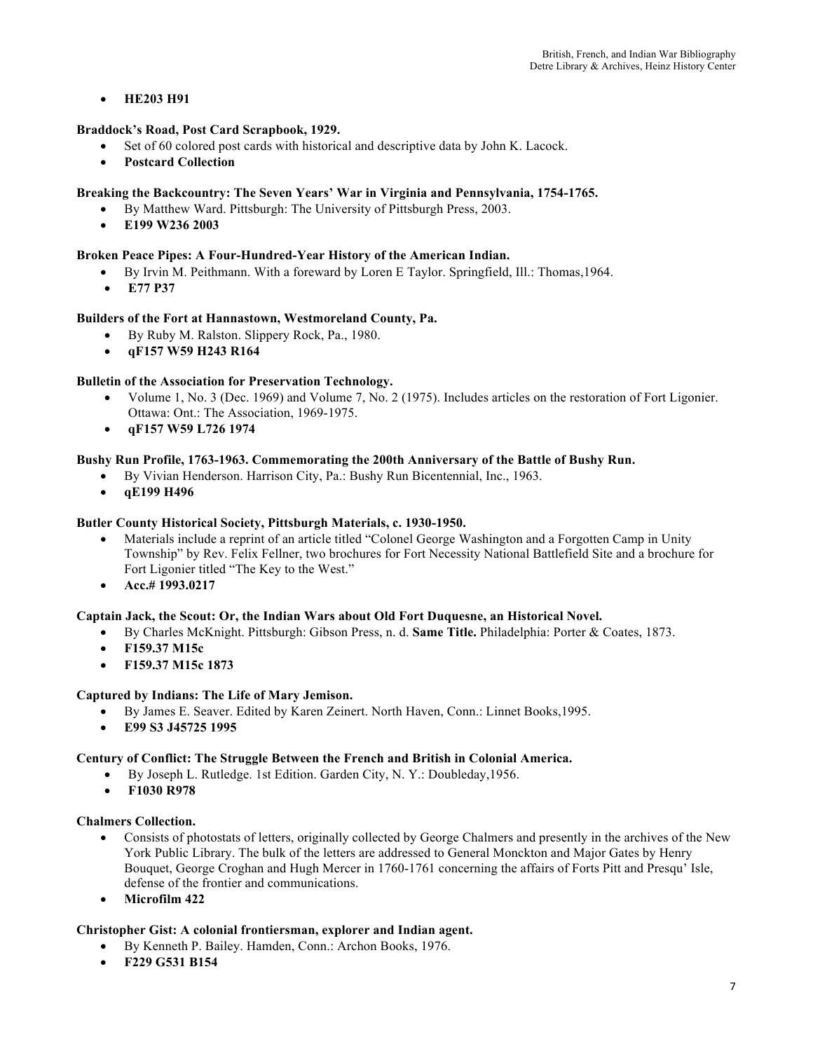## • **HE203 H91**

## **Braddock's Road, Post Card Scrapbook, 1929.**

- Set of 60 colored post cards with historical and descriptive data by John K. Lacock.
- **Postcard Collection**

## **Breaking the Backcountry: The Seven Years' War in Virginia and Pennsylvania, 1754-1765.**

- By Matthew Ward. Pittsburgh: The University of Pittsburgh Press, 2003.
- **E199 W236 2003**

## **Broken Peace Pipes: A Four-Hundred-Year History of the American Indian.**

- By Irvin M. Peithmann. With a foreward by Loren E Taylor. Springfield, Ill.: Thomas,1964.
- **E77 P37**

## **Builders of the Fort at Hannastown, Westmoreland County, Pa.**

- By Ruby M. Ralston. Slippery Rock, Pa., 1980.
- **qF157 W59 H243 R164**

## **Bulletin of the Association for Preservation Technology.**

- Volume 1, No. 3 (Dec. 1969) and Volume 7, No. 2 (1975). Includes articles on the restoration of Fort Ligonier. Ottawa: Ont.: The Association, 1969-1975.
- **qF157 W59 L726 1974**

## **Bushy Run Profile, 1763-1963. Commemorating the 200th Anniversary of the Battle of Bushy Run.**

- By Vivian Henderson. Harrison City, Pa.: Bushy Run Bicentennial, Inc., 1963.
- **qE199 H496**

## **Butler County Historical Society, Pittsburgh Materials, c. 1930-1950.**

- Materials include a reprint of an article titled "Colonel George Washington and a Forgotten Camp in Unity Township" by Rev. Felix Fellner, two brochures for Fort Necessity National Battlefield Site and a brochure for Fort Ligonier titled "The Key to the West."
- **Acc.# 1993.0217**

## **Captain Jack, the Scout: Or, the Indian Wars about Old Fort Duquesne, an Historical Novel.**

- By Charles McKnight. Pittsburgh: Gibson Press, n. d. **Same Title.** Philadelphia: Porter & Coates, 1873.
	- **F159.37 M15c**
	- **F159.37 M15c 1873**

## **Captured by Indians: The Life of Mary Jemison.**

- By James E. Seaver. Edited by Karen Zeinert. North Haven, Conn.: Linnet Books,1995.
- **E99 S3 J45725 1995**

## **Century of Conflict: The Struggle Between the French and British in Colonial America.**

- By Joseph L. Rutledge. 1st Edition. Garden City, N. Y.: Doubleday,1956.
- **F1030 R978**

#### **Chalmers Collection.**

- Consists of photostats of letters, originally collected by George Chalmers and presently in the archives of the New York Public Library. The bulk of the letters are addressed to General Monckton and Major Gates by Henry Bouquet, George Croghan and Hugh Mercer in 1760-1761 concerning the affairs of Forts Pitt and Presqu' Isle, defense of the frontier and communications.
- **Microfilm 422**

## **Christopher Gist: A colonial frontiersman, explorer and Indian agent.**

- By Kenneth P. Bailey. Hamden, Conn.: Archon Books, 1976.
- **F229 G531 B154**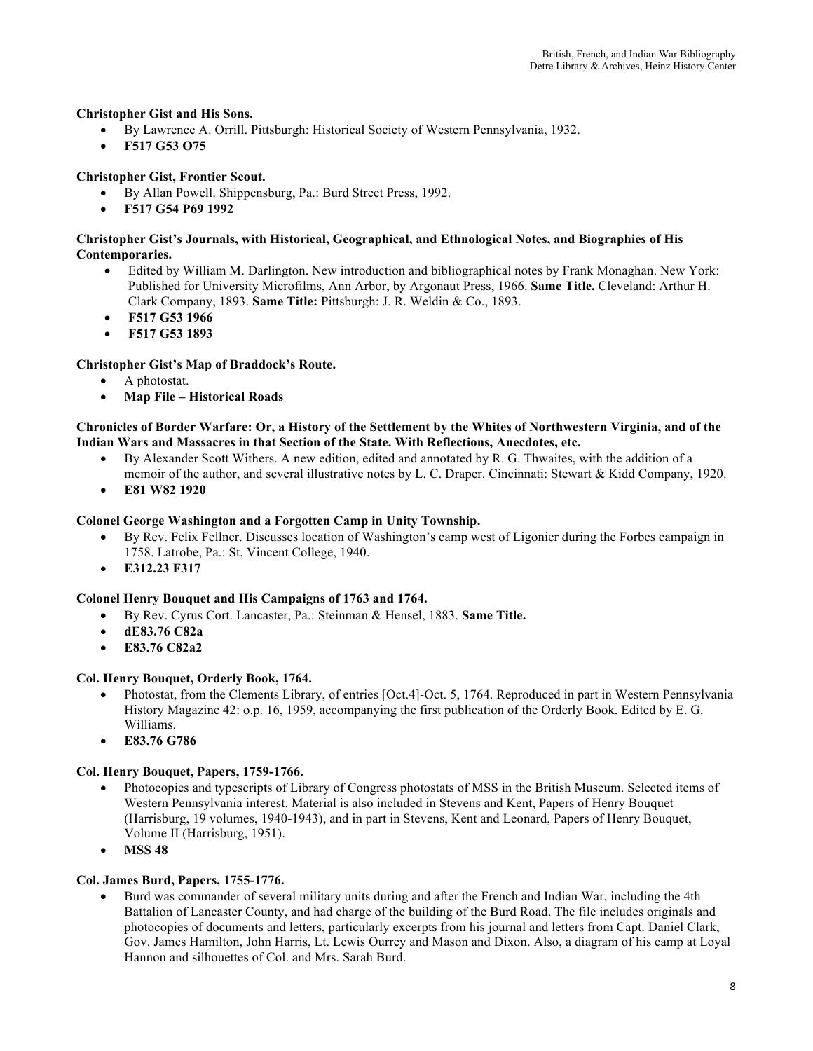## **Christopher Gist and His Sons.**

- By Lawrence A. Orrill. Pittsburgh: Historical Society of Western Pennsylvania, 1932.
- **F517 G53 O75**

## **Christopher Gist, Frontier Scout.**

- By Allan Powell. Shippensburg, Pa.: Burd Street Press, 1992.
- **F517 G54 P69 1992**

#### **Christopher Gist's Journals, with Historical, Geographical, and Ethnological Notes, and Biographies of His Contemporaries.**

- Edited by William M. Darlington. New introduction and bibliographical notes by Frank Monaghan. New York: Published for University Microfilms, Ann Arbor, by Argonaut Press, 1966. **Same Title.** Cleveland: Arthur H. Clark Company, 1893. **Same Title:** Pittsburgh: J. R. Weldin & Co., 1893.
- **F517 G53 1966**
- **F517 G53 1893**

## **Christopher Gist's Map of Braddock's Route.**

- A photostat.
- **Map File – Historical Roads**

## **Chronicles of Border Warfare: Or, a History of the Settlement by the Whites of Northwestern Virginia, and of the Indian Wars and Massacres in that Section of the State. With Reflections, Anecdotes, etc.**

- By Alexander Scott Withers. A new edition, edited and annotated by R. G. Thwaites, with the addition of a memoir of the author, and several illustrative notes by L. C. Draper. Cincinnati: Stewart & Kidd Company, 1920.
- **E81 W82 1920**

## **Colonel George Washington and a Forgotten Camp in Unity Township.**

- By Rev. Felix Fellner. Discusses location of Washington's camp west of Ligonier during the Forbes campaign in 1758. Latrobe, Pa.: St. Vincent College, 1940.
- **E312.23 F317**

## **Colonel Henry Bouquet and His Campaigns of 1763 and 1764.**

- By Rev. Cyrus Cort. Lancaster, Pa.: Steinman & Hensel, 1883. **Same Title.**
- **dE83.76 C82a**
- **E83.76 C82a2**

## **Col. Henry Bouquet, Orderly Book, 1764.**

- Photostat, from the Clements Library, of entries [Oct.4]-Oct. 5, 1764. Reproduced in part in Western Pennsylvania History Magazine 42: o.p. 16, 1959, accompanying the first publication of the Orderly Book. Edited by E. G. Williams.
- **E83.76 G786**

## **Col. Henry Bouquet, Papers, 1759-1766.**

- Photocopies and typescripts of Library of Congress photostats of MSS in the British Museum. Selected items of Western Pennsylvania interest. Material is also included in Stevens and Kent, Papers of Henry Bouquet (Harrisburg, 19 volumes, 1940-1943), and in part in Stevens, Kent and Leonard, Papers of Henry Bouquet, Volume II (Harrisburg, 1951).
- **MSS 48**

## **Col. James Burd, Papers, 1755-1776.**

• Burd was commander of several military units during and after the French and Indian War, including the 4th Battalion of Lancaster County, and had charge of the building of the Burd Road. The file includes originals and photocopies of documents and letters, particularly excerpts from his journal and letters from Capt. Daniel Clark, Gov. James Hamilton, John Harris, Lt. Lewis Ourrey and Mason and Dixon. Also, a diagram of his camp at Loyal Hannon and silhouettes of Col. and Mrs. Sarah Burd.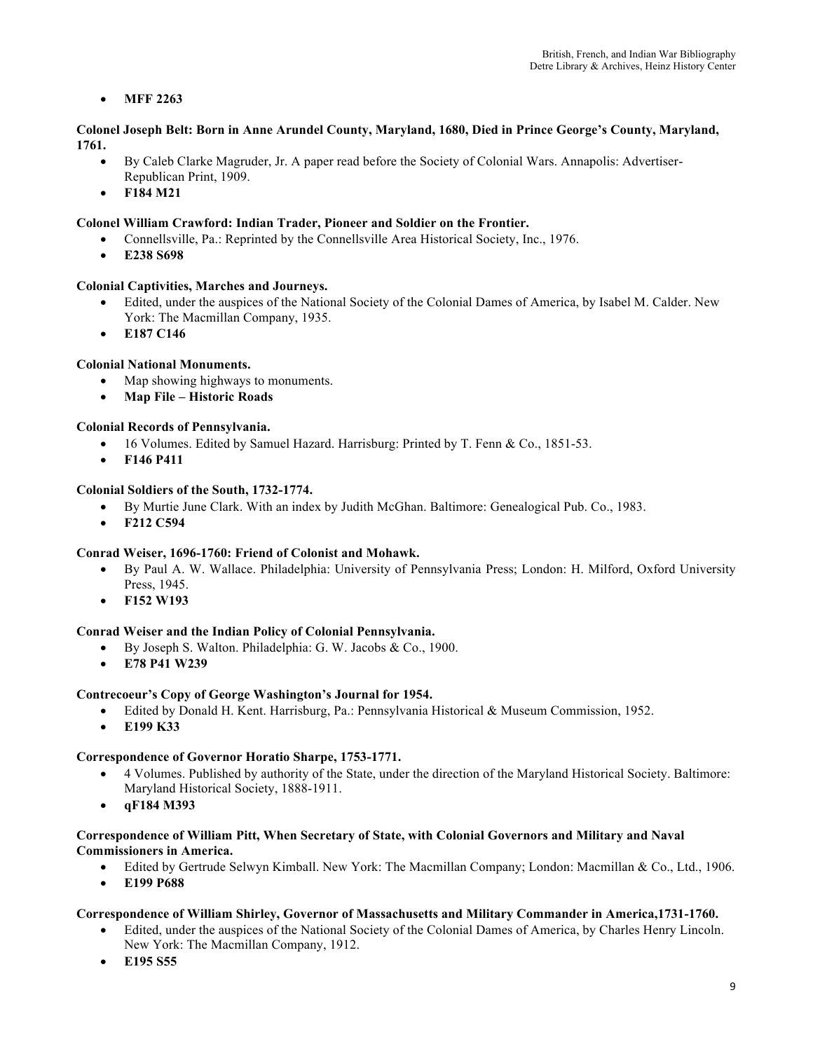## • **MFF 2263**

## **Colonel Joseph Belt: Born in Anne Arundel County, Maryland, 1680, Died in Prince George's County, Maryland, 1761.**

- By Caleb Clarke Magruder, Jr. A paper read before the Society of Colonial Wars. Annapolis: Advertiser-Republican Print, 1909.
- **F184 M21**

## **Colonel William Crawford: Indian Trader, Pioneer and Soldier on the Frontier.**

- Connellsville, Pa.: Reprinted by the Connellsville Area Historical Society, Inc., 1976.
- **E238 S698**

## **Colonial Captivities, Marches and Journeys.**

- Edited, under the auspices of the National Society of the Colonial Dames of America, by Isabel M. Calder. New York: The Macmillan Company, 1935.
- **E187 C146**

## **Colonial National Monuments.**

- Map showing highways to monuments.
- **Map File – Historic Roads**

## **Colonial Records of Pennsylvania.**

- 16 Volumes. Edited by Samuel Hazard. Harrisburg: Printed by T. Fenn & Co., 1851-53.
- **F146 P411**

## **Colonial Soldiers of the South, 1732-1774.**

- By Murtie June Clark. With an index by Judith McGhan. Baltimore: Genealogical Pub. Co., 1983.
- **F212 C594**

## **Conrad Weiser, 1696-1760: Friend of Colonist and Mohawk.**

- By Paul A. W. Wallace. Philadelphia: University of Pennsylvania Press; London: H. Milford, Oxford University Press, 1945.
- **F152 W193**

## **Conrad Weiser and the Indian Policy of Colonial Pennsylvania.**

- By Joseph S. Walton. Philadelphia: G. W. Jacobs & Co., 1900.
- **E78 P41 W239**

## **Contrecoeur's Copy of George Washington's Journal for 1954.**

- Edited by Donald H. Kent. Harrisburg, Pa.: Pennsylvania Historical & Museum Commission, 1952.
- **E199 K33**

## **Correspondence of Governor Horatio Sharpe, 1753-1771.**

- 4 Volumes. Published by authority of the State, under the direction of the Maryland Historical Society. Baltimore: Maryland Historical Society, 1888-1911.
- **qF184 M393**

## **Correspondence of William Pitt, When Secretary of State, with Colonial Governors and Military and Naval Commissioners in America.**

- Edited by Gertrude Selwyn Kimball. New York: The Macmillan Company; London: Macmillan & Co., Ltd., 1906.
- **E199 P688**

## **Correspondence of William Shirley, Governor of Massachusetts and Military Commander in America,1731-1760.**

- Edited, under the auspices of the National Society of the Colonial Dames of America, by Charles Henry Lincoln. New York: The Macmillan Company, 1912.
- **E195 S55**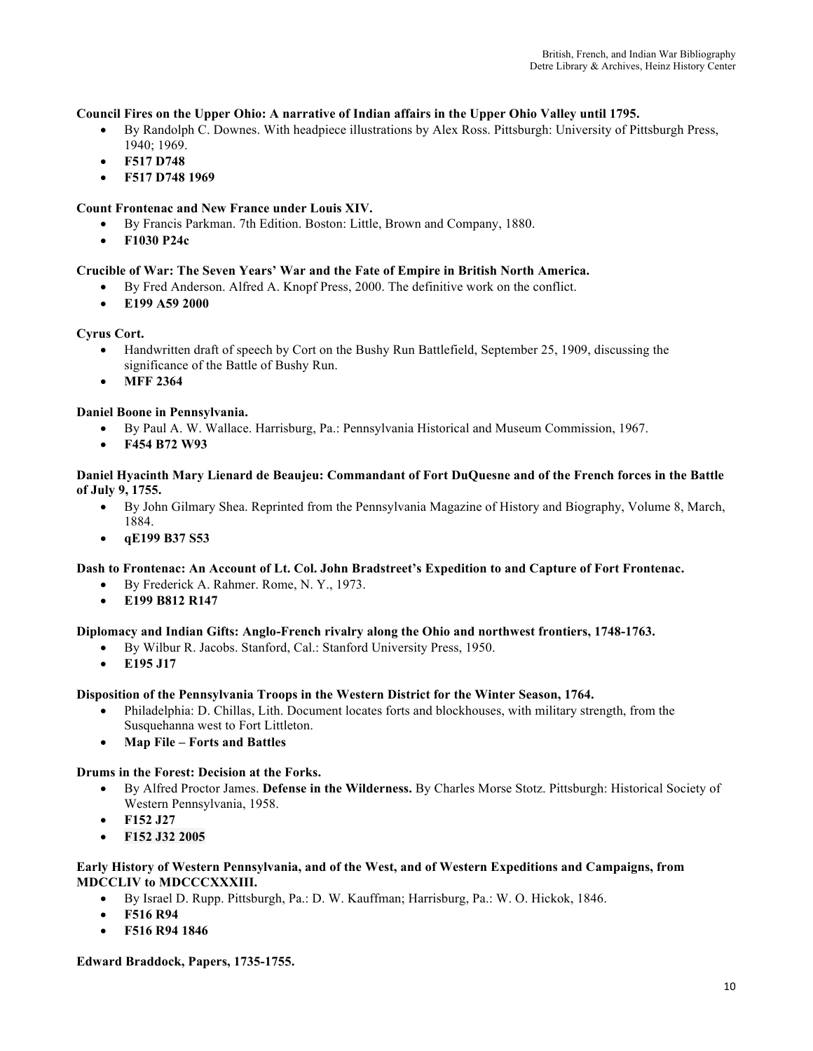## **Council Fires on the Upper Ohio: A narrative of Indian affairs in the Upper Ohio Valley until 1795.**

- By Randolph C. Downes. With headpiece illustrations by Alex Ross. Pittsburgh: University of Pittsburgh Press, 1940; 1969.
- **F517 D748**
- **F517 D748 1969**

## **Count Frontenac and New France under Louis XIV.**

- By Francis Parkman. 7th Edition. Boston: Little, Brown and Company, 1880.
- **F1030 P24c**

## **Crucible of War: The Seven Years' War and the Fate of Empire in British North America.**

- By Fred Anderson. Alfred A. Knopf Press, 2000. The definitive work on the conflict.
- **E199 A59 2000**

## **Cyrus Cort.**

- Handwritten draft of speech by Cort on the Bushy Run Battlefield, September 25, 1909, discussing the significance of the Battle of Bushy Run.
- **MFF 2364**

## **Daniel Boone in Pennsylvania.**

- By Paul A. W. Wallace. Harrisburg, Pa.: Pennsylvania Historical and Museum Commission, 1967.
- **F454 B72 W93**

#### **Daniel Hyacinth Mary Lienard de Beaujeu: Commandant of Fort DuQuesne and of the French forces in the Battle of July 9, 1755.**

- By John Gilmary Shea. Reprinted from the Pennsylvania Magazine of History and Biography, Volume 8, March, 1884.
- **qE199 B37 S53**

## **Dash to Frontenac: An Account of Lt. Col. John Bradstreet's Expedition to and Capture of Fort Frontenac.**

- By Frederick A. Rahmer. Rome, N. Y., 1973.
- **E199 B812 R147**

## **Diplomacy and Indian Gifts: Anglo-French rivalry along the Ohio and northwest frontiers, 1748-1763.**

- By Wilbur R. Jacobs. Stanford, Cal.: Stanford University Press, 1950.
- **E195 J17**

## **Disposition of the Pennsylvania Troops in the Western District for the Winter Season, 1764.**

- Philadelphia: D. Chillas, Lith. Document locates forts and blockhouses, with military strength, from the Susquehanna west to Fort Littleton.
- **Map File – Forts and Battles**

## **Drums in the Forest: Decision at the Forks.**

- By Alfred Proctor James. **Defense in the Wilderness.** By Charles Morse Stotz. Pittsburgh: Historical Society of Western Pennsylvania, 1958.
- **F152 J27**
- **F152 J32 2005**

#### **Early History of Western Pennsylvania, and of the West, and of Western Expeditions and Campaigns, from MDCCLIV to MDCCCXXXIII.**

- By Israel D. Rupp. Pittsburgh, Pa.: D. W. Kauffman; Harrisburg, Pa.: W. O. Hickok, 1846.
- **F516 R94**
- **F516 R94 1846**

## **Edward Braddock, Papers, 1735-1755.**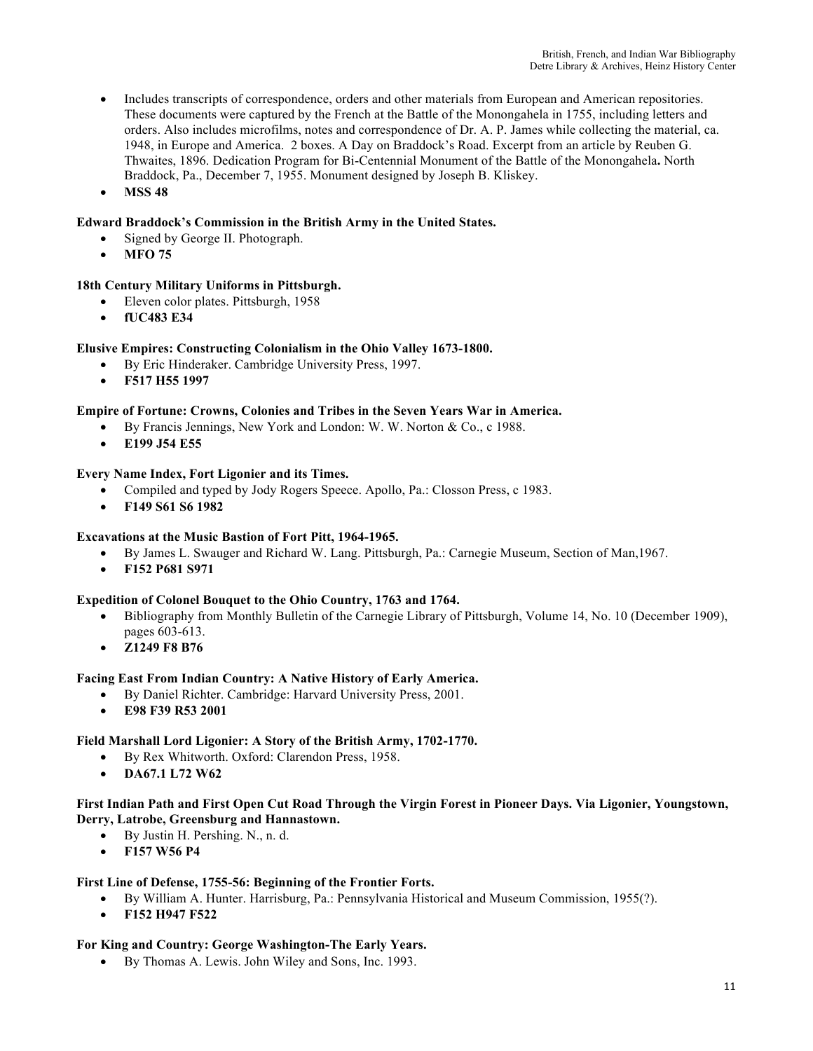- Includes transcripts of correspondence, orders and other materials from European and American repositories. These documents were captured by the French at the Battle of the Monongahela in 1755, including letters and orders. Also includes microfilms, notes and correspondence of Dr. A. P. James while collecting the material, ca. 1948, in Europe and America. 2 boxes. A Day on Braddock's Road. Excerpt from an article by Reuben G. Thwaites, 1896. Dedication Program for Bi-Centennial Monument of the Battle of the Monongahela**.** North Braddock, Pa., December 7, 1955. Monument designed by Joseph B. Kliskey.
- **MSS 48**

## **Edward Braddock's Commission in the British Army in the United States.**

- Signed by George II. Photograph.
- **MFO 75**

## **18th Century Military Uniforms in Pittsburgh.**

- Eleven color plates. Pittsburgh, 1958
- **fUC483 E34**

## **Elusive Empires: Constructing Colonialism in the Ohio Valley 1673-1800.**

- By Eric Hinderaker. Cambridge University Press, 1997.
- **F517 H55 1997**

## **Empire of Fortune: Crowns, Colonies and Tribes in the Seven Years War in America.**

- By Francis Jennings, New York and London: W. W. Norton & Co., c 1988.
- **E199 J54 E55**

## **Every Name Index, Fort Ligonier and its Times.**

- Compiled and typed by Jody Rogers Speece. Apollo, Pa.: Closson Press, c 1983.
- **F149 S61 S6 1982**

## **Excavations at the Music Bastion of Fort Pitt, 1964-1965.**

- By James L. Swauger and Richard W. Lang. Pittsburgh, Pa.: Carnegie Museum, Section of Man,1967.
- **F152 P681 S971**

## **Expedition of Colonel Bouquet to the Ohio Country, 1763 and 1764.**

- Bibliography from Monthly Bulletin of the Carnegie Library of Pittsburgh, Volume 14, No. 10 (December 1909), pages 603-613.
- **Z1249 F8 B76**

## **Facing East From Indian Country: A Native History of Early America.**

- By Daniel Richter. Cambridge: Harvard University Press, 2001.
- **E98 F39 R53 2001**

## **Field Marshall Lord Ligonier: A Story of the British Army, 1702-1770.**

- By Rex Whitworth. Oxford: Clarendon Press, 1958.
- **DA67.1 L72 W62**

## **First Indian Path and First Open Cut Road Through the Virgin Forest in Pioneer Days. Via Ligonier, Youngstown, Derry, Latrobe, Greensburg and Hannastown.**

- By Justin H. Pershing. N., n. d.
- **F157 W56 P4**

## **First Line of Defense, 1755-56: Beginning of the Frontier Forts.**

- By William A. Hunter. Harrisburg, Pa.: Pennsylvania Historical and Museum Commission, 1955(?).
- **F152 H947 F522**

## **For King and Country: George Washington-The Early Years.**

• By Thomas A. Lewis. John Wiley and Sons, Inc. 1993.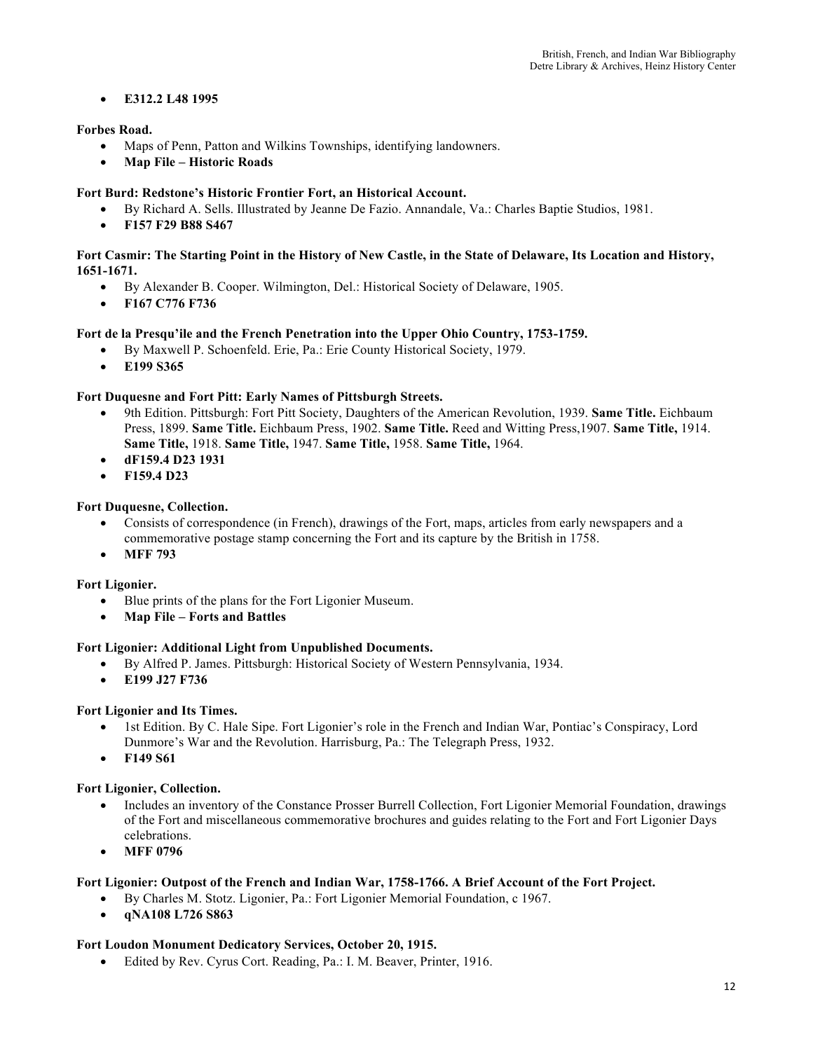## • **E312.2 L48 1995**

## **Forbes Road.**

- Maps of Penn, Patton and Wilkins Townships, identifying landowners.
- **Map File – Historic Roads**

## **Fort Burd: Redstone's Historic Frontier Fort, an Historical Account.**

- By Richard A. Sells. Illustrated by Jeanne De Fazio. Annandale, Va.: Charles Baptie Studios, 1981.
- **F157 F29 B88 S467**

## **Fort Casmir: The Starting Point in the History of New Castle, in the State of Delaware, Its Location and History, 1651-1671.**

- By Alexander B. Cooper. Wilmington, Del.: Historical Society of Delaware, 1905.
- **F167 C776 F736**

## **Fort de la Presqu'ile and the French Penetration into the Upper Ohio Country, 1753-1759.**

- By Maxwell P. Schoenfeld. Erie, Pa.: Erie County Historical Society, 1979.
- **E199 S365**

## **Fort Duquesne and Fort Pitt: Early Names of Pittsburgh Streets.**

- 9th Edition. Pittsburgh: Fort Pitt Society, Daughters of the American Revolution, 1939. **Same Title.** Eichbaum Press, 1899. **Same Title.** Eichbaum Press, 1902. **Same Title.** Reed and Witting Press,1907. **Same Title,** 1914. **Same Title,** 1918. **Same Title,** 1947. **Same Title,** 1958. **Same Title,** 1964.
- **dF159.4 D23 1931**
- **F159.4 D23**

## **Fort Duquesne, Collection.**

- Consists of correspondence (in French), drawings of the Fort, maps, articles from early newspapers and a commemorative postage stamp concerning the Fort and its capture by the British in 1758.
- **MFF 793**

## **Fort Ligonier.**

- Blue prints of the plans for the Fort Ligonier Museum.
- **Map File – Forts and Battles**

## **Fort Ligonier: Additional Light from Unpublished Documents.**

- By Alfred P. James. Pittsburgh: Historical Society of Western Pennsylvania, 1934.
- **E199 J27 F736**

## **Fort Ligonier and Its Times.**

- 1st Edition. By C. Hale Sipe. Fort Ligonier's role in the French and Indian War, Pontiac's Conspiracy, Lord Dunmore's War and the Revolution. Harrisburg, Pa.: The Telegraph Press, 1932.
- **F149 S61**

## **Fort Ligonier, Collection.**

- Includes an inventory of the Constance Prosser Burrell Collection, Fort Ligonier Memorial Foundation, drawings of the Fort and miscellaneous commemorative brochures and guides relating to the Fort and Fort Ligonier Days celebrations.
- **MFF 0796**

## **Fort Ligonier: Outpost of the French and Indian War, 1758-1766. A Brief Account of the Fort Project.**

- By Charles M. Stotz. Ligonier, Pa.: Fort Ligonier Memorial Foundation, c 1967.
- **qNA108 L726 S863**

## **Fort Loudon Monument Dedicatory Services, October 20, 1915.**

• Edited by Rev. Cyrus Cort. Reading, Pa.: I. M. Beaver, Printer, 1916.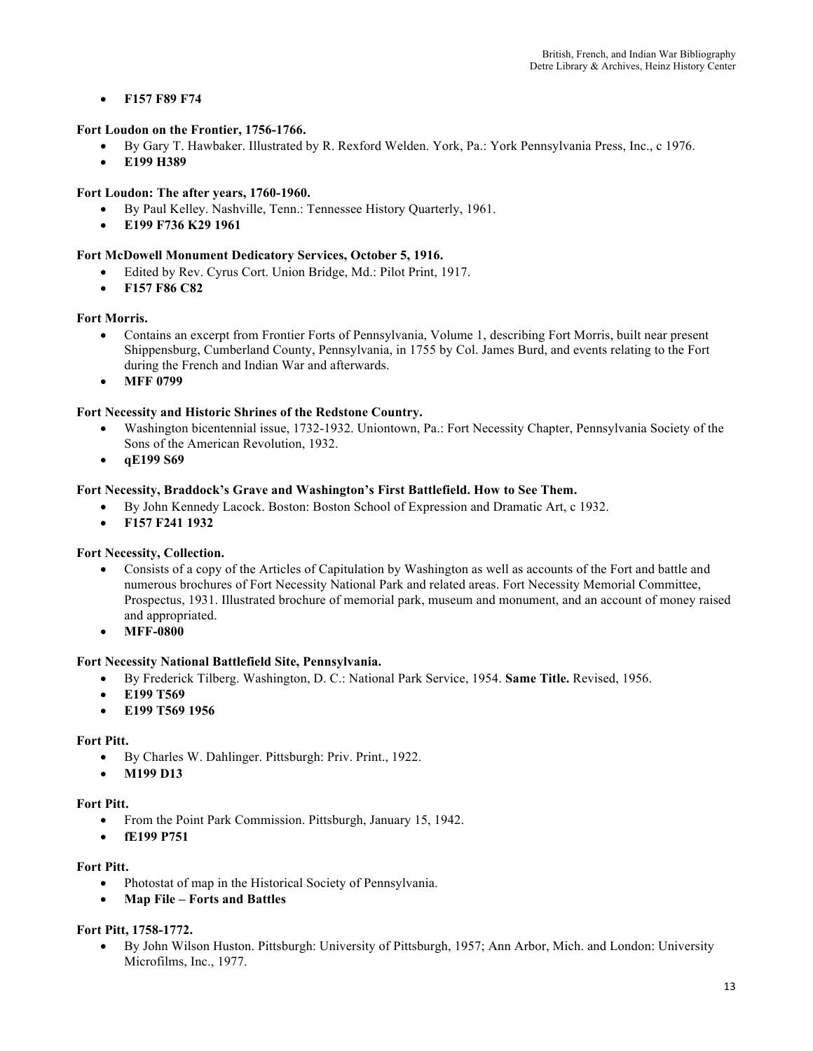• **F157 F89 F74** 

## **Fort Loudon on the Frontier, 1756-1766.**

- By Gary T. Hawbaker. Illustrated by R. Rexford Welden. York, Pa.: York Pennsylvania Press, Inc., c 1976.
- **E199 H389**

## **Fort Loudon: The after years, 1760-1960.**

- By Paul Kelley. Nashville, Tenn.: Tennessee History Quarterly, 1961.
- **E199 F736 K29 1961**

## **Fort McDowell Monument Dedicatory Services, October 5, 1916.**

- Edited by Rev. Cyrus Cort. Union Bridge, Md.: Pilot Print, 1917.
- **F157 F86 C82**

## **Fort Morris.**

- Contains an excerpt from Frontier Forts of Pennsylvania, Volume 1, describing Fort Morris, built near present Shippensburg, Cumberland County, Pennsylvania, in 1755 by Col. James Burd, and events relating to the Fort during the French and Indian War and afterwards.
- **MFF 0799**

## **Fort Necessity and Historic Shrines of the Redstone Country.**

- Washington bicentennial issue, 1732-1932. Uniontown, Pa.: Fort Necessity Chapter, Pennsylvania Society of the Sons of the American Revolution, 1932.
- **qE199 S69**

## **Fort Necessity, Braddock's Grave and Washington's First Battlefield. How to See Them.**

- By John Kennedy Lacock. Boston: Boston School of Expression and Dramatic Art, c 1932.
- **F157 F241 1932**

## **Fort Necessity, Collection.**

- Consists of a copy of the Articles of Capitulation by Washington as well as accounts of the Fort and battle and numerous brochures of Fort Necessity National Park and related areas. Fort Necessity Memorial Committee, Prospectus, 1931. Illustrated brochure of memorial park, museum and monument, and an account of money raised and appropriated.
- **MFF-0800**

## **Fort Necessity National Battlefield Site, Pennsylvania.**

- By Frederick Tilberg. Washington, D. C.: National Park Service, 1954. **Same Title.** Revised, 1956.
- **E199 T569**
- **E199 T569 1956**

## **Fort Pitt.**

- By Charles W. Dahlinger. Pittsburgh: Priv. Print., 1922.
- **M199 D13**

## **Fort Pitt.**

- From the Point Park Commission. Pittsburgh, January 15, 1942.
- **fE199 P751**

## **Fort Pitt.**

- Photostat of map in the Historical Society of Pennsylvania.
- **Map File – Forts and Battles**

## **Fort Pitt, 1758-1772.**

• By John Wilson Huston. Pittsburgh: University of Pittsburgh, 1957; Ann Arbor, Mich. and London: University Microfilms, Inc., 1977.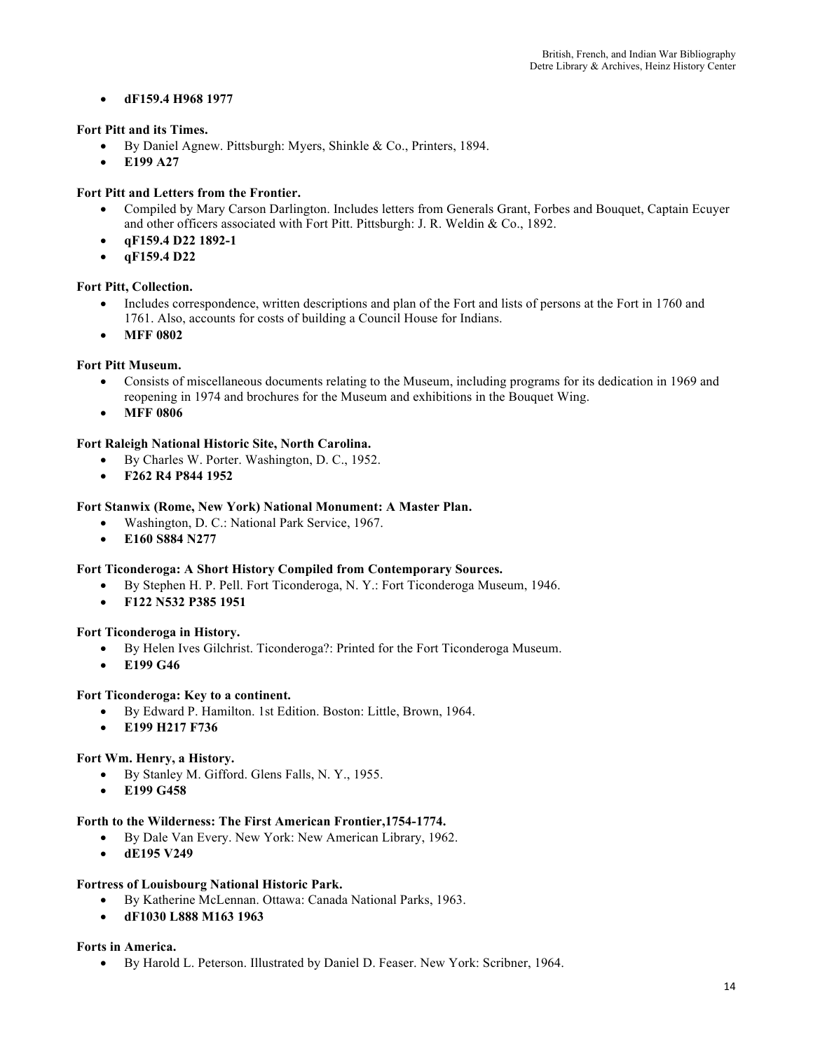## • **dF159.4 H968 1977**

## **Fort Pitt and its Times.**

- By Daniel Agnew. Pittsburgh: Myers, Shinkle & Co., Printers, 1894.
- **E199 A27**

## **Fort Pitt and Letters from the Frontier.**

- Compiled by Mary Carson Darlington. Includes letters from Generals Grant, Forbes and Bouquet, Captain Ecuyer and other officers associated with Fort Pitt. Pittsburgh: J. R. Weldin & Co., 1892.
- **qF159.4 D22 1892-1**
- **qF159.4 D22**

## **Fort Pitt, Collection.**

- Includes correspondence, written descriptions and plan of the Fort and lists of persons at the Fort in 1760 and 1761. Also, accounts for costs of building a Council House for Indians.
- **MFF 0802**

## **Fort Pitt Museum.**

- Consists of miscellaneous documents relating to the Museum, including programs for its dedication in 1969 and reopening in 1974 and brochures for the Museum and exhibitions in the Bouquet Wing.
- **MFF 0806**

## **Fort Raleigh National Historic Site, North Carolina.**

- By Charles W. Porter. Washington, D. C., 1952.
- **F262 R4 P844 1952**

## **Fort Stanwix (Rome, New York) National Monument: A Master Plan.**

- Washington, D. C.: National Park Service, 1967.
- **E160 S884 N277**

## **Fort Ticonderoga: A Short History Compiled from Contemporary Sources.**

- By Stephen H. P. Pell. Fort Ticonderoga, N. Y.: Fort Ticonderoga Museum, 1946.
- **F122 N532 P385 1951**

## **Fort Ticonderoga in History.**

- By Helen Ives Gilchrist. Ticonderoga?: Printed for the Fort Ticonderoga Museum.
- **E199 G46**

## **Fort Ticonderoga: Key to a continent.**

- By Edward P. Hamilton. 1st Edition. Boston: Little, Brown, 1964.
- **E199 H217 F736**

## **Fort Wm. Henry, a History.**

- By Stanley M. Gifford. Glens Falls, N. Y., 1955.
- **E199 G458**

## **Forth to the Wilderness: The First American Frontier,1754-1774.**

- By Dale Van Every. New York: New American Library, 1962.
- **dE195 V249**

## **Fortress of Louisbourg National Historic Park.**

- By Katherine McLennan. Ottawa: Canada National Parks, 1963.
- **dF1030 L888 M163 1963**

## **Forts in America.**

• By Harold L. Peterson. Illustrated by Daniel D. Feaser. New York: Scribner, 1964.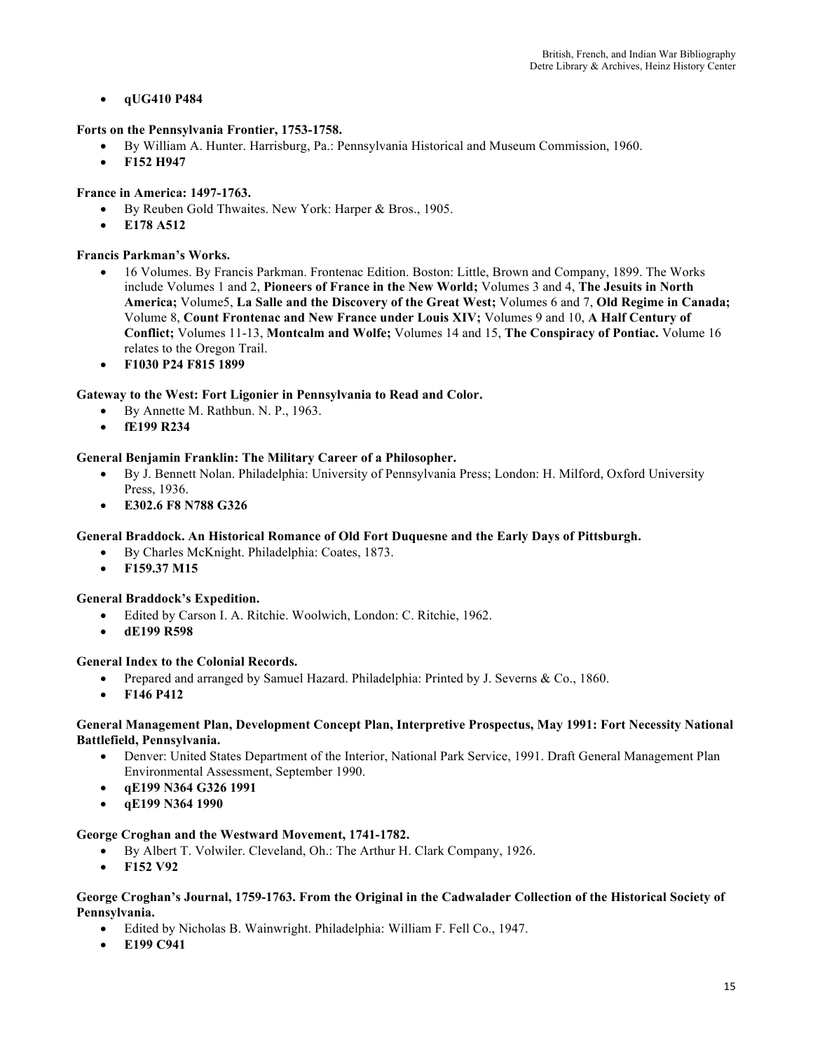## • **qUG410 P484**

## **Forts on the Pennsylvania Frontier, 1753-1758.**

- By William A. Hunter. Harrisburg, Pa.: Pennsylvania Historical and Museum Commission, 1960.
- **F152 H947**

## **France in America: 1497-1763.**

- By Reuben Gold Thwaites. New York: Harper & Bros., 1905.
- **E178 A512**

## **Francis Parkman's Works.**

- 16 Volumes. By Francis Parkman. Frontenac Edition. Boston: Little, Brown and Company, 1899. The Works include Volumes 1 and 2, **Pioneers of France in the New World;** Volumes 3 and 4, **The Jesuits in North America;** Volume5, **La Salle and the Discovery of the Great West;** Volumes 6 and 7, **Old Regime in Canada;**  Volume 8, **Count Frontenac and New France under Louis XIV;** Volumes 9 and 10, **A Half Century of Conflict;** Volumes 11-13, **Montcalm and Wolfe;** Volumes 14 and 15, **The Conspiracy of Pontiac.** Volume 16 relates to the Oregon Trail.
- **F1030 P24 F815 1899**

## **Gateway to the West: Fort Ligonier in Pennsylvania to Read and Color.**

- By Annette M. Rathbun. N. P., 1963.
- **fE199 R234**

## **General Benjamin Franklin: The Military Career of a Philosopher.**

- By J. Bennett Nolan. Philadelphia: University of Pennsylvania Press; London: H. Milford, Oxford University Press, 1936.
- **E302.6 F8 N788 G326**

## **General Braddock. An Historical Romance of Old Fort Duquesne and the Early Days of Pittsburgh.**

- By Charles McKnight. Philadelphia: Coates, 1873.
- **F159.37 M15**

## **General Braddock's Expedition.**

- Edited by Carson I. A. Ritchie. Woolwich, London: C. Ritchie, 1962.
- **dE199 R598**

## **General Index to the Colonial Records.**

- Prepared and arranged by Samuel Hazard. Philadelphia: Printed by J. Severns & Co., 1860.
- **F146 P412**

#### **General Management Plan, Development Concept Plan, Interpretive Prospectus, May 1991: Fort Necessity National Battlefield, Pennsylvania.**

- Denver: United States Department of the Interior, National Park Service, 1991. Draft General Management Plan Environmental Assessment, September 1990.
- **qE199 N364 G326 1991**
- **qE199 N364 1990**

## **George Croghan and the Westward Movement, 1741-1782.**

- By Albert T. Volwiler. Cleveland, Oh.: The Arthur H. Clark Company, 1926.
- **F152 V92**

#### **George Croghan's Journal, 1759-1763. From the Original in the Cadwalader Collection of the Historical Society of Pennsylvania.**

- Edited by Nicholas B. Wainwright. Philadelphia: William F. Fell Co., 1947.
- **E199 C941**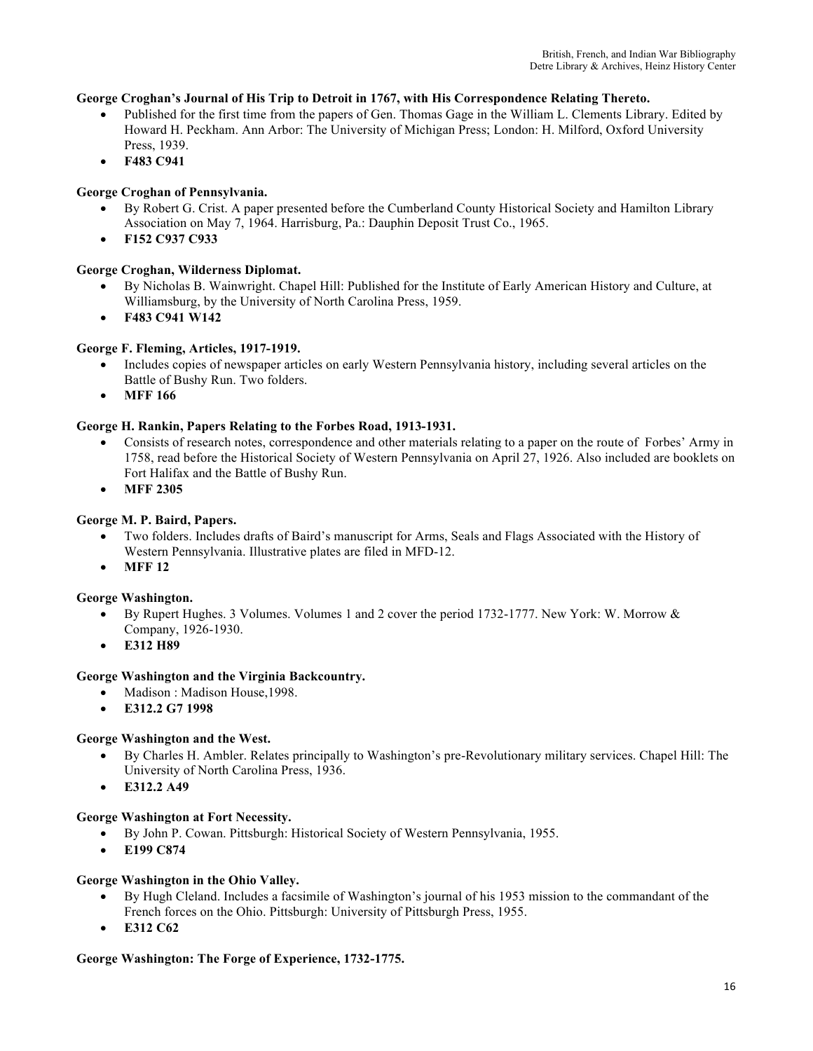## **George Croghan's Journal of His Trip to Detroit in 1767, with His Correspondence Relating Thereto.**

- Published for the first time from the papers of Gen. Thomas Gage in the William L. Clements Library. Edited by Howard H. Peckham. Ann Arbor: The University of Michigan Press; London: H. Milford, Oxford University Press, 1939.
- **F483 C941**

## **George Croghan of Pennsylvania.**

- By Robert G. Crist. A paper presented before the Cumberland County Historical Society and Hamilton Library Association on May 7, 1964. Harrisburg, Pa.: Dauphin Deposit Trust Co., 1965.
- **F152 C937 C933**

## **George Croghan, Wilderness Diplomat.**

- By Nicholas B. Wainwright. Chapel Hill: Published for the Institute of Early American History and Culture, at Williamsburg, by the University of North Carolina Press, 1959.
- **F483 C941 W142**

## **George F. Fleming, Articles, 1917-1919.**

- Includes copies of newspaper articles on early Western Pennsylvania history, including several articles on the Battle of Bushy Run. Two folders.
- **MFF 166**

## **George H. Rankin, Papers Relating to the Forbes Road, 1913-1931.**

- Consists of research notes, correspondence and other materials relating to a paper on the route of Forbes' Army in 1758, read before the Historical Society of Western Pennsylvania on April 27, 1926. Also included are booklets on Fort Halifax and the Battle of Bushy Run.
- **MFF 2305**

## **George M. P. Baird, Papers.**

- Two folders. Includes drafts of Baird's manuscript for Arms, Seals and Flags Associated with the History of Western Pennsylvania. Illustrative plates are filed in MFD-12.
- **MFF 12**

## **George Washington.**

- By Rupert Hughes. 3 Volumes. Volumes 1 and 2 cover the period 1732-1777. New York: W. Morrow & Company, 1926-1930.
- **E312 H89**

## **George Washington and the Virginia Backcountry.**

- Madison: Madison House, 1998.
- **E312.2 G7 1998**

## **George Washington and the West.**

- By Charles H. Ambler. Relates principally to Washington's pre-Revolutionary military services. Chapel Hill: The University of North Carolina Press, 1936.
- **E312.2 A49**

## **George Washington at Fort Necessity.**

- By John P. Cowan. Pittsburgh: Historical Society of Western Pennsylvania, 1955.
- **E199 C874**

## **George Washington in the Ohio Valley.**

- By Hugh Cleland. Includes a facsimile of Washington's journal of his 1953 mission to the commandant of the French forces on the Ohio. Pittsburgh: University of Pittsburgh Press, 1955.
- **E312 C62**

## **George Washington: The Forge of Experience, 1732-1775.**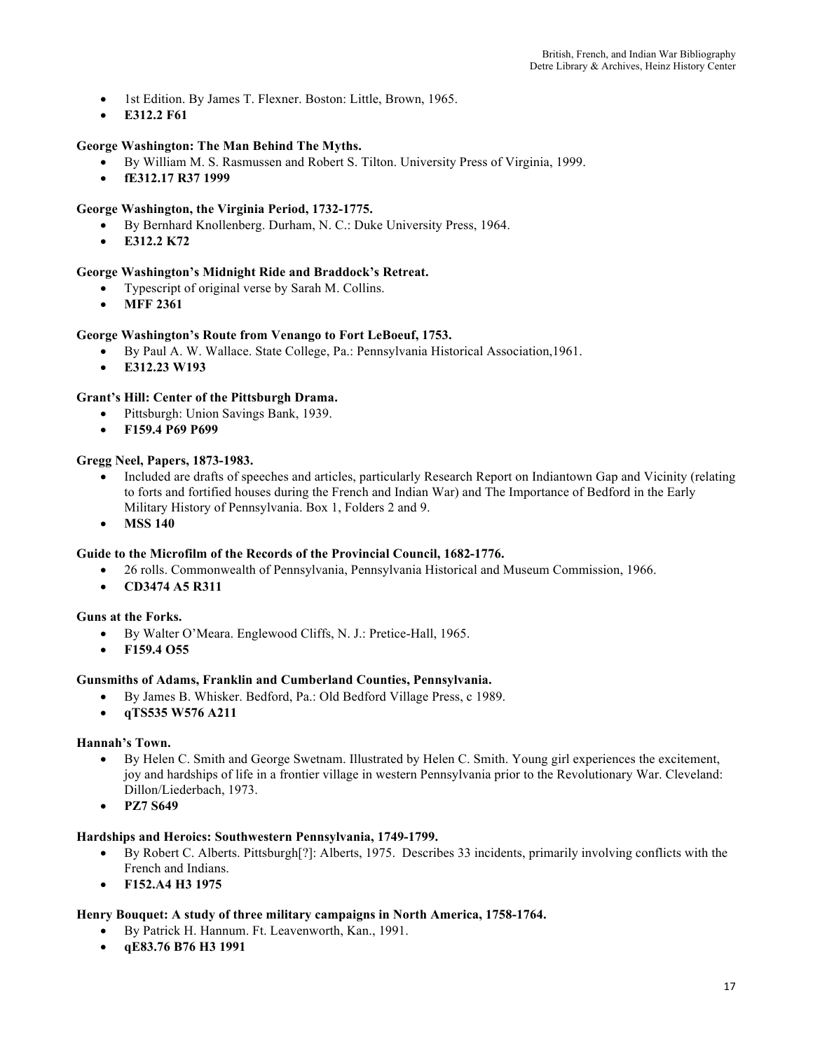- 1st Edition. By James T. Flexner. Boston: Little, Brown, 1965.
- **E312.2 F61**

## **George Washington: The Man Behind The Myths.**

- By William M. S. Rasmussen and Robert S. Tilton. University Press of Virginia, 1999.
- **fE312.17 R37 1999**

## **George Washington, the Virginia Period, 1732-1775.**

- By Bernhard Knollenberg. Durham, N. C.: Duke University Press, 1964.
- **E312.2 K72**

## **George Washington's Midnight Ride and Braddock's Retreat.**

- Typescript of original verse by Sarah M. Collins.
- **MFF 2361**

#### **George Washington's Route from Venango to Fort LeBoeuf, 1753.**

- By Paul A. W. Wallace. State College, Pa.: Pennsylvania Historical Association,1961.
- **E312.23 W193**

#### **Grant's Hill: Center of the Pittsburgh Drama.**

- Pittsburgh: Union Savings Bank, 1939.
- **F159.4 P69 P699**

#### **Gregg Neel, Papers, 1873-1983.**

- Included are drafts of speeches and articles, particularly Research Report on Indiantown Gap and Vicinity (relating to forts and fortified houses during the French and Indian War) and The Importance of Bedford in the Early Military History of Pennsylvania. Box 1, Folders 2 and 9.
- **MSS 140**

#### **Guide to the Microfilm of the Records of the Provincial Council, 1682-1776.**

- 26 rolls. Commonwealth of Pennsylvania, Pennsylvania Historical and Museum Commission, 1966.
- **CD3474 A5 R311**

#### **Guns at the Forks.**

- By Walter O'Meara. Englewood Cliffs, N. J.: Pretice-Hall, 1965.
- **F159.4 O55**

#### **Gunsmiths of Adams, Franklin and Cumberland Counties, Pennsylvania.**

- By James B. Whisker. Bedford, Pa.: Old Bedford Village Press, c 1989.
- **qTS535 W576 A211**

#### **Hannah's Town.**

- By Helen C. Smith and George Swetnam. Illustrated by Helen C. Smith. Young girl experiences the excitement, joy and hardships of life in a frontier village in western Pennsylvania prior to the Revolutionary War. Cleveland: Dillon/Liederbach, 1973.
- **PZ7 S649**

#### **Hardships and Heroics: Southwestern Pennsylvania, 1749-1799.**

- By Robert C. Alberts. Pittsburgh[?]: Alberts, 1975. Describes 33 incidents, primarily involving conflicts with the French and Indians.
- **F152.A4 H3 1975**

#### **Henry Bouquet: A study of three military campaigns in North America, 1758-1764.**

- By Patrick H. Hannum. Ft. Leavenworth, Kan., 1991.
- **qE83.76 B76 H3 1991**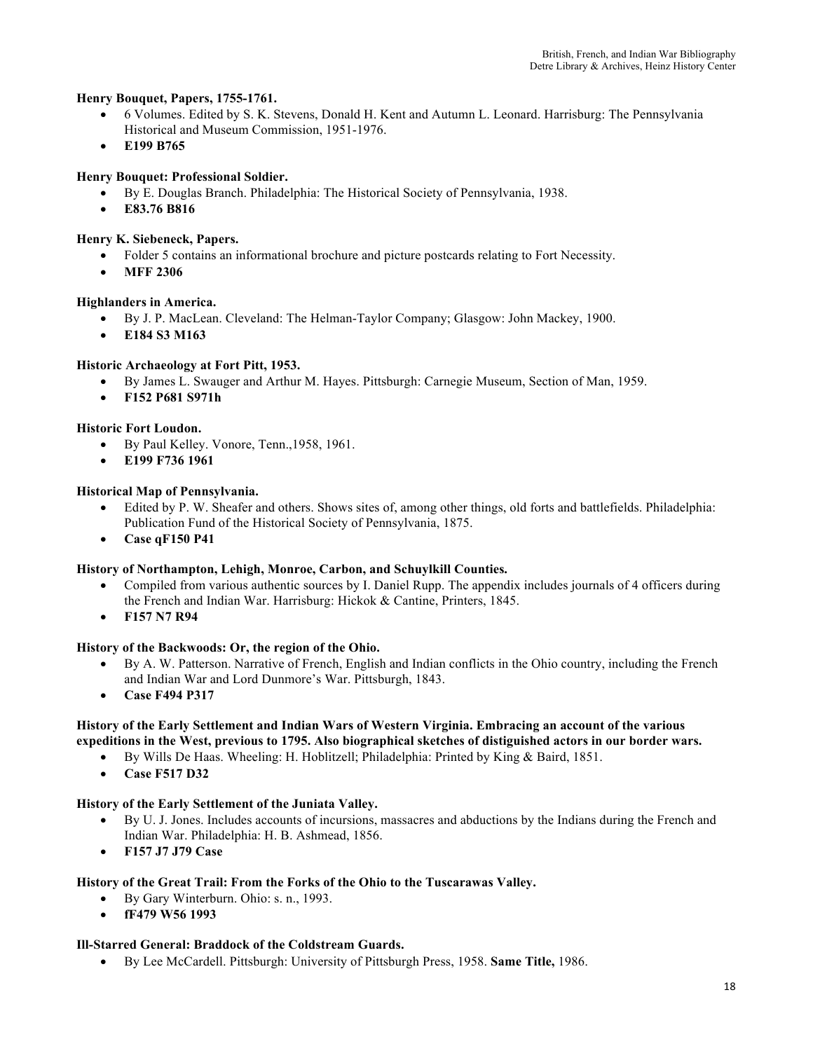## **Henry Bouquet, Papers, 1755-1761.**

- 6 Volumes. Edited by S. K. Stevens, Donald H. Kent and Autumn L. Leonard. Harrisburg: The Pennsylvania Historical and Museum Commission, 1951-1976.
- **E199 B765**

## **Henry Bouquet: Professional Soldier.**

- By E. Douglas Branch. Philadelphia: The Historical Society of Pennsylvania, 1938.
- **E83.76 B816**

## **Henry K. Siebeneck, Papers.**

- Folder 5 contains an informational brochure and picture postcards relating to Fort Necessity.
- **MFF 2306**
- **Highlanders in America.**
	- By J. P. MacLean. Cleveland: The Helman-Taylor Company; Glasgow: John Mackey, 1900.
	- **E184 S3 M163**

## **Historic Archaeology at Fort Pitt, 1953.**

- By James L. Swauger and Arthur M. Hayes. Pittsburgh: Carnegie Museum, Section of Man, 1959.
- **F152 P681 S971h**

## **Historic Fort Loudon.**

- By Paul Kelley. Vonore, Tenn.,1958, 1961.
- **E199 F736 1961**

## **Historical Map of Pennsylvania.**

- Edited by P. W. Sheafer and others. Shows sites of, among other things, old forts and battlefields. Philadelphia: Publication Fund of the Historical Society of Pennsylvania, 1875.
- **Case qF150 P41**

## **History of Northampton, Lehigh, Monroe, Carbon, and Schuylkill Counties.**

- Compiled from various authentic sources by I. Daniel Rupp. The appendix includes journals of 4 officers during the French and Indian War. Harrisburg: Hickok & Cantine, Printers, 1845.
- **F157 N7 R94**

## **History of the Backwoods: Or, the region of the Ohio.**

- By A. W. Patterson. Narrative of French, English and Indian conflicts in the Ohio country, including the French and Indian War and Lord Dunmore's War. Pittsburgh, 1843.
- **Case F494 P317**

## **History of the Early Settlement and Indian Wars of Western Virginia. Embracing an account of the various expeditions in the West, previous to 1795. Also biographical sketches of distiguished actors in our border wars.**

- By Wills De Haas. Wheeling: H. Hoblitzell; Philadelphia: Printed by King & Baird, 1851.
- **Case F517 D32**

## **History of the Early Settlement of the Juniata Valley.**

- By U. J. Jones. Includes accounts of incursions, massacres and abductions by the Indians during the French and Indian War. Philadelphia: H. B. Ashmead, 1856.
- **F157 J7 J79 Case**

## **History of the Great Trail: From the Forks of the Ohio to the Tuscarawas Valley.**

- By Gary Winterburn. Ohio: s. n., 1993.
- **fF479 W56 1993**

## **Ill-Starred General: Braddock of the Coldstream Guards.**

• By Lee McCardell. Pittsburgh: University of Pittsburgh Press, 1958. **Same Title,** 1986.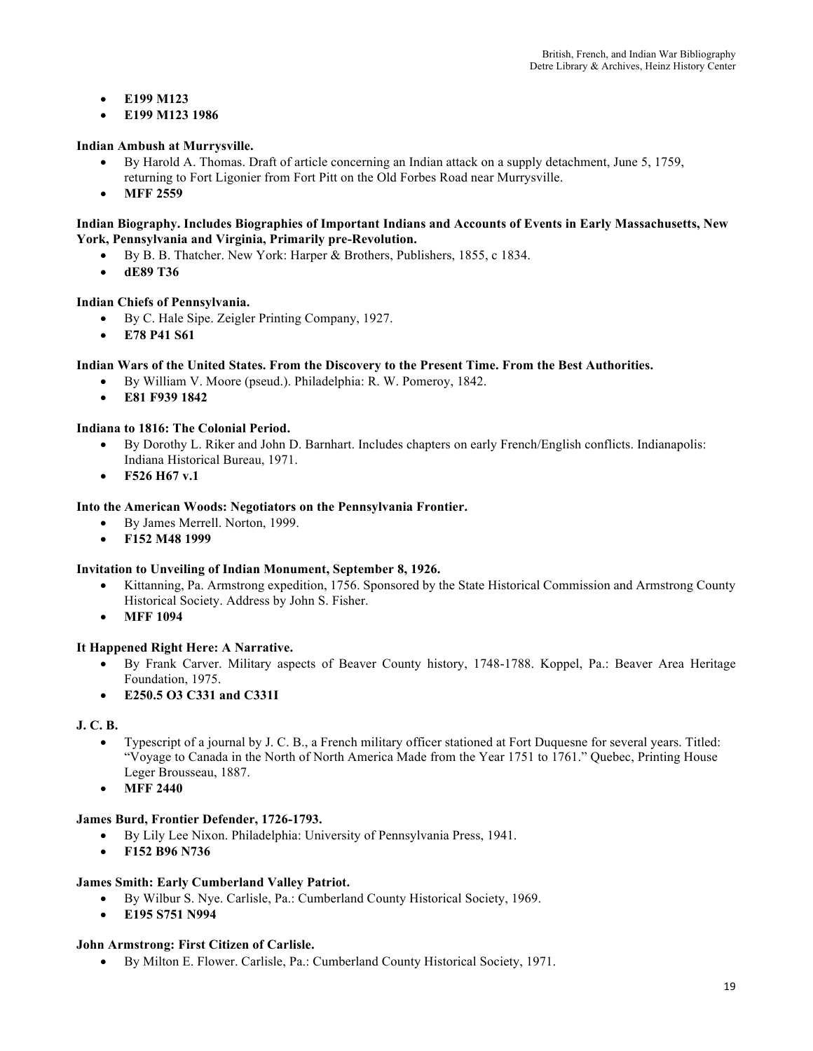- **E199 M123**
- **E199 M123 1986**

## **Indian Ambush at Murrysville.**

- By Harold A. Thomas. Draft of article concerning an Indian attack on a supply detachment, June 5, 1759, returning to Fort Ligonier from Fort Pitt on the Old Forbes Road near Murrysville.
- **MFF 2559**

## **Indian Biography. Includes Biographies of Important Indians and Accounts of Events in Early Massachusetts, New York, Pennsylvania and Virginia, Primarily pre-Revolution.**

- By B. B. Thatcher. New York: Harper & Brothers, Publishers, 1855, c 1834.
- **dE89 T36**

## **Indian Chiefs of Pennsylvania.**

- By C. Hale Sipe. Zeigler Printing Company, 1927.
- **E78 P41 S61**

## **Indian Wars of the United States. From the Discovery to the Present Time. From the Best Authorities.**

- By William V. Moore (pseud.). Philadelphia: R. W. Pomeroy, 1842.
- **E81 F939 1842**

## **Indiana to 1816: The Colonial Period.**

- By Dorothy L. Riker and John D. Barnhart. Includes chapters on early French/English conflicts. Indianapolis: Indiana Historical Bureau, 1971.
- **F526 H67 v.1**

## **Into the American Woods: Negotiators on the Pennsylvania Frontier.**

- By James Merrell. Norton, 1999.
- **F152 M48 1999**

## **Invitation to Unveiling of Indian Monument, September 8, 1926.**

- Kittanning, Pa. Armstrong expedition, 1756. Sponsored by the State Historical Commission and Armstrong County Historical Society. Address by John S. Fisher.
- **MFF 1094**

## **It Happened Right Here: A Narrative.**

- By Frank Carver. Military aspects of Beaver County history, 1748-1788. Koppel, Pa.: Beaver Area Heritage Foundation, 1975.
- **E250.5 O3 C331 and C331I**

## **J. C. B.**

- Typescript of a journal by J. C. B., a French military officer stationed at Fort Duquesne for several years. Titled: "Voyage to Canada in the North of North America Made from the Year 1751 to 1761." Quebec, Printing House Leger Brousseau, 1887.
- **MFF 2440**

## **James Burd, Frontier Defender, 1726-1793.**

- By Lily Lee Nixon. Philadelphia: University of Pennsylvania Press, 1941.
- **F152 B96 N736**

## **James Smith: Early Cumberland Valley Patriot.**

- By Wilbur S. Nye. Carlisle, Pa.: Cumberland County Historical Society, 1969.
- **E195 S751 N994**

## **John Armstrong: First Citizen of Carlisle.**

• By Milton E. Flower. Carlisle, Pa.: Cumberland County Historical Society, 1971.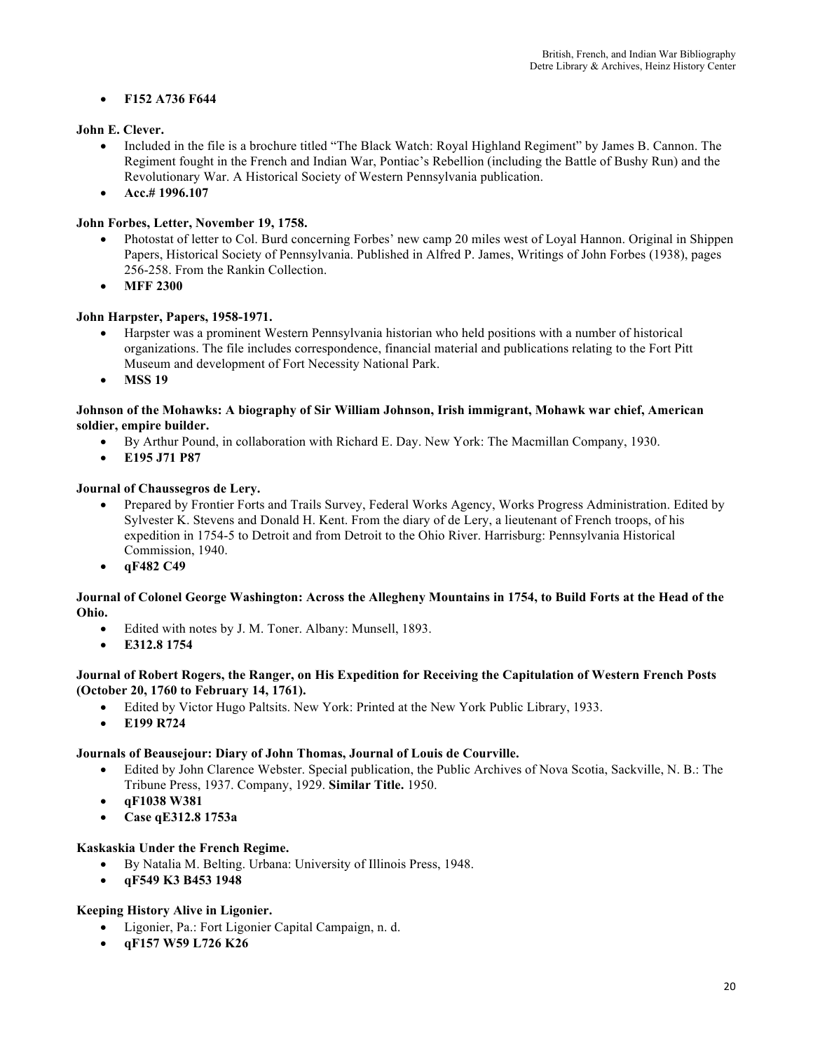## • **F152 A736 F644**

## **John E. Clever.**

- Included in the file is a brochure titled "The Black Watch: Royal Highland Regiment" by James B. Cannon. The Regiment fought in the French and Indian War, Pontiac's Rebellion (including the Battle of Bushy Run) and the Revolutionary War. A Historical Society of Western Pennsylvania publication.
- **Acc.# 1996.107**

## **John Forbes, Letter, November 19, 1758.**

- Photostat of letter to Col. Burd concerning Forbes' new camp 20 miles west of Loyal Hannon. Original in Shippen Papers, Historical Society of Pennsylvania. Published in Alfred P. James, Writings of John Forbes (1938), pages 256-258. From the Rankin Collection.
- **MFF 2300**

## **John Harpster, Papers, 1958-1971.**

- Harpster was a prominent Western Pennsylvania historian who held positions with a number of historical organizations. The file includes correspondence, financial material and publications relating to the Fort Pitt Museum and development of Fort Necessity National Park.
- **MSS 19**

## **Johnson of the Mohawks: A biography of Sir William Johnson, Irish immigrant, Mohawk war chief, American soldier, empire builder.**

- By Arthur Pound, in collaboration with Richard E. Day. New York: The Macmillan Company, 1930.
- **E195 J71 P87**

## **Journal of Chaussegros de Lery.**

- Prepared by Frontier Forts and Trails Survey, Federal Works Agency, Works Progress Administration. Edited by Sylvester K. Stevens and Donald H. Kent. From the diary of de Lery, a lieutenant of French troops, of his expedition in 1754-5 to Detroit and from Detroit to the Ohio River. Harrisburg: Pennsylvania Historical Commission, 1940.
- **qF482 C49**

## **Journal of Colonel George Washington: Across the Allegheny Mountains in 1754, to Build Forts at the Head of the Ohio.**

- Edited with notes by J. M. Toner. Albany: Munsell, 1893.
- **E312.8 1754**

## **Journal of Robert Rogers, the Ranger, on His Expedition for Receiving the Capitulation of Western French Posts (October 20, 1760 to February 14, 1761).**

- Edited by Victor Hugo Paltsits. New York: Printed at the New York Public Library, 1933.
- **E199 R724**

## **Journals of Beausejour: Diary of John Thomas, Journal of Louis de Courville.**

- Edited by John Clarence Webster. Special publication, the Public Archives of Nova Scotia, Sackville, N. B.: The Tribune Press, 1937. Company, 1929. **Similar Title.** 1950.
- **qF1038 W381**
- **Case qE312.8 1753a**

## **Kaskaskia Under the French Regime.**

- By Natalia M. Belting. Urbana: University of Illinois Press, 1948.
- **qF549 K3 B453 1948**

## **Keeping History Alive in Ligonier.**

- Ligonier, Pa.: Fort Ligonier Capital Campaign, n. d.
- **qF157 W59 L726 K26**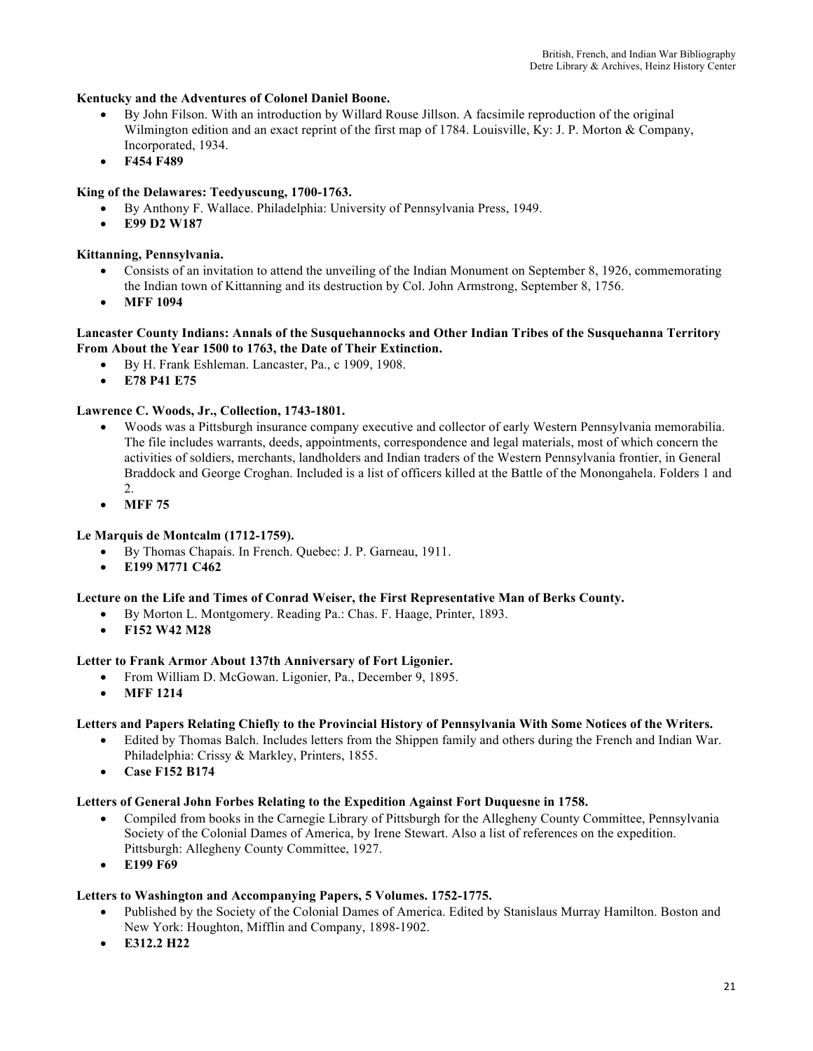## **Kentucky and the Adventures of Colonel Daniel Boone.**

- By John Filson. With an introduction by Willard Rouse Jillson. A facsimile reproduction of the original Wilmington edition and an exact reprint of the first map of 1784. Louisville, Ky: J. P. Morton & Company, Incorporated, 1934.
- **F454 F489**

## **King of the Delawares: Teedyuscung, 1700-1763.**

- By Anthony F. Wallace. Philadelphia: University of Pennsylvania Press, 1949.
- **E99 D2 W187**

## **Kittanning, Pennsylvania.**

- Consists of an invitation to attend the unveiling of the Indian Monument on September 8, 1926, commemorating the Indian town of Kittanning and its destruction by Col. John Armstrong, September 8, 1756.
- **MFF 1094**

#### **Lancaster County Indians: Annals of the Susquehannocks and Other Indian Tribes of the Susquehanna Territory From About the Year 1500 to 1763, the Date of Their Extinction.**

- By H. Frank Eshleman. Lancaster, Pa., c 1909, 1908.
- **E78 P41 E75**

#### **Lawrence C. Woods, Jr., Collection, 1743-1801.**

- Woods was a Pittsburgh insurance company executive and collector of early Western Pennsylvania memorabilia. The file includes warrants, deeds, appointments, correspondence and legal materials, most of which concern the activities of soldiers, merchants, landholders and Indian traders of the Western Pennsylvania frontier, in General Braddock and George Croghan. Included is a list of officers killed at the Battle of the Monongahela. Folders 1 and 2.
- **MFF 75**

## **Le Marquis de Montcalm (1712-1759).**

- By Thomas Chapais. In French. Quebec: J. P. Garneau, 1911.
- **E199 M771 C462**

## **Lecture on the Life and Times of Conrad Weiser, the First Representative Man of Berks County.**

- By Morton L. Montgomery. Reading Pa.: Chas. F. Haage, Printer, 1893.
- **F152 W42 M28**

## **Letter to Frank Armor About 137th Anniversary of Fort Ligonier.**

- From William D. McGowan. Ligonier, Pa., December 9, 1895.
- **MFF 1214**

#### **Letters and Papers Relating Chiefly to the Provincial History of Pennsylvania With Some Notices of the Writers.**

- Edited by Thomas Balch. Includes letters from the Shippen family and others during the French and Indian War. Philadelphia: Crissy & Markley, Printers, 1855.
- **Case F152 B174**

#### **Letters of General John Forbes Relating to the Expedition Against Fort Duquesne in 1758.**

- Compiled from books in the Carnegie Library of Pittsburgh for the Allegheny County Committee, Pennsylvania Society of the Colonial Dames of America, by Irene Stewart. Also a list of references on the expedition. Pittsburgh: Allegheny County Committee, 1927.
- **E199 F69**

#### **Letters to Washington and Accompanying Papers, 5 Volumes. 1752-1775.**

- Published by the Society of the Colonial Dames of America. Edited by Stanislaus Murray Hamilton. Boston and New York: Houghton, Mifflin and Company, 1898-1902.
- **E312.2 H22**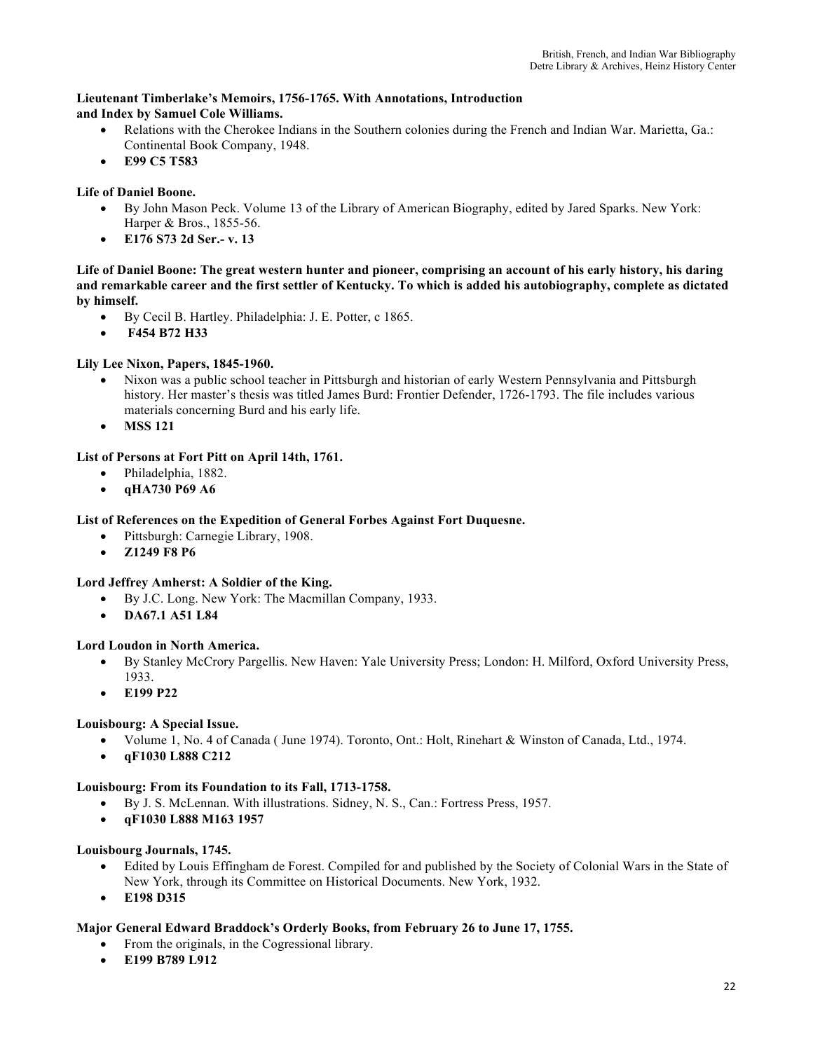## **Lieutenant Timberlake's Memoirs, 1756-1765. With Annotations, Introduction and Index by Samuel Cole Williams.**

- Relations with the Cherokee Indians in the Southern colonies during the French and Indian War. Marietta, Ga.: Continental Book Company, 1948.
- **E99 C5 T583**

## **Life of Daniel Boone.**

- By John Mason Peck. Volume 13 of the Library of American Biography, edited by Jared Sparks. New York: Harper & Bros., 1855-56.
- **E176 S73 2d Ser.- v. 13**

## **Life of Daniel Boone: The great western hunter and pioneer, comprising an account of his early history, his daring and remarkable career and the first settler of Kentucky. To which is added his autobiography, complete as dictated by himself.**

- By Cecil B. Hartley. Philadelphia: J. E. Potter, c 1865.
- **F454 B72 H33**

## **Lily Lee Nixon, Papers, 1845-1960.**

- Nixon was a public school teacher in Pittsburgh and historian of early Western Pennsylvania and Pittsburgh history. Her master's thesis was titled James Burd: Frontier Defender, 1726-1793. The file includes various materials concerning Burd and his early life.
- **MSS 121**

## **List of Persons at Fort Pitt on April 14th, 1761.**

- Philadelphia, 1882.
- **qHA730 P69 A6**

## **List of References on the Expedition of General Forbes Against Fort Duquesne.**

- Pittsburgh: Carnegie Library, 1908.
- **Z1249 F8 P6**

## **Lord Jeffrey Amherst: A Soldier of the King.**

- By J.C. Long. New York: The Macmillan Company, 1933.
- **DA67.1 A51 L84**

## **Lord Loudon in North America.**

- By Stanley McCrory Pargellis. New Haven: Yale University Press; London: H. Milford, Oxford University Press, 1933.
- **E199 P22**

## **Louisbourg: A Special Issue.**

- Volume 1, No. 4 of Canada ( June 1974). Toronto, Ont.: Holt, Rinehart & Winston of Canada, Ltd., 1974.
- **qF1030 L888 C212**

## **Louisbourg: From its Foundation to its Fall, 1713-1758.**

- By J. S. McLennan. With illustrations. Sidney, N. S., Can.: Fortress Press, 1957.
- **qF1030 L888 M163 1957**

## **Louisbourg Journals, 1745.**

- Edited by Louis Effingham de Forest. Compiled for and published by the Society of Colonial Wars in the State of New York, through its Committee on Historical Documents. New York, 1932.
- **E198 D315**

## **Major General Edward Braddock's Orderly Books, from February 26 to June 17, 1755.**

- From the originals, in the Cogressional library.
- **E199 B789 L912**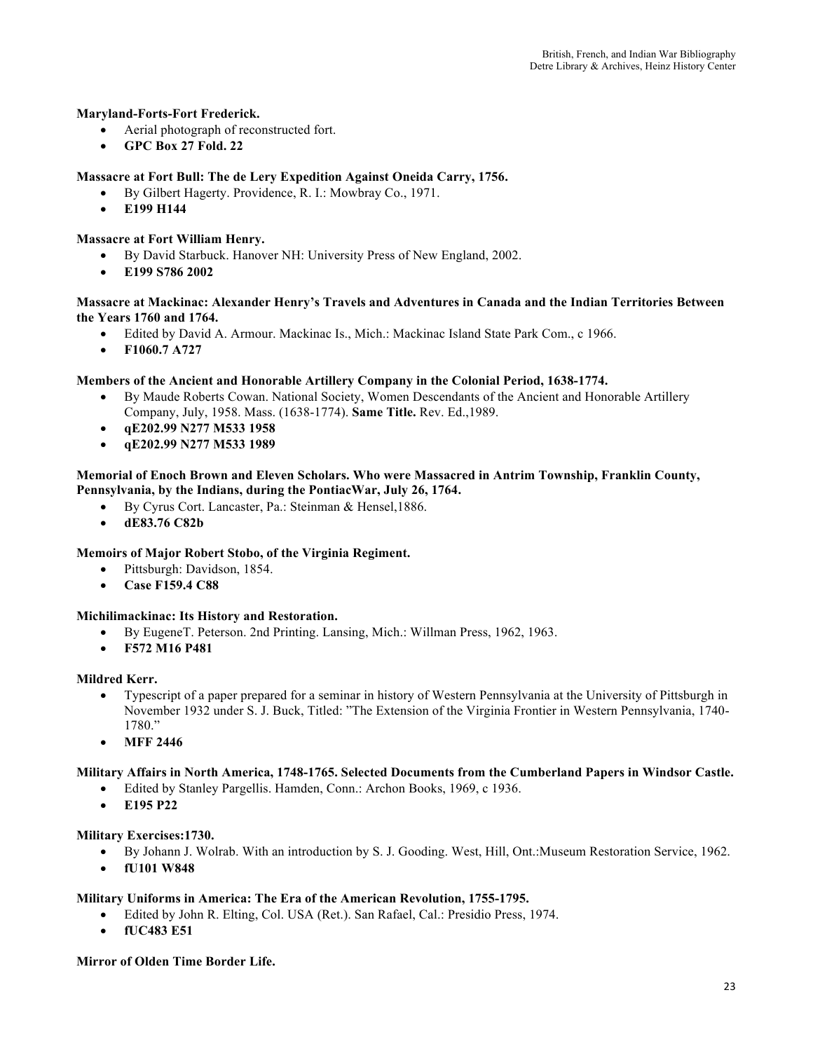## **Maryland-Forts-Fort Frederick.**

- Aerial photograph of reconstructed fort.
- **GPC Box 27 Fold. 22**

## **Massacre at Fort Bull: The de Lery Expedition Against Oneida Carry, 1756.**

- By Gilbert Hagerty. Providence, R. I.: Mowbray Co., 1971.
	- **E199 H144**

## **Massacre at Fort William Henry.**

- By David Starbuck. Hanover NH: University Press of New England, 2002.
- **E199 S786 2002**

## **Massacre at Mackinac: Alexander Henry's Travels and Adventures in Canada and the Indian Territories Between the Years 1760 and 1764.**

- Edited by David A. Armour. Mackinac Is., Mich.: Mackinac Island State Park Com., c 1966.
- **F1060.7 A727**

## **Members of the Ancient and Honorable Artillery Company in the Colonial Period, 1638-1774.**

- By Maude Roberts Cowan. National Society, Women Descendants of the Ancient and Honorable Artillery Company, July, 1958. Mass. (1638-1774). **Same Title.** Rev. Ed.,1989.
- **qE202.99 N277 M533 1958**
- **qE202.99 N277 M533 1989**

#### **Memorial of Enoch Brown and Eleven Scholars. Who were Massacred in Antrim Township, Franklin County, Pennsylvania, by the Indians, during the PontiacWar, July 26, 1764.**

- By Cyrus Cort. Lancaster, Pa.: Steinman & Hensel,1886.
- **dE83.76 C82b**

## **Memoirs of Major Robert Stobo, of the Virginia Regiment.**

- Pittsburgh: Davidson, 1854.
- **Case F159.4 C88**

## **Michilimackinac: Its History and Restoration.**

- By EugeneT. Peterson. 2nd Printing. Lansing, Mich.: Willman Press, 1962, 1963.
- **F572 M16 P481**

## **Mildred Kerr.**

- Typescript of a paper prepared for a seminar in history of Western Pennsylvania at the University of Pittsburgh in November 1932 under S. J. Buck, Titled: "The Extension of the Virginia Frontier in Western Pennsylvania, 1740- 1780."
- **MFF 2446**

## **Military Affairs in North America, 1748-1765. Selected Documents from the Cumberland Papers in Windsor Castle.**

- Edited by Stanley Pargellis. Hamden, Conn.: Archon Books, 1969, c 1936.
- **E195 P22**

## **Military Exercises:1730.**

- By Johann J. Wolrab. With an introduction by S. J. Gooding. West, Hill, Ont.:Museum Restoration Service, 1962.
- **fU101 W848**

## **Military Uniforms in America: The Era of the American Revolution, 1755-1795.**

- Edited by John R. Elting, Col. USA (Ret.). San Rafael, Cal.: Presidio Press, 1974.
- **fUC483 E51**

## **Mirror of Olden Time Border Life.**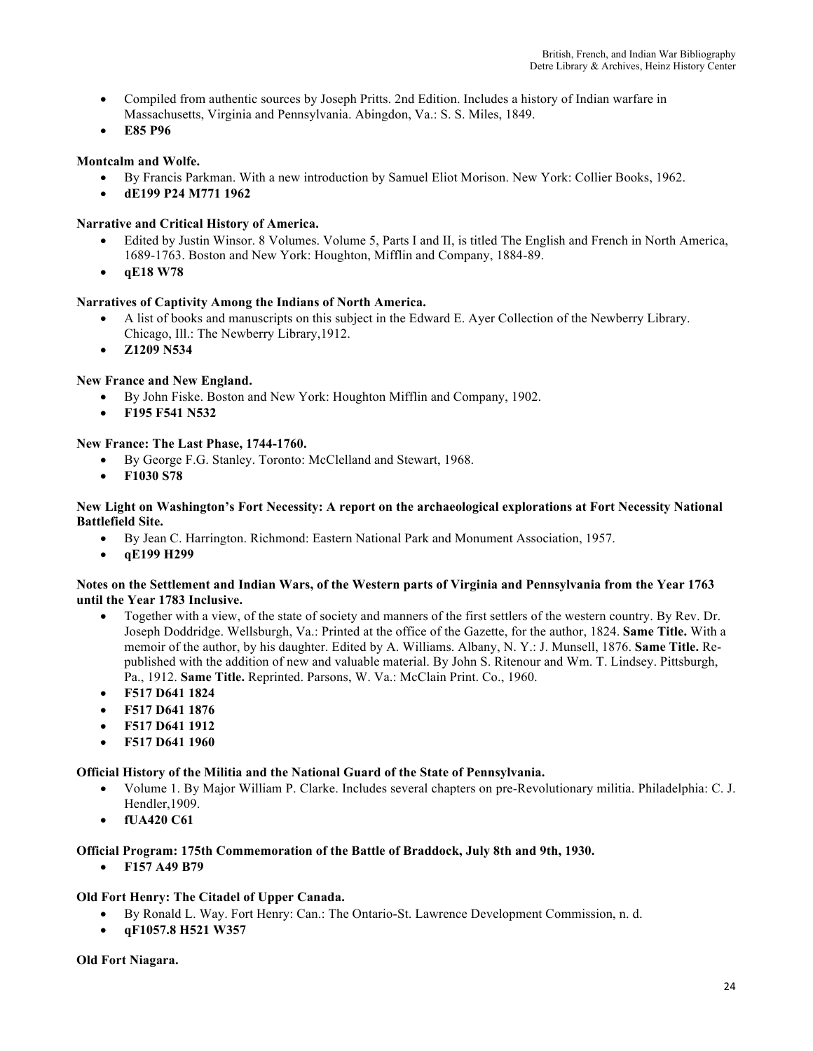- Compiled from authentic sources by Joseph Pritts. 2nd Edition. Includes a history of Indian warfare in Massachusetts, Virginia and Pennsylvania. Abingdon, Va.: S. S. Miles, 1849.
- **E85 P96**

## **Montcalm and Wolfe.**

- By Francis Parkman. With a new introduction by Samuel Eliot Morison. New York: Collier Books, 1962.
- **dE199 P24 M771 1962**

## **Narrative and Critical History of America.**

- Edited by Justin Winsor. 8 Volumes. Volume 5, Parts I and II, is titled The English and French in North America, 1689-1763. Boston and New York: Houghton, Mifflin and Company, 1884-89.
- **qE18 W78**

## **Narratives of Captivity Among the Indians of North America.**

- A list of books and manuscripts on this subject in the Edward E. Ayer Collection of the Newberry Library. Chicago, Ill.: The Newberry Library,1912.
- **Z1209 N534**

## **New France and New England.**

- By John Fiske. Boston and New York: Houghton Mifflin and Company, 1902.
- **F195 F541 N532**

## **New France: The Last Phase, 1744-1760.**

- By George F.G. Stanley. Toronto: McClelland and Stewart, 1968.
- **F1030 S78**

#### **New Light on Washington's Fort Necessity: A report on the archaeological explorations at Fort Necessity National Battlefield Site.**

- By Jean C. Harrington. Richmond: Eastern National Park and Monument Association, 1957.
- **qE199 H299**

#### **Notes on the Settlement and Indian Wars, of the Western parts of Virginia and Pennsylvania from the Year 1763 until the Year 1783 Inclusive.**

- Together with a view, of the state of society and manners of the first settlers of the western country. By Rev. Dr. Joseph Doddridge. Wellsburgh, Va.: Printed at the office of the Gazette, for the author, 1824. **Same Title.** With a memoir of the author, by his daughter. Edited by A. Williams. Albany, N. Y.: J. Munsell, 1876. **Same Title.** Republished with the addition of new and valuable material. By John S. Ritenour and Wm. T. Lindsey. Pittsburgh, Pa., 1912. **Same Title.** Reprinted. Parsons, W. Va.: McClain Print. Co., 1960.
- **F517 D641 1824**
- **F517 D641 1876**
- **F517 D641 1912**
- **F517 D641 1960**

## **Official History of the Militia and the National Guard of the State of Pennsylvania.**

- Volume 1. By Major William P. Clarke. Includes several chapters on pre-Revolutionary militia. Philadelphia: C. J. Hendler,1909.
- **fUA420 C61**

## **Official Program: 175th Commemoration of the Battle of Braddock, July 8th and 9th, 1930.**

• **F157 A49 B79**

## **Old Fort Henry: The Citadel of Upper Canada.**

- By Ronald L. Way. Fort Henry: Can.: The Ontario-St. Lawrence Development Commission, n. d.
- **qF1057.8 H521 W357**

**Old Fort Niagara.**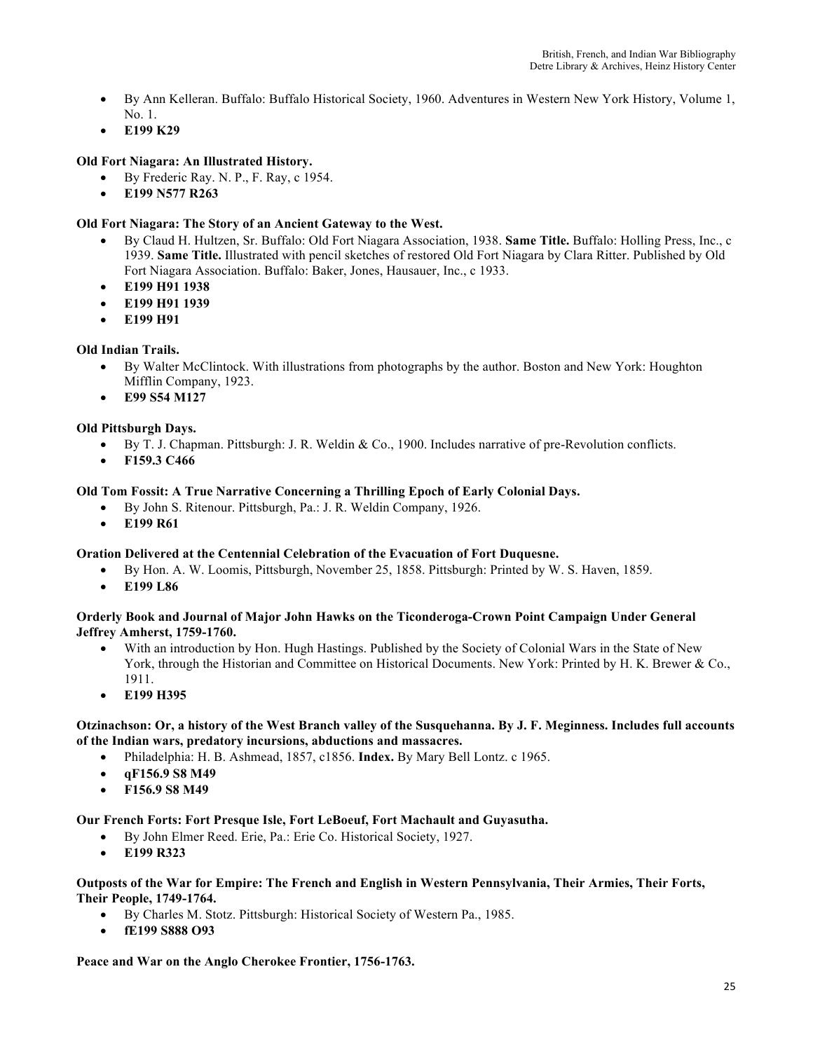- By Ann Kelleran. Buffalo: Buffalo Historical Society, 1960. Adventures in Western New York History, Volume 1, No. 1.
- **E199 K29**

## **Old Fort Niagara: An Illustrated History.**

- By Frederic Ray. N. P., F. Ray, c 1954.
- **E199 N577 R263**

## **Old Fort Niagara: The Story of an Ancient Gateway to the West.**

- By Claud H. Hultzen, Sr. Buffalo: Old Fort Niagara Association, 1938. **Same Title.** Buffalo: Holling Press, Inc., c 1939. **Same Title.** Illustrated with pencil sketches of restored Old Fort Niagara by Clara Ritter. Published by Old Fort Niagara Association. Buffalo: Baker, Jones, Hausauer, Inc., c 1933.
- **E199 H91 1938**
- **E199 H91 1939**
- **E199 H91**

## **Old Indian Trails.**

- By Walter McClintock. With illustrations from photographs by the author. Boston and New York: Houghton Mifflin Company, 1923.
- **E99 S54 M127**

## **Old Pittsburgh Days.**

- By T. J. Chapman. Pittsburgh: J. R. Weldin & Co., 1900. Includes narrative of pre-Revolution conflicts.
- **F159.3 C466**

## **Old Tom Fossit: A True Narrative Concerning a Thrilling Epoch of Early Colonial Days.**

- By John S. Ritenour. Pittsburgh, Pa.: J. R. Weldin Company, 1926.
- **E199 R61**

## **Oration Delivered at the Centennial Celebration of the Evacuation of Fort Duquesne.**

- By Hon. A. W. Loomis, Pittsburgh, November 25, 1858. Pittsburgh: Printed by W. S. Haven, 1859.
- **E199 L86**

## **Orderly Book and Journal of Major John Hawks on the Ticonderoga-Crown Point Campaign Under General Jeffrey Amherst, 1759-1760.**

- With an introduction by Hon. Hugh Hastings. Published by the Society of Colonial Wars in the State of New York, through the Historian and Committee on Historical Documents. New York: Printed by H. K. Brewer & Co., 1911.
- **E199 H395**

## **Otzinachson: Or, a history of the West Branch valley of the Susquehanna. By J. F. Meginness. Includes full accounts of the Indian wars, predatory incursions, abductions and massacres.**

- Philadelphia: H. B. Ashmead, 1857, c1856. **Index.** By Mary Bell Lontz. c 1965.
- **qF156.9 S8 M49**
- **F156.9 S8 M49**

## **Our French Forts: Fort Presque Isle, Fort LeBoeuf, Fort Machault and Guyasutha.**

- By John Elmer Reed. Erie, Pa.: Erie Co. Historical Society, 1927.
- **E199 R323**

## **Outposts of the War for Empire: The French and English in Western Pennsylvania, Their Armies, Their Forts, Their People, 1749-1764.**

- By Charles M. Stotz. Pittsburgh: Historical Society of Western Pa., 1985.
- **fE199 S888 O93**

## **Peace and War on the Anglo Cherokee Frontier, 1756-1763.**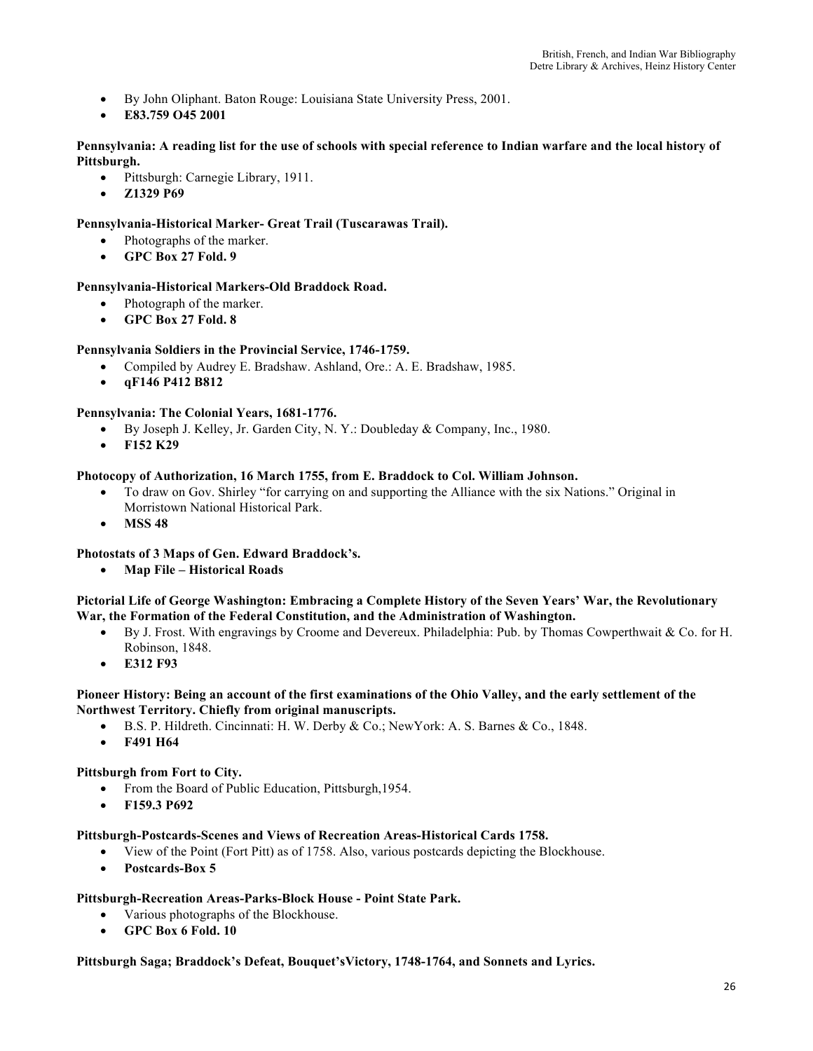- By John Oliphant. Baton Rouge: Louisiana State University Press, 2001.
- **E83.759 O45 2001**

#### **Pennsylvania: A reading list for the use of schools with special reference to Indian warfare and the local history of Pittsburgh.**

- Pittsburgh: Carnegie Library, 1911.
- **Z1329 P69**

## **Pennsylvania-Historical Marker- Great Trail (Tuscarawas Trail).**

- Photographs of the marker.
- **GPC Box 27 Fold. 9**

## **Pennsylvania-Historical Markers-Old Braddock Road.**

- Photograph of the marker.
- **GPC Box 27 Fold. 8**

## **Pennsylvania Soldiers in the Provincial Service, 1746-1759.**

- Compiled by Audrey E. Bradshaw. Ashland, Ore.: A. E. Bradshaw, 1985.
- **qF146 P412 B812**

## **Pennsylvania: The Colonial Years, 1681-1776.**

- By Joseph J. Kelley, Jr. Garden City, N. Y.: Doubleday & Company, Inc., 1980.
- **F152 K29**

## **Photocopy of Authorization, 16 March 1755, from E. Braddock to Col. William Johnson.**

- To draw on Gov. Shirley "for carrying on and supporting the Alliance with the six Nations." Original in Morristown National Historical Park.
- **MSS 48**

## **Photostats of 3 Maps of Gen. Edward Braddock's.**

• **Map File – Historical Roads**

#### **Pictorial Life of George Washington: Embracing a Complete History of the Seven Years' War, the Revolutionary War, the Formation of the Federal Constitution, and the Administration of Washington.**

- By J. Frost. With engravings by Croome and Devereux. Philadelphia: Pub. by Thomas Cowperthwait & Co. for H. Robinson, 1848.
- **E312 F93**

## **Pioneer History: Being an account of the first examinations of the Ohio Valley, and the early settlement of the Northwest Territory. Chiefly from original manuscripts.**

- B.S. P. Hildreth. Cincinnati: H. W. Derby & Co.; NewYork: A. S. Barnes & Co., 1848.
- **F491 H64**

## **Pittsburgh from Fort to City.**

- From the Board of Public Education, Pittsburgh, 1954.
- **F159.3 P692**

## **Pittsburgh-Postcards-Scenes and Views of Recreation Areas-Historical Cards 1758.**

- View of the Point (Fort Pitt) as of 1758. Also, various postcards depicting the Blockhouse.
- **Postcards-Box 5**

## **Pittsburgh-Recreation Areas-Parks-Block House - Point State Park.**

- Various photographs of the Blockhouse.
- **GPC Box 6 Fold. 10**

#### **Pittsburgh Saga; Braddock's Defeat, Bouquet'sVictory, 1748-1764, and Sonnets and Lyrics.**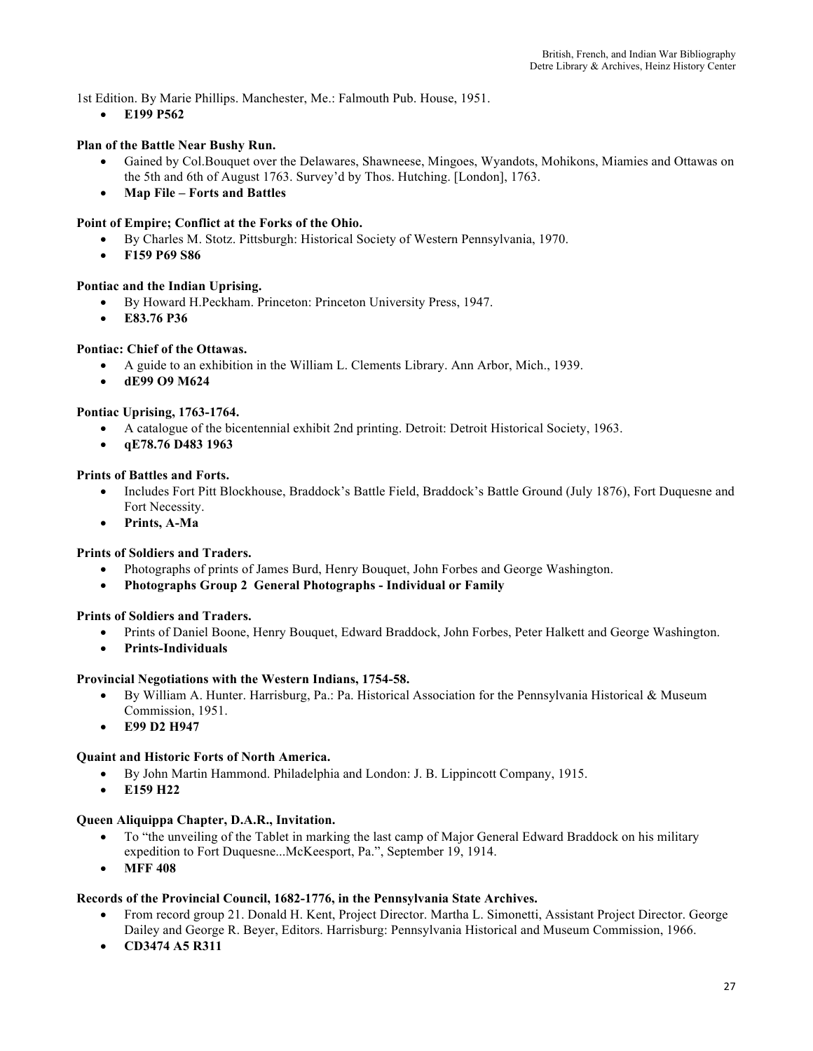1st Edition. By Marie Phillips. Manchester, Me.: Falmouth Pub. House, 1951.

• **E199 P562** 

## **Plan of the Battle Near Bushy Run.**

- Gained by Col.Bouquet over the Delawares, Shawneese, Mingoes, Wyandots, Mohikons, Miamies and Ottawas on the 5th and 6th of August 1763. Survey'd by Thos. Hutching. [London], 1763.
- **Map File – Forts and Battles**

## **Point of Empire; Conflict at the Forks of the Ohio.**

- By Charles M. Stotz. Pittsburgh: Historical Society of Western Pennsylvania, 1970.
- **F159 P69 S86**

#### **Pontiac and the Indian Uprising.**

- By Howard H.Peckham. Princeton: Princeton University Press, 1947.
- **E83.76 P36**

#### **Pontiac: Chief of the Ottawas.**

- A guide to an exhibition in the William L. Clements Library. Ann Arbor, Mich., 1939.
- **dE99 O9 M624**

#### **Pontiac Uprising, 1763-1764.**

- A catalogue of the bicentennial exhibit 2nd printing. Detroit: Detroit Historical Society, 1963.
- **qE78.76 D483 1963**

#### **Prints of Battles and Forts.**

- Includes Fort Pitt Blockhouse, Braddock's Battle Field, Braddock's Battle Ground (July 1876), Fort Duquesne and Fort Necessity.
- **Prints, A-Ma**

#### **Prints of Soldiers and Traders.**

- Photographs of prints of James Burd, Henry Bouquet, John Forbes and George Washington.
- **Photographs Group 2 General Photographs - Individual or Family**

#### **Prints of Soldiers and Traders.**

- Prints of Daniel Boone, Henry Bouquet, Edward Braddock, John Forbes, Peter Halkett and George Washington.
- **Prints-Individuals**

#### **Provincial Negotiations with the Western Indians, 1754-58.**

- By William A. Hunter. Harrisburg, Pa.: Pa. Historical Association for the Pennsylvania Historical & Museum Commission, 1951.
- **E99 D2 H947**

#### **Quaint and Historic Forts of North America.**

- By John Martin Hammond. Philadelphia and London: J. B. Lippincott Company, 1915.
- **E159 H22**

#### **Queen Aliquippa Chapter, D.A.R., Invitation.**

- To "the unveiling of the Tablet in marking the last camp of Major General Edward Braddock on his military expedition to Fort Duquesne...McKeesport, Pa.", September 19, 1914.
- **MFF 408**

#### **Records of the Provincial Council, 1682-1776, in the Pennsylvania State Archives.**

- From record group 21. Donald H. Kent, Project Director. Martha L. Simonetti, Assistant Project Director. George Dailey and George R. Beyer, Editors. Harrisburg: Pennsylvania Historical and Museum Commission, 1966.
- **CD3474 A5 R311**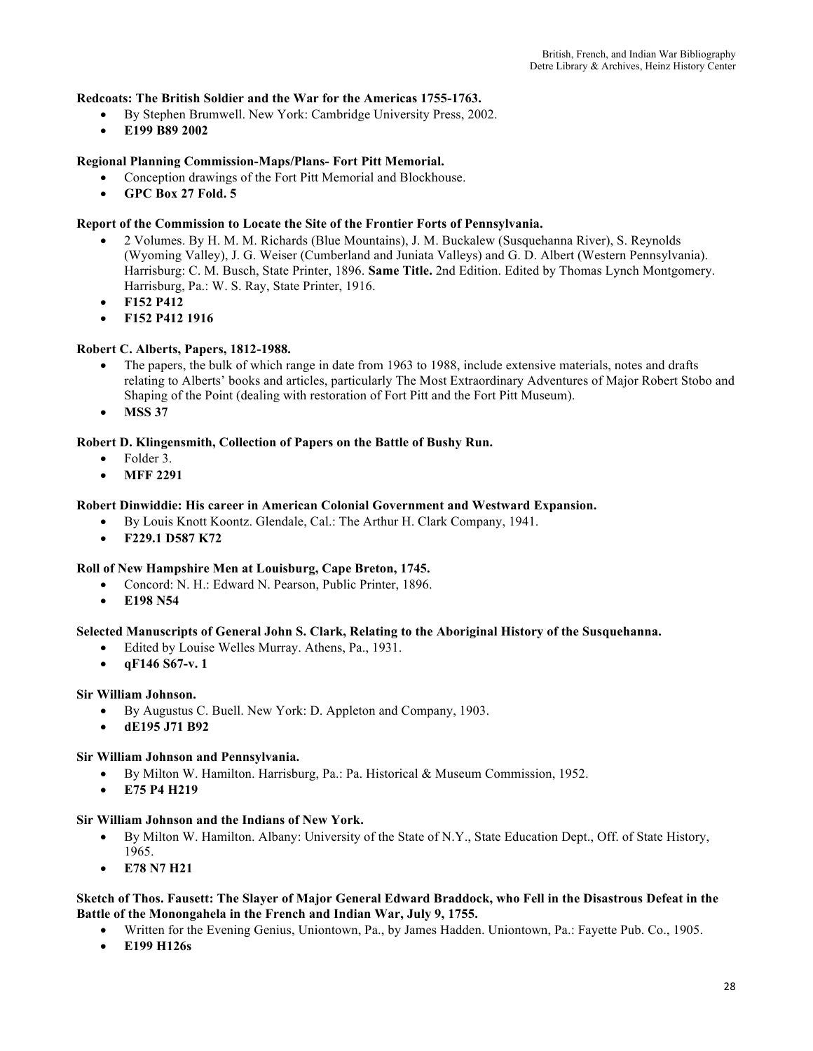#### **Redcoats: The British Soldier and the War for the Americas 1755-1763.**

- By Stephen Brumwell. New York: Cambridge University Press, 2002.
- **E199 B89 2002**

## **Regional Planning Commission-Maps/Plans- Fort Pitt Memorial.**

- Conception drawings of the Fort Pitt Memorial and Blockhouse.
- **GPC Box 27 Fold. 5**

#### **Report of the Commission to Locate the Site of the Frontier Forts of Pennsylvania.**

- 2 Volumes. By H. M. M. Richards (Blue Mountains), J. M. Buckalew (Susquehanna River), S. Reynolds (Wyoming Valley), J. G. Weiser (Cumberland and Juniata Valleys) and G. D. Albert (Western Pennsylvania). Harrisburg: C. M. Busch, State Printer, 1896. **Same Title.** 2nd Edition. Edited by Thomas Lynch Montgomery. Harrisburg, Pa.: W. S. Ray, State Printer, 1916.
- **F152 P412**
- **F152 P412 1916**

#### **Robert C. Alberts, Papers, 1812-1988.**

- The papers, the bulk of which range in date from 1963 to 1988, include extensive materials, notes and drafts relating to Alberts' books and articles, particularly The Most Extraordinary Adventures of Major Robert Stobo and Shaping of the Point (dealing with restoration of Fort Pitt and the Fort Pitt Museum).
- **MSS 37**

#### **Robert D. Klingensmith, Collection of Papers on the Battle of Bushy Run.**

- Folder 3.
- **MFF 2291**

#### **Robert Dinwiddie: His career in American Colonial Government and Westward Expansion.**

- By Louis Knott Koontz. Glendale, Cal.: The Arthur H. Clark Company, 1941.
- **F229.1 D587 K72**

#### **Roll of New Hampshire Men at Louisburg, Cape Breton, 1745.**

- Concord: N. H.: Edward N. Pearson, Public Printer, 1896.
- **E198 N54**

## **Selected Manuscripts of General John S. Clark, Relating to the Aboriginal History of the Susquehanna.**

- Edited by Louise Welles Murray. Athens, Pa., 1931.
- **qF146 S67-v. 1**

#### **Sir William Johnson.**

- By Augustus C. Buell. New York: D. Appleton and Company, 1903.
- **dE195 J71 B92**

#### **Sir William Johnson and Pennsylvania.**

- By Milton W. Hamilton. Harrisburg, Pa.: Pa. Historical & Museum Commission, 1952.
- **E75 P4 H219**

#### **Sir William Johnson and the Indians of New York.**

- By Milton W. Hamilton. Albany: University of the State of N.Y., State Education Dept., Off. of State History, 1965.
- **E78 N7 H21**

#### **Sketch of Thos. Fausett: The Slayer of Major General Edward Braddock, who Fell in the Disastrous Defeat in the Battle of the Monongahela in the French and Indian War, July 9, 1755.**

- Written for the Evening Genius, Uniontown, Pa., by James Hadden. Uniontown, Pa.: Fayette Pub. Co., 1905.
- **E199 H126s**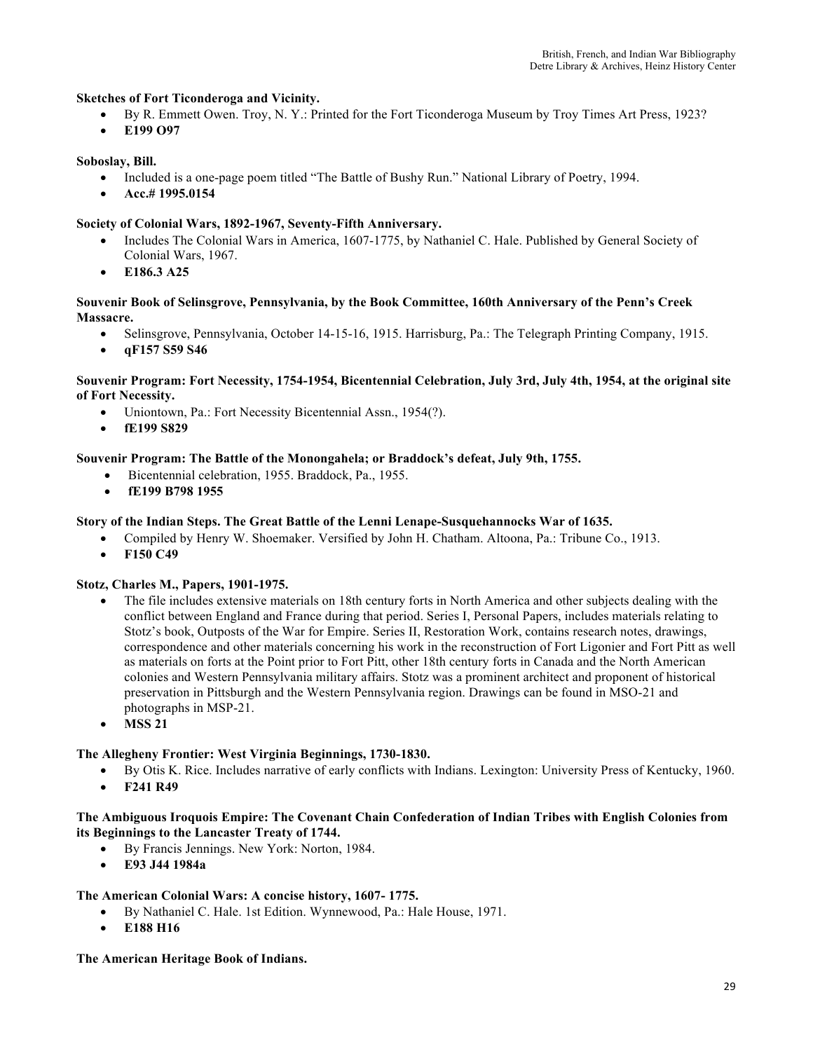## **Sketches of Fort Ticonderoga and Vicinity.**

- By R. Emmett Owen. Troy, N. Y.: Printed for the Fort Ticonderoga Museum by Troy Times Art Press, 1923?
- **E199 O97**

#### **Soboslay, Bill.**

- Included is a one-page poem titled "The Battle of Bushy Run." National Library of Poetry, 1994.
- **Acc.# 1995.0154**

#### **Society of Colonial Wars, 1892-1967, Seventy-Fifth Anniversary.**

- Includes The Colonial Wars in America, 1607-1775, by Nathaniel C. Hale. Published by General Society of Colonial Wars, 1967.
- **E186.3 A25**

#### **Souvenir Book of Selinsgrove, Pennsylvania, by the Book Committee, 160th Anniversary of the Penn's Creek Massacre.**

- Selinsgrove, Pennsylvania, October 14-15-16, 1915. Harrisburg, Pa.: The Telegraph Printing Company, 1915.
- **qF157 S59 S46**

#### **Souvenir Program: Fort Necessity, 1754-1954, Bicentennial Celebration, July 3rd, July 4th, 1954, at the original site of Fort Necessity.**

- Uniontown, Pa.: Fort Necessity Bicentennial Assn., 1954(?).
- **fE199 S829**

#### **Souvenir Program: The Battle of the Monongahela; or Braddock's defeat, July 9th, 1755.**

- Bicentennial celebration, 1955. Braddock, Pa., 1955.
- **fE199 B798 1955**

#### **Story of the Indian Steps. The Great Battle of the Lenni Lenape-Susquehannocks War of 1635.**

- Compiled by Henry W. Shoemaker. Versified by John H. Chatham. Altoona, Pa.: Tribune Co., 1913.
- **F150 C49**

#### **Stotz, Charles M., Papers, 1901-1975.**

- The file includes extensive materials on 18th century forts in North America and other subjects dealing with the conflict between England and France during that period. Series I, Personal Papers, includes materials relating to Stotz's book, Outposts of the War for Empire. Series II, Restoration Work, contains research notes, drawings, correspondence and other materials concerning his work in the reconstruction of Fort Ligonier and Fort Pitt as well as materials on forts at the Point prior to Fort Pitt, other 18th century forts in Canada and the North American colonies and Western Pennsylvania military affairs. Stotz was a prominent architect and proponent of historical preservation in Pittsburgh and the Western Pennsylvania region. Drawings can be found in MSO-21 and photographs in MSP-21.
- **MSS 21**

## **The Allegheny Frontier: West Virginia Beginnings, 1730-1830.**

- By Otis K. Rice. Includes narrative of early conflicts with Indians. Lexington: University Press of Kentucky, 1960.
- **F241 R49**

#### **The Ambiguous Iroquois Empire: The Covenant Chain Confederation of Indian Tribes with English Colonies from its Beginnings to the Lancaster Treaty of 1744.**

- By Francis Jennings. New York: Norton, 1984.
- **E93 J44 1984a**

#### **The American Colonial Wars: A concise history, 1607- 1775.**

- By Nathaniel C. Hale. 1st Edition. Wynnewood, Pa.: Hale House, 1971.
- **E188 H16**

#### **The American Heritage Book of Indians.**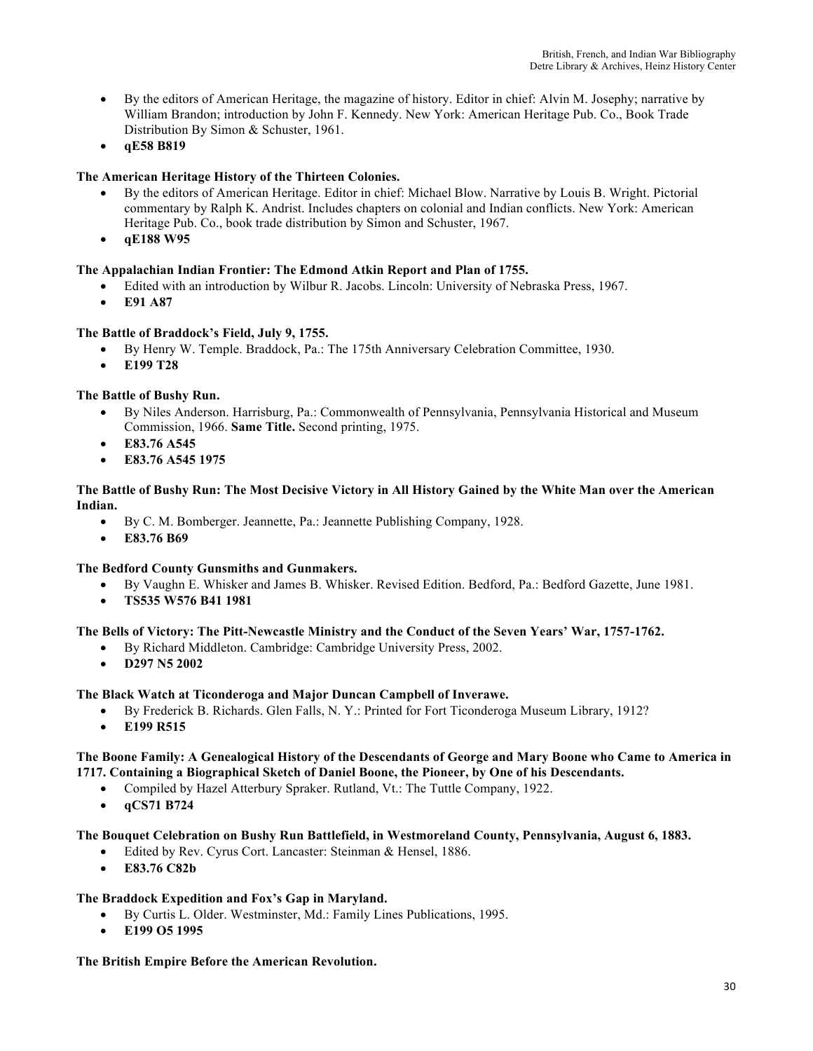- By the editors of American Heritage, the magazine of history. Editor in chief: Alvin M. Josephy; narrative by William Brandon; introduction by John F. Kennedy. New York: American Heritage Pub. Co., Book Trade Distribution By Simon & Schuster, 1961.
- **qE58 B819**

## **The American Heritage History of the Thirteen Colonies.**

- By the editors of American Heritage. Editor in chief: Michael Blow. Narrative by Louis B. Wright. Pictorial commentary by Ralph K. Andrist. Includes chapters on colonial and Indian conflicts. New York: American Heritage Pub. Co., book trade distribution by Simon and Schuster, 1967.
- **qE188 W95**

## **The Appalachian Indian Frontier: The Edmond Atkin Report and Plan of 1755.**

- Edited with an introduction by Wilbur R. Jacobs. Lincoln: University of Nebraska Press, 1967.
- **E91 A87**

## **The Battle of Braddock's Field, July 9, 1755.**

- By Henry W. Temple. Braddock, Pa.: The 175th Anniversary Celebration Committee, 1930.
- **E199 T28**

## **The Battle of Bushy Run.**

- By Niles Anderson. Harrisburg, Pa.: Commonwealth of Pennsylvania, Pennsylvania Historical and Museum Commission, 1966. **Same Title.** Second printing, 1975.
- **E83.76 A545**
- **E83.76 A545 1975**

#### **The Battle of Bushy Run: The Most Decisive Victory in All History Gained by the White Man over the American Indian.**

- By C. M. Bomberger. Jeannette, Pa.: Jeannette Publishing Company, 1928.
- **E83.76 B69**

## **The Bedford County Gunsmiths and Gunmakers.**

- By Vaughn E. Whisker and James B. Whisker. Revised Edition. Bedford, Pa.: Bedford Gazette, June 1981.
- **TS535 W576 B41 1981**

## **The Bells of Victory: The Pitt-Newcastle Ministry and the Conduct of the Seven Years' War, 1757-1762.**

- By Richard Middleton. Cambridge: Cambridge University Press, 2002.
- **D297 N5 2002**

## **The Black Watch at Ticonderoga and Major Duncan Campbell of Inverawe.**

- By Frederick B. Richards. Glen Falls, N. Y.: Printed for Fort Ticonderoga Museum Library, 1912?
- **E199 R515**

## **The Boone Family: A Genealogical History of the Descendants of George and Mary Boone who Came to America in 1717. Containing a Biographical Sketch of Daniel Boone, the Pioneer, by One of his Descendants.**

- Compiled by Hazel Atterbury Spraker. Rutland, Vt.: The Tuttle Company, 1922.
- **qCS71 B724**

## **The Bouquet Celebration on Bushy Run Battlefield, in Westmoreland County, Pennsylvania, August 6, 1883.**

- Edited by Rev. Cyrus Cort. Lancaster: Steinman & Hensel, 1886.
	- **E83.76 C82b**

## **The Braddock Expedition and Fox's Gap in Maryland.**

- By Curtis L. Older. Westminster, Md.: Family Lines Publications, 1995.
- **E199 O5 1995**

## **The British Empire Before the American Revolution.**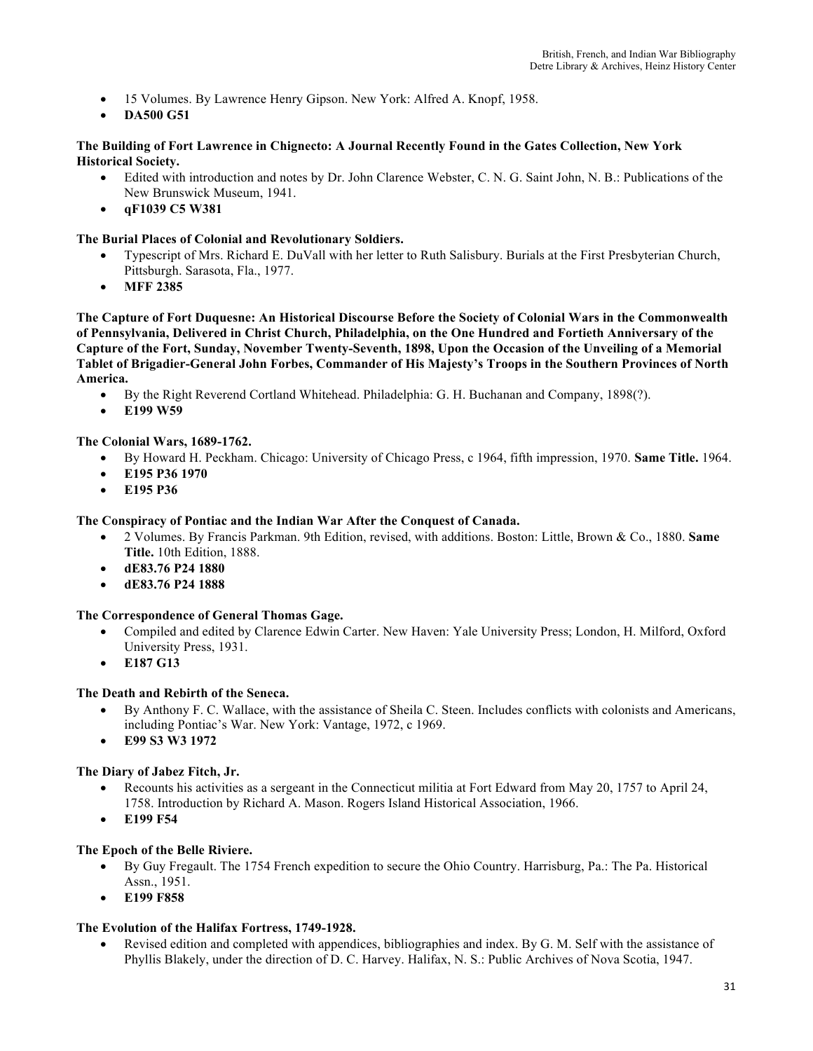- 15 Volumes. By Lawrence Henry Gipson. New York: Alfred A. Knopf, 1958.
- **DA500 G51**

#### **The Building of Fort Lawrence in Chignecto: A Journal Recently Found in the Gates Collection, New York Historical Society.**

- Edited with introduction and notes by Dr. John Clarence Webster, C. N. G. Saint John, N. B.: Publications of the New Brunswick Museum, 1941.
- **qF1039 C5 W381**

#### **The Burial Places of Colonial and Revolutionary Soldiers.**

- Typescript of Mrs. Richard E. DuVall with her letter to Ruth Salisbury. Burials at the First Presbyterian Church, Pittsburgh. Sarasota, Fla., 1977.
- **MFF 2385**

**The Capture of Fort Duquesne: An Historical Discourse Before the Society of Colonial Wars in the Commonwealth of Pennsylvania, Delivered in Christ Church, Philadelphia, on the One Hundred and Fortieth Anniversary of the Capture of the Fort, Sunday, November Twenty-Seventh, 1898, Upon the Occasion of the Unveiling of a Memorial Tablet of Brigadier-General John Forbes, Commander of His Majesty's Troops in the Southern Provinces of North America.** 

- By the Right Reverend Cortland Whitehead. Philadelphia: G. H. Buchanan and Company, 1898(?).
- **E199 W59**

## **The Colonial Wars, 1689-1762.**

- By Howard H. Peckham. Chicago: University of Chicago Press, c 1964, fifth impression, 1970. **Same Title.** 1964.
- **E195 P36 1970**
- **E195 P36**

#### **The Conspiracy of Pontiac and the Indian War After the Conquest of Canada.**

- 2 Volumes. By Francis Parkman. 9th Edition, revised, with additions. Boston: Little, Brown & Co., 1880. **Same Title.** 10th Edition, 1888.
- **dE83.76 P24 1880**
- **dE83.76 P24 1888**

## **The Correspondence of General Thomas Gage.**

- Compiled and edited by Clarence Edwin Carter. New Haven: Yale University Press; London, H. Milford, Oxford University Press, 1931.
- **E187 G13**

## **The Death and Rebirth of the Seneca.**

- By Anthony F. C. Wallace, with the assistance of Sheila C. Steen. Includes conflicts with colonists and Americans, including Pontiac's War. New York: Vantage, 1972, c 1969.
- **E99 S3 W3 1972**

## **The Diary of Jabez Fitch, Jr.**

- Recounts his activities as a sergeant in the Connecticut militia at Fort Edward from May 20, 1757 to April 24, 1758. Introduction by Richard A. Mason. Rogers Island Historical Association, 1966.
- **E199 F54**

## **The Epoch of the Belle Riviere.**

- By Guy Fregault. The 1754 French expedition to secure the Ohio Country. Harrisburg, Pa.: The Pa. Historical Assn., 1951.
- **E199 F858**

## **The Evolution of the Halifax Fortress, 1749-1928.**

• Revised edition and completed with appendices, bibliographies and index. By G. M. Self with the assistance of Phyllis Blakely, under the direction of D. C. Harvey. Halifax, N. S.: Public Archives of Nova Scotia, 1947.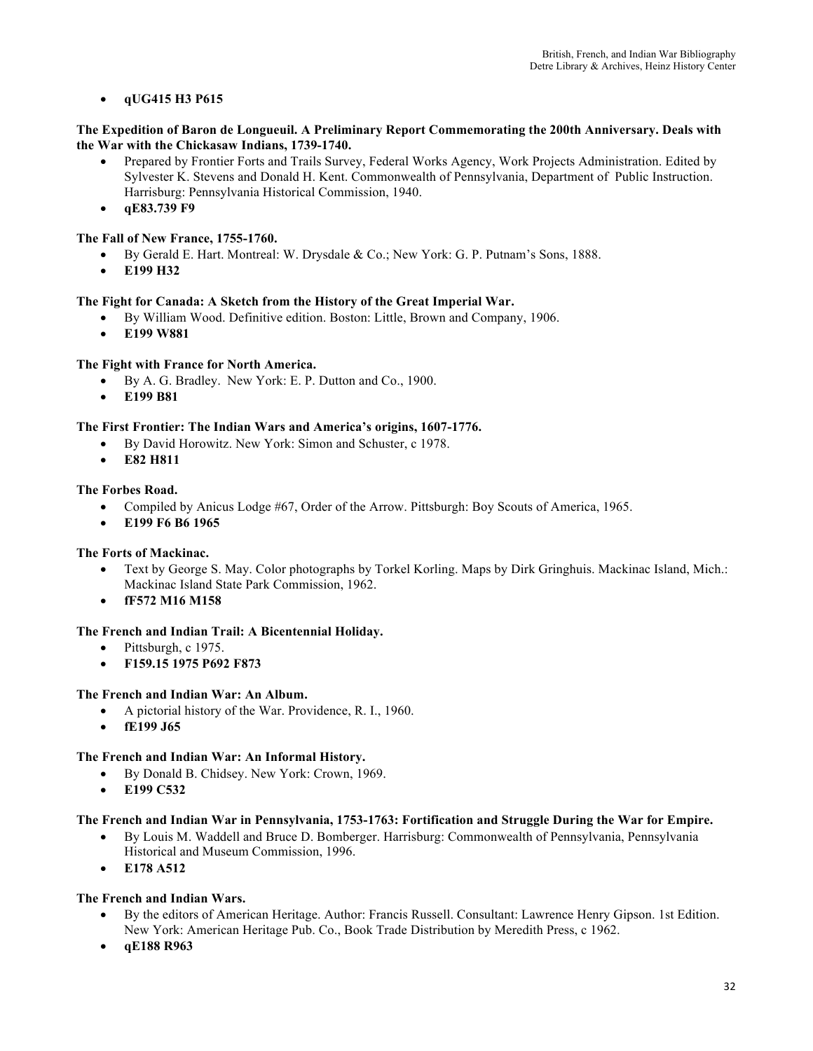## • **qUG415 H3 P615**

#### **The Expedition of Baron de Longueuil. A Preliminary Report Commemorating the 200th Anniversary. Deals with the War with the Chickasaw Indians, 1739-1740.**

- Prepared by Frontier Forts and Trails Survey, Federal Works Agency, Work Projects Administration. Edited by Sylvester K. Stevens and Donald H. Kent. Commonwealth of Pennsylvania, Department of Public Instruction. Harrisburg: Pennsylvania Historical Commission, 1940.
- **qE83.739 F9**

## **The Fall of New France, 1755-1760.**

- By Gerald E. Hart. Montreal: W. Drysdale & Co.; New York: G. P. Putnam's Sons, 1888.
- **E199 H32**

## **The Fight for Canada: A Sketch from the History of the Great Imperial War.**

- By William Wood. Definitive edition. Boston: Little, Brown and Company, 1906.
- **E199 W881**

## **The Fight with France for North America.**

- By A. G. Bradley. New York: E. P. Dutton and Co., 1900.
- **E199 B81**

## **The First Frontier: The Indian Wars and America's origins, 1607-1776.**

- By David Horowitz. New York: Simon and Schuster, c 1978.
- **E82 H811**

## **The Forbes Road.**

- Compiled by Anicus Lodge #67, Order of the Arrow. Pittsburgh: Boy Scouts of America, 1965.
- **E199 F6 B6 1965**

## **The Forts of Mackinac.**

- Text by George S. May. Color photographs by Torkel Korling. Maps by Dirk Gringhuis. Mackinac Island, Mich.: Mackinac Island State Park Commission, 1962.
- **fF572 M16 M158**

## **The French and Indian Trail: A Bicentennial Holiday.**

- Pittsburgh, c 1975.
- **F159.15 1975 P692 F873**

## **The French and Indian War: An Album.**

- A pictorial history of the War. Providence, R. I., 1960.
- **fE199 J65**

## **The French and Indian War: An Informal History.**

- By Donald B. Chidsey. New York: Crown, 1969.
- **E199 C532**

## **The French and Indian War in Pennsylvania, 1753-1763: Fortification and Struggle During the War for Empire.**

- By Louis M. Waddell and Bruce D. Bomberger. Harrisburg: Commonwealth of Pennsylvania, Pennsylvania Historical and Museum Commission, 1996.
- **E178 A512**

## **The French and Indian Wars.**

- By the editors of American Heritage. Author: Francis Russell. Consultant: Lawrence Henry Gipson. 1st Edition. New York: American Heritage Pub. Co., Book Trade Distribution by Meredith Press, c 1962.
- **qE188 R963**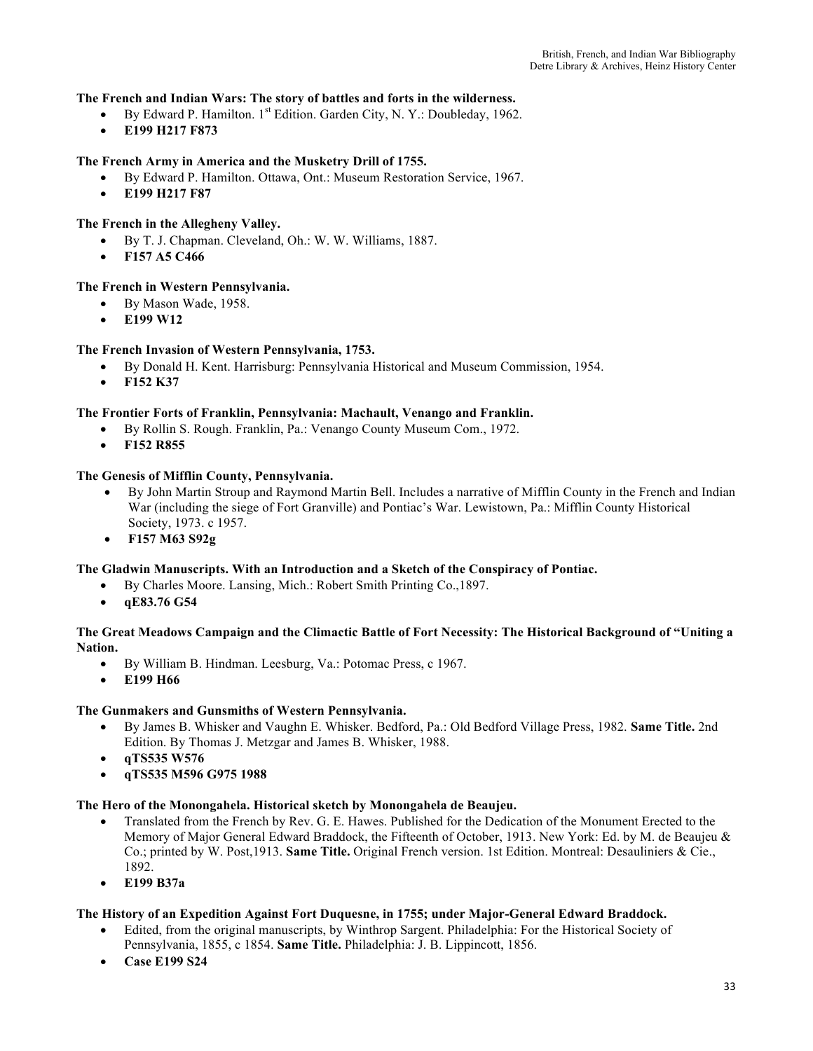#### **The French and Indian Wars: The story of battles and forts in the wilderness.**

- By Edward P. Hamilton.  $1^{st}$  Edition. Garden City, N. Y.: Doubleday, 1962.
- **E199 H217 F873**

## **The French Army in America and the Musketry Drill of 1755.**

- By Edward P. Hamilton. Ottawa, Ont.: Museum Restoration Service, 1967.
- **E199 H217 F87**

#### **The French in the Allegheny Valley.**

- By T. J. Chapman. Cleveland, Oh.: W. W. Williams, 1887.
- **F157 A5 C466**

#### **The French in Western Pennsylvania.**

- By Mason Wade, 1958.
- **E199 W12**

#### **The French Invasion of Western Pennsylvania, 1753.**

- By Donald H. Kent. Harrisburg: Pennsylvania Historical and Museum Commission, 1954.
- **F152 K37**

#### **The Frontier Forts of Franklin, Pennsylvania: Machault, Venango and Franklin.**

- By Rollin S. Rough. Franklin, Pa.: Venango County Museum Com., 1972.
- **F152 R855**

#### **The Genesis of Mifflin County, Pennsylvania.**

- By John Martin Stroup and Raymond Martin Bell. Includes a narrative of Mifflin County in the French and Indian War (including the siege of Fort Granville) and Pontiac's War. Lewistown, Pa.: Mifflin County Historical Society, 1973. c 1957.
- **F157 M63 S92g**

#### **The Gladwin Manuscripts. With an Introduction and a Sketch of the Conspiracy of Pontiac.**

- By Charles Moore. Lansing, Mich.: Robert Smith Printing Co.,1897.
- **qE83.76 G54**

#### **The Great Meadows Campaign and the Climactic Battle of Fort Necessity: The Historical Background of "Uniting a Nation.**

- By William B. Hindman. Leesburg, Va.: Potomac Press, c 1967.
- **E199 H66**

#### **The Gunmakers and Gunsmiths of Western Pennsylvania.**

- By James B. Whisker and Vaughn E. Whisker. Bedford, Pa.: Old Bedford Village Press, 1982. **Same Title.** 2nd Edition. By Thomas J. Metzgar and James B. Whisker, 1988.
- **qTS535 W576**
- **qTS535 M596 G975 1988**

#### **The Hero of the Monongahela. Historical sketch by Monongahela de Beaujeu.**

- Translated from the French by Rev. G. E. Hawes. Published for the Dedication of the Monument Erected to the Memory of Major General Edward Braddock, the Fifteenth of October, 1913. New York: Ed. by M. de Beaujeu & Co.; printed by W. Post,1913. **Same Title.** Original French version. 1st Edition. Montreal: Desauliniers & Cie., 1892.
- **E199 B37a**

#### **The History of an Expedition Against Fort Duquesne, in 1755; under Major-General Edward Braddock.**

- Edited, from the original manuscripts, by Winthrop Sargent. Philadelphia: For the Historical Society of Pennsylvania, 1855, c 1854. **Same Title.** Philadelphia: J. B. Lippincott, 1856.
- **Case E199 S24**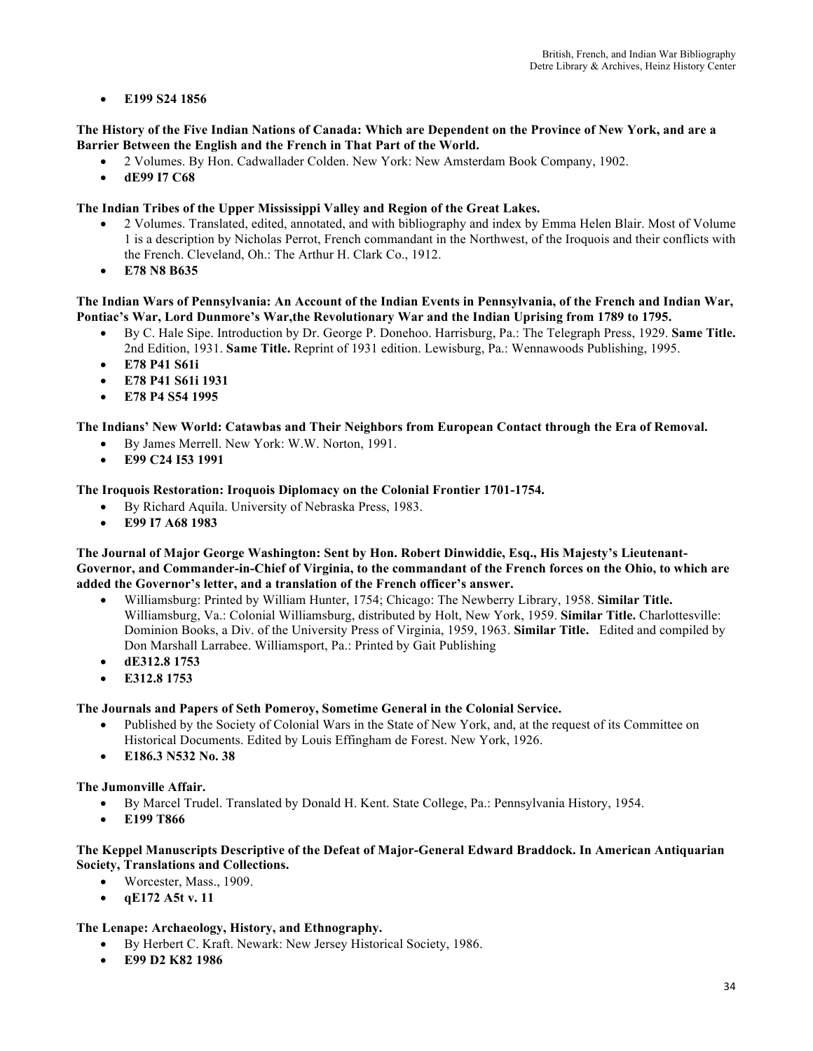## • **E199 S24 1856**

#### **The History of the Five Indian Nations of Canada: Which are Dependent on the Province of New York, and are a Barrier Between the English and the French in That Part of the World.**

- 2 Volumes. By Hon. Cadwallader Colden. New York: New Amsterdam Book Company, 1902.
- **dE99 I7 C68**

## **The Indian Tribes of the Upper Mississippi Valley and Region of the Great Lakes.**

- 2 Volumes. Translated, edited, annotated, and with bibliography and index by Emma Helen Blair. Most of Volume 1 is a description by Nicholas Perrot, French commandant in the Northwest, of the Iroquois and their conflicts with the French. Cleveland, Oh.: The Arthur H. Clark Co., 1912.
- **E78 N8 B635**

## **The Indian Wars of Pennsylvania: An Account of the Indian Events in Pennsylvania, of the French and Indian War, Pontiac's War, Lord Dunmore's War,the Revolutionary War and the Indian Uprising from 1789 to 1795.**

- By C. Hale Sipe. Introduction by Dr. George P. Donehoo. Harrisburg, Pa.: The Telegraph Press, 1929. **Same Title.**  2nd Edition, 1931. **Same Title.** Reprint of 1931 edition. Lewisburg, Pa.: Wennawoods Publishing, 1995.
- **E78 P41 S61i**
- **E78 P41 S61i 1931**
- **E78 P4 S54 1995**

## **The Indians' New World: Catawbas and Their Neighbors from European Contact through the Era of Removal.**

- By James Merrell. New York: W.W. Norton, 1991.
- **E99 C24 I53 1991**

## **The Iroquois Restoration: Iroquois Diplomacy on the Colonial Frontier 1701-1754.**

- By Richard Aquila. University of Nebraska Press, 1983.
- **E99 I7 A68 1983**

**The Journal of Major George Washington: Sent by Hon. Robert Dinwiddie, Esq., His Majesty's Lieutenant-Governor, and Commander-in-Chief of Virginia, to the commandant of the French forces on the Ohio, to which are added the Governor's letter, and a translation of the French officer's answer.**

- Williamsburg: Printed by William Hunter, 1754; Chicago: The Newberry Library, 1958. **Similar Title.** Williamsburg, Va.: Colonial Williamsburg, distributed by Holt, New York, 1959. **Similar Title.** Charlottesville: Dominion Books, a Div. of the University Press of Virginia, 1959, 1963. **Similar Title.** Edited and compiled by Don Marshall Larrabee. Williamsport, Pa.: Printed by Gait Publishing
- **dE312.8 1753**
- **E312.8 1753**

## **The Journals and Papers of Seth Pomeroy, Sometime General in the Colonial Service.**

- Published by the Society of Colonial Wars in the State of New York, and, at the request of its Committee on Historical Documents. Edited by Louis Effingham de Forest. New York, 1926.
- **E186.3 N532 No. 38**

## **The Jumonville Affair.**

- By Marcel Trudel. Translated by Donald H. Kent. State College, Pa.: Pennsylvania History, 1954.
- **E199 T866**

## **The Keppel Manuscripts Descriptive of the Defeat of Major-General Edward Braddock. In American Antiquarian Society, Translations and Collections.**

- Worcester, Mass., 1909.
- **qE172 A5t v. 11**

## **The Lenape: Archaeology, History, and Ethnography.**

- By Herbert C. Kraft. Newark: New Jersey Historical Society, 1986.
- **E99 D2 K82 1986**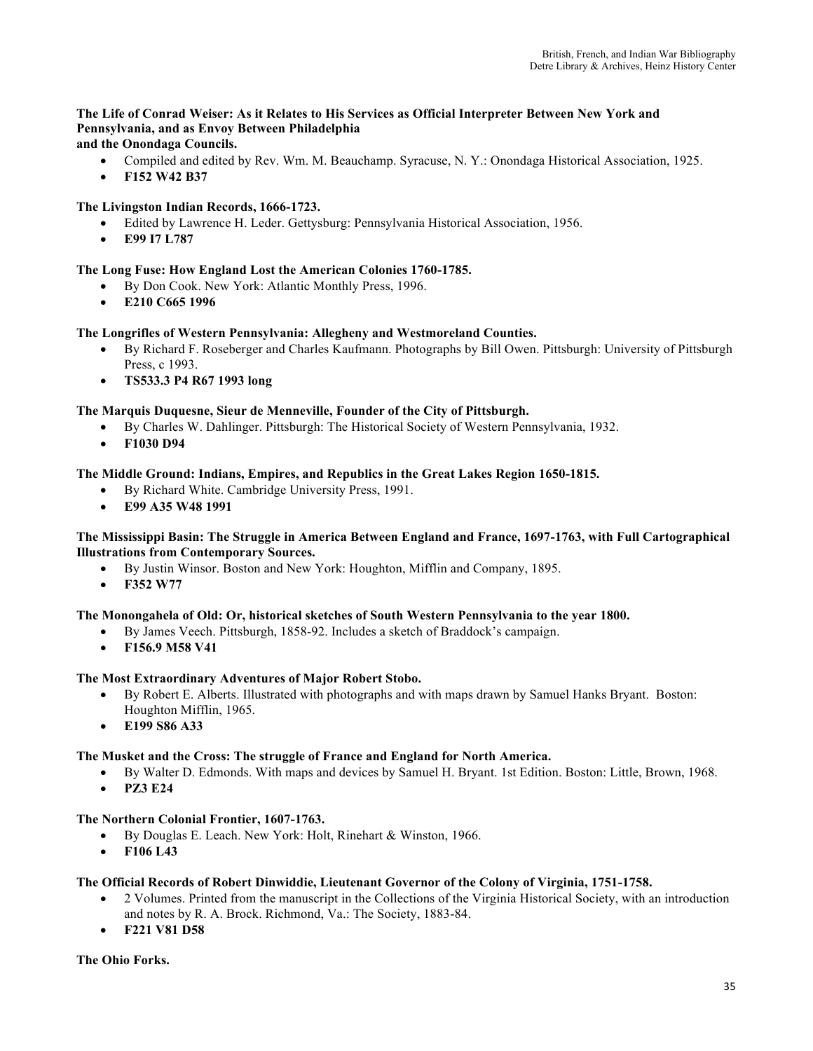# **The Life of Conrad Weiser: As it Relates to His Services as Official Interpreter Between New York and Pennsylvania, and as Envoy Between Philadelphia**

**and the Onondaga Councils.**

- Compiled and edited by Rev. Wm. M. Beauchamp. Syracuse, N. Y.: Onondaga Historical Association, 1925.
- **F152 W42 B37**

## **The Livingston Indian Records, 1666-1723.**

- Edited by Lawrence H. Leder. Gettysburg: Pennsylvania Historical Association, 1956.
- **E99 I7 L787**

## **The Long Fuse: How England Lost the American Colonies 1760-1785.**

- By Don Cook. New York: Atlantic Monthly Press, 1996.
- **E210 C665 1996**

## **The Longrifles of Western Pennsylvania: Allegheny and Westmoreland Counties.**

- By Richard F. Roseberger and Charles Kaufmann. Photographs by Bill Owen. Pittsburgh: University of Pittsburgh Press, c 1993.
- **TS533.3 P4 R67 1993 long**

## **The Marquis Duquesne, Sieur de Menneville, Founder of the City of Pittsburgh.**

- By Charles W. Dahlinger. Pittsburgh: The Historical Society of Western Pennsylvania, 1932.
- **F1030 D94**

## **The Middle Ground: Indians, Empires, and Republics in the Great Lakes Region 1650-1815.**

- By Richard White. Cambridge University Press, 1991.
- **E99 A35 W48 1991**

## **The Mississippi Basin: The Struggle in America Between England and France, 1697-1763, with Full Cartographical Illustrations from Contemporary Sources.**

- By Justin Winsor. Boston and New York: Houghton, Mifflin and Company, 1895.
- **F352 W77**

## **The Monongahela of Old: Or, historical sketches of South Western Pennsylvania to the year 1800.**

- By James Veech. Pittsburgh, 1858-92. Includes a sketch of Braddock's campaign.
- **F156.9 M58 V41**

## **The Most Extraordinary Adventures of Major Robert Stobo.**

- By Robert E. Alberts. Illustrated with photographs and with maps drawn by Samuel Hanks Bryant. Boston: Houghton Mifflin, 1965.
- **E199 S86 A33**

## **The Musket and the Cross: The struggle of France and England for North America.**

- By Walter D. Edmonds. With maps and devices by Samuel H. Bryant. 1st Edition. Boston: Little, Brown, 1968.
- **PZ3 E24**

## **The Northern Colonial Frontier, 1607-1763.**

- By Douglas E. Leach. New York: Holt, Rinehart & Winston, 1966.
- **F106 L43**

## **The Official Records of Robert Dinwiddie, Lieutenant Governor of the Colony of Virginia, 1751-1758.**

- 2 Volumes. Printed from the manuscript in the Collections of the Virginia Historical Society, with an introduction and notes by R. A. Brock. Richmond, Va.: The Society, 1883-84.
- **F221 V81 D58**

## **The Ohio Forks.**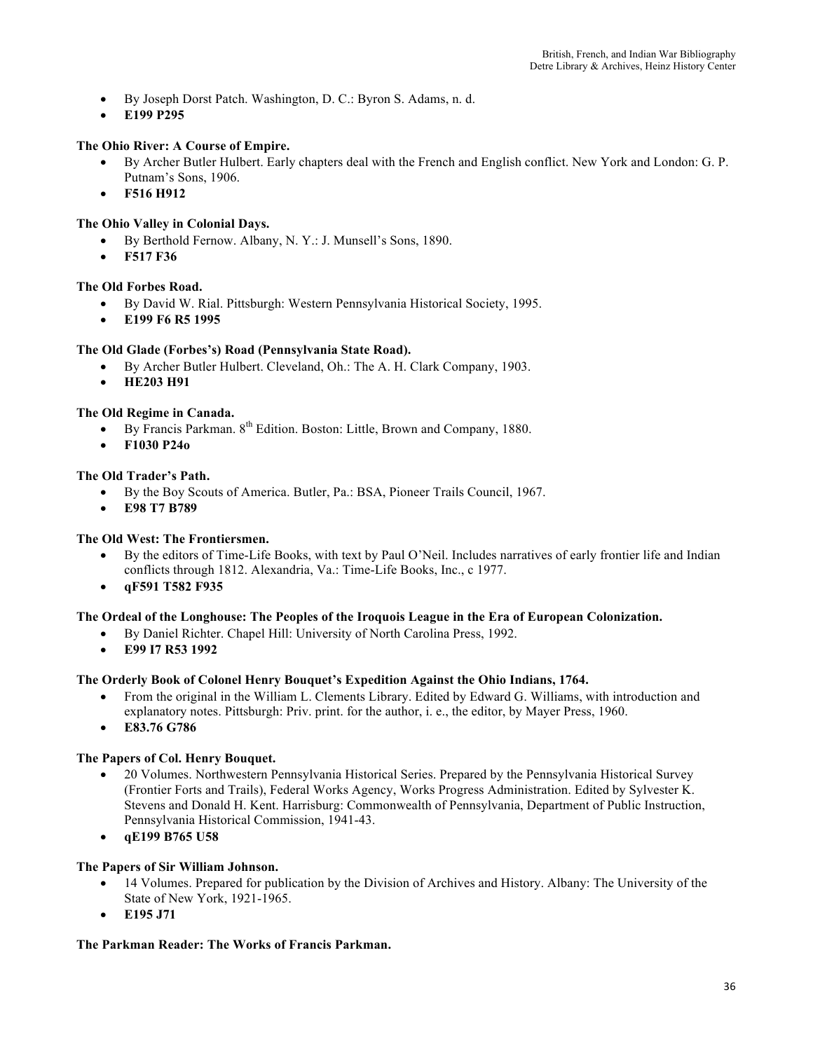- By Joseph Dorst Patch. Washington, D. C.: Byron S. Adams, n. d.
- **E199 P295**

## **The Ohio River: A Course of Empire.**

- By Archer Butler Hulbert. Early chapters deal with the French and English conflict. New York and London: G. P. Putnam's Sons, 1906.
- **F516 H912**

## **The Ohio Valley in Colonial Days.**

- By Berthold Fernow. Albany, N. Y.: J. Munsell's Sons, 1890.
- **F517 F36**

## **The Old Forbes Road.**

- By David W. Rial. Pittsburgh: Western Pennsylvania Historical Society, 1995.
- **E199 F6 R5 1995**

## **The Old Glade (Forbes's) Road (Pennsylvania State Road).**

- By Archer Butler Hulbert. Cleveland, Oh.: The A. H. Clark Company, 1903.
- **HE203 H91**

## **The Old Regime in Canada.**

- By Francis Parkman.  $8^{th}$  Edition. Boston: Little, Brown and Company, 1880.
- **F1030 P24o**

## **The Old Trader's Path.**

- By the Boy Scouts of America. Butler, Pa.: BSA, Pioneer Trails Council, 1967.
- **E98 T7 B789**

## **The Old West: The Frontiersmen.**

- By the editors of Time-Life Books, with text by Paul O'Neil. Includes narratives of early frontier life and Indian conflicts through 1812. Alexandria, Va.: Time-Life Books, Inc., c 1977.
- **qF591 T582 F935**

## **The Ordeal of the Longhouse: The Peoples of the Iroquois League in the Era of European Colonization.**

- By Daniel Richter. Chapel Hill: University of North Carolina Press, 1992.
	- **E99 I7 R53 1992**

## **The Orderly Book of Colonel Henry Bouquet's Expedition Against the Ohio Indians, 1764.**

- From the original in the William L. Clements Library. Edited by Edward G. Williams, with introduction and explanatory notes. Pittsburgh: Priv. print. for the author, i. e., the editor, by Mayer Press, 1960.
- **E83.76 G786**

## **The Papers of Col. Henry Bouquet.**

- 20 Volumes. Northwestern Pennsylvania Historical Series. Prepared by the Pennsylvania Historical Survey (Frontier Forts and Trails), Federal Works Agency, Works Progress Administration. Edited by Sylvester K. Stevens and Donald H. Kent. Harrisburg: Commonwealth of Pennsylvania, Department of Public Instruction, Pennsylvania Historical Commission, 1941-43.
- **qE199 B765 U58**

## **The Papers of Sir William Johnson.**

- 14 Volumes. Prepared for publication by the Division of Archives and History. Albany: The University of the State of New York, 1921-1965.
- **E195 J71**

## **The Parkman Reader: The Works of Francis Parkman.**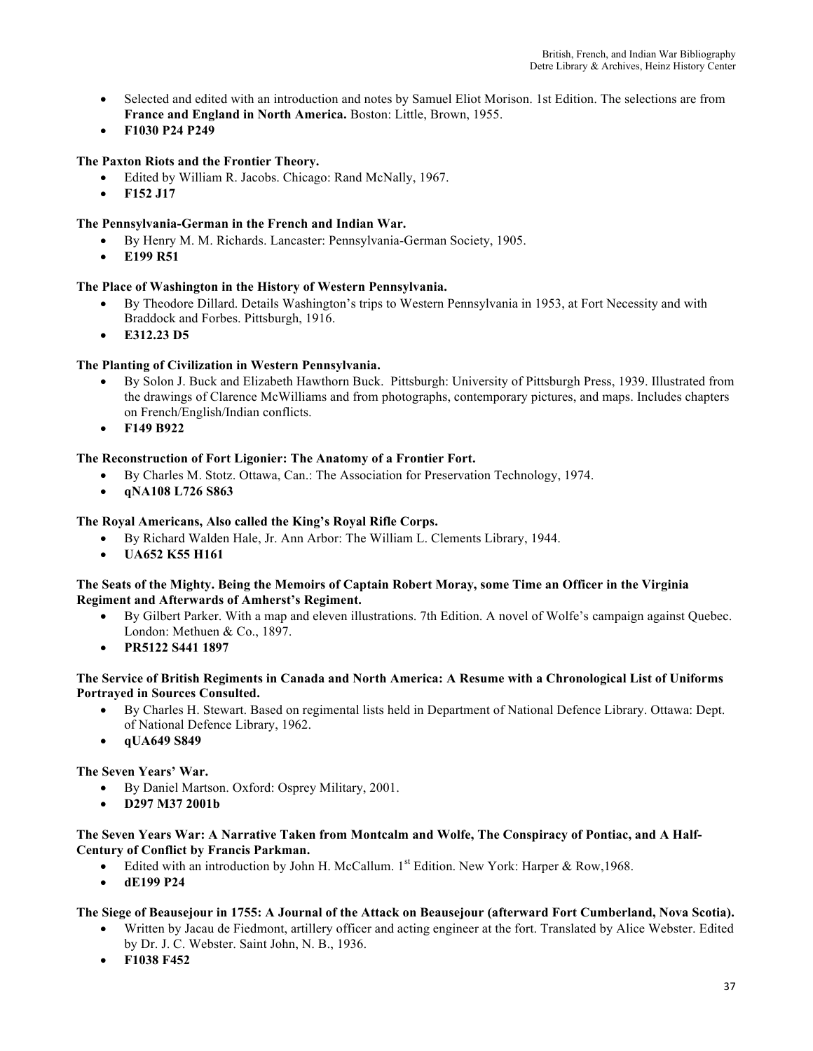- Selected and edited with an introduction and notes by Samuel Eliot Morison. 1st Edition. The selections are from **France and England in North America.** Boston: Little, Brown, 1955.
- **F1030 P24 P249**

# **The Paxton Riots and the Frontier Theory.**

- Edited by William R. Jacobs. Chicago: Rand McNally, 1967.
- **F152 J17**

# **The Pennsylvania-German in the French and Indian War.**

- By Henry M. M. Richards. Lancaster: Pennsylvania-German Society, 1905.
- **E199 R51**

### **The Place of Washington in the History of Western Pennsylvania.**

- By Theodore Dillard. Details Washington's trips to Western Pennsylvania in 1953, at Fort Necessity and with Braddock and Forbes. Pittsburgh, 1916.
- **E312.23 D5**

# **The Planting of Civilization in Western Pennsylvania.**

- By Solon J. Buck and Elizabeth Hawthorn Buck. Pittsburgh: University of Pittsburgh Press, 1939. Illustrated from the drawings of Clarence McWilliams and from photographs, contemporary pictures, and maps. Includes chapters on French/English/Indian conflicts.
- **F149 B922**

### **The Reconstruction of Fort Ligonier: The Anatomy of a Frontier Fort.**

- By Charles M. Stotz. Ottawa, Can.: The Association for Preservation Technology, 1974.
- **qNA108 L726 S863**

### **The Royal Americans, Also called the King's Royal Rifle Corps.**

- By Richard Walden Hale, Jr. Ann Arbor: The William L. Clements Library, 1944.
- **UA652 K55 H161**

### **The Seats of the Mighty. Being the Memoirs of Captain Robert Moray, some Time an Officer in the Virginia Regiment and Afterwards of Amherst's Regiment.**

- By Gilbert Parker. With a map and eleven illustrations. 7th Edition. A novel of Wolfe's campaign against Quebec. London: Methuen & Co., 1897.
- **PR5122 S441 1897**

### **The Service of British Regiments in Canada and North America: A Resume with a Chronological List of Uniforms Portrayed in Sources Consulted.**

- By Charles H. Stewart. Based on regimental lists held in Department of National Defence Library. Ottawa: Dept. of National Defence Library, 1962.
- **qUA649 S849**

### **The Seven Years' War.**

- By Daniel Martson. Oxford: Osprey Military, 2001.
- **D297 M37 2001b**

#### **The Seven Years War: A Narrative Taken from Montcalm and Wolfe, The Conspiracy of Pontiac, and A Half-Century of Conflict by Francis Parkman.**

- Edited with an introduction by John H. McCallum.  $1<sup>st</sup>$  Edition. New York: Harper & Row, 1968.
- **dE199 P24**

### **The Siege of Beausejour in 1755: A Journal of the Attack on Beausejour (afterward Fort Cumberland, Nova Scotia).**

- Written by Jacau de Fiedmont, artillery officer and acting engineer at the fort. Translated by Alice Webster. Edited by Dr. J. C. Webster. Saint John, N. B., 1936.
- **F1038 F452**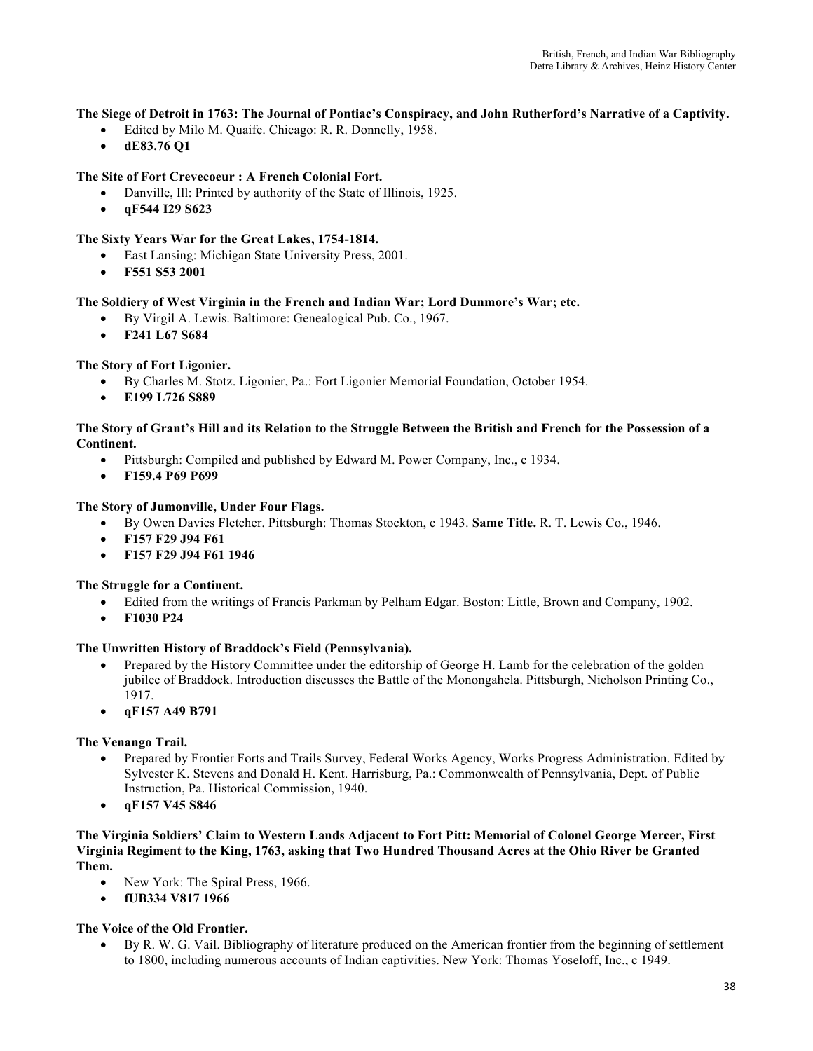# **The Siege of Detroit in 1763: The Journal of Pontiac's Conspiracy, and John Rutherford's Narrative of a Captivity.**

- Edited by Milo M. Quaife. Chicago: R. R. Donnelly, 1958.
- **dE83.76 Q1**

# **The Site of Fort Crevecoeur : A French Colonial Fort.**

- Danville, Ill: Printed by authority of the State of Illinois, 1925.
- **qF544 I29 S623**

### **The Sixty Years War for the Great Lakes, 1754-1814.**

- East Lansing: Michigan State University Press, 2001.
- **F551 S53 2001**

### **The Soldiery of West Virginia in the French and Indian War; Lord Dunmore's War; etc.**

- By Virgil A. Lewis. Baltimore: Genealogical Pub. Co., 1967.
- **F241 L67 S684**

**The Story of Fort Ligonier.**

- By Charles M. Stotz. Ligonier, Pa.: Fort Ligonier Memorial Foundation, October 1954.
- **E199 L726 S889**

#### **The Story of Grant's Hill and its Relation to the Struggle Between the British and French for the Possession of a Continent.**

- Pittsburgh: Compiled and published by Edward M. Power Company, Inc., c 1934.
- **F159.4 P69 P699**

#### **The Story of Jumonville, Under Four Flags.**

- By Owen Davies Fletcher. Pittsburgh: Thomas Stockton, c 1943. **Same Title.** R. T. Lewis Co., 1946.
- **F157 F29 J94 F61**
- **F157 F29 J94 F61 1946**

### **The Struggle for a Continent.**

- Edited from the writings of Francis Parkman by Pelham Edgar. Boston: Little, Brown and Company, 1902.
- **F1030 P24**

### **The Unwritten History of Braddock's Field (Pennsylvania).**

- Prepared by the History Committee under the editorship of George H. Lamb for the celebration of the golden jubilee of Braddock. Introduction discusses the Battle of the Monongahela. Pittsburgh, Nicholson Printing Co., 1917.
- **qF157 A49 B791**

### **The Venango Trail.**

- Prepared by Frontier Forts and Trails Survey, Federal Works Agency, Works Progress Administration. Edited by Sylvester K. Stevens and Donald H. Kent. Harrisburg, Pa.: Commonwealth of Pennsylvania, Dept. of Public Instruction, Pa. Historical Commission, 1940.
- **qF157 V45 S846**

**The Virginia Soldiers' Claim to Western Lands Adjacent to Fort Pitt: Memorial of Colonel George Mercer, First Virginia Regiment to the King, 1763, asking that Two Hundred Thousand Acres at the Ohio River be Granted Them.**

- New York: The Spiral Press, 1966.
- **fUB334 V817 1966**

### **The Voice of the Old Frontier.**

• By R. W. G. Vail. Bibliography of literature produced on the American frontier from the beginning of settlement to 1800, including numerous accounts of Indian captivities. New York: Thomas Yoseloff, Inc., c 1949.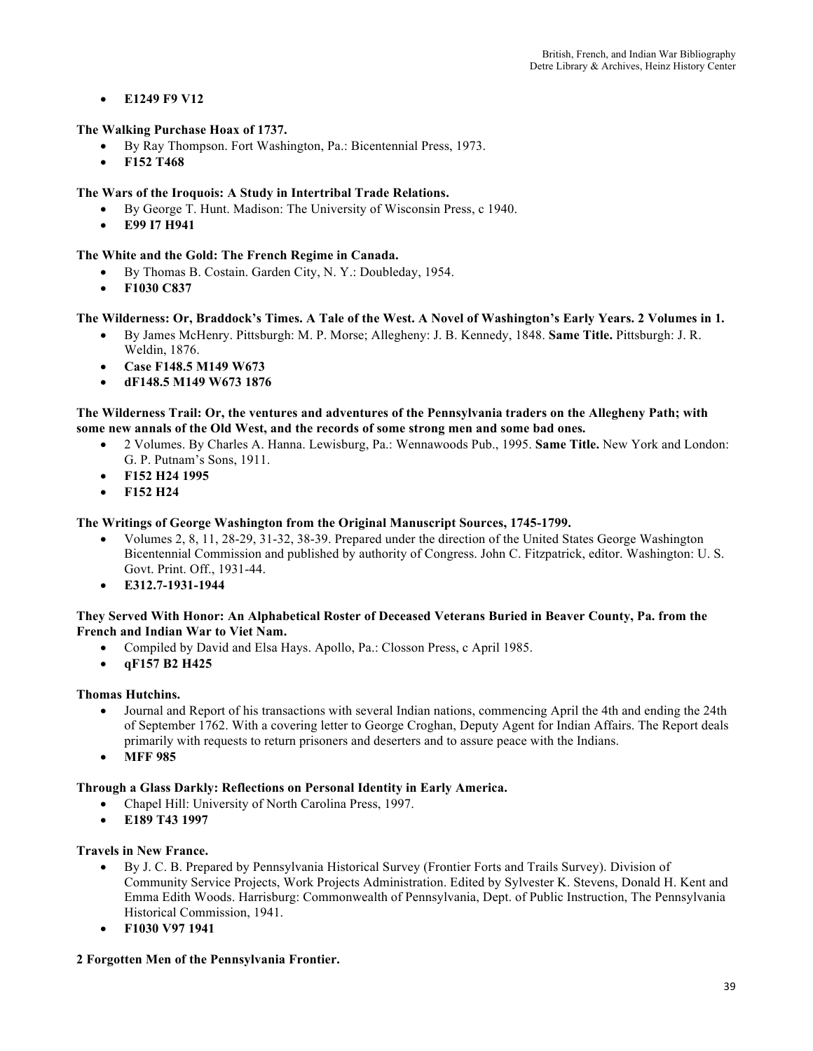• **E1249 F9 V12** 

# **The Walking Purchase Hoax of 1737.**

- By Ray Thompson. Fort Washington, Pa.: Bicentennial Press, 1973.
- **F152 T468**

# **The Wars of the Iroquois: A Study in Intertribal Trade Relations.**

- By George T. Hunt. Madison: The University of Wisconsin Press, c 1940.
- **E99 I7 H941**

# **The White and the Gold: The French Regime in Canada.**

- By Thomas B. Costain. Garden City, N. Y.: Doubleday, 1954.
- **F1030 C837**

# **The Wilderness: Or, Braddock's Times. A Tale of the West. A Novel of Washington's Early Years. 2 Volumes in 1.**

- By James McHenry. Pittsburgh: M. P. Morse; Allegheny: J. B. Kennedy, 1848. **Same Title.** Pittsburgh: J. R.
- Weldin, 1876. • **Case F148.5 M149 W673**
- **dF148.5 M149 W673 1876**

# **The Wilderness Trail: Or, the ventures and adventures of the Pennsylvania traders on the Allegheny Path; with some new annals of the Old West, and the records of some strong men and some bad ones.**

- 2 Volumes. By Charles A. Hanna. Lewisburg, Pa.: Wennawoods Pub., 1995. **Same Title.** New York and London: G. P. Putnam's Sons, 1911.
- **F152 H24 1995**
- **F152 H24**

# **The Writings of George Washington from the Original Manuscript Sources, 1745-1799.**

- Volumes 2, 8, 11, 28-29, 31-32, 38-39. Prepared under the direction of the United States George Washington Bicentennial Commission and published by authority of Congress. John C. Fitzpatrick, editor. Washington: U. S. Govt. Print. Off., 1931-44.
- **E312.7-1931-1944**

### **They Served With Honor: An Alphabetical Roster of Deceased Veterans Buried in Beaver County, Pa. from the French and Indian War to Viet Nam.**

- Compiled by David and Elsa Hays. Apollo, Pa.: Closson Press, c April 1985.
- **qF157 B2 H425**

### **Thomas Hutchins.**

- Journal and Report of his transactions with several Indian nations, commencing April the 4th and ending the 24th of September 1762. With a covering letter to George Croghan, Deputy Agent for Indian Affairs. The Report deals primarily with requests to return prisoners and deserters and to assure peace with the Indians.
- **MFF 985**

### **Through a Glass Darkly: Reflections on Personal Identity in Early America.**

- Chapel Hill: University of North Carolina Press, 1997.
- **E189 T43 1997**

### **Travels in New France.**

- By J. C. B. Prepared by Pennsylvania Historical Survey (Frontier Forts and Trails Survey). Division of Community Service Projects, Work Projects Administration. Edited by Sylvester K. Stevens, Donald H. Kent and Emma Edith Woods. Harrisburg: Commonwealth of Pennsylvania, Dept. of Public Instruction, The Pennsylvania Historical Commission, 1941.
- **F1030 V97 1941**

# **2 Forgotten Men of the Pennsylvania Frontier.**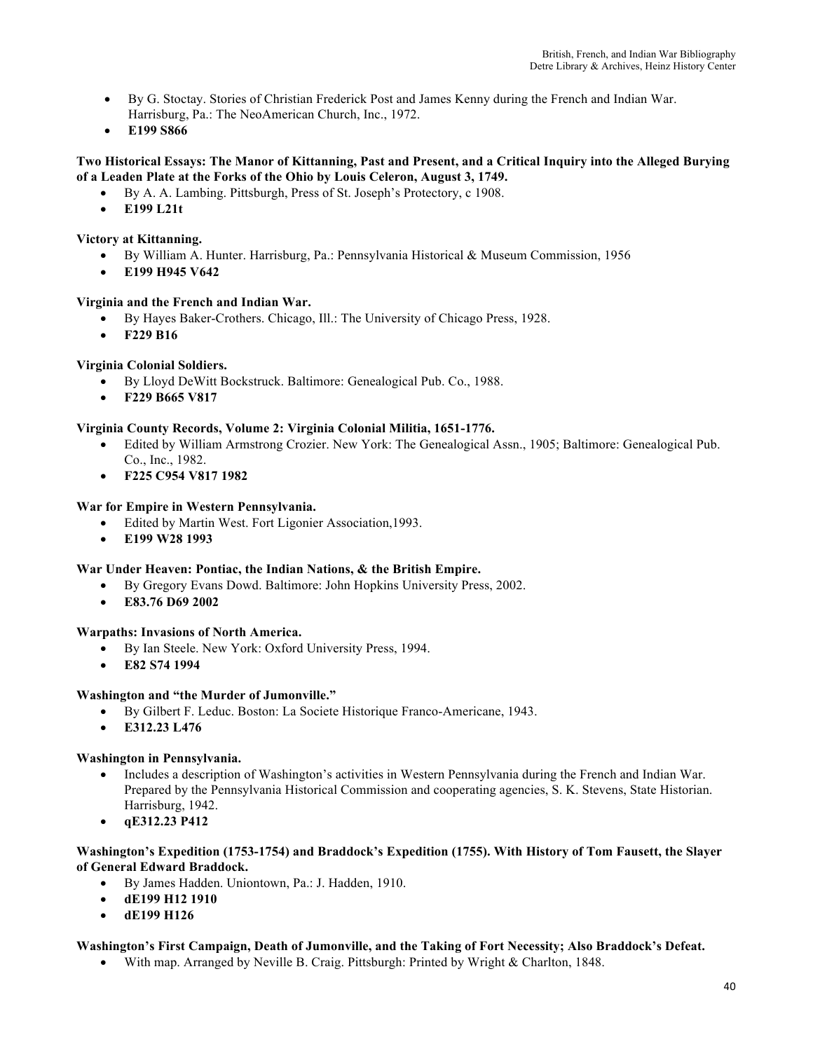- By G. Stoctay. Stories of Christian Frederick Post and James Kenny during the French and Indian War. Harrisburg, Pa.: The NeoAmerican Church, Inc., 1972.
- **E199 S866**

# **Two Historical Essays: The Manor of Kittanning, Past and Present, and a Critical Inquiry into the Alleged Burying of a Leaden Plate at the Forks of the Ohio by Louis Celeron, August 3, 1749.**

- By A. A. Lambing. Pittsburgh, Press of St. Joseph's Protectory, c 1908.
- **E199 L21t**

# **Victory at Kittanning.**

- By William A. Hunter. Harrisburg, Pa.: Pennsylvania Historical & Museum Commission, 1956
- **E199 H945 V642**

# **Virginia and the French and Indian War.**

- By Hayes Baker-Crothers. Chicago, Ill.: The University of Chicago Press, 1928.
- **F229 B16**

# **Virginia Colonial Soldiers.**

- By Lloyd DeWitt Bockstruck. Baltimore: Genealogical Pub. Co., 1988.
- **F229 B665 V817**

### **Virginia County Records, Volume 2: Virginia Colonial Militia, 1651-1776.**

- Edited by William Armstrong Crozier. New York: The Genealogical Assn., 1905; Baltimore: Genealogical Pub. Co., Inc., 1982.
- **F225 C954 V817 1982**

# **War for Empire in Western Pennsylvania.**

- Edited by Martin West. Fort Ligonier Association, 1993.
- **E199 W28 1993**

### **War Under Heaven: Pontiac, the Indian Nations, & the British Empire.**

- By Gregory Evans Dowd. Baltimore: John Hopkins University Press, 2002.
- **E83.76 D69 2002**

### **Warpaths: Invasions of North America.**

- By Ian Steele. New York: Oxford University Press, 1994.
- **E82 S74 1994**

### **Washington and "the Murder of Jumonville."**

- By Gilbert F. Leduc. Boston: La Societe Historique Franco-Americane, 1943.
- **E312.23 L476**

### **Washington in Pennsylvania.**

- Includes a description of Washington's activities in Western Pennsylvania during the French and Indian War. Prepared by the Pennsylvania Historical Commission and cooperating agencies, S. K. Stevens, State Historian. Harrisburg, 1942.
- **qE312.23 P412**

# **Washington's Expedition (1753-1754) and Braddock's Expedition (1755). With History of Tom Fausett, the Slayer of General Edward Braddock.**

- By James Hadden. Uniontown, Pa.: J. Hadden, 1910.
- **dE199 H12 1910**
- **dE199 H126**

### **Washington's First Campaign, Death of Jumonville, and the Taking of Fort Necessity; Also Braddock's Defeat.**

• With map. Arranged by Neville B. Craig. Pittsburgh: Printed by Wright & Charlton, 1848.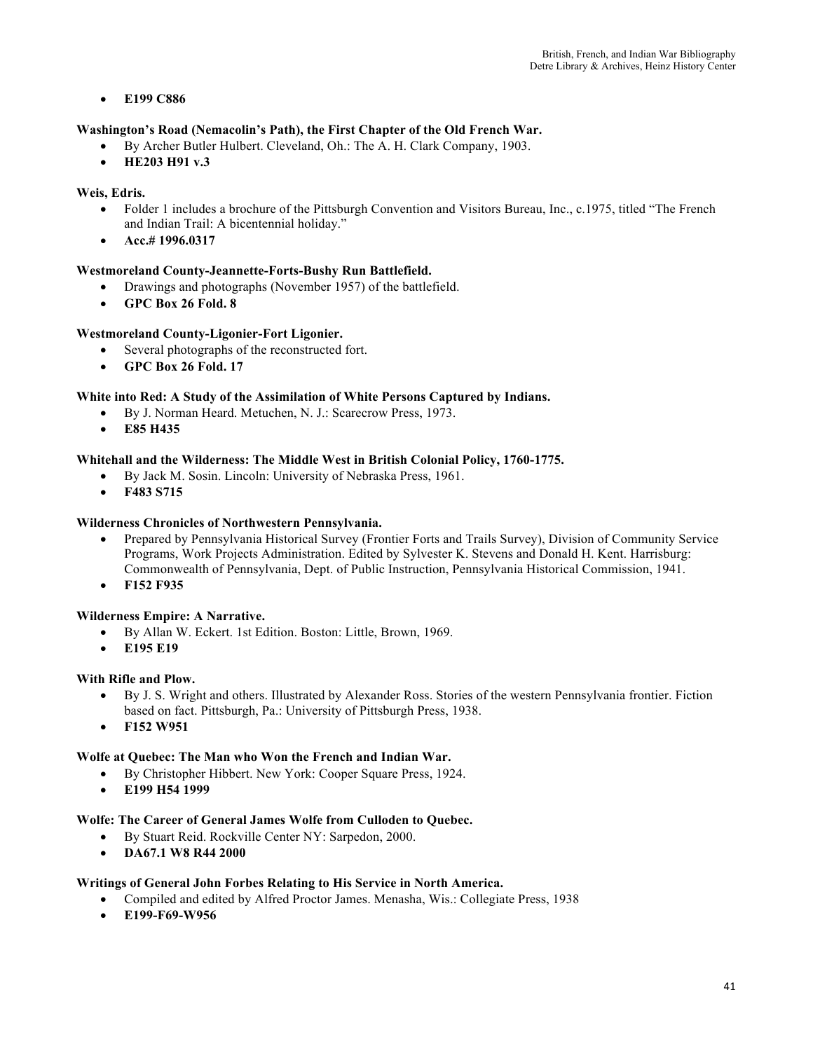# • **E199 C886**

# **Washington's Road (Nemacolin's Path), the First Chapter of the Old French War.**

- By Archer Butler Hulbert. Cleveland, Oh.: The A. H. Clark Company, 1903.
- **HE203 H91 v.3**

# **Weis, Edris.**

- Folder 1 includes a brochure of the Pittsburgh Convention and Visitors Bureau, Inc., c.1975, titled "The French and Indian Trail: A bicentennial holiday."
- **Acc.# 1996.0317**

# **Westmoreland County-Jeannette-Forts-Bushy Run Battlefield.**

- Drawings and photographs (November 1957) of the battlefield.
- **GPC Box 26 Fold. 8**

### **Westmoreland County-Ligonier-Fort Ligonier.**

- Several photographs of the reconstructed fort.
- **GPC Box 26 Fold. 17**

### **White into Red: A Study of the Assimilation of White Persons Captured by Indians.**

- By J. Norman Heard. Metuchen, N. J.: Scarecrow Press, 1973.
- **E85 H435**

# **Whitehall and the Wilderness: The Middle West in British Colonial Policy, 1760-1775.**

- By Jack M. Sosin. Lincoln: University of Nebraska Press, 1961.
- **F483 S715**

### **Wilderness Chronicles of Northwestern Pennsylvania.**

- Prepared by Pennsylvania Historical Survey (Frontier Forts and Trails Survey), Division of Community Service Programs, Work Projects Administration. Edited by Sylvester K. Stevens and Donald H. Kent. Harrisburg: Commonwealth of Pennsylvania, Dept. of Public Instruction, Pennsylvania Historical Commission, 1941.
- **F152 F935**

# **Wilderness Empire: A Narrative.**

- By Allan W. Eckert. 1st Edition. Boston: Little, Brown, 1969.
- **E195 E19**

### **With Rifle and Plow.**

- By J. S. Wright and others. Illustrated by Alexander Ross. Stories of the western Pennsylvania frontier. Fiction based on fact. Pittsburgh, Pa.: University of Pittsburgh Press, 1938.
- **F152 W951**

### **Wolfe at Quebec: The Man who Won the French and Indian War.**

- By Christopher Hibbert. New York: Cooper Square Press, 1924.
- **E199 H54 1999**

### **Wolfe: The Career of General James Wolfe from Culloden to Quebec.**

- By Stuart Reid. Rockville Center NY: Sarpedon, 2000.
- **DA67.1 W8 R44 2000**

### **Writings of General John Forbes Relating to His Service in North America.**

- Compiled and edited by Alfred Proctor James. Menasha, Wis.: Collegiate Press, 1938
- **E199-F69-W956**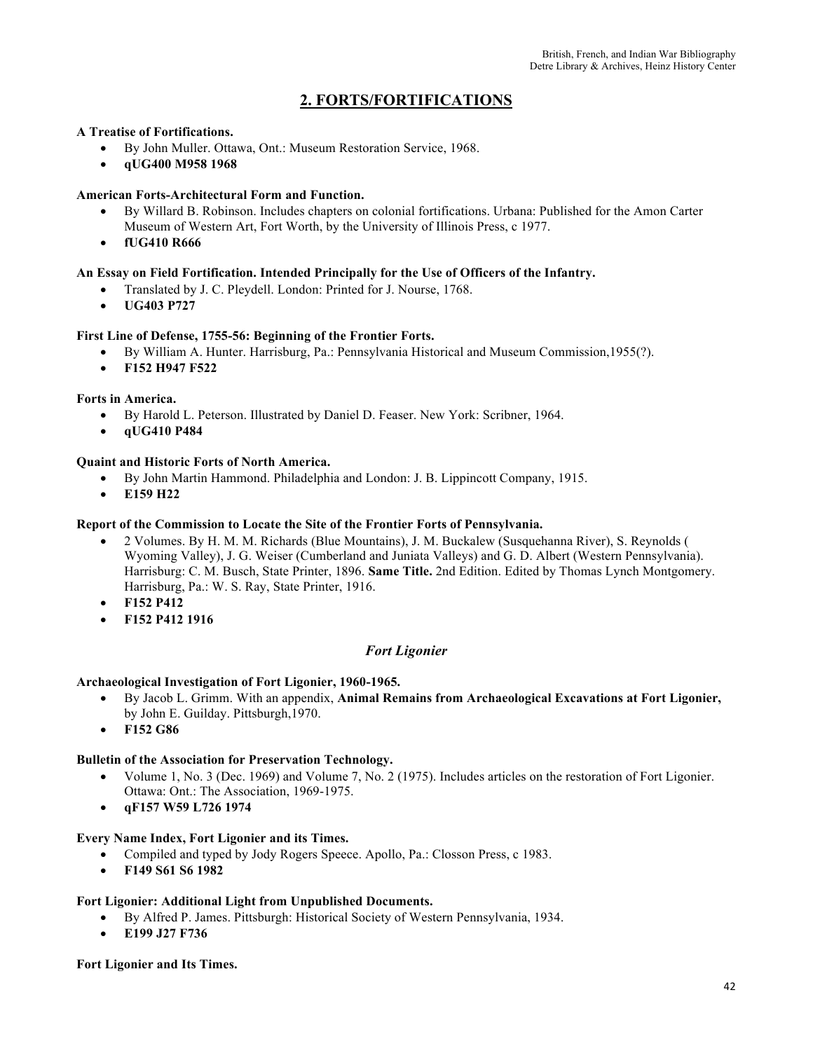# **2. FORTS/FORTIFICATIONS**

### **A Treatise of Fortifications.**

- By John Muller. Ottawa, Ont.: Museum Restoration Service, 1968.
- **qUG400 M958 1968**

# **American Forts-Architectural Form and Function.**

- By Willard B. Robinson. Includes chapters on colonial fortifications. Urbana: Published for the Amon Carter Museum of Western Art, Fort Worth, by the University of Illinois Press, c 1977.
- **fUG410 R666**

# **An Essay on Field Fortification. Intended Principally for the Use of Officers of the Infantry.**

- Translated by J. C. Pleydell. London: Printed for J. Nourse, 1768.
- **UG403 P727**

# **First Line of Defense, 1755-56: Beginning of the Frontier Forts.**

- By William A. Hunter. Harrisburg, Pa.: Pennsylvania Historical and Museum Commission,1955(?).
- **F152 H947 F522**

### **Forts in America.**

- By Harold L. Peterson. Illustrated by Daniel D. Feaser. New York: Scribner, 1964.
- **qUG410 P484**

#### **Quaint and Historic Forts of North America.**

- By John Martin Hammond. Philadelphia and London: J. B. Lippincott Company, 1915.
- **E159 H22**

#### **Report of the Commission to Locate the Site of the Frontier Forts of Pennsylvania.**

- 2 Volumes. By H. M. M. Richards (Blue Mountains), J. M. Buckalew (Susquehanna River), S. Reynolds ( Wyoming Valley), J. G. Weiser (Cumberland and Juniata Valleys) and G. D. Albert (Western Pennsylvania). Harrisburg: C. M. Busch, State Printer, 1896. **Same Title.** 2nd Edition. Edited by Thomas Lynch Montgomery. Harrisburg, Pa.: W. S. Ray, State Printer, 1916.
- **F152 P412**
- **F152 P412 1916**

### *Fort Ligonier*

### **Archaeological Investigation of Fort Ligonier, 1960-1965.**

- By Jacob L. Grimm. With an appendix, **Animal Remains from Archaeological Excavations at Fort Ligonier,**  by John E. Guilday. Pittsburgh,1970.
- **F152 G86**

### **Bulletin of the Association for Preservation Technology.**

- Volume 1, No. 3 (Dec. 1969) and Volume 7, No. 2 (1975). Includes articles on the restoration of Fort Ligonier. Ottawa: Ont.: The Association, 1969-1975.
- **qF157 W59 L726 1974**

# **Every Name Index, Fort Ligonier and its Times.**

- Compiled and typed by Jody Rogers Speece. Apollo, Pa.: Closson Press, c 1983.
- **F149 S61 S6 1982**

### **Fort Ligonier: Additional Light from Unpublished Documents.**

- By Alfred P. James. Pittsburgh: Historical Society of Western Pennsylvania, 1934.
- **E199 J27 F736**

**Fort Ligonier and Its Times.**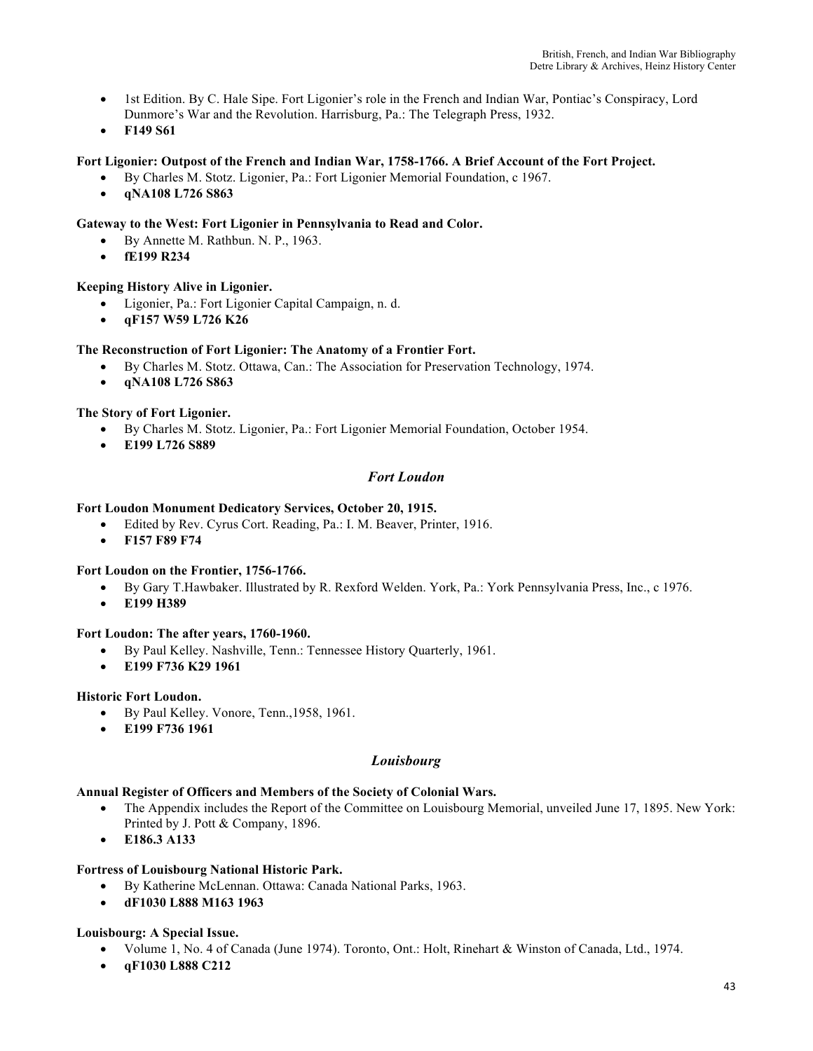- 1st Edition. By C. Hale Sipe. Fort Ligonier's role in the French and Indian War, Pontiac's Conspiracy, Lord Dunmore's War and the Revolution. Harrisburg, Pa.: The Telegraph Press, 1932.
- **F149 S61**

# **Fort Ligonier: Outpost of the French and Indian War, 1758-1766. A Brief Account of the Fort Project.**

- By Charles M. Stotz. Ligonier, Pa.: Fort Ligonier Memorial Foundation, c 1967.
- **qNA108 L726 S863**

### **Gateway to the West: Fort Ligonier in Pennsylvania to Read and Color.**

- By Annette M. Rathbun. N. P., 1963.
- **fE199 R234**

#### **Keeping History Alive in Ligonier.**

- Ligonier, Pa.: Fort Ligonier Capital Campaign, n. d.
- **qF157 W59 L726 K26**

#### **The Reconstruction of Fort Ligonier: The Anatomy of a Frontier Fort.**

- By Charles M. Stotz. Ottawa, Can.: The Association for Preservation Technology, 1974.
- **qNA108 L726 S863**

#### **The Story of Fort Ligonier.**

- By Charles M. Stotz. Ligonier, Pa.: Fort Ligonier Memorial Foundation, October 1954.
- **E199 L726 S889**

### *Fort Loudon*

#### **Fort Loudon Monument Dedicatory Services, October 20, 1915.**

- Edited by Rev. Cyrus Cort. Reading, Pa.: I. M. Beaver, Printer, 1916.
- **F157 F89 F74**

#### **Fort Loudon on the Frontier, 1756-1766.**

- By Gary T.Hawbaker. Illustrated by R. Rexford Welden. York, Pa.: York Pennsylvania Press, Inc., c 1976.
- **E199 H389**

#### **Fort Loudon: The after years, 1760-1960.**

- By Paul Kelley. Nashville, Tenn.: Tennessee History Quarterly, 1961.
- **E199 F736 K29 1961**

### **Historic Fort Loudon.**

- By Paul Kelley. Vonore, Tenn.,1958, 1961.
- **E199 F736 1961**

### *Louisbourg*

### **Annual Register of Officers and Members of the Society of Colonial Wars.**

- The Appendix includes the Report of the Committee on Louisbourg Memorial, unveiled June 17, 1895. New York: Printed by J. Pott & Company, 1896.
- **E186.3 A133**

# **Fortress of Louisbourg National Historic Park.**

- By Katherine McLennan. Ottawa: Canada National Parks, 1963.
- **dF1030 L888 M163 1963**

#### **Louisbourg: A Special Issue.**

- Volume 1, No. 4 of Canada (June 1974). Toronto, Ont.: Holt, Rinehart & Winston of Canada, Ltd., 1974.
- **qF1030 L888 C212**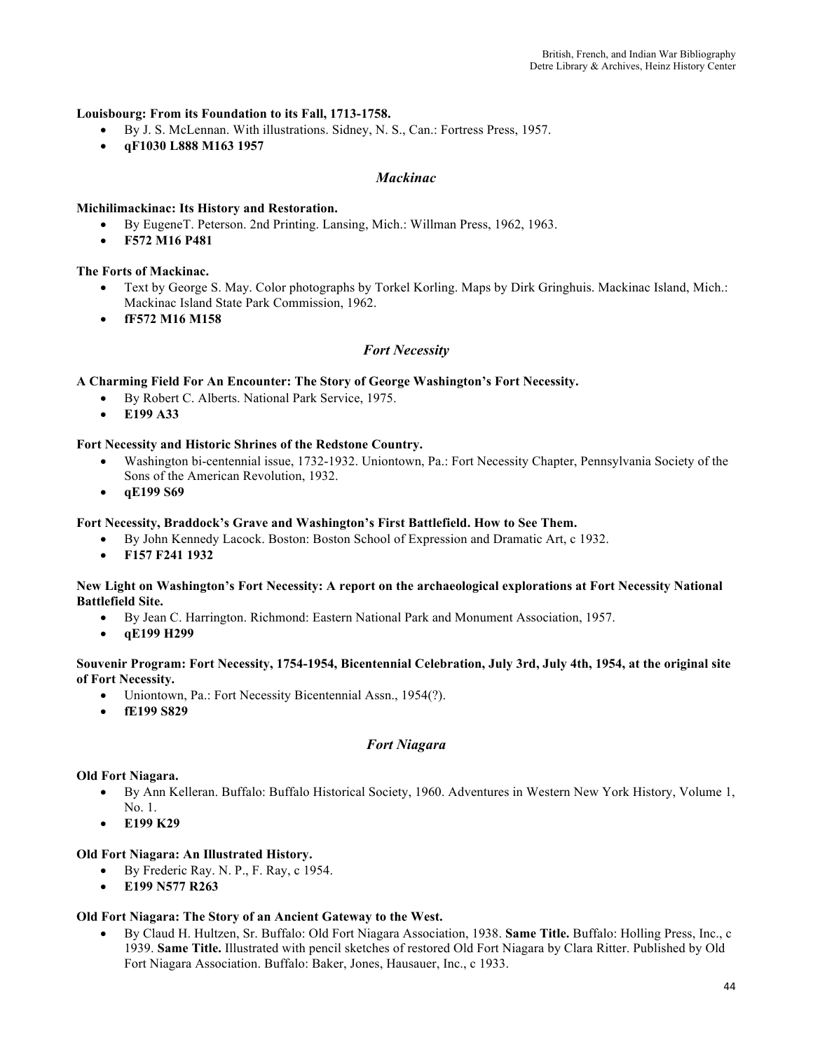## **Louisbourg: From its Foundation to its Fall, 1713-1758.**

- By J. S. McLennan. With illustrations. Sidney, N. S., Can.: Fortress Press, 1957.
- **qF1030 L888 M163 1957**

# *Mackinac*

### **Michilimackinac: Its History and Restoration.**

- By EugeneT. Peterson. 2nd Printing. Lansing, Mich.: Willman Press, 1962, 1963.
- **F572 M16 P481**

### **The Forts of Mackinac.**

- Text by George S. May. Color photographs by Torkel Korling. Maps by Dirk Gringhuis. Mackinac Island, Mich.: Mackinac Island State Park Commission, 1962.
- **fF572 M16 M158**

# *Fort Necessity*

### **A Charming Field For An Encounter: The Story of George Washington's Fort Necessity.**

- By Robert C. Alberts. National Park Service, 1975.
- **E199 A33**

### **Fort Necessity and Historic Shrines of the Redstone Country.**

- Washington bi-centennial issue, 1732-1932. Uniontown, Pa.: Fort Necessity Chapter, Pennsylvania Society of the Sons of the American Revolution, 1932.
- **qE199 S69**

#### **Fort Necessity, Braddock's Grave and Washington's First Battlefield. How to See Them.**

- By John Kennedy Lacock. Boston: Boston School of Expression and Dramatic Art, c 1932.
- **F157 F241 1932**

#### **New Light on Washington's Fort Necessity: A report on the archaeological explorations at Fort Necessity National Battlefield Site.**

- By Jean C. Harrington. Richmond: Eastern National Park and Monument Association, 1957.
- **qE199 H299**

### **Souvenir Program: Fort Necessity, 1754-1954, Bicentennial Celebration, July 3rd, July 4th, 1954, at the original site of Fort Necessity.**

- Uniontown, Pa.: Fort Necessity Bicentennial Assn., 1954(?).
- **fE199 S829**

# *Fort Niagara*

### **Old Fort Niagara.**

- By Ann Kelleran. Buffalo: Buffalo Historical Society, 1960. Adventures in Western New York History, Volume 1,  $N_0$  1.
- **E199 K29**

### **Old Fort Niagara: An Illustrated History.**

- By Frederic Ray. N. P., F. Ray, c 1954.
- **E199 N577 R263**

### **Old Fort Niagara: The Story of an Ancient Gateway to the West.**

• By Claud H. Hultzen, Sr. Buffalo: Old Fort Niagara Association, 1938. **Same Title.** Buffalo: Holling Press, Inc., c 1939. **Same Title.** Illustrated with pencil sketches of restored Old Fort Niagara by Clara Ritter. Published by Old Fort Niagara Association. Buffalo: Baker, Jones, Hausauer, Inc., c 1933.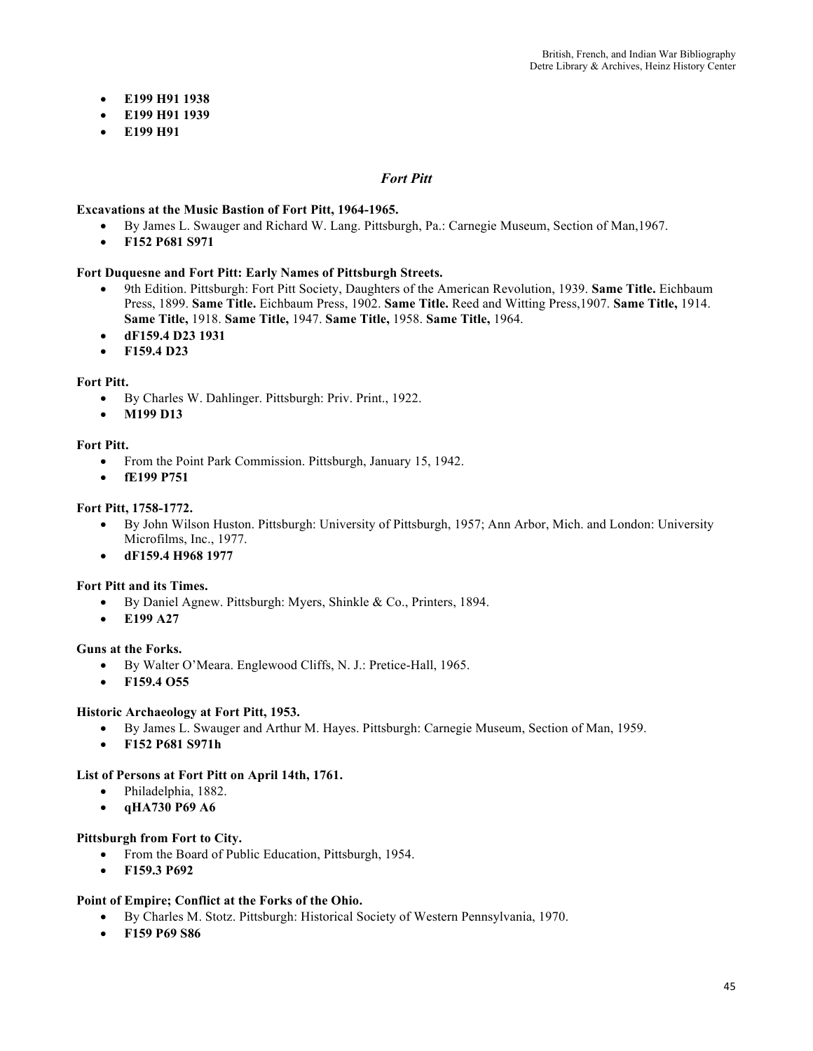- **E199 H91 1938**
- **E199 H91 1939**
- **E199 H91**

### *Fort Pitt*

#### **Excavations at the Music Bastion of Fort Pitt, 1964-1965.**

- By James L. Swauger and Richard W. Lang. Pittsburgh, Pa.: Carnegie Museum, Section of Man,1967.
- **F152 P681 S971**

#### **Fort Duquesne and Fort Pitt: Early Names of Pittsburgh Streets.**

- 9th Edition. Pittsburgh: Fort Pitt Society, Daughters of the American Revolution, 1939. **Same Title.** Eichbaum Press, 1899. **Same Title.** Eichbaum Press, 1902. **Same Title.** Reed and Witting Press,1907. **Same Title,** 1914. **Same Title,** 1918. **Same Title,** 1947. **Same Title,** 1958. **Same Title,** 1964.
- **dF159.4 D23 1931**
- **F159.4 D23**

#### **Fort Pitt.**

- By Charles W. Dahlinger. Pittsburgh: Priv. Print., 1922.
- **M199 D13**

#### **Fort Pitt.**

- From the Point Park Commission. Pittsburgh, January 15, 1942.
- **fE199 P751**

#### **Fort Pitt, 1758-1772.**

- By John Wilson Huston. Pittsburgh: University of Pittsburgh, 1957; Ann Arbor, Mich. and London: University Microfilms, Inc., 1977.
- **dF159.4 H968 1977**

### **Fort Pitt and its Times.**

- By Daniel Agnew. Pittsburgh: Myers, Shinkle & Co., Printers, 1894.
- **E199 A27**

#### **Guns at the Forks.**

- By Walter O'Meara. Englewood Cliffs, N. J.: Pretice-Hall, 1965.
- **F159.4 O55**

#### **Historic Archaeology at Fort Pitt, 1953.**

- By James L. Swauger and Arthur M. Hayes. Pittsburgh: Carnegie Museum, Section of Man, 1959.
- **F152 P681 S971h**

#### **List of Persons at Fort Pitt on April 14th, 1761.**

- Philadelphia, 1882.
- **qHA730 P69 A6**

### **Pittsburgh from Fort to City.**

- From the Board of Public Education, Pittsburgh, 1954.
- **F159.3 P692**

### **Point of Empire; Conflict at the Forks of the Ohio.**

- By Charles M. Stotz. Pittsburgh: Historical Society of Western Pennsylvania, 1970.
- **F159 P69 S86**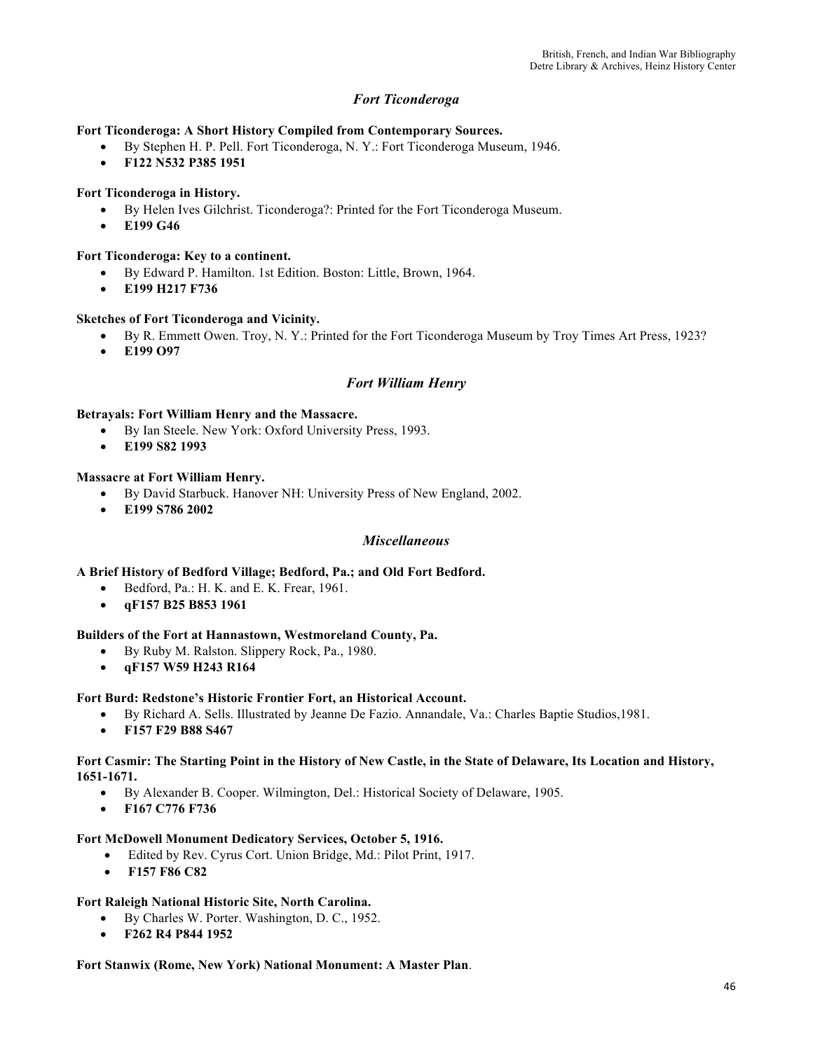# *Fort Ticonderoga*

**Fort Ticonderoga: A Short History Compiled from Contemporary Sources.**

- By Stephen H. P. Pell. Fort Ticonderoga, N. Y.: Fort Ticonderoga Museum, 1946.
- **F122 N532 P385 1951**

### **Fort Ticonderoga in History.**

- By Helen Ives Gilchrist. Ticonderoga?: Printed for the Fort Ticonderoga Museum.
- **E199 G46**

#### **Fort Ticonderoga: Key to a continent.**

- By Edward P. Hamilton. 1st Edition. Boston: Little, Brown, 1964.
- **E199 H217 F736**

#### **Sketches of Fort Ticonderoga and Vicinity.**

- By R. Emmett Owen. Troy, N. Y.: Printed for the Fort Ticonderoga Museum by Troy Times Art Press, 1923?
- **E199 O97**

### *Fort William Henry*

#### **Betrayals: Fort William Henry and the Massacre.**

- By Ian Steele. New York: Oxford University Press, 1993.
- **E199 S82 1993**

#### **Massacre at Fort William Henry.**

- By David Starbuck. Hanover NH: University Press of New England, 2002.
- **E199 S786 2002**

### *Miscellaneous*

**A Brief History of Bedford Village; Bedford, Pa.; and Old Fort Bedford.** 

- Bedford, Pa.: H. K. and E. K. Frear, 1961.
- **qF157 B25 B853 1961**

#### **Builders of the Fort at Hannastown, Westmoreland County, Pa.**

- By Ruby M. Ralston. Slippery Rock, Pa., 1980.
- **qF157 W59 H243 R164**

#### **Fort Burd: Redstone's Historic Frontier Fort, an Historical Account.**

- By Richard A. Sells. Illustrated by Jeanne De Fazio. Annandale, Va.: Charles Baptie Studios,1981.
- **F157 F29 B88 S467**

#### **Fort Casmir: The Starting Point in the History of New Castle, in the State of Delaware, Its Location and History, 1651-1671.**

- By Alexander B. Cooper. Wilmington, Del.: Historical Society of Delaware, 1905.
- **F167 C776 F736**

#### **Fort McDowell Monument Dedicatory Services, October 5, 1916.**

- Edited by Rev. Cyrus Cort. Union Bridge, Md.: Pilot Print, 1917.
- **F157 F86 C82**

### **Fort Raleigh National Historic Site, North Carolina.**

- By Charles W. Porter. Washington, D. C., 1952.
- **F262 R4 P844 1952**

**Fort Stanwix (Rome, New York) National Monument: A Master Plan**.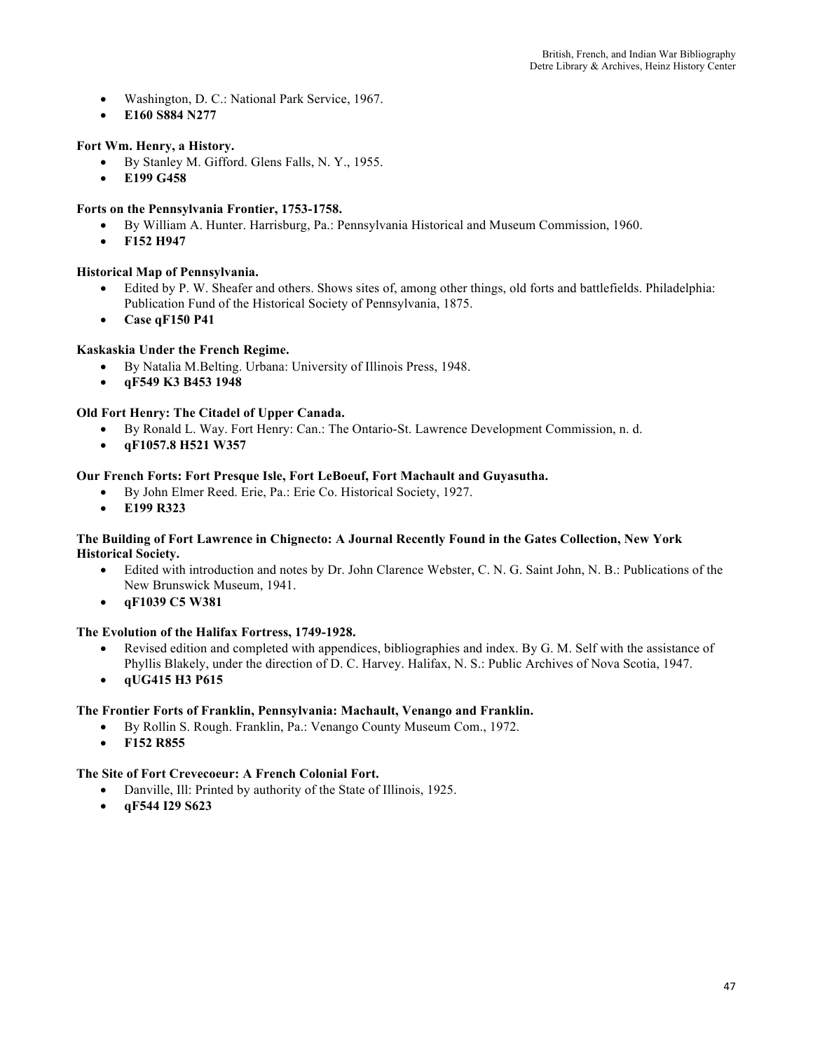- Washington, D. C.: National Park Service, 1967.
- **E160 S884 N277**

# **Fort Wm. Henry, a History.**

- By Stanley M. Gifford. Glens Falls, N. Y., 1955.
- **E199 G458**

# **Forts on the Pennsylvania Frontier, 1753-1758.**

- By William A. Hunter. Harrisburg, Pa.: Pennsylvania Historical and Museum Commission, 1960.
- **F152 H947**

# **Historical Map of Pennsylvania.**

- Edited by P. W. Sheafer and others. Shows sites of, among other things, old forts and battlefields. Philadelphia: Publication Fund of the Historical Society of Pennsylvania, 1875.
- **Case qF150 P41**

# **Kaskaskia Under the French Regime.**

- By Natalia M.Belting. Urbana: University of Illinois Press, 1948.
- **qF549 K3 B453 1948**

# **Old Fort Henry: The Citadel of Upper Canada.**

- By Ronald L. Way. Fort Henry: Can.: The Ontario-St. Lawrence Development Commission, n. d.
- **qF1057.8 H521 W357**

### **Our French Forts: Fort Presque Isle, Fort LeBoeuf, Fort Machault and Guyasutha.**

- By John Elmer Reed. Erie, Pa.: Erie Co. Historical Society, 1927.
- **E199 R323**

#### **The Building of Fort Lawrence in Chignecto: A Journal Recently Found in the Gates Collection, New York Historical Society.**

- Edited with introduction and notes by Dr. John Clarence Webster, C. N. G. Saint John, N. B.: Publications of the New Brunswick Museum, 1941.
- **qF1039 C5 W381**

### **The Evolution of the Halifax Fortress, 1749-1928.**

- Revised edition and completed with appendices, bibliographies and index. By G. M. Self with the assistance of Phyllis Blakely, under the direction of D. C. Harvey. Halifax, N. S.: Public Archives of Nova Scotia, 1947.
- **qUG415 H3 P615**

### **The Frontier Forts of Franklin, Pennsylvania: Machault, Venango and Franklin.**

- By Rollin S. Rough. Franklin, Pa.: Venango County Museum Com., 1972.
	- **F152 R855**

# **The Site of Fort Crevecoeur: A French Colonial Fort.**

- Danville, Ill: Printed by authority of the State of Illinois, 1925.
- **qF544 I29 S623**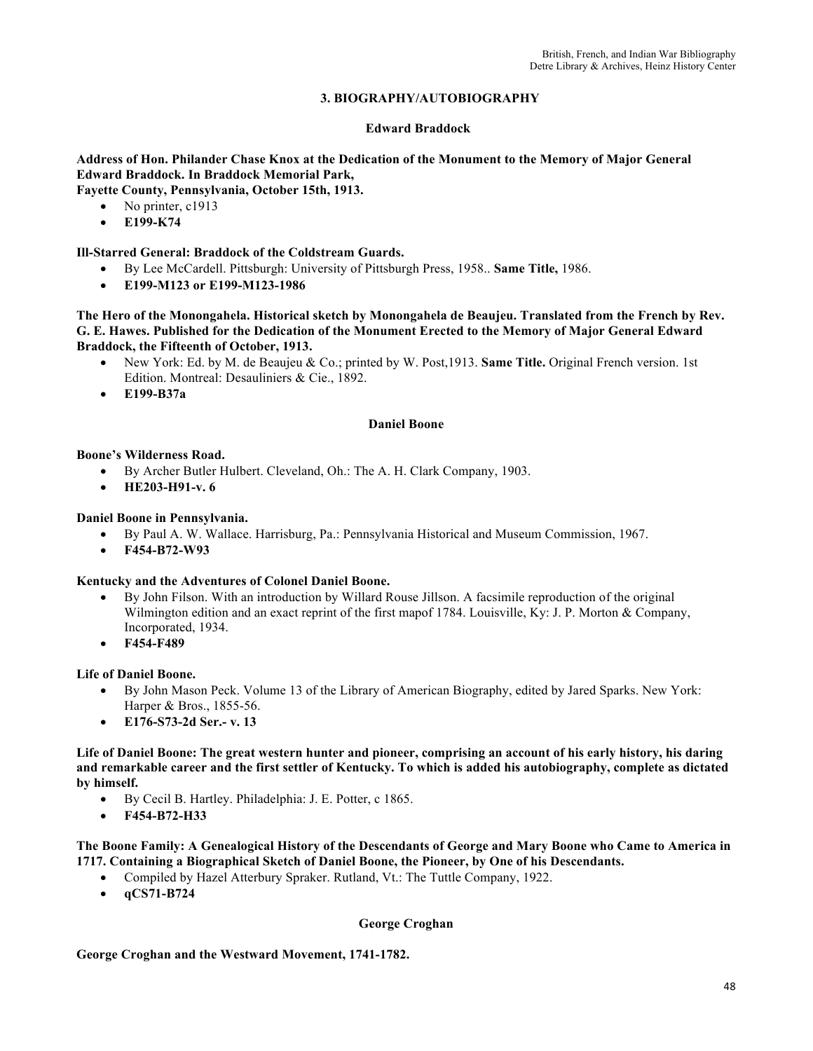# **3. BIOGRAPHY/AUTOBIOGRAPHY**

#### **Edward Braddock**

**Address of Hon. Philander Chase Knox at the Dedication of the Monument to the Memory of Major General Edward Braddock. In Braddock Memorial Park, Fayette County, Pennsylvania, October 15th, 1913.** 

No printer, c1913

• **E199-K74** 

### **Ill-Starred General: Braddock of the Coldstream Guards.**

- By Lee McCardell. Pittsburgh: University of Pittsburgh Press, 1958.. **Same Title,** 1986.
- **E199-M123 or E199-M123-1986**

#### **The Hero of the Monongahela. Historical sketch by Monongahela de Beaujeu. Translated from the French by Rev. G. E. Hawes. Published for the Dedication of the Monument Erected to the Memory of Major General Edward Braddock, the Fifteenth of October, 1913.**

- New York: Ed. by M. de Beaujeu & Co.; printed by W. Post,1913. **Same Title.** Original French version. 1st Edition. Montreal: Desauliniers & Cie., 1892.
- **E199-B37a**

#### **Daniel Boone**

#### **Boone's Wilderness Road.**

- By Archer Butler Hulbert. Cleveland, Oh.: The A. H. Clark Company, 1903.
- **HE203-H91-v. 6**

### **Daniel Boone in Pennsylvania.**

- By Paul A. W. Wallace. Harrisburg, Pa.: Pennsylvania Historical and Museum Commission, 1967.
- **F454-B72-W93**

### **Kentucky and the Adventures of Colonel Daniel Boone.**

- By John Filson. With an introduction by Willard Rouse Jillson. A facsimile reproduction of the original Wilmington edition and an exact reprint of the first mapof 1784. Louisville, Ky: J. P. Morton & Company, Incorporated, 1934.
- **F454-F489**

### **Life of Daniel Boone.**

- By John Mason Peck. Volume 13 of the Library of American Biography, edited by Jared Sparks. New York: Harper & Bros., 1855-56.
- **E176-S73-2d Ser.- v. 13**

**Life of Daniel Boone: The great western hunter and pioneer, comprising an account of his early history, his daring and remarkable career and the first settler of Kentucky. To which is added his autobiography, complete as dictated by himself.**

- By Cecil B. Hartley. Philadelphia: J. E. Potter, c 1865.
- **F454-B72-H33**

**The Boone Family: A Genealogical History of the Descendants of George and Mary Boone who Came to America in 1717. Containing a Biographical Sketch of Daniel Boone, the Pioneer, by One of his Descendants.**

- Compiled by Hazel Atterbury Spraker. Rutland, Vt.: The Tuttle Company, 1922.
- **qCS71-B724**

#### **George Croghan**

### **George Croghan and the Westward Movement, 1741-1782.**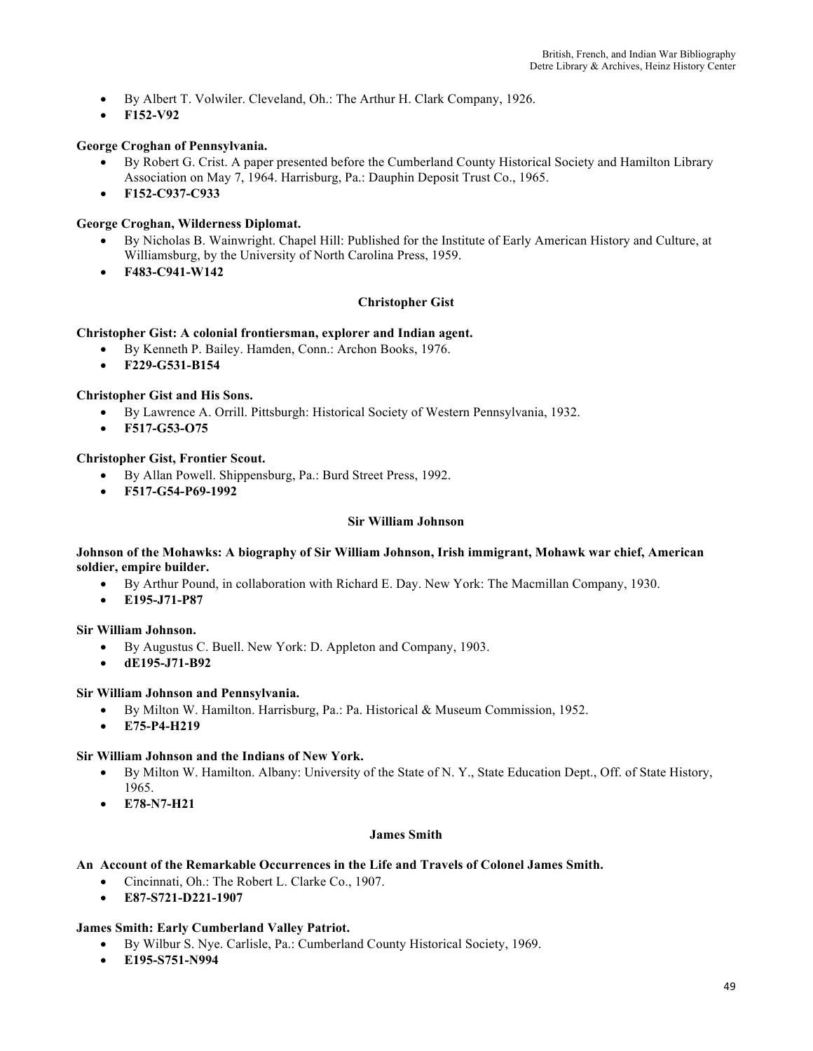- By Albert T. Volwiler. Cleveland, Oh.: The Arthur H. Clark Company, 1926.
- **F152-V92**

#### **George Croghan of Pennsylvania.**

- By Robert G. Crist. A paper presented before the Cumberland County Historical Society and Hamilton Library Association on May 7, 1964. Harrisburg, Pa.: Dauphin Deposit Trust Co., 1965.
- **F152-C937-C933**

#### **George Croghan, Wilderness Diplomat.**

- By Nicholas B. Wainwright. Chapel Hill: Published for the Institute of Early American History and Culture, at Williamsburg, by the University of North Carolina Press, 1959.
- **F483-C941-W142**

#### **Christopher Gist**

#### **Christopher Gist: A colonial frontiersman, explorer and Indian agent.**

- By Kenneth P. Bailey. Hamden, Conn.: Archon Books, 1976.
- **F229-G531-B154**

#### **Christopher Gist and His Sons.**

- By Lawrence A. Orrill. Pittsburgh: Historical Society of Western Pennsylvania, 1932.
- **F517-G53-O75**

#### **Christopher Gist, Frontier Scout.**

- By Allan Powell. Shippensburg, Pa.: Burd Street Press, 1992.
- **F517-G54-P69-1992**

#### **Sir William Johnson**

#### **Johnson of the Mohawks: A biography of Sir William Johnson, Irish immigrant, Mohawk war chief, American soldier, empire builder.**

- By Arthur Pound, in collaboration with Richard E. Day. New York: The Macmillan Company, 1930.
- **E195-J71-P87**

#### **Sir William Johnson.**

- By Augustus C. Buell. New York: D. Appleton and Company, 1903.
- **dE195-J71-B92**

#### **Sir William Johnson and Pennsylvania.**

- By Milton W. Hamilton. Harrisburg, Pa.: Pa. Historical & Museum Commission, 1952.
- **E75-P4-H219**

#### **Sir William Johnson and the Indians of New York.**

- By Milton W. Hamilton. Albany: University of the State of N. Y., State Education Dept., Off. of State History, 1965.
- **E78-N7-H21**

#### **James Smith**

#### **An Account of the Remarkable Occurrences in the Life and Travels of Colonel James Smith.**

- Cincinnati, Oh.: The Robert L. Clarke Co., 1907.
- **E87-S721-D221-1907**

#### **James Smith: Early Cumberland Valley Patriot.**

- By Wilbur S. Nye. Carlisle, Pa.: Cumberland County Historical Society, 1969.
- **E195-S751-N994**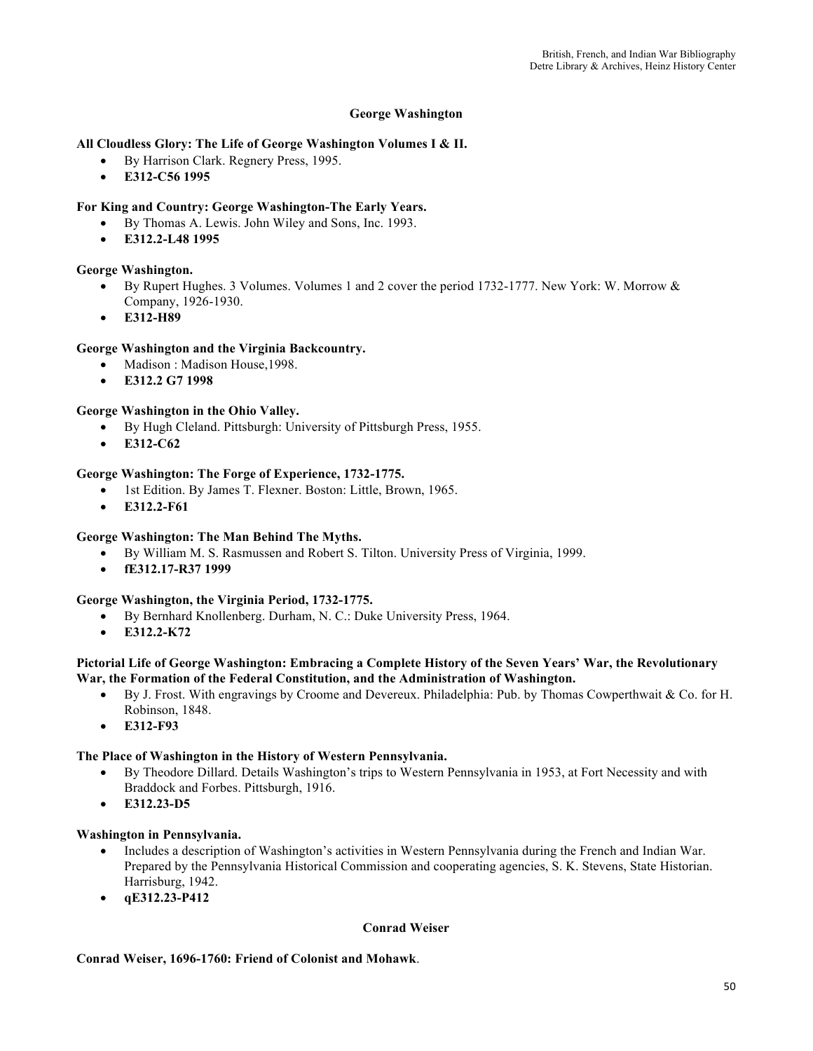## **George Washington**

### **All Cloudless Glory: The Life of George Washington Volumes I & II.**

- By Harrison Clark. Regnery Press, 1995.
- **E312-C56 1995**

# **For King and Country: George Washington-The Early Years.**

- By Thomas A. Lewis. John Wiley and Sons, Inc. 1993.
- **E312.2-L48 1995**

# **George Washington.**

- By Rupert Hughes. 3 Volumes. Volumes 1 and 2 cover the period 1732-1777. New York: W. Morrow & Company, 1926-1930.
- **E312-H89**

### **George Washington and the Virginia Backcountry.**

- Madison : Madison House, 1998.
- **E312.2 G7 1998**

# **George Washington in the Ohio Valley.**

- By Hugh Cleland. Pittsburgh: University of Pittsburgh Press, 1955.
- **E312-C62**

### **George Washington: The Forge of Experience, 1732-1775.**

- 1st Edition. By James T. Flexner. Boston: Little, Brown, 1965.
- **E312.2-F61**

### **George Washington: The Man Behind The Myths.**

- By William M. S. Rasmussen and Robert S. Tilton. University Press of Virginia, 1999.
- **fE312.17-R37 1999**

### **George Washington, the Virginia Period, 1732-1775.**

- By Bernhard Knollenberg. Durham, N. C.: Duke University Press, 1964.
- **E312.2-K72**

#### **Pictorial Life of George Washington: Embracing a Complete History of the Seven Years' War, the Revolutionary War, the Formation of the Federal Constitution, and the Administration of Washington.**

- By J. Frost. With engravings by Croome and Devereux. Philadelphia: Pub. by Thomas Cowperthwait & Co. for H. Robinson, 1848.
- **E312-F93**

### **The Place of Washington in the History of Western Pennsylvania.**

- By Theodore Dillard. Details Washington's trips to Western Pennsylvania in 1953, at Fort Necessity and with Braddock and Forbes. Pittsburgh, 1916.
- **E312.23-D5**

### **Washington in Pennsylvania.**

- Includes a description of Washington's activities in Western Pennsylvania during the French and Indian War. Prepared by the Pennsylvania Historical Commission and cooperating agencies, S. K. Stevens, State Historian. Harrisburg, 1942.
- **qE312.23-P412**

### **Conrad Weiser**

### **Conrad Weiser, 1696-1760: Friend of Colonist and Mohawk**.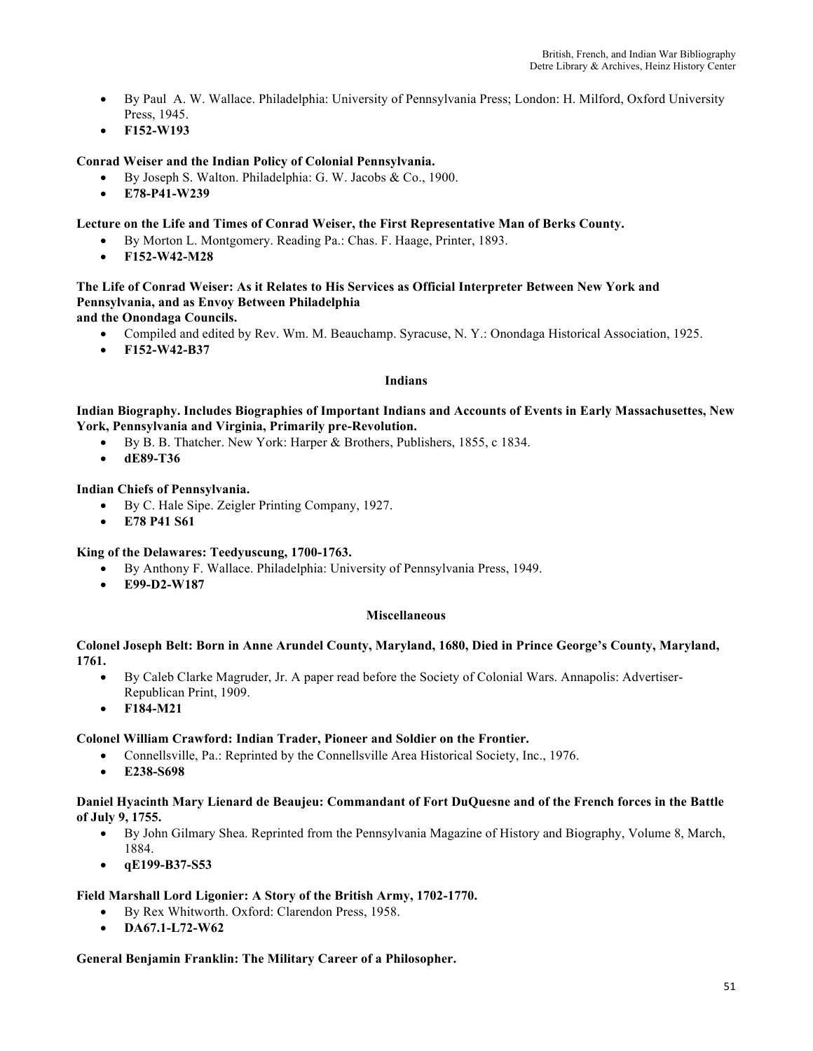- By Paul A. W. Wallace. Philadelphia: University of Pennsylvania Press; London: H. Milford, Oxford University Press, 1945.
- **F152-W193**

# **Conrad Weiser and the Indian Policy of Colonial Pennsylvania.**

- By Joseph S. Walton. Philadelphia: G. W. Jacobs & Co., 1900.
- **E78-P41-W239**

### **Lecture on the Life and Times of Conrad Weiser, the First Representative Man of Berks County.**

- By Morton L. Montgomery. Reading Pa.: Chas. F. Haage, Printer, 1893.
- **F152-W42-M28**

# **The Life of Conrad Weiser: As it Relates to His Services as Official Interpreter Between New York and Pennsylvania, and as Envoy Between Philadelphia**

**and the Onondaga Councils.**

- Compiled and edited by Rev. Wm. M. Beauchamp. Syracuse, N. Y.: Onondaga Historical Association, 1925.
- **F152-W42-B37**

#### **Indians**

**Indian Biography. Includes Biographies of Important Indians and Accounts of Events in Early Massachusettes, New York, Pennsylvania and Virginia, Primarily pre-Revolution.** 

- By B. B. Thatcher. New York: Harper & Brothers, Publishers, 1855, c 1834.
- **dE89-T36**

### **Indian Chiefs of Pennsylvania.**

- By C. Hale Sipe. Zeigler Printing Company, 1927.
- **E78 P41 S61**

### **King of the Delawares: Teedyuscung, 1700-1763.**

- By Anthony F. Wallace. Philadelphia: University of Pennsylvania Press, 1949.
- **E99-D2-W187**

### **Miscellaneous**

#### **Colonel Joseph Belt: Born in Anne Arundel County, Maryland, 1680, Died in Prince George's County, Maryland, 1761.**

- By Caleb Clarke Magruder, Jr. A paper read before the Society of Colonial Wars. Annapolis: Advertiser-Republican Print, 1909.
- **F184-M21**

### **Colonel William Crawford: Indian Trader, Pioneer and Soldier on the Frontier.**

- Connellsville, Pa.: Reprinted by the Connellsville Area Historical Society, Inc., 1976.
- **E238-S698**

#### **Daniel Hyacinth Mary Lienard de Beaujeu: Commandant of Fort DuQuesne and of the French forces in the Battle of July 9, 1755.**

- By John Gilmary Shea. Reprinted from the Pennsylvania Magazine of History and Biography, Volume 8, March, 1884.
- **qE199-B37-S53**

#### **Field Marshall Lord Ligonier: A Story of the British Army, 1702-1770.**

- By Rex Whitworth. Oxford: Clarendon Press, 1958.
- **DA67.1-L72-W62**

#### **General Benjamin Franklin: The Military Career of a Philosopher.**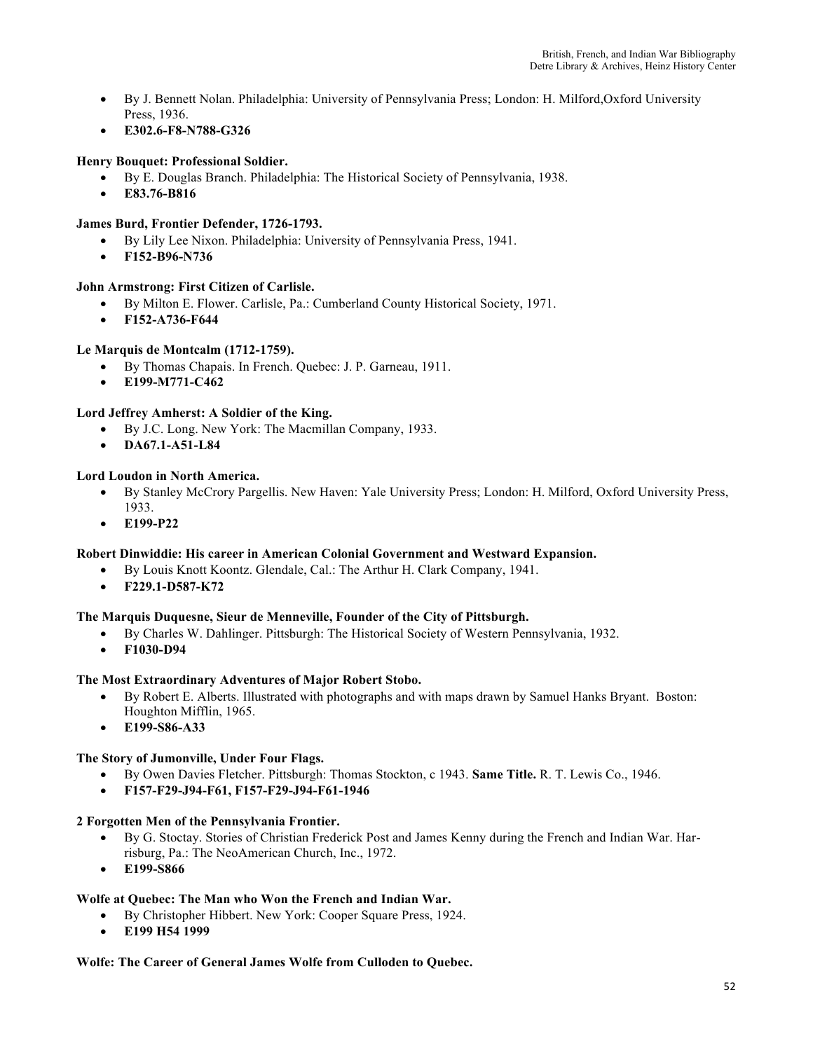- By J. Bennett Nolan. Philadelphia: University of Pennsylvania Press; London: H. Milford,Oxford University Press, 1936.
- **E302.6-F8-N788-G326**

# **Henry Bouquet: Professional Soldier.**

- By E. Douglas Branch. Philadelphia: The Historical Society of Pennsylvania, 1938.
- **E83.76-B816**

# **James Burd, Frontier Defender, 1726-1793.**

- By Lily Lee Nixon. Philadelphia: University of Pennsylvania Press, 1941.
- **F152-B96-N736**

### **John Armstrong: First Citizen of Carlisle.**

- By Milton E. Flower. Carlisle, Pa.: Cumberland County Historical Society, 1971.
- **F152-A736-F644**

# **Le Marquis de Montcalm (1712-1759).**

- By Thomas Chapais. In French. Quebec: J. P. Garneau, 1911.
- **E199-M771-C462**

# **Lord Jeffrey Amherst: A Soldier of the King.**

- By J.C. Long. New York: The Macmillan Company, 1933.
- **DA67.1-A51-L84**

### **Lord Loudon in North America.**

- By Stanley McCrory Pargellis. New Haven: Yale University Press; London: H. Milford, Oxford University Press, 1933.
- **E199-P22**

### **Robert Dinwiddie: His career in American Colonial Government and Westward Expansion.**

- By Louis Knott Koontz. Glendale, Cal.: The Arthur H. Clark Company, 1941.
- **F229.1-D587-K72**

### **The Marquis Duquesne, Sieur de Menneville, Founder of the City of Pittsburgh.**

- By Charles W. Dahlinger. Pittsburgh: The Historical Society of Western Pennsylvania, 1932.
	- **F1030-D94**

### **The Most Extraordinary Adventures of Major Robert Stobo.**

- By Robert E. Alberts. Illustrated with photographs and with maps drawn by Samuel Hanks Bryant. Boston: Houghton Mifflin, 1965.
- **E199-S86-A33**

### **The Story of Jumonville, Under Four Flags.**

- By Owen Davies Fletcher. Pittsburgh: Thomas Stockton, c 1943. **Same Title.** R. T. Lewis Co., 1946.
- **F157-F29-J94-F61, F157-F29-J94-F61-1946**

### **2 Forgotten Men of the Pennsylvania Frontier.**

- By G. Stoctay. Stories of Christian Frederick Post and James Kenny during the French and Indian War. Harrisburg, Pa.: The NeoAmerican Church, Inc., 1972.
- **E199-S866**

### **Wolfe at Quebec: The Man who Won the French and Indian War.**

- By Christopher Hibbert. New York: Cooper Square Press, 1924.
- **E199 H54 1999**

### **Wolfe: The Career of General James Wolfe from Culloden to Quebec.**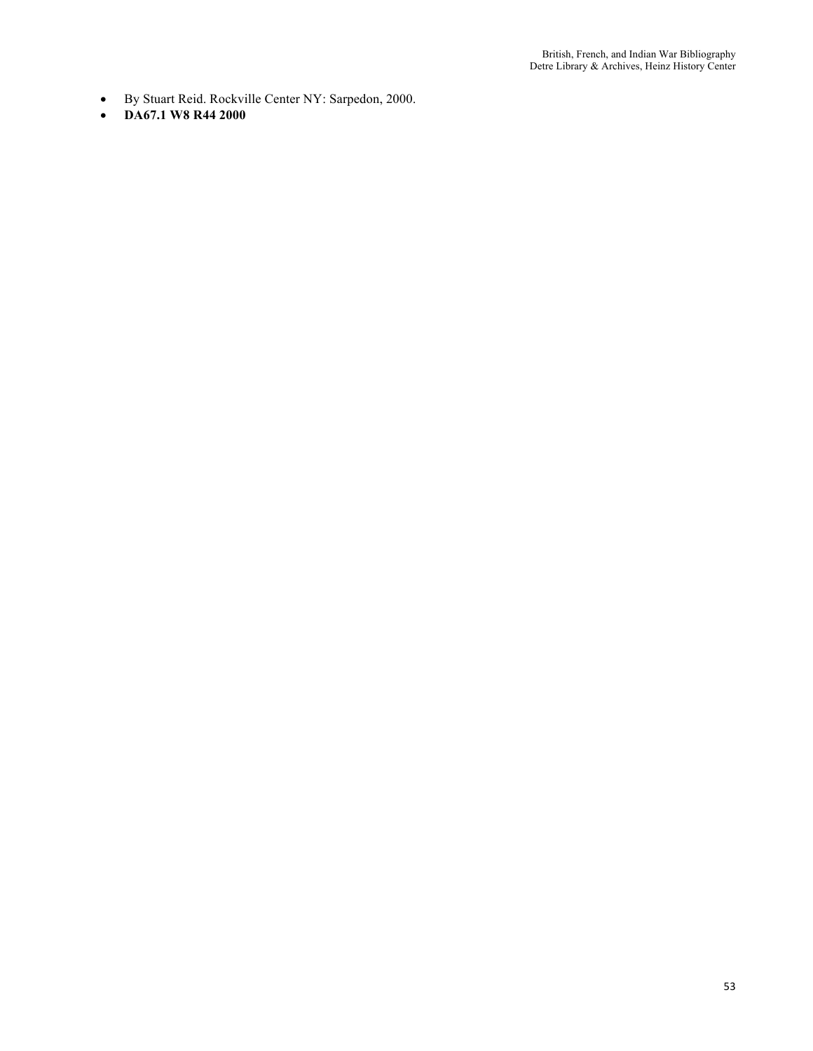- By Stuart Reid. Rockville Center NY: Sarpedon, 2000.
- **DA67.1 W8 R44 2000**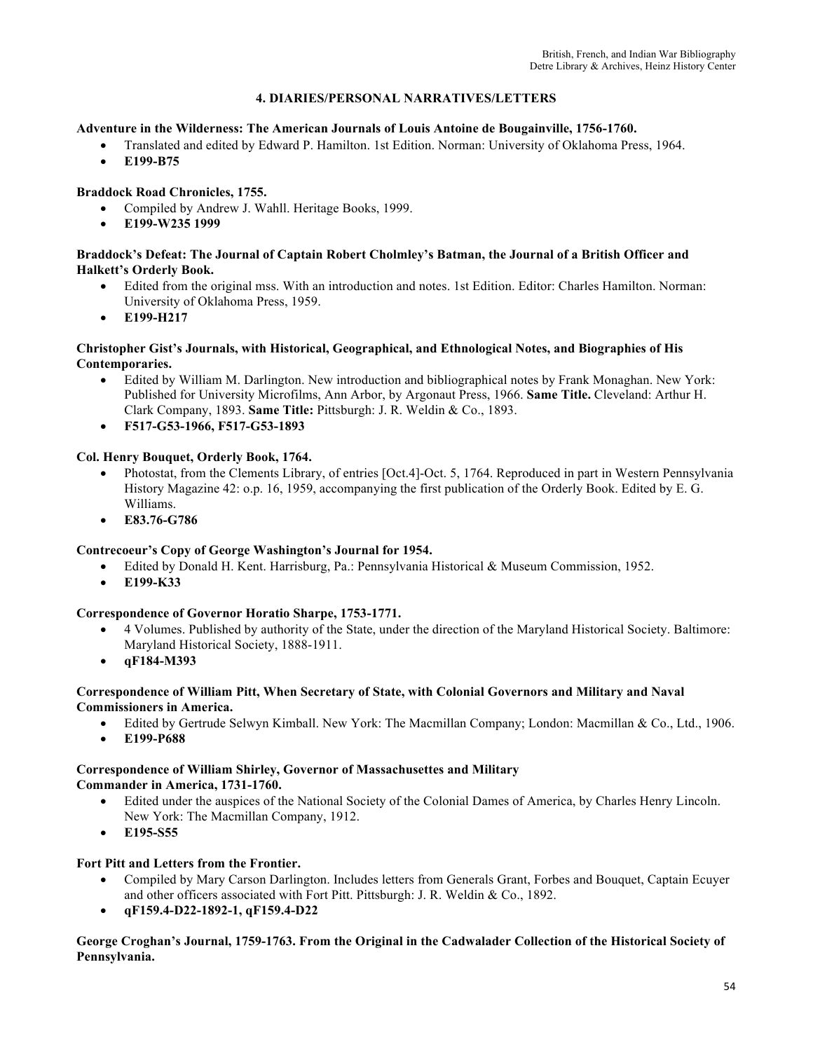# **4. DIARIES/PERSONAL NARRATIVES/LETTERS**

#### **Adventure in the Wilderness: The American Journals of Louis Antoine de Bougainville, 1756-1760.**

- Translated and edited by Edward P. Hamilton. 1st Edition. Norman: University of Oklahoma Press, 1964.
- **E199-B75**

# **Braddock Road Chronicles, 1755.**

- Compiled by Andrew J. Wahll. Heritage Books, 1999.
- **E199-W235 1999**

#### **Braddock's Defeat: The Journal of Captain Robert Cholmley's Batman, the Journal of a British Officer and Halkett's Orderly Book.**

- Edited from the original mss. With an introduction and notes. 1st Edition. Editor: Charles Hamilton. Norman: University of Oklahoma Press, 1959.
- **E199-H217**

#### **Christopher Gist's Journals, with Historical, Geographical, and Ethnological Notes, and Biographies of His Contemporaries.**

- Edited by William M. Darlington. New introduction and bibliographical notes by Frank Monaghan. New York: Published for University Microfilms, Ann Arbor, by Argonaut Press, 1966. **Same Title.** Cleveland: Arthur H. Clark Company, 1893. **Same Title:** Pittsburgh: J. R. Weldin & Co., 1893.
- **F517-G53-1966, F517-G53-1893**

# **Col. Henry Bouquet, Orderly Book, 1764.**

- Photostat, from the Clements Library, of entries [Oct.4]-Oct. 5, 1764. Reproduced in part in Western Pennsylvania History Magazine 42: o.p. 16, 1959, accompanying the first publication of the Orderly Book. Edited by E. G. Williams.
- **E83.76-G786**

### **Contrecoeur's Copy of George Washington's Journal for 1954.**

- Edited by Donald H. Kent. Harrisburg, Pa.: Pennsylvania Historical & Museum Commission, 1952.
- **E199-K33**

### **Correspondence of Governor Horatio Sharpe, 1753-1771.**

- 4 Volumes. Published by authority of the State, under the direction of the Maryland Historical Society. Baltimore: Maryland Historical Society, 1888-1911.
- **qF184-M393**

### **Correspondence of William Pitt, When Secretary of State, with Colonial Governors and Military and Naval Commissioners in America.**

- Edited by Gertrude Selwyn Kimball. New York: The Macmillan Company; London: Macmillan & Co., Ltd., 1906.
- **E199-P688**

#### **Correspondence of William Shirley, Governor of Massachusettes and Military Commander in America, 1731-1760.**

- Edited under the auspices of the National Society of the Colonial Dames of America, by Charles Henry Lincoln. New York: The Macmillan Company, 1912.
- **E195-S55**

### **Fort Pitt and Letters from the Frontier.**

- Compiled by Mary Carson Darlington. Includes letters from Generals Grant, Forbes and Bouquet, Captain Ecuyer and other officers associated with Fort Pitt. Pittsburgh: J. R. Weldin & Co., 1892.
- **qF159.4-D22-1892-1, qF159.4-D22**

**George Croghan's Journal, 1759-1763. From the Original in the Cadwalader Collection of the Historical Society of Pennsylvania.**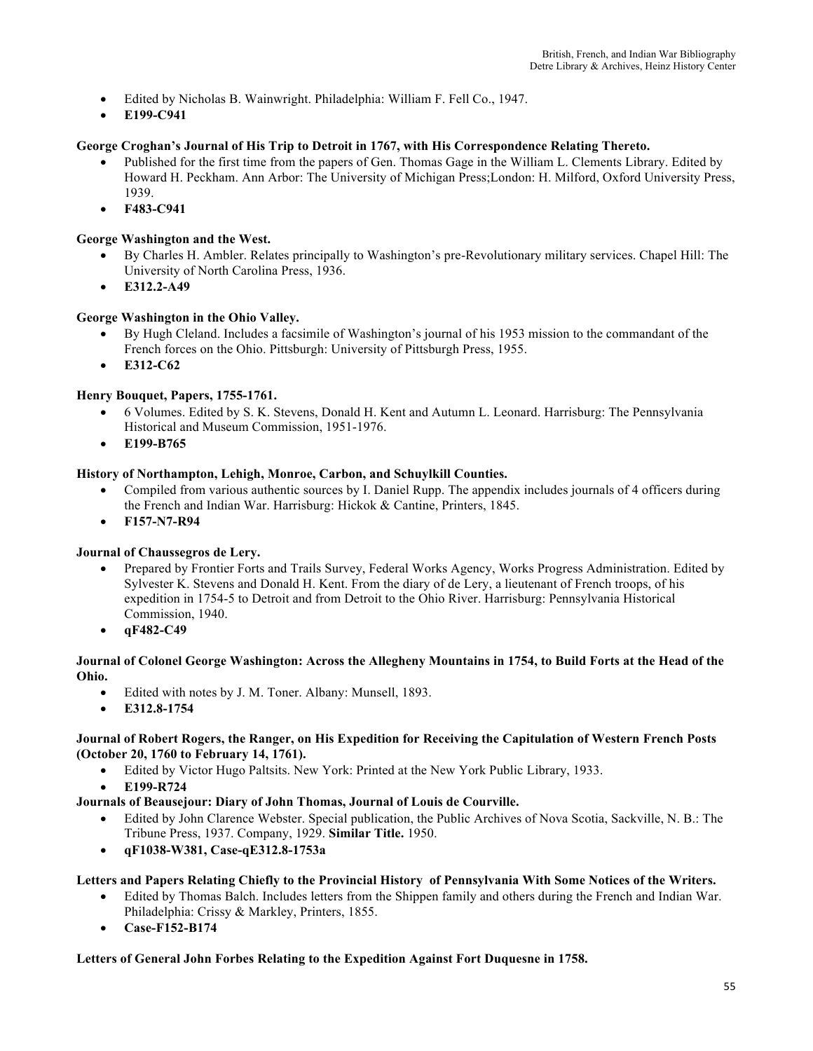- Edited by Nicholas B. Wainwright. Philadelphia: William F. Fell Co., 1947.
- **E199-C941**

# **George Croghan's Journal of His Trip to Detroit in 1767, with His Correspondence Relating Thereto.**

- Published for the first time from the papers of Gen. Thomas Gage in the William L. Clements Library. Edited by Howard H. Peckham. Ann Arbor: The University of Michigan Press;London: H. Milford, Oxford University Press, 1939.
- **F483-C941**

#### **George Washington and the West.**

- By Charles H. Ambler. Relates principally to Washington's pre-Revolutionary military services. Chapel Hill: The University of North Carolina Press, 1936.
- **E312.2-A49**

### **George Washington in the Ohio Valley.**

- By Hugh Cleland. Includes a facsimile of Washington's journal of his 1953 mission to the commandant of the French forces on the Ohio. Pittsburgh: University of Pittsburgh Press, 1955.
- **E312-C62**

### **Henry Bouquet, Papers, 1755-1761.**

- 6 Volumes. Edited by S. K. Stevens, Donald H. Kent and Autumn L. Leonard. Harrisburg: The Pennsylvania Historical and Museum Commission, 1951-1976.
- **E199-B765**

### **History of Northampton, Lehigh, Monroe, Carbon, and Schuylkill Counties.**

- Compiled from various authentic sources by I. Daniel Rupp. The appendix includes journals of 4 officers during the French and Indian War. Harrisburg: Hickok & Cantine, Printers, 1845.
- **F157-N7-R94**

### **Journal of Chaussegros de Lery.**

- Prepared by Frontier Forts and Trails Survey, Federal Works Agency, Works Progress Administration. Edited by Sylvester K. Stevens and Donald H. Kent. From the diary of de Lery, a lieutenant of French troops, of his expedition in 1754-5 to Detroit and from Detroit to the Ohio River. Harrisburg: Pennsylvania Historical Commission, 1940.
- **qF482-C49**

### **Journal of Colonel George Washington: Across the Allegheny Mountains in 1754, to Build Forts at the Head of the Ohio.**

- Edited with notes by J. M. Toner. Albany: Munsell, 1893.
- **E312.8-1754**

#### **Journal of Robert Rogers, the Ranger, on His Expedition for Receiving the Capitulation of Western French Posts (October 20, 1760 to February 14, 1761).**

- Edited by Victor Hugo Paltsits. New York: Printed at the New York Public Library, 1933.
- **E199-R724**

### **Journals of Beausejour: Diary of John Thomas, Journal of Louis de Courville.**

- Edited by John Clarence Webster. Special publication, the Public Archives of Nova Scotia, Sackville, N. B.: The Tribune Press, 1937. Company, 1929. **Similar Title.** 1950.
- **qF1038-W381, Case-qE312.8-1753a**

### **Letters and Papers Relating Chiefly to the Provincial History of Pennsylvania With Some Notices of the Writers.**

- Edited by Thomas Balch. Includes letters from the Shippen family and others during the French and Indian War. Philadelphia: Crissy & Markley, Printers, 1855.
- **Case-F152-B174**

#### **Letters of General John Forbes Relating to the Expedition Against Fort Duquesne in 1758.**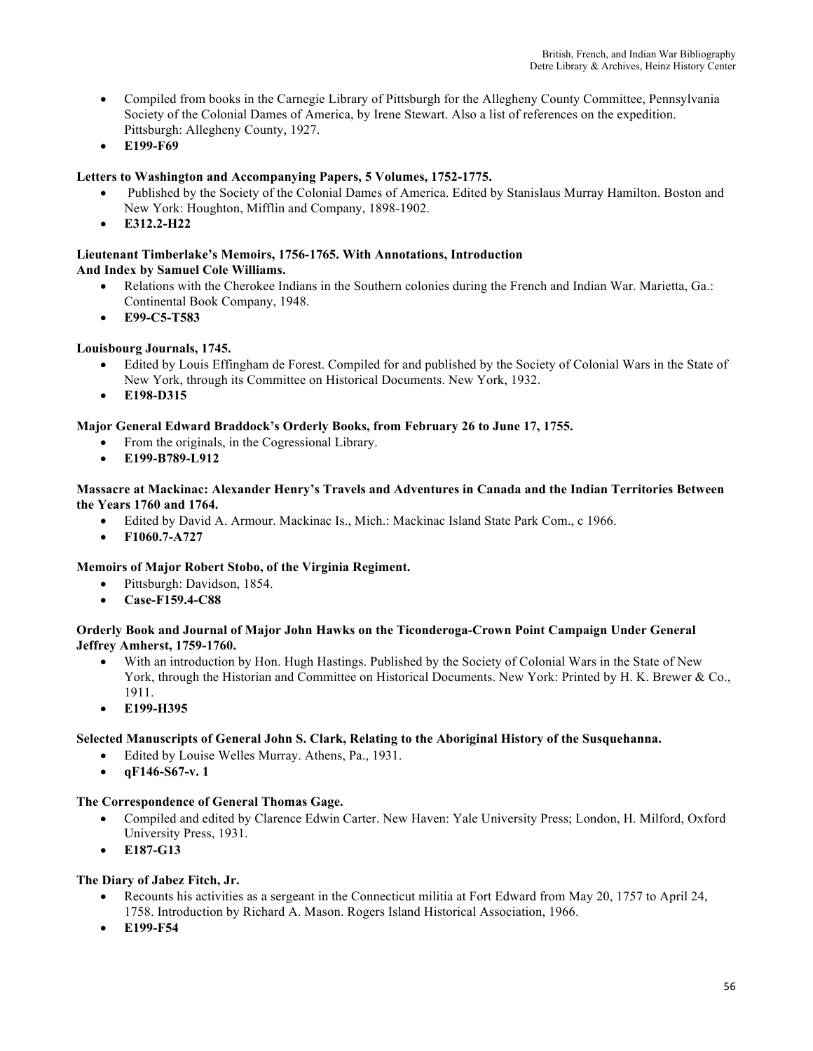- Compiled from books in the Carnegie Library of Pittsburgh for the Allegheny County Committee, Pennsylvania Society of the Colonial Dames of America, by Irene Stewart. Also a list of references on the expedition. Pittsburgh: Allegheny County, 1927.
- **E199-F69**

# **Letters to Washington and Accompanying Papers, 5 Volumes, 1752-1775.**

- Published by the Society of the Colonial Dames of America. Edited by Stanislaus Murray Hamilton. Boston and New York: Houghton, Mifflin and Company, 1898-1902.
- **E312.2-H22**

# **Lieutenant Timberlake's Memoirs, 1756-1765. With Annotations, Introduction**

# **And Index by Samuel Cole Williams.**

- Relations with the Cherokee Indians in the Southern colonies during the French and Indian War. Marietta, Ga.: Continental Book Company, 1948.
- **E99-C5-T583**

# **Louisbourg Journals, 1745.**

- Edited by Louis Effingham de Forest. Compiled for and published by the Society of Colonial Wars in the State of New York, through its Committee on Historical Documents. New York, 1932.
- **E198-D315**

# **Major General Edward Braddock's Orderly Books, from February 26 to June 17, 1755.**

- From the originals, in the Cogressional Library.
- **E199-B789-L912**

### **Massacre at Mackinac: Alexander Henry's Travels and Adventures in Canada and the Indian Territories Between the Years 1760 and 1764.**

- Edited by David A. Armour. Mackinac Is., Mich.: Mackinac Island State Park Com., c 1966.
- **F1060.7-A727**

# **Memoirs of Major Robert Stobo, of the Virginia Regiment.**

- Pittsburgh: Davidson, 1854.
- **Case-F159.4-C88**

#### **Orderly Book and Journal of Major John Hawks on the Ticonderoga-Crown Point Campaign Under General Jeffrey Amherst, 1759-1760.**

- With an introduction by Hon. Hugh Hastings. Published by the Society of Colonial Wars in the State of New York, through the Historian and Committee on Historical Documents. New York: Printed by H. K. Brewer & Co., 1911.
- **E199-H395**

### **Selected Manuscripts of General John S. Clark, Relating to the Aboriginal History of the Susquehanna.**

- Edited by Louise Welles Murray. Athens, Pa., 1931.
- **qF146-S67-v. 1**

### **The Correspondence of General Thomas Gage.**

- Compiled and edited by Clarence Edwin Carter. New Haven: Yale University Press; London, H. Milford, Oxford University Press, 1931.
- **E187-G13**

### **The Diary of Jabez Fitch, Jr.**

- Recounts his activities as a sergeant in the Connecticut militia at Fort Edward from May 20, 1757 to April 24, 1758. Introduction by Richard A. Mason. Rogers Island Historical Association, 1966.
- **E199-F54**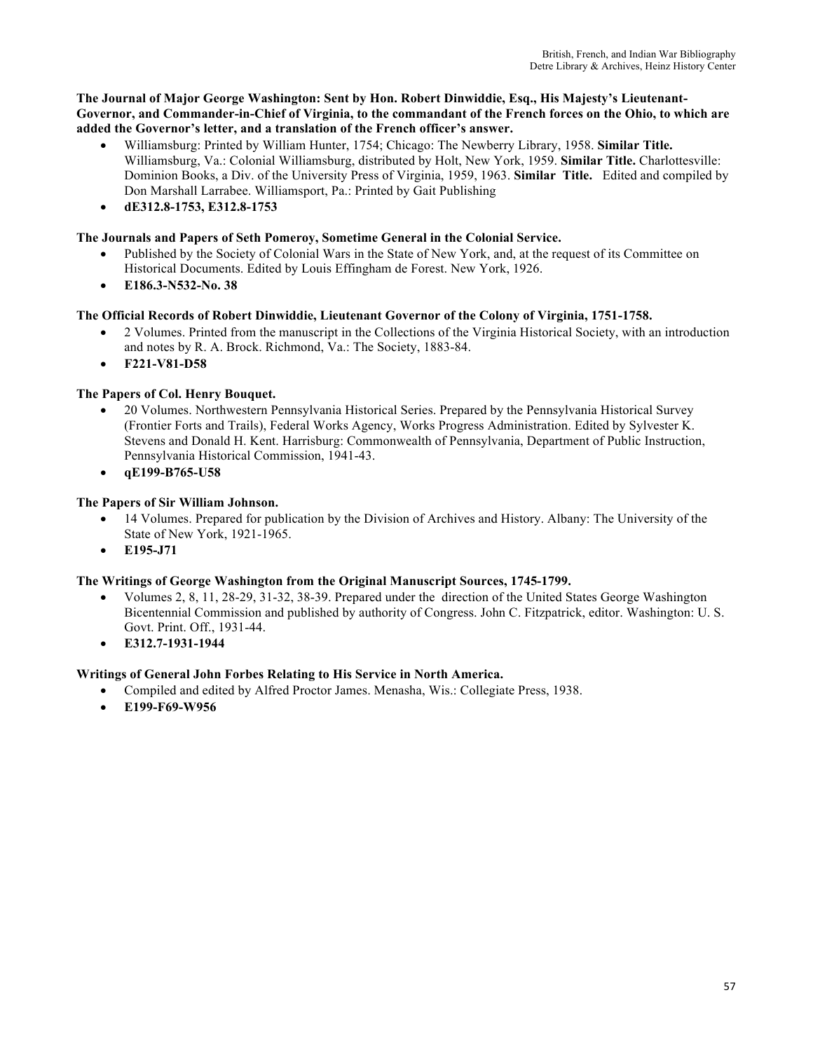### **The Journal of Major George Washington: Sent by Hon. Robert Dinwiddie, Esq., His Majesty's Lieutenant-Governor, and Commander-in-Chief of Virginia, to the commandant of the French forces on the Ohio, to which are added the Governor's letter, and a translation of the French officer's answer.**

- Williamsburg: Printed by William Hunter, 1754; Chicago: The Newberry Library, 1958. **Similar Title.** Williamsburg, Va.: Colonial Williamsburg, distributed by Holt, New York, 1959. **Similar Title.** Charlottesville: Dominion Books, a Div. of the University Press of Virginia, 1959, 1963. **Similar Title.** Edited and compiled by Don Marshall Larrabee. Williamsport, Pa.: Printed by Gait Publishing
- **dE312.8-1753, E312.8-1753**

# **The Journals and Papers of Seth Pomeroy, Sometime General in the Colonial Service.**

- Published by the Society of Colonial Wars in the State of New York, and, at the request of its Committee on Historical Documents. Edited by Louis Effingham de Forest. New York, 1926.
- **E186.3-N532-No. 38**

# **The Official Records of Robert Dinwiddie, Lieutenant Governor of the Colony of Virginia, 1751-1758.**

- 2 Volumes. Printed from the manuscript in the Collections of the Virginia Historical Society, with an introduction and notes by R. A. Brock. Richmond, Va.: The Society, 1883-84.
- **F221-V81-D58**

# **The Papers of Col. Henry Bouquet.**

- 20 Volumes. Northwestern Pennsylvania Historical Series. Prepared by the Pennsylvania Historical Survey (Frontier Forts and Trails), Federal Works Agency, Works Progress Administration. Edited by Sylvester K. Stevens and Donald H. Kent. Harrisburg: Commonwealth of Pennsylvania, Department of Public Instruction, Pennsylvania Historical Commission, 1941-43.
- **qE199-B765-U58**

# **The Papers of Sir William Johnson.**

- 14 Volumes. Prepared for publication by the Division of Archives and History. Albany: The University of the State of New York, 1921-1965.
- **E195-J71**

# **The Writings of George Washington from the Original Manuscript Sources, 1745-1799.**

- Volumes 2, 8, 11, 28-29, 31-32, 38-39. Prepared under the direction of the United States George Washington Bicentennial Commission and published by authority of Congress. John C. Fitzpatrick, editor. Washington: U. S. Govt. Print. Off., 1931-44.
- **E312.7-1931-1944**

# **Writings of General John Forbes Relating to His Service in North America.**

- Compiled and edited by Alfred Proctor James. Menasha, Wis.: Collegiate Press, 1938.
- **E199-F69-W956**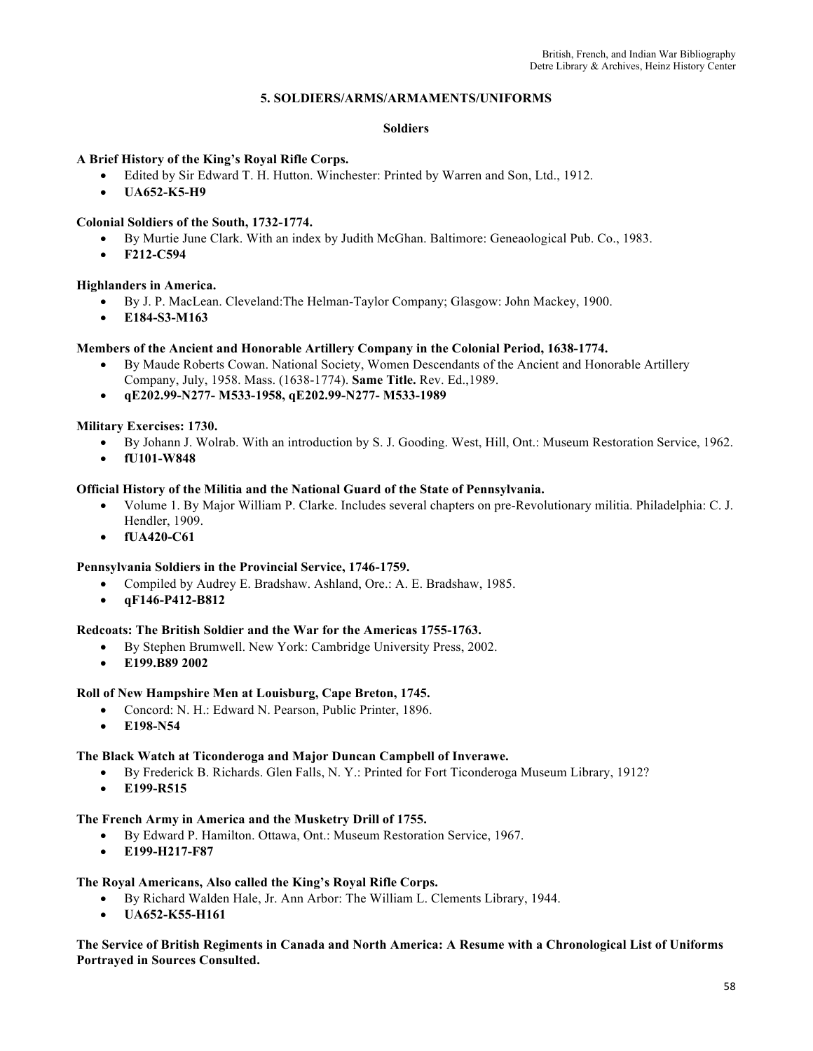### **5. SOLDIERS/ARMS/ARMAMENTS/UNIFORMS**

#### **Soldiers**

# **A Brief History of the King's Royal Rifle Corps.**

- Edited by Sir Edward T. H. Hutton. Winchester: Printed by Warren and Son, Ltd., 1912.
- **UA652-K5-H9**

# **Colonial Soldiers of the South, 1732-1774.**

- By Murtie June Clark. With an index by Judith McGhan. Baltimore: Geneaological Pub. Co., 1983.
- **F212-C594**

### **Highlanders in America.**

- By J. P. MacLean. Cleveland:The Helman-Taylor Company; Glasgow: John Mackey, 1900.
- **E184-S3-M163**

#### **Members of the Ancient and Honorable Artillery Company in the Colonial Period, 1638-1774.**

- By Maude Roberts Cowan. National Society, Women Descendants of the Ancient and Honorable Artillery Company, July, 1958. Mass. (1638-1774). **Same Title.** Rev. Ed.,1989.
- **qE202.99-N277- M533-1958, qE202.99-N277- M533-1989**

**Military Exercises: 1730.**

- By Johann J. Wolrab. With an introduction by S. J. Gooding. West, Hill, Ont.: Museum Restoration Service, 1962.
- **fU101-W848**

### **Official History of the Militia and the National Guard of the State of Pennsylvania.**

- Volume 1. By Major William P. Clarke. Includes several chapters on pre-Revolutionary militia. Philadelphia: C. J. Hendler, 1909.
- **fUA420-C61**

### **Pennsylvania Soldiers in the Provincial Service, 1746-1759.**

- Compiled by Audrey E. Bradshaw. Ashland, Ore.: A. E. Bradshaw, 1985.
- **qF146-P412-B812**

### **Redcoats: The British Soldier and the War for the Americas 1755-1763.**

- By Stephen Brumwell. New York: Cambridge University Press, 2002.
- **E199.B89 2002**

### **Roll of New Hampshire Men at Louisburg, Cape Breton, 1745.**

- Concord: N. H.: Edward N. Pearson, Public Printer, 1896.
- **E198-N54**

### **The Black Watch at Ticonderoga and Major Duncan Campbell of Inverawe.**

- By Frederick B. Richards. Glen Falls, N. Y.: Printed for Fort Ticonderoga Museum Library, 1912?
- **E199-R515**

#### **The French Army in America and the Musketry Drill of 1755.**

- By Edward P. Hamilton. Ottawa, Ont.: Museum Restoration Service, 1967.
- **E199-H217-F87**

### **The Royal Americans, Also called the King's Royal Rifle Corps.**

- By Richard Walden Hale, Jr. Ann Arbor: The William L. Clements Library, 1944.
- **UA652-K55-H161**

### **The Service of British Regiments in Canada and North America: A Resume with a Chronological List of Uniforms Portrayed in Sources Consulted.**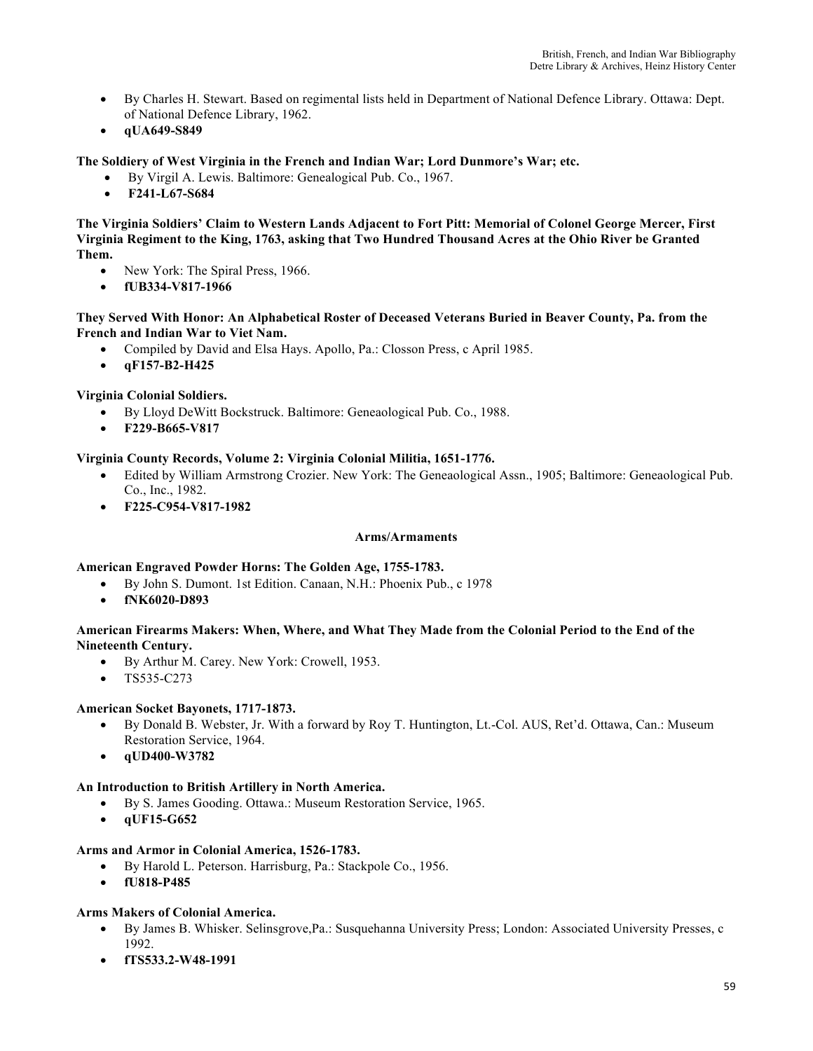- By Charles H. Stewart. Based on regimental lists held in Department of National Defence Library. Ottawa: Dept. of National Defence Library, 1962.
- **qUA649-S849**

# **The Soldiery of West Virginia in the French and Indian War; Lord Dunmore's War; etc.**

- By Virgil A. Lewis. Baltimore: Genealogical Pub. Co., 1967.
- **F241-L67-S684**

**The Virginia Soldiers' Claim to Western Lands Adjacent to Fort Pitt: Memorial of Colonel George Mercer, First Virginia Regiment to the King, 1763, asking that Two Hundred Thousand Acres at the Ohio River be Granted Them.**

- New York: The Spiral Press, 1966.
- **fUB334-V817-1966**

### **They Served With Honor: An Alphabetical Roster of Deceased Veterans Buried in Beaver County, Pa. from the French and Indian War to Viet Nam.**

- Compiled by David and Elsa Hays. Apollo, Pa.: Closson Press, c April 1985.
- **qF157-B2-H425**

### **Virginia Colonial Soldiers.**

- By Lloyd DeWitt Bockstruck. Baltimore: Geneaological Pub. Co., 1988.
- **F229-B665-V817**

### **Virginia County Records, Volume 2: Virginia Colonial Militia, 1651-1776.**

- Edited by William Armstrong Crozier. New York: The Geneaological Assn., 1905; Baltimore: Geneaological Pub. Co., Inc., 1982.
- **F225-C954-V817-1982**

### **Arms/Armaments**

### **American Engraved Powder Horns: The Golden Age, 1755-1783.**

- By John S. Dumont. 1st Edition. Canaan, N.H.: Phoenix Pub., c 1978
- **fNK6020-D893**

### **American Firearms Makers: When, Where, and What They Made from the Colonial Period to the End of the Nineteenth Century.**

- By Arthur M. Carey. New York: Crowell, 1953.
- TS535-C273

### **American Socket Bayonets, 1717-1873.**

- By Donald B. Webster, Jr. With a forward by Roy T. Huntington, Lt.-Col. AUS, Ret'd. Ottawa, Can.: Museum Restoration Service, 1964.
- **qUD400-W3782**

### **An Introduction to British Artillery in North America.**

- By S. James Gooding. Ottawa.: Museum Restoration Service, 1965.
- **qUF15-G652**

### **Arms and Armor in Colonial America, 1526-1783.**

- By Harold L. Peterson. Harrisburg, Pa.: Stackpole Co., 1956.
- **fU818-P485**

# **Arms Makers of Colonial America.**

- By James B. Whisker. Selinsgrove,Pa.: Susquehanna University Press; London: Associated University Presses, c 1992.
- **fTS533.2-W48-1991**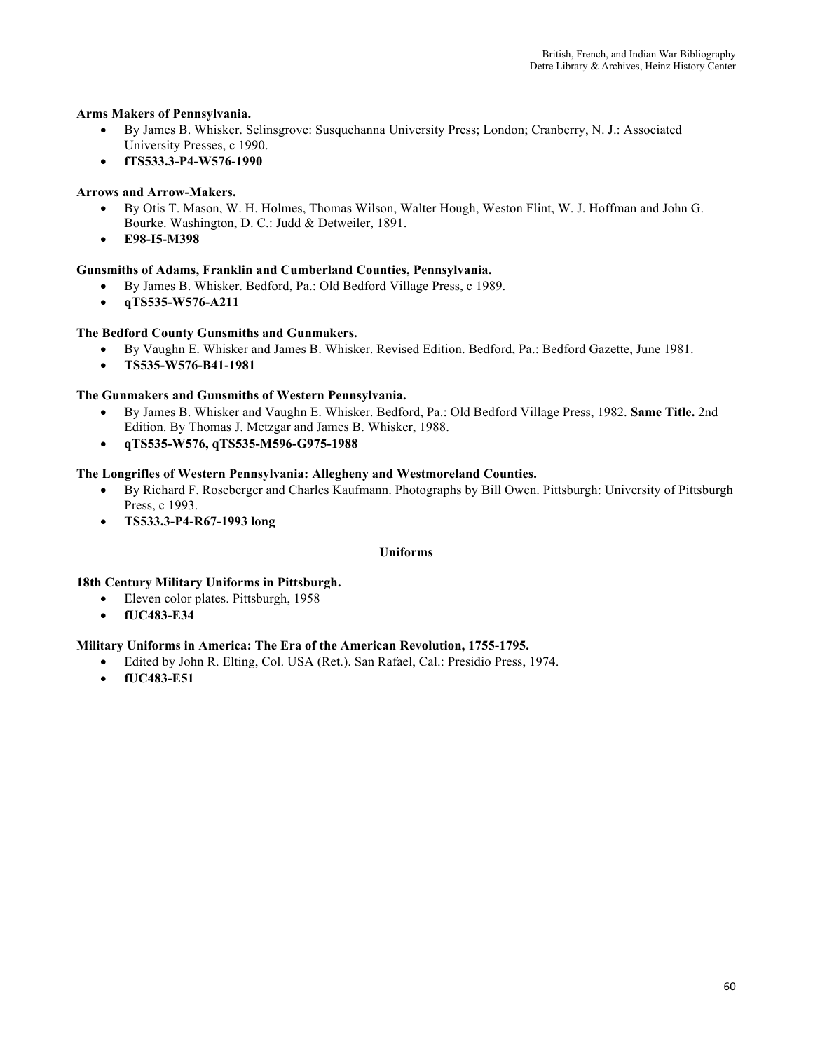# **Arms Makers of Pennsylvania.**

- By James B. Whisker. Selinsgrove: Susquehanna University Press; London; Cranberry, N. J.: Associated University Presses, c 1990.
- **fTS533.3-P4-W576-1990**

# **Arrows and Arrow-Makers.**

- By Otis T. Mason, W. H. Holmes, Thomas Wilson, Walter Hough, Weston Flint, W. J. Hoffman and John G. Bourke. Washington, D. C.: Judd & Detweiler, 1891.
- **E98-I5-M398**

# **Gunsmiths of Adams, Franklin and Cumberland Counties, Pennsylvania.**

- By James B. Whisker. Bedford, Pa.: Old Bedford Village Press, c 1989.
- **qTS535-W576-A211**

### **The Bedford County Gunsmiths and Gunmakers.**

- By Vaughn E. Whisker and James B. Whisker. Revised Edition. Bedford, Pa.: Bedford Gazette, June 1981.
- **TS535-W576-B41-1981**

### **The Gunmakers and Gunsmiths of Western Pennsylvania.**

- By James B. Whisker and Vaughn E. Whisker. Bedford, Pa.: Old Bedford Village Press, 1982. **Same Title.** 2nd Edition. By Thomas J. Metzgar and James B. Whisker, 1988.
- **qTS535-W576, qTS535-M596-G975-1988**

# **The Longrifles of Western Pennsylvania: Allegheny and Westmoreland Counties.**

- By Richard F. Roseberger and Charles Kaufmann. Photographs by Bill Owen. Pittsburgh: University of Pittsburgh Press, c 1993.
- **TS533.3-P4-R67-1993 long**

### **Uniforms**

### **18th Century Military Uniforms in Pittsburgh.**

- Eleven color plates. Pittsburgh, 1958
- **fUC483-E34**

### **Military Uniforms in America: The Era of the American Revolution, 1755-1795.**

- Edited by John R. Elting, Col. USA (Ret.). San Rafael, Cal.: Presidio Press, 1974.
- **fUC483-E51**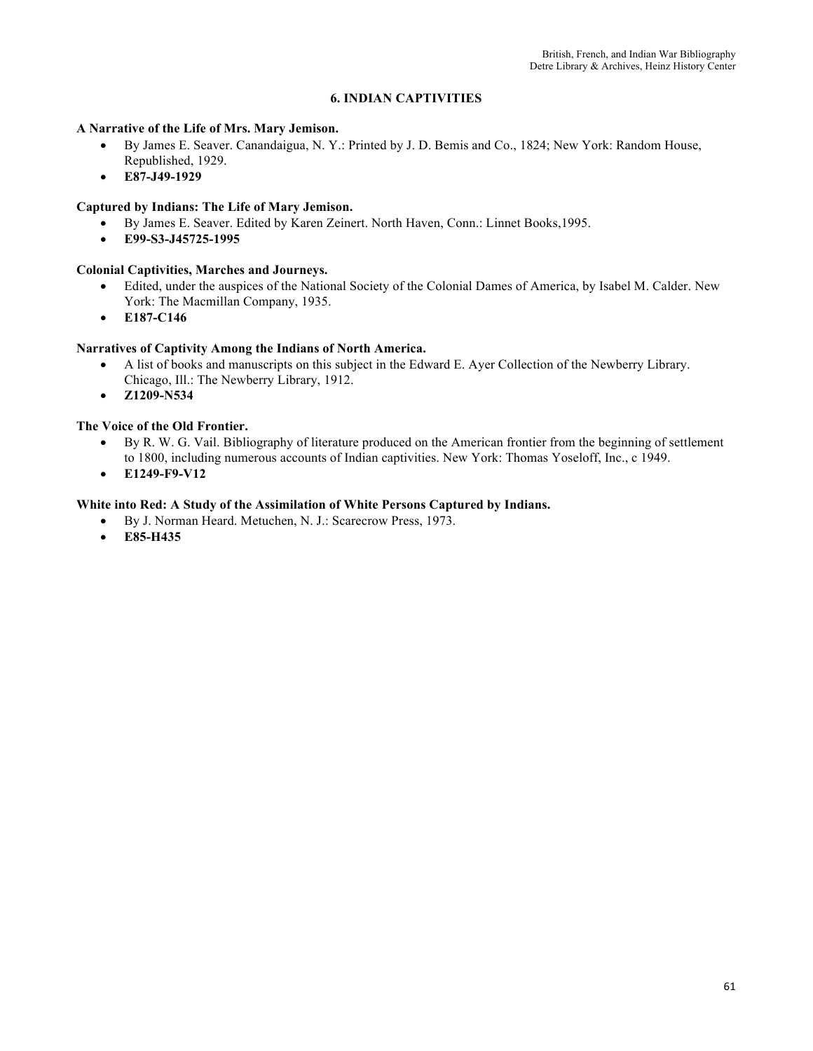# **6. INDIAN CAPTIVITIES**

#### **A Narrative of the Life of Mrs. Mary Jemison.**

- By James E. Seaver. Canandaigua, N. Y.: Printed by J. D. Bemis and Co., 1824; New York: Random House, Republished, 1929.
- **E87-J49-1929**

### **Captured by Indians: The Life of Mary Jemison.**

- By James E. Seaver. Edited by Karen Zeinert. North Haven, Conn.: Linnet Books,1995.
- **E99-S3-J45725-1995**

## **Colonial Captivities, Marches and Journeys.**

- Edited, under the auspices of the National Society of the Colonial Dames of America, by Isabel M. Calder. New York: The Macmillan Company, 1935.
- **E187-C146**

### **Narratives of Captivity Among the Indians of North America.**

- A list of books and manuscripts on this subject in the Edward E. Ayer Collection of the Newberry Library. Chicago, Ill.: The Newberry Library, 1912.
- **Z1209-N534**

# **The Voice of the Old Frontier.**

- By R. W. G. Vail. Bibliography of literature produced on the American frontier from the beginning of settlement to 1800, including numerous accounts of Indian captivities. New York: Thomas Yoseloff, Inc., c 1949.
- **E1249-F9-V12**

# **White into Red: A Study of the Assimilation of White Persons Captured by Indians.**

- By J. Norman Heard. Metuchen, N. J.: Scarecrow Press, 1973.
	- **E85-H435**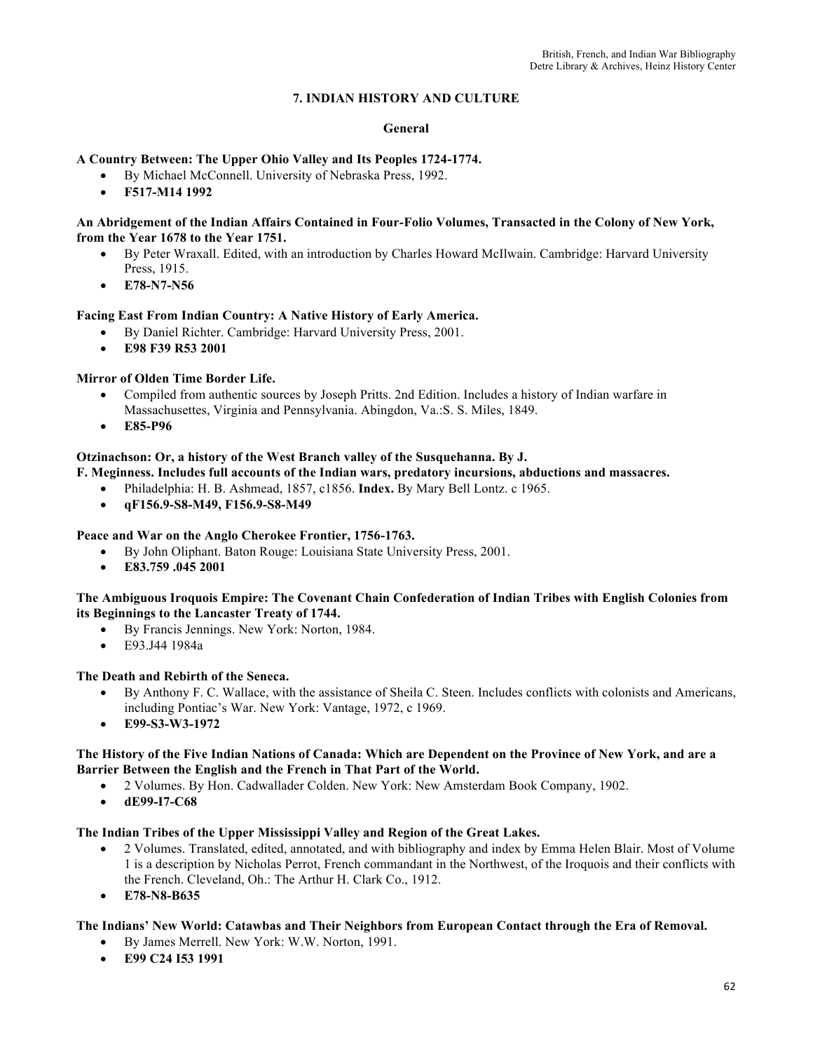# **7. INDIAN HISTORY AND CULTURE**

#### **General**

### **A Country Between: The Upper Ohio Valley and Its Peoples 1724-1774.**

- By Michael McConnell. University of Nebraska Press, 1992.
- **F517-M14 1992**

#### **An Abridgement of the Indian Affairs Contained in Four-Folio Volumes, Transacted in the Colony of New York, from the Year 1678 to the Year 1751.**

- By Peter Wraxall. Edited, with an introduction by Charles Howard McIlwain. Cambridge: Harvard University Press, 1915.
- **E78-N7-N56**

### **Facing East From Indian Country: A Native History of Early America.**

- By Daniel Richter. Cambridge: Harvard University Press, 2001.
- **E98 F39 R53 2001**

# **Mirror of Olden Time Border Life.**

- Compiled from authentic sources by Joseph Pritts. 2nd Edition. Includes a history of Indian warfare in Massachusettes, Virginia and Pennsylvania. Abingdon, Va.:S. S. Miles, 1849.
- **E85-P96**

### **Otzinachson: Or, a history of the West Branch valley of the Susquehanna. By J.**

### **F. Meginness. Includes full accounts of the Indian wars, predatory incursions, abductions and massacres.**

- Philadelphia: H. B. Ashmead, 1857, c1856. **Index.** By Mary Bell Lontz. c 1965.
- **qF156.9-S8-M49, F156.9-S8-M49**

### **Peace and War on the Anglo Cherokee Frontier, 1756-1763.**

- By John Oliphant. Baton Rouge: Louisiana State University Press, 2001.
- **E83.759 .045 2001**

#### **The Ambiguous Iroquois Empire: The Covenant Chain Confederation of Indian Tribes with English Colonies from its Beginnings to the Lancaster Treaty of 1744.**

- By Francis Jennings. New York: Norton, 1984.
- E93.J44 1984a

### **The Death and Rebirth of the Seneca.**

- By Anthony F. C. Wallace, with the assistance of Sheila C. Steen. Includes conflicts with colonists and Americans, including Pontiac's War. New York: Vantage, 1972, c 1969.
- **E99-S3-W3-1972**

### **The History of the Five Indian Nations of Canada: Which are Dependent on the Province of New York, and are a Barrier Between the English and the French in That Part of the World.**

- 2 Volumes. By Hon. Cadwallader Colden. New York: New Amsterdam Book Company, 1902.
- **dE99-I7-C68**

### **The Indian Tribes of the Upper Mississippi Valley and Region of the Great Lakes.**

- 2 Volumes. Translated, edited, annotated, and with bibliography and index by Emma Helen Blair. Most of Volume 1 is a description by Nicholas Perrot, French commandant in the Northwest, of the Iroquois and their conflicts with the French. Cleveland, Oh.: The Arthur H. Clark Co., 1912.
- **E78-N8-B635**

### **The Indians' New World: Catawbas and Their Neighbors from European Contact through the Era of Removal.**

- By James Merrell. New York: W.W. Norton, 1991.
- **E99 C24 I53 1991**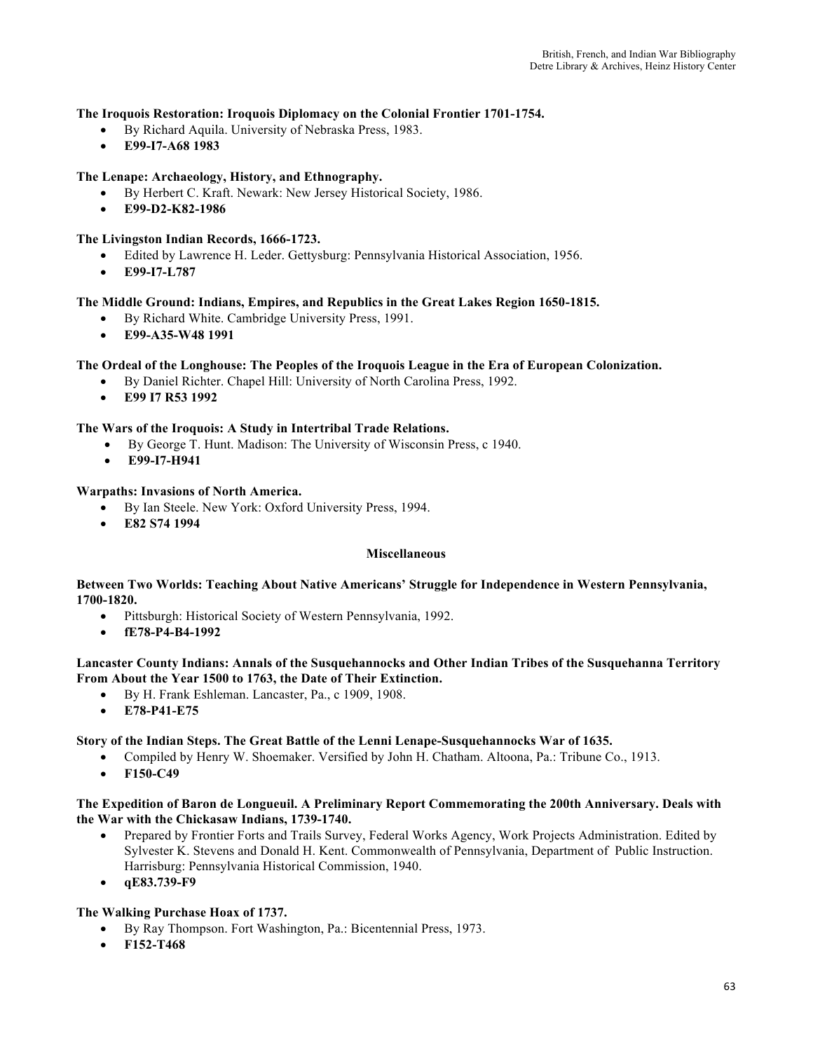#### **The Iroquois Restoration: Iroquois Diplomacy on the Colonial Frontier 1701-1754.**

- By Richard Aquila. University of Nebraska Press, 1983.
- **E99-I7-A68 1983**

#### **The Lenape: Archaeology, History, and Ethnography.**

- By Herbert C. Kraft. Newark: New Jersey Historical Society, 1986.
- **E99-D2-K82-1986**

#### **The Livingston Indian Records, 1666-1723.**

- Edited by Lawrence H. Leder. Gettysburg: Pennsylvania Historical Association, 1956.
- **E99-I7-L787**

#### **The Middle Ground: Indians, Empires, and Republics in the Great Lakes Region 1650-1815.**

- By Richard White. Cambridge University Press, 1991.
- **E99-A35-W48 1991**

#### **The Ordeal of the Longhouse: The Peoples of the Iroquois League in the Era of European Colonization.**

- By Daniel Richter. Chapel Hill: University of North Carolina Press, 1992.
- **E99 I7 R53 1992**

#### **The Wars of the Iroquois: A Study in Intertribal Trade Relations.**

- By George T. Hunt. Madison: The University of Wisconsin Press, c 1940.
- **E99-I7-H941**

#### **Warpaths: Invasions of North America.**

- By Ian Steele. New York: Oxford University Press, 1994.
- **E82 S74 1994**

#### **Miscellaneous**

#### **Between Two Worlds: Teaching About Native Americans' Struggle for Independence in Western Pennsylvania, 1700-1820.**

- Pittsburgh: Historical Society of Western Pennsylvania, 1992.
- **fE78-P4-B4-1992**

#### **Lancaster County Indians: Annals of the Susquehannocks and Other Indian Tribes of the Susquehanna Territory From About the Year 1500 to 1763, the Date of Their Extinction.**

- By H. Frank Eshleman. Lancaster, Pa., c 1909, 1908.
- **E78-P41-E75**

#### **Story of the Indian Steps. The Great Battle of the Lenni Lenape-Susquehannocks War of 1635.**

- Compiled by Henry W. Shoemaker. Versified by John H. Chatham. Altoona, Pa.: Tribune Co., 1913.
- **F150-C49**

#### **The Expedition of Baron de Longueuil. A Preliminary Report Commemorating the 200th Anniversary. Deals with the War with the Chickasaw Indians, 1739-1740.**

- Prepared by Frontier Forts and Trails Survey, Federal Works Agency, Work Projects Administration. Edited by Sylvester K. Stevens and Donald H. Kent. Commonwealth of Pennsylvania, Department of Public Instruction. Harrisburg: Pennsylvania Historical Commission, 1940.
- **qE83.739-F9**

#### **The Walking Purchase Hoax of 1737.**

- By Ray Thompson. Fort Washington, Pa.: Bicentennial Press, 1973.
- **F152-T468**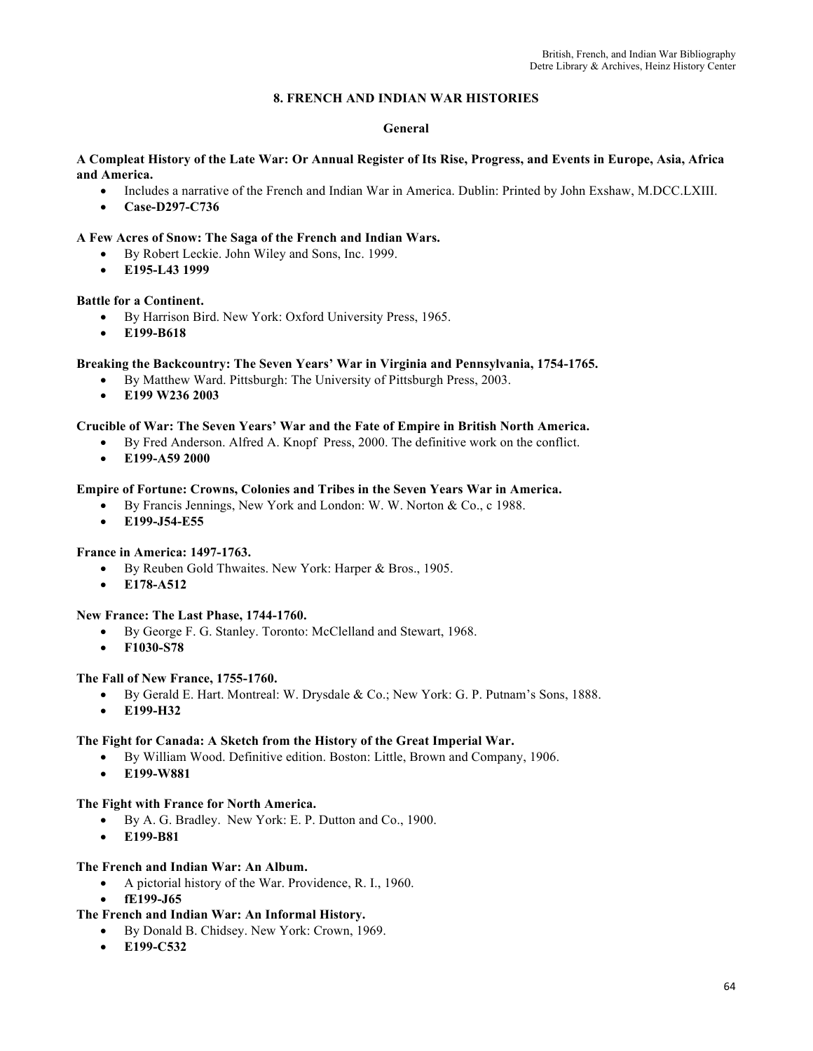# **8. FRENCH AND INDIAN WAR HISTORIES**

#### **General**

#### **A Compleat History of the Late War: Or Annual Register of Its Rise, Progress, and Events in Europe, Asia, Africa and America.**

- Includes a narrative of the French and Indian War in America. Dublin: Printed by John Exshaw, M.DCC.LXIII.
- **Case-D297-C736**

### **A Few Acres of Snow: The Saga of the French and Indian Wars.**

- By Robert Leckie. John Wiley and Sons, Inc. 1999.
- **E195-L43 1999**

### **Battle for a Continent.**

- By Harrison Bird. New York: Oxford University Press, 1965.
- **E199-B618**

## **Breaking the Backcountry: The Seven Years' War in Virginia and Pennsylvania, 1754-1765.**

- By Matthew Ward. Pittsburgh: The University of Pittsburgh Press, 2003.
- **E199 W236 2003**

#### **Crucible of War: The Seven Years' War and the Fate of Empire in British North America.**

- By Fred Anderson. Alfred A. Knopf Press, 2000. The definitive work on the conflict.
- **E199-A59 2000**

#### **Empire of Fortune: Crowns, Colonies and Tribes in the Seven Years War in America.**

- By Francis Jennings, New York and London: W. W. Norton & Co., c 1988.
- **E199-J54-E55**

#### **France in America: 1497-1763.**

- By Reuben Gold Thwaites. New York: Harper & Bros., 1905.
- **E178-A512**

# **New France: The Last Phase, 1744-1760.**

- By George F. G. Stanley. Toronto: McClelland and Stewart, 1968.
- **F1030-S78**

#### **The Fall of New France, 1755-1760.**

- By Gerald E. Hart. Montreal: W. Drysdale & Co.; New York: G. P. Putnam's Sons, 1888.
- **E199-H32**

#### **The Fight for Canada: A Sketch from the History of the Great Imperial War.**

- By William Wood. Definitive edition. Boston: Little, Brown and Company, 1906.
- **E199-W881**

#### **The Fight with France for North America.**

- By A. G. Bradley. New York: E. P. Dutton and Co., 1900.
- **E199-B81**

#### **The French and Indian War: An Album.**

- A pictorial history of the War. Providence, R. I., 1960.
- **fE199-J65**
- **The French and Indian War: An Informal History.** 
	- By Donald B. Chidsey. New York: Crown, 1969.
	- **E199-C532**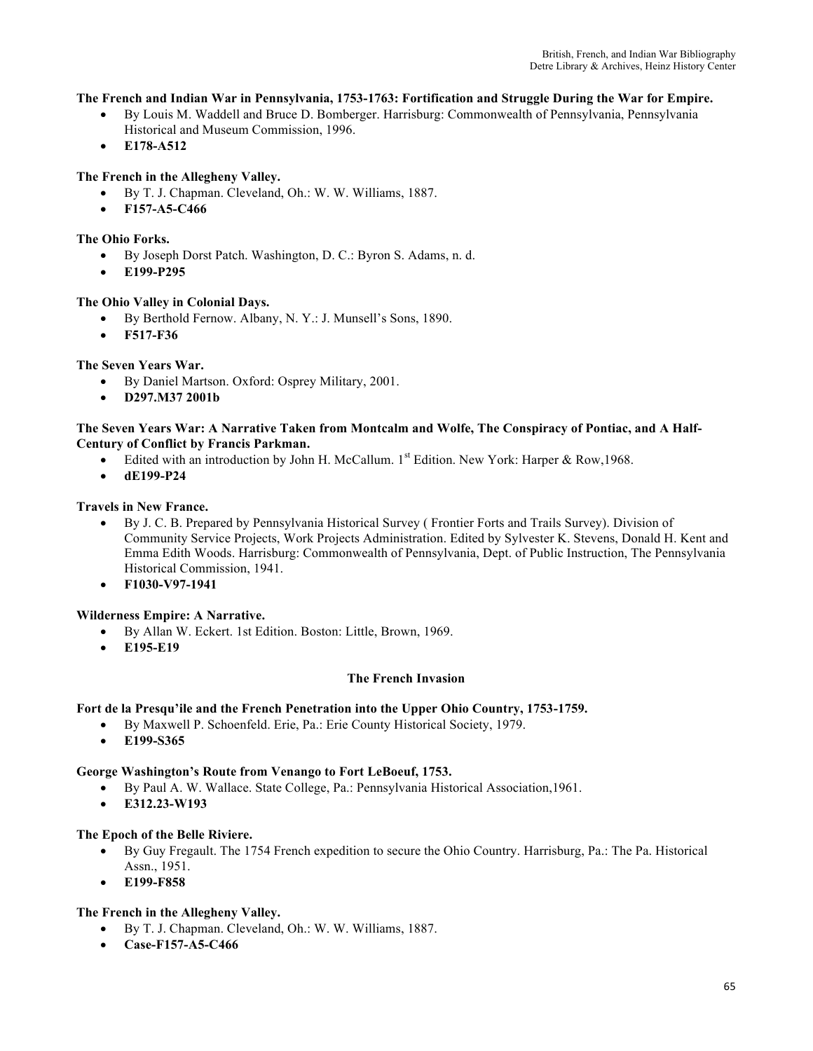### **The French and Indian War in Pennsylvania, 1753-1763: Fortification and Struggle During the War for Empire.**

- By Louis M. Waddell and Bruce D. Bomberger. Harrisburg: Commonwealth of Pennsylvania, Pennsylvania Historical and Museum Commission, 1996.
- **E178-A512**

# **The French in the Allegheny Valley.**

- By T. J. Chapman. Cleveland, Oh.: W. W. Williams, 1887.
- **F157-A5-C466**

### **The Ohio Forks.**

- By Joseph Dorst Patch. Washington, D. C.: Byron S. Adams, n. d.
- **E199-P295**

#### **The Ohio Valley in Colonial Days.**

- By Berthold Fernow. Albany, N. Y.: J. Munsell's Sons, 1890.
- **F517-F36**

### **The Seven Years War.**

- By Daniel Martson. Oxford: Osprey Military, 2001.
- **D297.M37 2001b**

#### **The Seven Years War: A Narrative Taken from Montcalm and Wolfe, The Conspiracy of Pontiac, and A Half-Century of Conflict by Francis Parkman.**

- Edited with an introduction by John H. McCallum.  $1^{st}$  Edition. New York: Harper & Row, 1968.
- **dE199-P24**

#### **Travels in New France.**

- By J. C. B. Prepared by Pennsylvania Historical Survey ( Frontier Forts and Trails Survey). Division of Community Service Projects, Work Projects Administration. Edited by Sylvester K. Stevens, Donald H. Kent and Emma Edith Woods. Harrisburg: Commonwealth of Pennsylvania, Dept. of Public Instruction, The Pennsylvania Historical Commission, 1941.
- **F1030-V97-1941**

### **Wilderness Empire: A Narrative.**

- By Allan W. Eckert. 1st Edition. Boston: Little, Brown, 1969.
- **E195-E19**

# **The French Invasion**

### **Fort de la Presqu'ile and the French Penetration into the Upper Ohio Country, 1753-1759.**

- By Maxwell P. Schoenfeld. Erie, Pa.: Erie County Historical Society, 1979.
- **E199-S365**

#### **George Washington's Route from Venango to Fort LeBoeuf, 1753.**

- By Paul A. W. Wallace. State College, Pa.: Pennsylvania Historical Association,1961.
- **E312.23-W193**

#### **The Epoch of the Belle Riviere.**

- By Guy Fregault. The 1754 French expedition to secure the Ohio Country. Harrisburg, Pa.: The Pa. Historical Assn., 1951.
- **E199-F858**

### **The French in the Allegheny Valley.**

- By T. J. Chapman. Cleveland, Oh.: W. W. Williams, 1887.
- **Case-F157-A5-C466**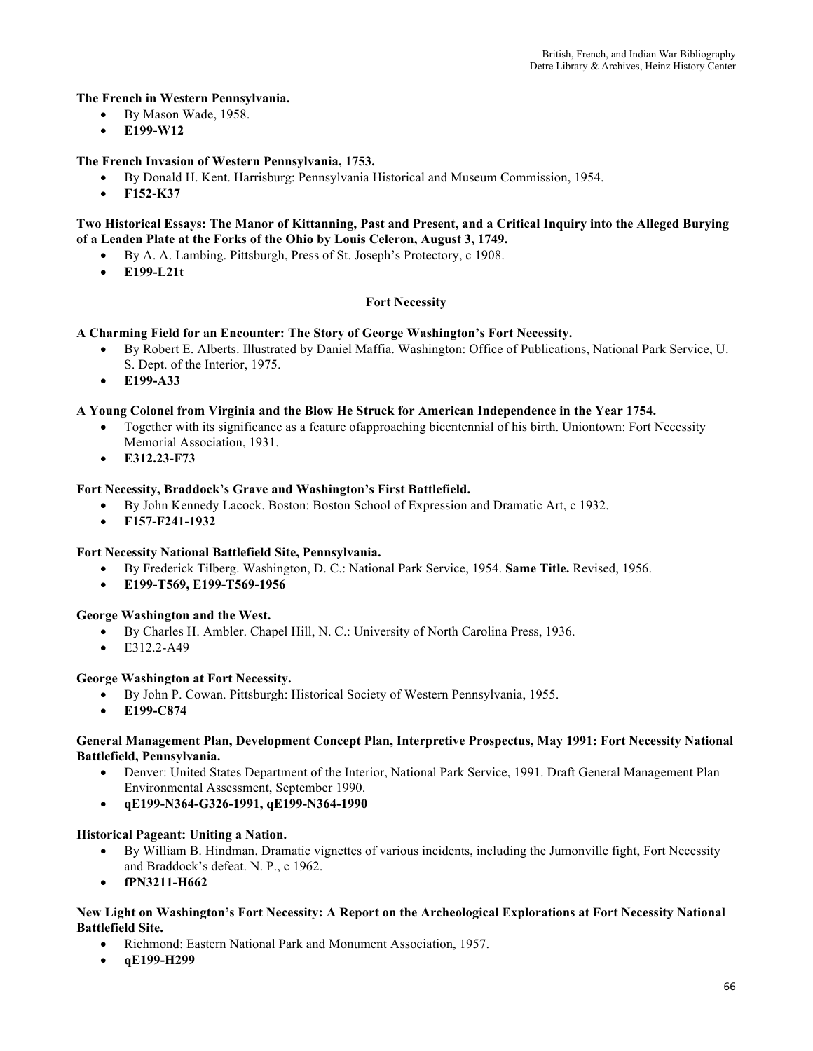### **The French in Western Pennsylvania.**

- By Mason Wade, 1958.
- **E199-W12**

### **The French Invasion of Western Pennsylvania, 1753.**

- By Donald H. Kent. Harrisburg: Pennsylvania Historical and Museum Commission, 1954.
- **F152-K37**

### **Two Historical Essays: The Manor of Kittanning, Past and Present, and a Critical Inquiry into the Alleged Burying of a Leaden Plate at the Forks of the Ohio by Louis Celeron, August 3, 1749.**

- By A. A. Lambing. Pittsburgh, Press of St. Joseph's Protectory, c 1908.
- **E199-L21t**

### **Fort Necessity**

#### **A Charming Field for an Encounter: The Story of George Washington's Fort Necessity.**

- By Robert E. Alberts. Illustrated by Daniel Maffia. Washington: Office of Publications, National Park Service, U. S. Dept. of the Interior, 1975.
- **E199-A33**

#### **A Young Colonel from Virginia and the Blow He Struck for American Independence in the Year 1754.**

- Together with its significance as a feature of approaching bicentennial of his birth. Uniontown: Fort Necessity Memorial Association, 1931.
- **E312.23-F73**

#### **Fort Necessity, Braddock's Grave and Washington's First Battlefield.**

- By John Kennedy Lacock. Boston: Boston School of Expression and Dramatic Art, c 1932.
- **F157-F241-1932**

#### **Fort Necessity National Battlefield Site, Pennsylvania.**

- By Frederick Tilberg. Washington, D. C.: National Park Service, 1954. **Same Title.** Revised, 1956.
- **E199-T569, E199-T569-1956**

#### **George Washington and the West.**

- By Charles H. Ambler. Chapel Hill, N. C.: University of North Carolina Press, 1936.
- E312.2-A49

#### **George Washington at Fort Necessity.**

- By John P. Cowan. Pittsburgh: Historical Society of Western Pennsylvania, 1955.
- **E199-C874**

#### **General Management Plan, Development Concept Plan, Interpretive Prospectus, May 1991: Fort Necessity National Battlefield, Pennsylvania.**

- Denver: United States Department of the Interior, National Park Service, 1991. Draft General Management Plan Environmental Assessment, September 1990.
- **qE199-N364-G326-1991, qE199-N364-1990**

#### **Historical Pageant: Uniting a Nation.**

- By William B. Hindman. Dramatic vignettes of various incidents, including the Jumonville fight, Fort Necessity and Braddock's defeat. N. P., c 1962.
- **fPN3211-H662**

#### **New Light on Washington's Fort Necessity: A Report on the Archeological Explorations at Fort Necessity National Battlefield Site.**

- Richmond: Eastern National Park and Monument Association, 1957.
- **qE199-H299**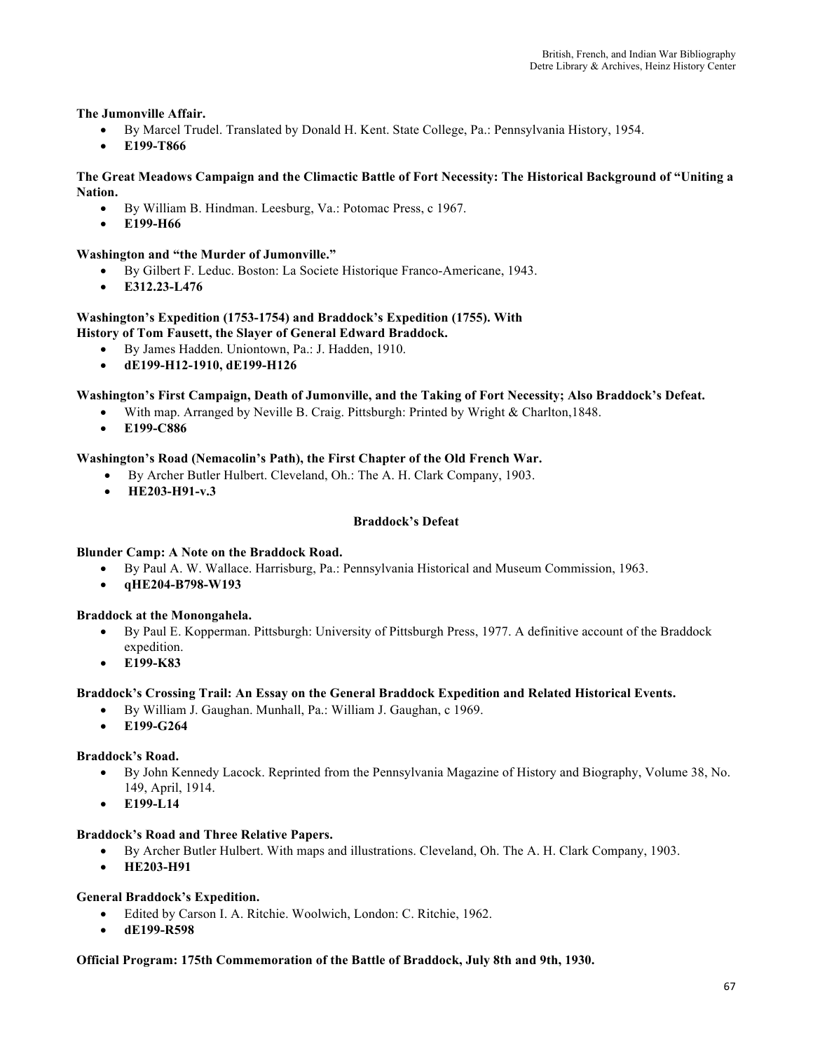### **The Jumonville Affair.**

- By Marcel Trudel. Translated by Donald H. Kent. State College, Pa.: Pennsylvania History, 1954.
- **E199-T866**

#### **The Great Meadows Campaign and the Climactic Battle of Fort Necessity: The Historical Background of "Uniting a Nation.**

- By William B. Hindman. Leesburg, Va.: Potomac Press, c 1967.
- **E199-H66**

#### **Washington and "the Murder of Jumonville."**

- By Gilbert F. Leduc. Boston: La Societe Historique Franco-Americane, 1943.
- **E312.23-L476**

#### **Washington's Expedition (1753-1754) and Braddock's Expedition (1755). With History of Tom Fausett, the Slayer of General Edward Braddock.**

- By James Hadden. Uniontown, Pa.: J. Hadden, 1910.
- **dE199-H12-1910, dE199-H126**

#### **Washington's First Campaign, Death of Jumonville, and the Taking of Fort Necessity; Also Braddock's Defeat.**

- With map. Arranged by Neville B. Craig. Pittsburgh: Printed by Wright & Charlton,1848.
- **E199-C886**

#### **Washington's Road (Nemacolin's Path), the First Chapter of the Old French War.**

- By Archer Butler Hulbert. Cleveland, Oh.: The A. H. Clark Company, 1903.
- **HE203-H91-v.3**

#### **Braddock's Defeat**

#### **Blunder Camp: A Note on the Braddock Road.**

- By Paul A. W. Wallace. Harrisburg, Pa.: Pennsylvania Historical and Museum Commission, 1963.
- **qHE204-B798-W193**

#### **Braddock at the Monongahela.**

- By Paul E. Kopperman. Pittsburgh: University of Pittsburgh Press, 1977. A definitive account of the Braddock expedition.
- **E199-K83**

#### **Braddock's Crossing Trail: An Essay on the General Braddock Expedition and Related Historical Events.**

- By William J. Gaughan. Munhall, Pa.: William J. Gaughan, c 1969.
- **E199-G264**

#### **Braddock's Road.**

- By John Kennedy Lacock. Reprinted from the Pennsylvania Magazine of History and Biography, Volume 38, No. 149, April, 1914.
- **E199-L14**

#### **Braddock's Road and Three Relative Papers.**

- By Archer Butler Hulbert. With maps and illustrations. Cleveland, Oh. The A. H. Clark Company, 1903.
- **HE203-H91**

#### **General Braddock's Expedition.**

- Edited by Carson I. A. Ritchie. Woolwich, London: C. Ritchie, 1962.
- **dE199-R598**

#### **Official Program: 175th Commemoration of the Battle of Braddock, July 8th and 9th, 1930.**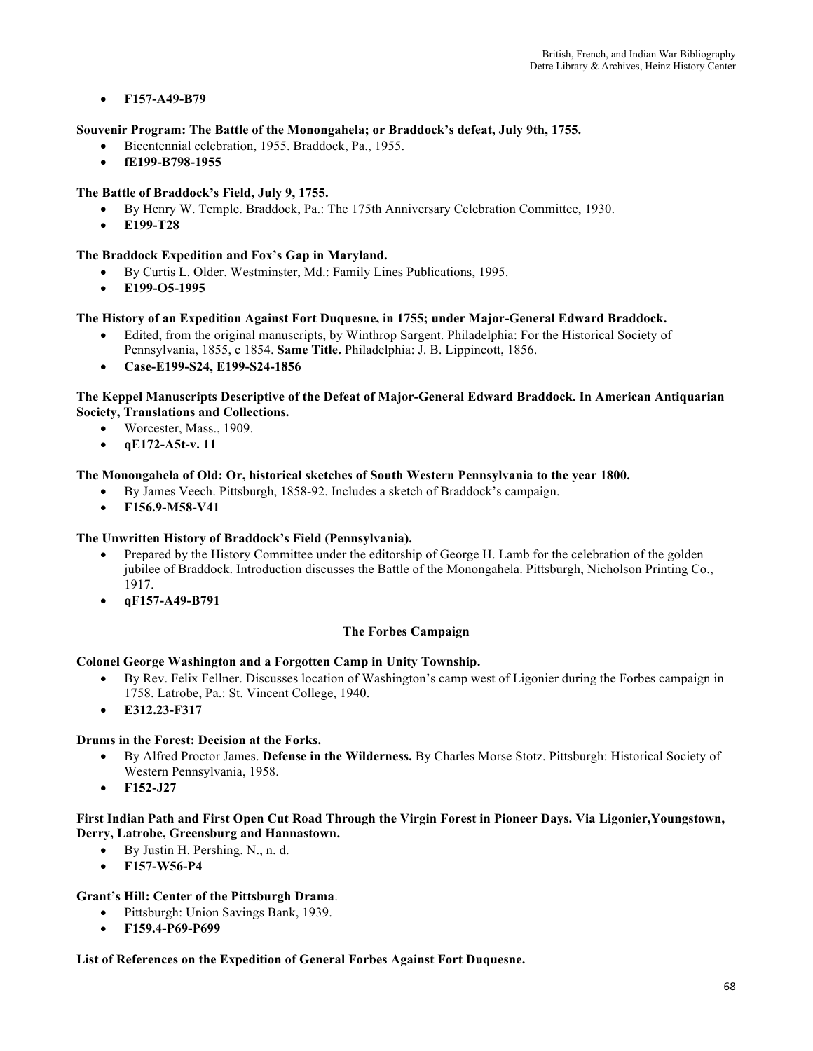• **F157-A49-B79**

# **Souvenir Program: The Battle of the Monongahela; or Braddock's defeat, July 9th, 1755.**

- Bicentennial celebration, 1955. Braddock, Pa., 1955.
- **fE199-B798-1955**

# **The Battle of Braddock's Field, July 9, 1755.**

- By Henry W. Temple. Braddock, Pa.: The 175th Anniversary Celebration Committee, 1930.
- **E199-T28**

# **The Braddock Expedition and Fox's Gap in Maryland.**

- By Curtis L. Older. Westminster, Md.: Family Lines Publications, 1995.
- **E199-O5-1995**

# **The History of an Expedition Against Fort Duquesne, in 1755; under Major-General Edward Braddock.**

- Edited, from the original manuscripts, by Winthrop Sargent. Philadelphia: For the Historical Society of Pennsylvania, 1855, c 1854. **Same Title.** Philadelphia: J. B. Lippincott, 1856.
- **Case-E199-S24, E199-S24-1856**

# **The Keppel Manuscripts Descriptive of the Defeat of Major-General Edward Braddock. In American Antiquarian Society, Translations and Collections.**

- Worcester, Mass., 1909.
- **qE172-A5t-v. 11**

# **The Monongahela of Old: Or, historical sketches of South Western Pennsylvania to the year 1800.**

- By James Veech. Pittsburgh, 1858-92. Includes a sketch of Braddock's campaign.
- **F156.9-M58-V41**

### **The Unwritten History of Braddock's Field (Pennsylvania).**

- Prepared by the History Committee under the editorship of George H. Lamb for the celebration of the golden jubilee of Braddock. Introduction discusses the Battle of the Monongahela. Pittsburgh, Nicholson Printing Co., 1917.
- **qF157-A49-B791**

### **The Forbes Campaign**

### **Colonel George Washington and a Forgotten Camp in Unity Township.**

- By Rev. Felix Fellner. Discusses location of Washington's camp west of Ligonier during the Forbes campaign in 1758. Latrobe, Pa.: St. Vincent College, 1940.
- **E312.23-F317**

### **Drums in the Forest: Decision at the Forks.**

- By Alfred Proctor James. **Defense in the Wilderness.** By Charles Morse Stotz. Pittsburgh: Historical Society of Western Pennsylvania, 1958.
- **F152-J27**

#### **First Indian Path and First Open Cut Road Through the Virgin Forest in Pioneer Days. Via Ligonier,Youngstown, Derry, Latrobe, Greensburg and Hannastown.**

- By Justin H. Pershing. N., n. d.
- **F157-W56-P4**

### **Grant's Hill: Center of the Pittsburgh Drama**.

- Pittsburgh: Union Savings Bank, 1939.
- **F159.4-P69-P699**

### **List of References on the Expedition of General Forbes Against Fort Duquesne.**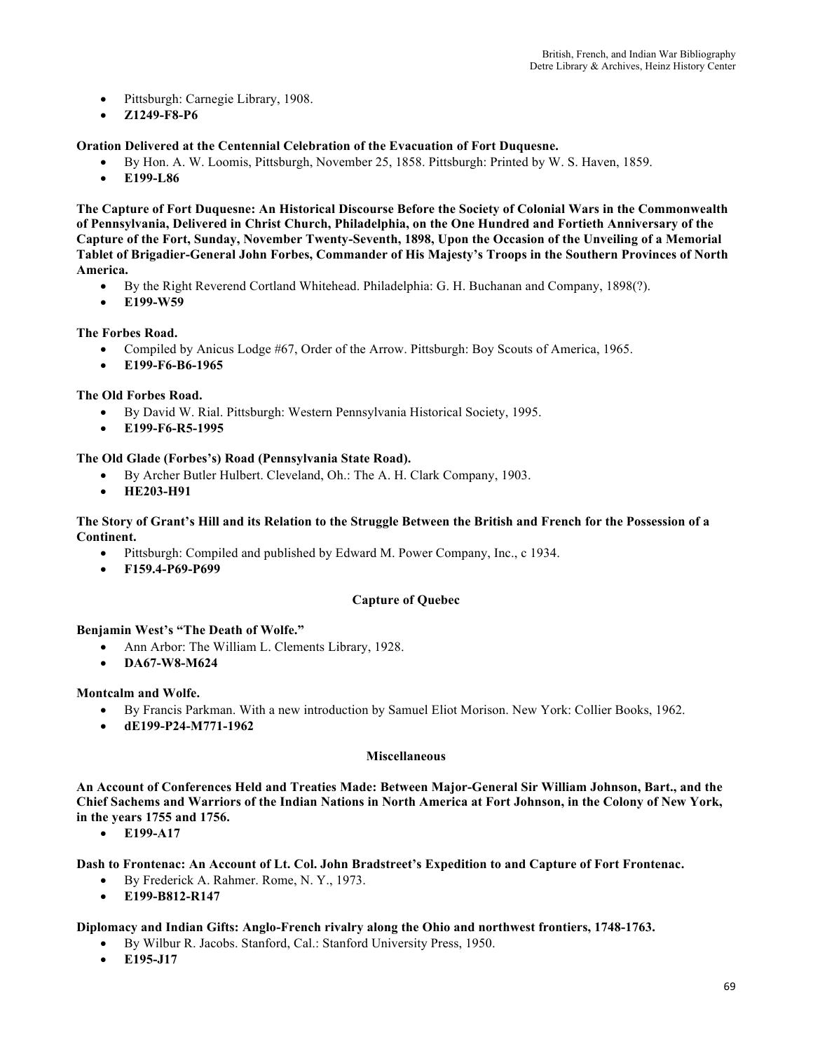- Pittsburgh: Carnegie Library, 1908.
- **Z1249-F8-P6**

**Oration Delivered at the Centennial Celebration of the Evacuation of Fort Duquesne.** 

- By Hon. A. W. Loomis, Pittsburgh, November 25, 1858. Pittsburgh: Printed by W. S. Haven, 1859.
- **E199-L86**

**The Capture of Fort Duquesne: An Historical Discourse Before the Society of Colonial Wars in the Commonwealth of Pennsylvania, Delivered in Christ Church, Philadelphia, on the One Hundred and Fortieth Anniversary of the Capture of the Fort, Sunday, November Twenty-Seventh, 1898, Upon the Occasion of the Unveiling of a Memorial Tablet of Brigadier-General John Forbes, Commander of His Majesty's Troops in the Southern Provinces of North America.** 

- By the Right Reverend Cortland Whitehead. Philadelphia: G. H. Buchanan and Company, 1898(?).
- **E199-W59**

#### **The Forbes Road.**

- Compiled by Anicus Lodge #67, Order of the Arrow. Pittsburgh: Boy Scouts of America, 1965.
- **E199-F6-B6-1965**

#### **The Old Forbes Road.**

- By David W. Rial. Pittsburgh: Western Pennsylvania Historical Society, 1995.
- **E199-F6-R5-1995**

#### **The Old Glade (Forbes's) Road (Pennsylvania State Road).**

- By Archer Butler Hulbert. Cleveland, Oh.: The A. H. Clark Company, 1903.
- **HE203-H91**

#### **The Story of Grant's Hill and its Relation to the Struggle Between the British and French for the Possession of a Continent.**

- Pittsburgh: Compiled and published by Edward M. Power Company, Inc., c 1934.
- **F159.4-P69-P699**

#### **Capture of Quebec**

#### **Benjamin West's "The Death of Wolfe."**

- Ann Arbor: The William L. Clements Library, 1928.
- **DA67-W8-M624**

#### **Montcalm and Wolfe.**

- By Francis Parkman. With a new introduction by Samuel Eliot Morison. New York: Collier Books, 1962.
- **dE199-P24-M771-1962**

#### **Miscellaneous**

**An Account of Conferences Held and Treaties Made: Between Major-General Sir William Johnson, Bart., and the Chief Sachems and Warriors of the Indian Nations in North America at Fort Johnson, in the Colony of New York, in the years 1755 and 1756.** 

• **E199-A17**

**Dash to Frontenac: An Account of Lt. Col. John Bradstreet's Expedition to and Capture of Fort Frontenac.**

- By Frederick A. Rahmer. Rome, N. Y., 1973.
- **E199-B812-R147**

### **Diplomacy and Indian Gifts: Anglo-French rivalry along the Ohio and northwest frontiers, 1748-1763.**

- By Wilbur R. Jacobs. Stanford, Cal.: Stanford University Press, 1950.
- **E195-J17**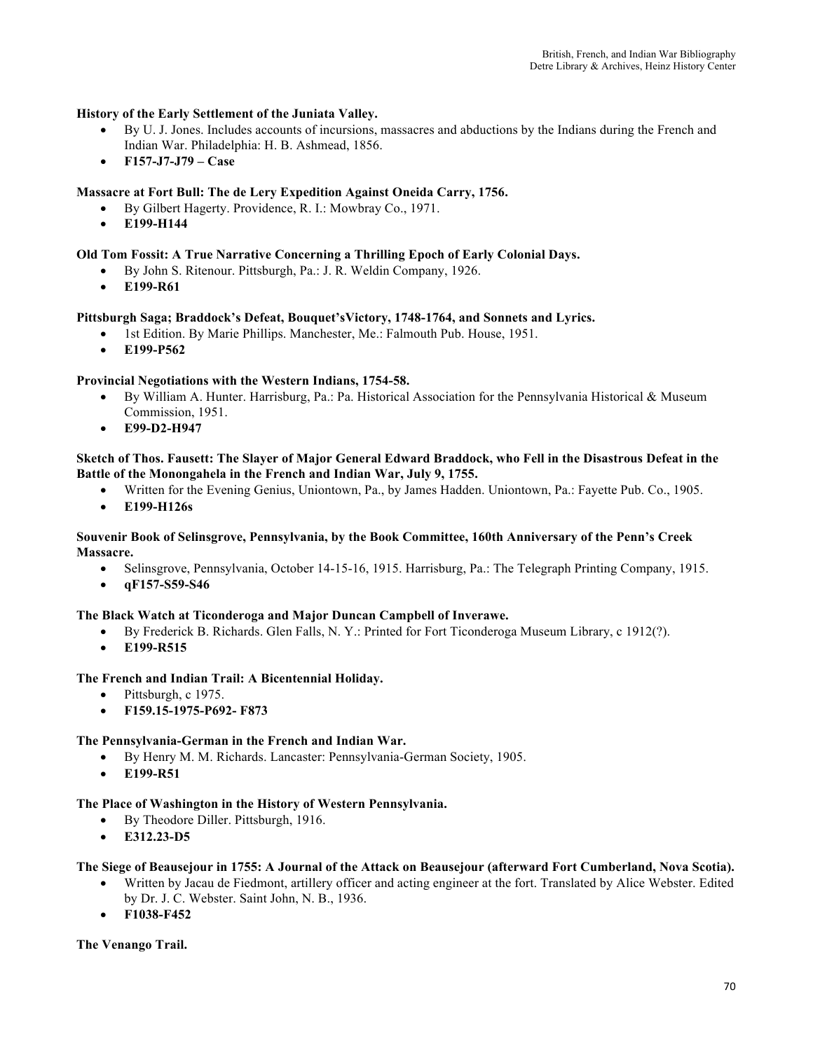### **History of the Early Settlement of the Juniata Valley.**

- By U. J. Jones. Includes accounts of incursions, massacres and abductions by the Indians during the French and Indian War. Philadelphia: H. B. Ashmead, 1856.
- **F157-J7-J79 – Case**

#### **Massacre at Fort Bull: The de Lery Expedition Against Oneida Carry, 1756.**

- By Gilbert Hagerty. Providence, R. I.: Mowbray Co., 1971.
- **E199-H144**

#### **Old Tom Fossit: A True Narrative Concerning a Thrilling Epoch of Early Colonial Days.**

- By John S. Ritenour. Pittsburgh, Pa.: J. R. Weldin Company, 1926.
- **E199-R61**

#### **Pittsburgh Saga; Braddock's Defeat, Bouquet'sVictory, 1748-1764, and Sonnets and Lyrics.**

- 1st Edition. By Marie Phillips. Manchester, Me.: Falmouth Pub. House, 1951.
- **E199-P562**

#### **Provincial Negotiations with the Western Indians, 1754-58.**

- By William A. Hunter. Harrisburg, Pa.: Pa. Historical Association for the Pennsylvania Historical & Museum Commission, 1951.
- **E99-D2-H947**

#### **Sketch of Thos. Fausett: The Slayer of Major General Edward Braddock, who Fell in the Disastrous Defeat in the Battle of the Monongahela in the French and Indian War, July 9, 1755.**

- Written for the Evening Genius, Uniontown, Pa., by James Hadden. Uniontown, Pa.: Fayette Pub. Co., 1905.
- **E199-H126s**

#### **Souvenir Book of Selinsgrove, Pennsylvania, by the Book Committee, 160th Anniversary of the Penn's Creek Massacre.**

- Selinsgrove, Pennsylvania, October 14-15-16, 1915. Harrisburg, Pa.: The Telegraph Printing Company, 1915.
- **qF157-S59-S46**

#### **The Black Watch at Ticonderoga and Major Duncan Campbell of Inverawe.**

- By Frederick B. Richards. Glen Falls, N. Y.: Printed for Fort Ticonderoga Museum Library, c 1912(?).
- **E199-R515**

#### **The French and Indian Trail: A Bicentennial Holiday.**

- Pittsburgh, c 1975.
- **F159.15-1975-P692- F873**

#### **The Pennsylvania-German in the French and Indian War.**

- By Henry M. M. Richards. Lancaster: Pennsylvania-German Society, 1905.
- **E199-R51**

#### **The Place of Washington in the History of Western Pennsylvania.**

- By Theodore Diller. Pittsburgh, 1916.
- **E312.23-D5**

#### **The Siege of Beausejour in 1755: A Journal of the Attack on Beausejour (afterward Fort Cumberland, Nova Scotia).**

- Written by Jacau de Fiedmont, artillery officer and acting engineer at the fort. Translated by Alice Webster. Edited by Dr. J. C. Webster. Saint John, N. B., 1936.
- **F1038-F452**

**The Venango Trail.**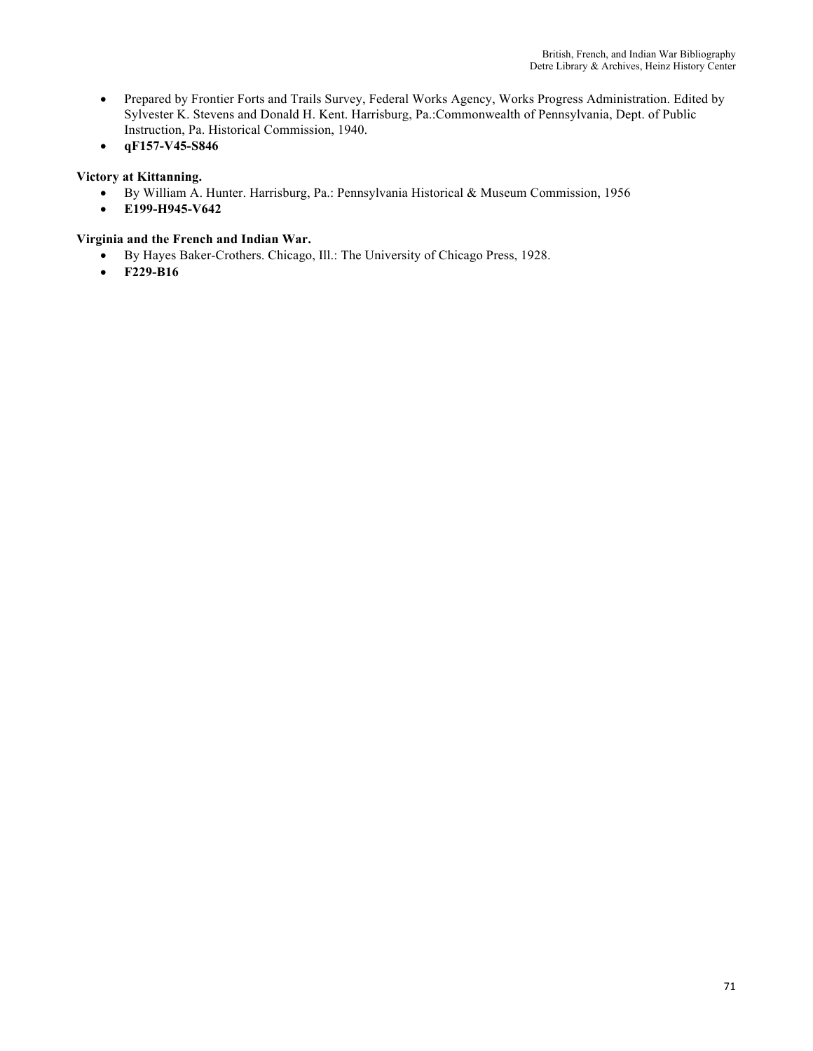- Prepared by Frontier Forts and Trails Survey, Federal Works Agency, Works Progress Administration. Edited by Sylvester K. Stevens and Donald H. Kent. Harrisburg, Pa.:Commonwealth of Pennsylvania, Dept. of Public Instruction, Pa. Historical Commission, 1940.
- **qF157-V45-S846**

# **Victory at Kittanning.**

- By William A. Hunter. Harrisburg, Pa.: Pennsylvania Historical & Museum Commission, 1956
- **E199-H945-V642**

# **Virginia and the French and Indian War.**

- By Hayes Baker-Crothers. Chicago, Ill.: The University of Chicago Press, 1928.
- **F229-B16**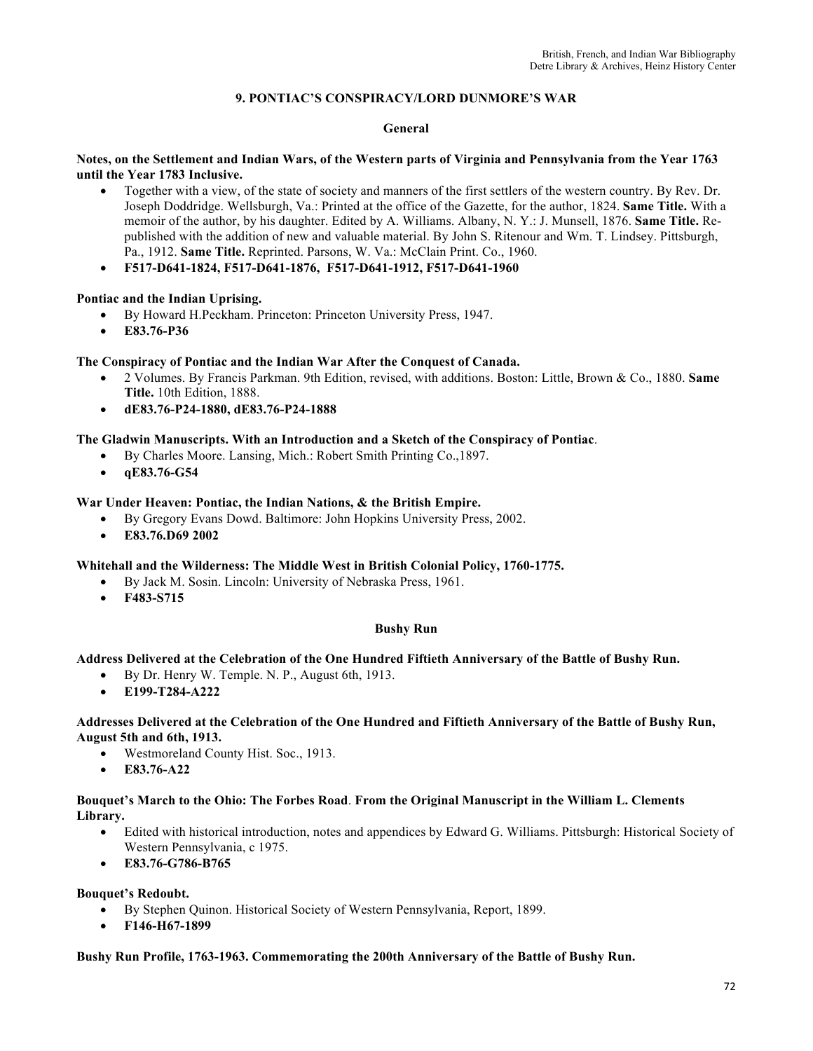# **9. PONTIAC'S CONSPIRACY/LORD DUNMORE'S WAR**

#### **General**

#### **Notes, on the Settlement and Indian Wars, of the Western parts of Virginia and Pennsylvania from the Year 1763 until the Year 1783 Inclusive.**

- Together with a view, of the state of society and manners of the first settlers of the western country. By Rev. Dr. Joseph Doddridge. Wellsburgh, Va.: Printed at the office of the Gazette, for the author, 1824. **Same Title.** With a memoir of the author, by his daughter. Edited by A. Williams. Albany, N. Y.: J. Munsell, 1876. **Same Title.** Republished with the addition of new and valuable material. By John S. Ritenour and Wm. T. Lindsey. Pittsburgh, Pa., 1912. **Same Title.** Reprinted. Parsons, W. Va.: McClain Print. Co., 1960.
- **F517-D641-1824, F517-D641-1876, F517-D641-1912, F517-D641-1960**

#### **Pontiac and the Indian Uprising.**

- By Howard H.Peckham. Princeton: Princeton University Press, 1947.
- **E83.76-P36**

#### **The Conspiracy of Pontiac and the Indian War After the Conquest of Canada.**

- 2 Volumes. By Francis Parkman. 9th Edition, revised, with additions. Boston: Little, Brown & Co., 1880. **Same Title.** 10th Edition, 1888.
- **dE83.76-P24-1880, dE83.76-P24-1888**

#### **The Gladwin Manuscripts. With an Introduction and a Sketch of the Conspiracy of Pontiac**.

- By Charles Moore. Lansing, Mich.: Robert Smith Printing Co.,1897.
- **qE83.76-G54**

#### **War Under Heaven: Pontiac, the Indian Nations, & the British Empire.**

- By Gregory Evans Dowd. Baltimore: John Hopkins University Press, 2002.
- **E83.76.D69 2002**

#### **Whitehall and the Wilderness: The Middle West in British Colonial Policy, 1760-1775.**

- By Jack M. Sosin. Lincoln: University of Nebraska Press, 1961.
- **F483-S715**

#### **Bushy Run**

#### **Address Delivered at the Celebration of the One Hundred Fiftieth Anniversary of the Battle of Bushy Run.**

- By Dr. Henry W. Temple. N. P., August 6th, 1913.
- **E199-T284-A222**

#### **Addresses Delivered at the Celebration of the One Hundred and Fiftieth Anniversary of the Battle of Bushy Run, August 5th and 6th, 1913.**

- Westmoreland County Hist. Soc., 1913.
- **E83.76-A22**

#### **Bouquet's March to the Ohio: The Forbes Road**. **From the Original Manuscript in the William L. Clements Library.**

- Edited with historical introduction, notes and appendices by Edward G. Williams. Pittsburgh: Historical Society of Western Pennsylvania, c 1975.
- **E83.76-G786-B765**

#### **Bouquet's Redoubt.**

- By Stephen Quinon. Historical Society of Western Pennsylvania, Report, 1899.
- **F146-H67-1899**

#### **Bushy Run Profile, 1763-1963. Commemorating the 200th Anniversary of the Battle of Bushy Run.**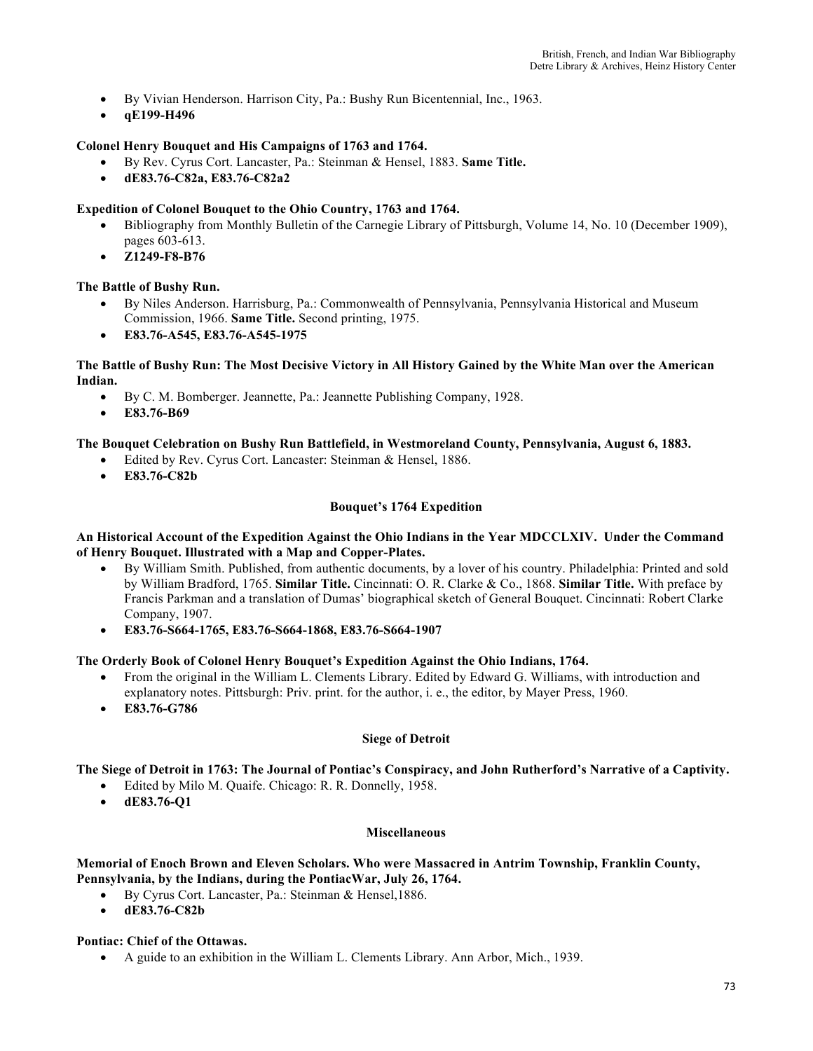- By Vivian Henderson. Harrison City, Pa.: Bushy Run Bicentennial, Inc., 1963.
- **qE199-H496**

### **Colonel Henry Bouquet and His Campaigns of 1763 and 1764.**

- By Rev. Cyrus Cort. Lancaster, Pa.: Steinman & Hensel, 1883. **Same Title.**
- **dE83.76-C82a, E83.76-C82a2**

## **Expedition of Colonel Bouquet to the Ohio Country, 1763 and 1764.**

- Bibliography from Monthly Bulletin of the Carnegie Library of Pittsburgh, Volume 14, No. 10 (December 1909), pages 603-613.
- **Z1249-F8-B76**

### **The Battle of Bushy Run.**

- By Niles Anderson. Harrisburg, Pa.: Commonwealth of Pennsylvania, Pennsylvania Historical and Museum Commission, 1966. **Same Title.** Second printing, 1975.
- **E83.76-A545, E83.76-A545-1975**

### **The Battle of Bushy Run: The Most Decisive Victory in All History Gained by the White Man over the American Indian.**

- By C. M. Bomberger. Jeannette, Pa.: Jeannette Publishing Company, 1928.
- **E83.76-B69**

### **The Bouquet Celebration on Bushy Run Battlefield, in Westmoreland County, Pennsylvania, August 6, 1883.**

- Edited by Rev. Cyrus Cort. Lancaster: Steinman & Hensel, 1886.
- **E83.76-C82b**

### **Bouquet's 1764 Expedition**

### **An Historical Account of the Expedition Against the Ohio Indians in the Year MDCCLXIV. Under the Command of Henry Bouquet. Illustrated with a Map and Copper-Plates.**

- By William Smith. Published, from authentic documents, by a lover of his country. Philadelphia: Printed and sold by William Bradford, 1765. **Similar Title.** Cincinnati: O. R. Clarke & Co., 1868. **Similar Title.** With preface by Francis Parkman and a translation of Dumas' biographical sketch of General Bouquet. Cincinnati: Robert Clarke Company, 1907.
- **E83.76-S664-1765, E83.76-S664-1868, E83.76-S664-1907**

### **The Orderly Book of Colonel Henry Bouquet's Expedition Against the Ohio Indians, 1764.**

- From the original in the William L. Clements Library. Edited by Edward G. Williams, with introduction and explanatory notes. Pittsburgh: Priv. print. for the author, i. e., the editor, by Mayer Press, 1960.
- **E83.76-G786**

### **Siege of Detroit**

**The Siege of Detroit in 1763: The Journal of Pontiac's Conspiracy, and John Rutherford's Narrative of a Captivity.** 

- Edited by Milo M. Quaife. Chicago: R. R. Donnelly, 1958.
- **dE83.76-Q1**

### **Miscellaneous**

### **Memorial of Enoch Brown and Eleven Scholars. Who were Massacred in Antrim Township, Franklin County, Pennsylvania, by the Indians, during the PontiacWar, July 26, 1764.**

- By Cyrus Cort. Lancaster, Pa.: Steinman & Hensel,1886.
- **dE83.76-C82b**

### **Pontiac: Chief of the Ottawas.**

• A guide to an exhibition in the William L. Clements Library. Ann Arbor, Mich., 1939.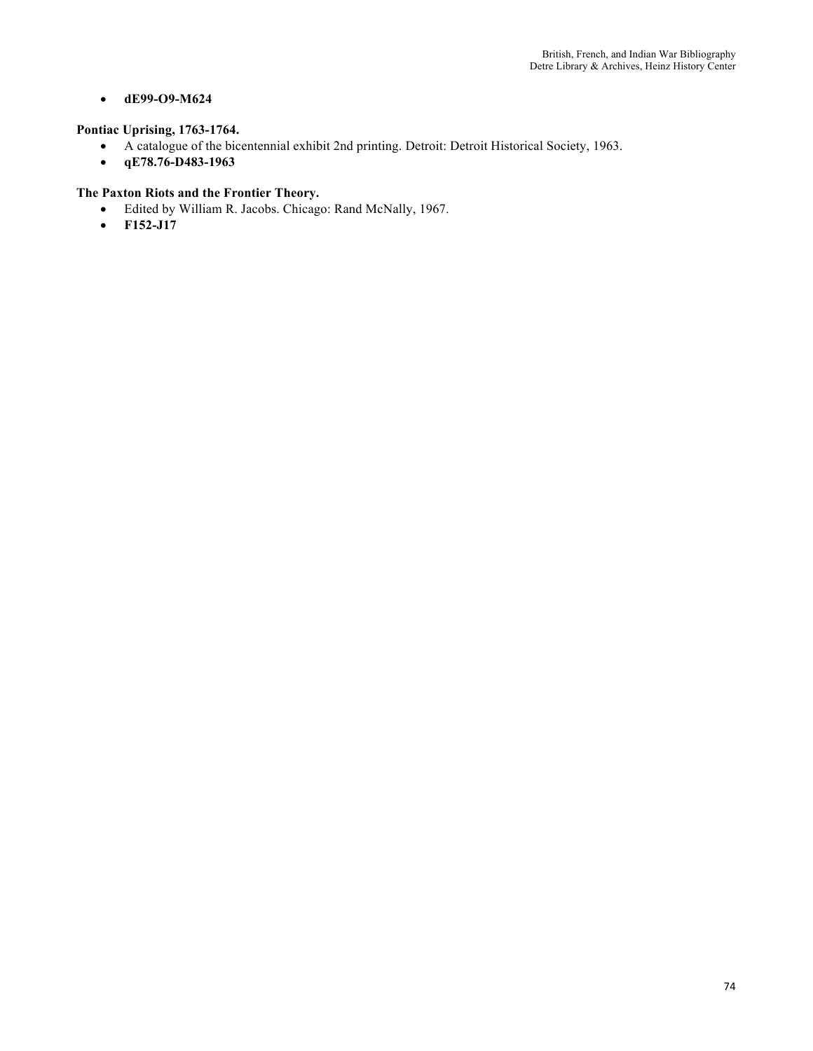# • **dE99-O9-M624**

# **Pontiac Uprising, 1763-1764.**

- A catalogue of the bicentennial exhibit 2nd printing. Detroit: Detroit Historical Society, 1963.
- **qE78.76-D483-1963**

# **The Paxton Riots and the Frontier Theory.**

- Edited by William R. Jacobs. Chicago: Rand McNally, 1967.
- **F152-J17**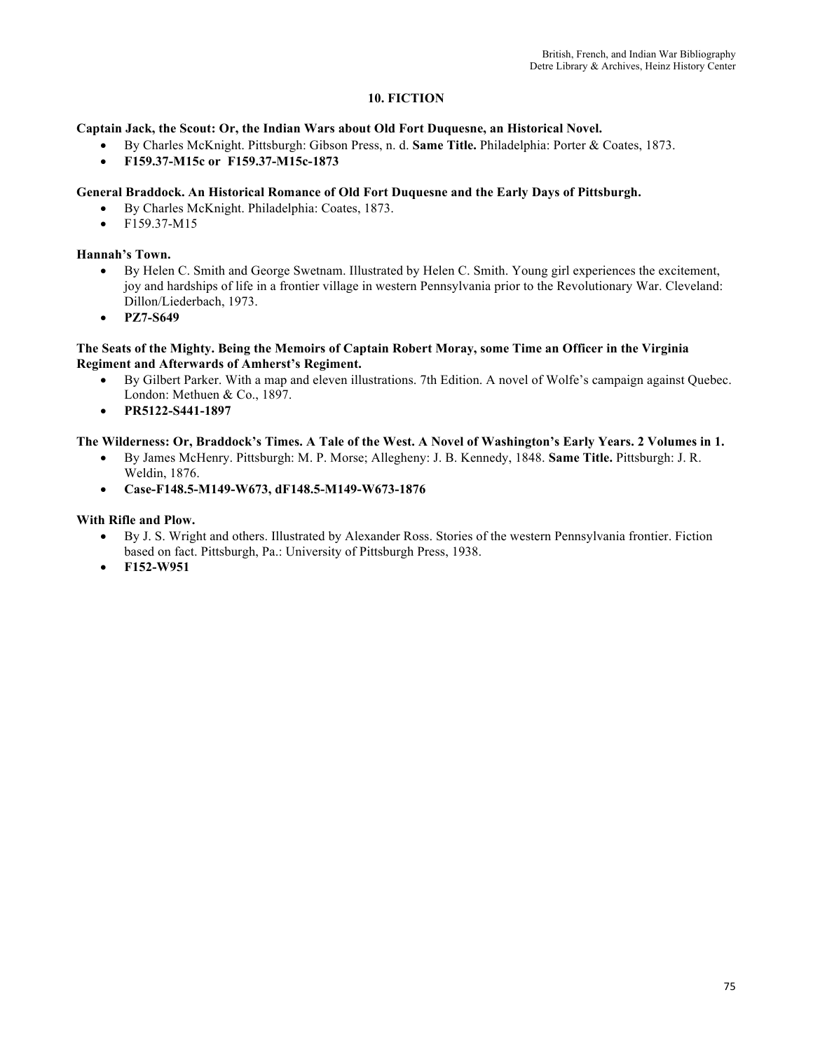# **10. FICTION**

## **Captain Jack, the Scout: Or, the Indian Wars about Old Fort Duquesne, an Historical Novel.**

- By Charles McKnight. Pittsburgh: Gibson Press, n. d. **Same Title.** Philadelphia: Porter & Coates, 1873.
- **F159.37-M15c or F159.37-M15c-1873**

## **General Braddock. An Historical Romance of Old Fort Duquesne and the Early Days of Pittsburgh.**

- By Charles McKnight. Philadelphia: Coates, 1873.
- F159.37-M15

## **Hannah's Town.**

- By Helen C. Smith and George Swetnam. Illustrated by Helen C. Smith. Young girl experiences the excitement, joy and hardships of life in a frontier village in western Pennsylvania prior to the Revolutionary War. Cleveland: Dillon/Liederbach, 1973.
- **PZ7-S649**

## **The Seats of the Mighty. Being the Memoirs of Captain Robert Moray, some Time an Officer in the Virginia Regiment and Afterwards of Amherst's Regiment.**

- By Gilbert Parker. With a map and eleven illustrations. 7th Edition. A novel of Wolfe's campaign against Quebec. London: Methuen & Co., 1897.
- **PR5122-S441-1897**

## **The Wilderness: Or, Braddock's Times. A Tale of the West. A Novel of Washington's Early Years. 2 Volumes in 1.**

- By James McHenry. Pittsburgh: M. P. Morse; Allegheny: J. B. Kennedy, 1848. **Same Title.** Pittsburgh: J. R. Weldin, 1876.
- **Case-F148.5-M149-W673, dF148.5-M149-W673-1876**

## **With Rifle and Plow.**

- By J. S. Wright and others. Illustrated by Alexander Ross. Stories of the western Pennsylvania frontier. Fiction based on fact. Pittsburgh, Pa.: University of Pittsburgh Press, 1938.
- **F152-W951**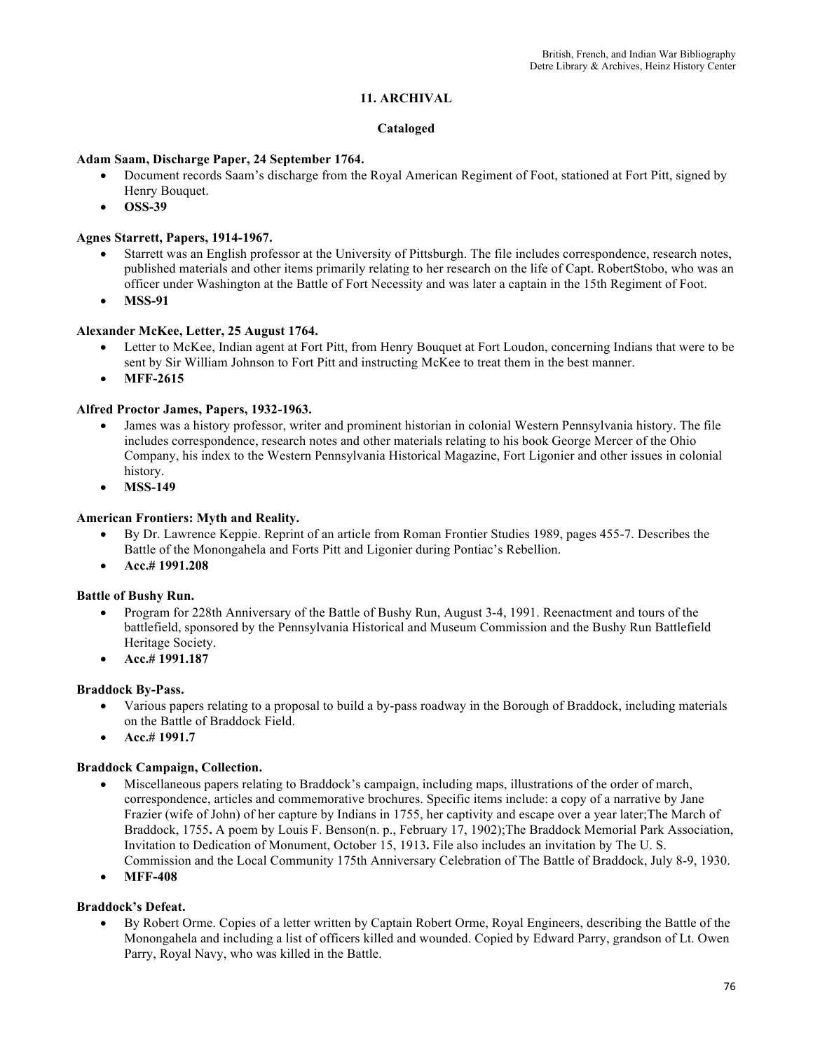# **11. ARCHIVAL**

## **Cataloged**

## **Adam Saam, Discharge Paper, 24 September 1764.**

- Document records Saam's discharge from the Royal American Regiment of Foot, stationed at Fort Pitt, signed by Henry Bouquet.
- **OSS-39**

## **Agnes Starrett, Papers, 1914-1967.**

- Starrett was an English professor at the University of Pittsburgh. The file includes correspondence, research notes, published materials and other items primarily relating to her research on the life of Capt. RobertStobo, who was an officer under Washington at the Battle of Fort Necessity and was later a captain in the 15th Regiment of Foot.
- **MSS-91**

## **Alexander McKee, Letter, 25 August 1764.**

- Letter to McKee, Indian agent at Fort Pitt, from Henry Bouquet at Fort Loudon, concerning Indians that were to be sent by Sir William Johnson to Fort Pitt and instructing McKee to treat them in the best manner.
- **MFF-2615**

### **Alfred Proctor James, Papers, 1932-1963.**

- James was a history professor, writer and prominent historian in colonial Western Pennsylvania history. The file includes correspondence, research notes and other materials relating to his book George Mercer of the Ohio Company, his index to the Western Pennsylvania Historical Magazine, Fort Ligonier and other issues in colonial history.
- **MSS-149**

## **American Frontiers: Myth and Reality.**

- By Dr. Lawrence Keppie. Reprint of an article from Roman Frontier Studies 1989, pages 455-7. Describes the Battle of the Monongahela and Forts Pitt and Ligonier during Pontiac's Rebellion.
- **Acc.# 1991.208**

### **Battle of Bushy Run.**

- Program for 228th Anniversary of the Battle of Bushy Run, August 3-4, 1991. Reenactment and tours of the battlefield, sponsored by the Pennsylvania Historical and Museum Commission and the Bushy Run Battlefield Heritage Society.
- **Acc.# 1991.187**

### **Braddock By-Pass.**

- Various papers relating to a proposal to build a by-pass roadway in the Borough of Braddock, including materials on the Battle of Braddock Field.
- **Acc.# 1991.7**

## **Braddock Campaign, Collection.**

- Miscellaneous papers relating to Braddock's campaign, including maps, illustrations of the order of march, correspondence, articles and commemorative brochures. Specific items include: a copy of a narrative by Jane Frazier (wife of John) of her capture by Indians in 1755, her captivity and escape over a year later;The March of Braddock, 1755**.** A poem by Louis F. Benson(n. p., February 17, 1902);The Braddock Memorial Park Association, Invitation to Dedication of Monument, October 15, 1913**.** File also includes an invitation by The U. S. Commission and the Local Community 175th Anniversary Celebration of The Battle of Braddock, July 8-9, 1930.
- **MFF-408**

## **Braddock's Defeat.**

• By Robert Orme. Copies of a letter written by Captain Robert Orme, Royal Engineers, describing the Battle of the Monongahela and including a list of officers killed and wounded. Copied by Edward Parry, grandson of Lt. Owen Parry, Royal Navy, who was killed in the Battle.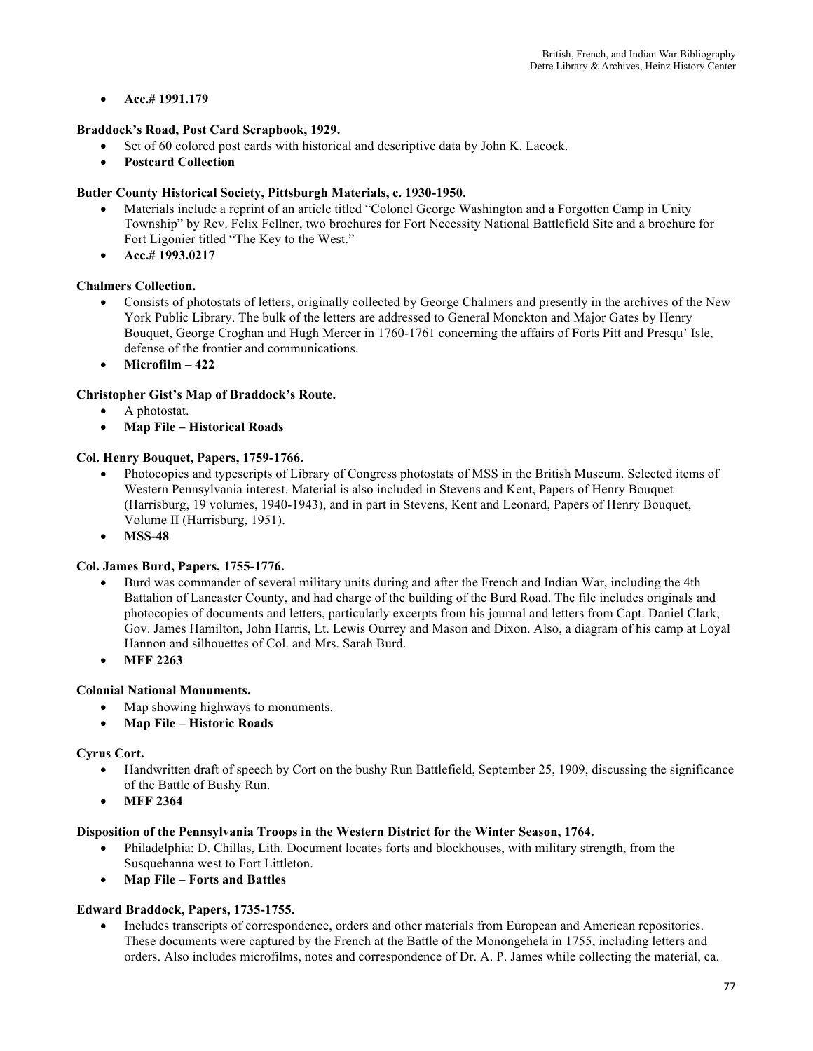# • **Acc.# 1991.179**

# **Braddock's Road, Post Card Scrapbook, 1929.**

- Set of 60 colored post cards with historical and descriptive data by John K. Lacock.
- **Postcard Collection**

# **Butler County Historical Society, Pittsburgh Materials, c. 1930-1950.**

- Materials include a reprint of an article titled "Colonel George Washington and a Forgotten Camp in Unity Township" by Rev. Felix Fellner, two brochures for Fort Necessity National Battlefield Site and a brochure for Fort Ligonier titled "The Key to the West."
- **Acc.# 1993.0217**

# **Chalmers Collection.**

- Consists of photostats of letters, originally collected by George Chalmers and presently in the archives of the New York Public Library. The bulk of the letters are addressed to General Monckton and Major Gates by Henry Bouquet, George Croghan and Hugh Mercer in 1760-1761 concerning the affairs of Forts Pitt and Presqu' Isle, defense of the frontier and communications.
- **Microfilm – 422**

# **Christopher Gist's Map of Braddock's Route.**

- A photostat.
- **Map File – Historical Roads**

## **Col. Henry Bouquet, Papers, 1759-1766.**

- Photocopies and typescripts of Library of Congress photostats of MSS in the British Museum. Selected items of Western Pennsylvania interest. Material is also included in Stevens and Kent, Papers of Henry Bouquet (Harrisburg, 19 volumes, 1940-1943), and in part in Stevens, Kent and Leonard, Papers of Henry Bouquet, Volume II (Harrisburg, 1951).
- **MSS-48**

## **Col. James Burd, Papers, 1755-1776.**

- Burd was commander of several military units during and after the French and Indian War, including the 4th Battalion of Lancaster County, and had charge of the building of the Burd Road. The file includes originals and photocopies of documents and letters, particularly excerpts from his journal and letters from Capt. Daniel Clark, Gov. James Hamilton, John Harris, Lt. Lewis Ourrey and Mason and Dixon. Also, a diagram of his camp at Loyal Hannon and silhouettes of Col. and Mrs. Sarah Burd.
- **MFF 2263**

## **Colonial National Monuments.**

- Map showing highways to monuments.
- **Map File – Historic Roads**

## **Cyrus Cort.**

- Handwritten draft of speech by Cort on the bushy Run Battlefield, September 25, 1909, discussing the significance of the Battle of Bushy Run.
- **MFF 2364**

# **Disposition of the Pennsylvania Troops in the Western District for the Winter Season, 1764.**

- Philadelphia: D. Chillas, Lith. Document locates forts and blockhouses, with military strength, from the Susquehanna west to Fort Littleton.
- **Map File – Forts and Battles**

## **Edward Braddock, Papers, 1735-1755.**

• Includes transcripts of correspondence, orders and other materials from European and American repositories. These documents were captured by the French at the Battle of the Monongehela in 1755, including letters and orders. Also includes microfilms, notes and correspondence of Dr. A. P. James while collecting the material, ca.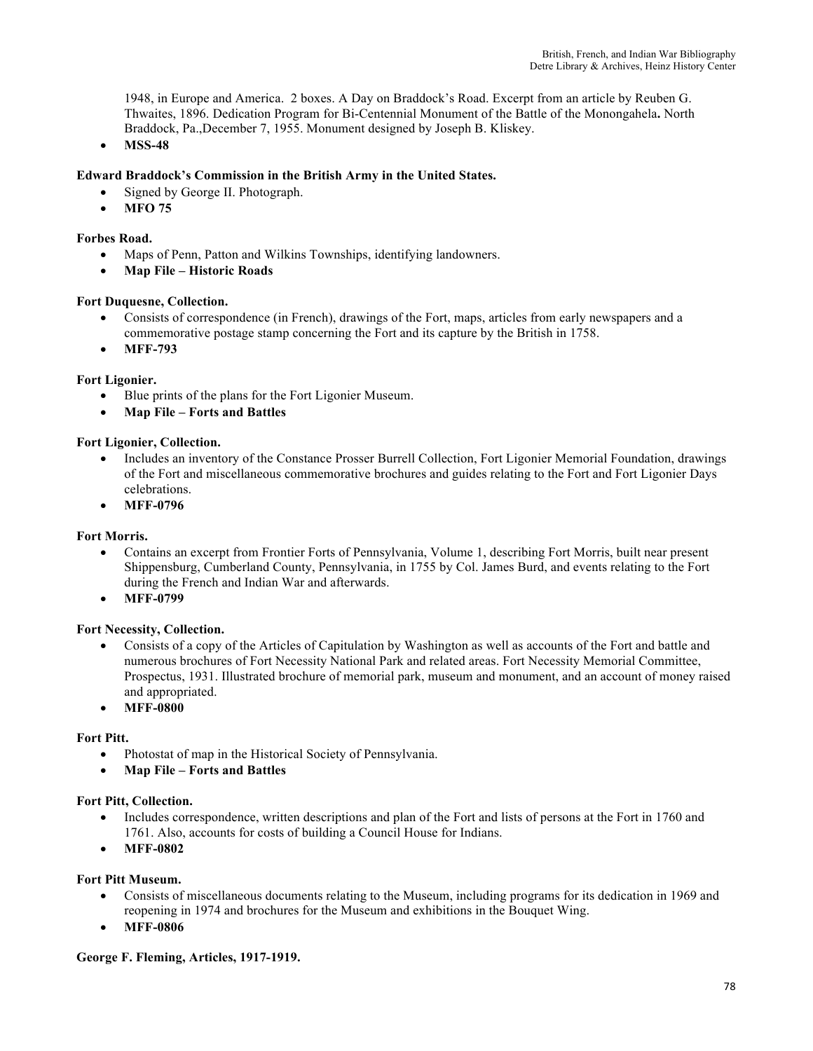1948, in Europe and America. 2 boxes. A Day on Braddock's Road. Excerpt from an article by Reuben G. Thwaites, 1896. Dedication Program for Bi-Centennial Monument of the Battle of the Monongahela**.** North Braddock, Pa.,December 7, 1955. Monument designed by Joseph B. Kliskey.

• **MSS-48**

# **Edward Braddock's Commission in the British Army in the United States.**

- Signed by George II. Photograph.
- **MFO 75**

## **Forbes Road.**

- Maps of Penn, Patton and Wilkins Townships, identifying landowners.
- **Map File – Historic Roads**

### **Fort Duquesne, Collection.**

- Consists of correspondence (in French), drawings of the Fort, maps, articles from early newspapers and a commemorative postage stamp concerning the Fort and its capture by the British in 1758.
- **MFF-793**

# **Fort Ligonier.**

- Blue prints of the plans for the Fort Ligonier Museum.
- **Map File – Forts and Battles**

### **Fort Ligonier, Collection.**

- Includes an inventory of the Constance Prosser Burrell Collection, Fort Ligonier Memorial Foundation, drawings of the Fort and miscellaneous commemorative brochures and guides relating to the Fort and Fort Ligonier Days celebrations.
- **MFF-0796**

## **Fort Morris.**

- Contains an excerpt from Frontier Forts of Pennsylvania, Volume 1, describing Fort Morris, built near present Shippensburg, Cumberland County, Pennsylvania, in 1755 by Col. James Burd, and events relating to the Fort during the French and Indian War and afterwards.
- **MFF-0799**

## **Fort Necessity, Collection.**

- Consists of a copy of the Articles of Capitulation by Washington as well as accounts of the Fort and battle and numerous brochures of Fort Necessity National Park and related areas. Fort Necessity Memorial Committee, Prospectus, 1931. Illustrated brochure of memorial park, museum and monument, and an account of money raised and appropriated.
- **MFF-0800**

## **Fort Pitt.**

- Photostat of map in the Historical Society of Pennsylvania.
- **Map File – Forts and Battles**

## **Fort Pitt, Collection.**

- Includes correspondence, written descriptions and plan of the Fort and lists of persons at the Fort in 1760 and 1761. Also, accounts for costs of building a Council House for Indians.
- **MFF-0802**

### **Fort Pitt Museum.**

- Consists of miscellaneous documents relating to the Museum, including programs for its dedication in 1969 and reopening in 1974 and brochures for the Museum and exhibitions in the Bouquet Wing.
- **MFF-0806**

### **George F. Fleming, Articles, 1917-1919.**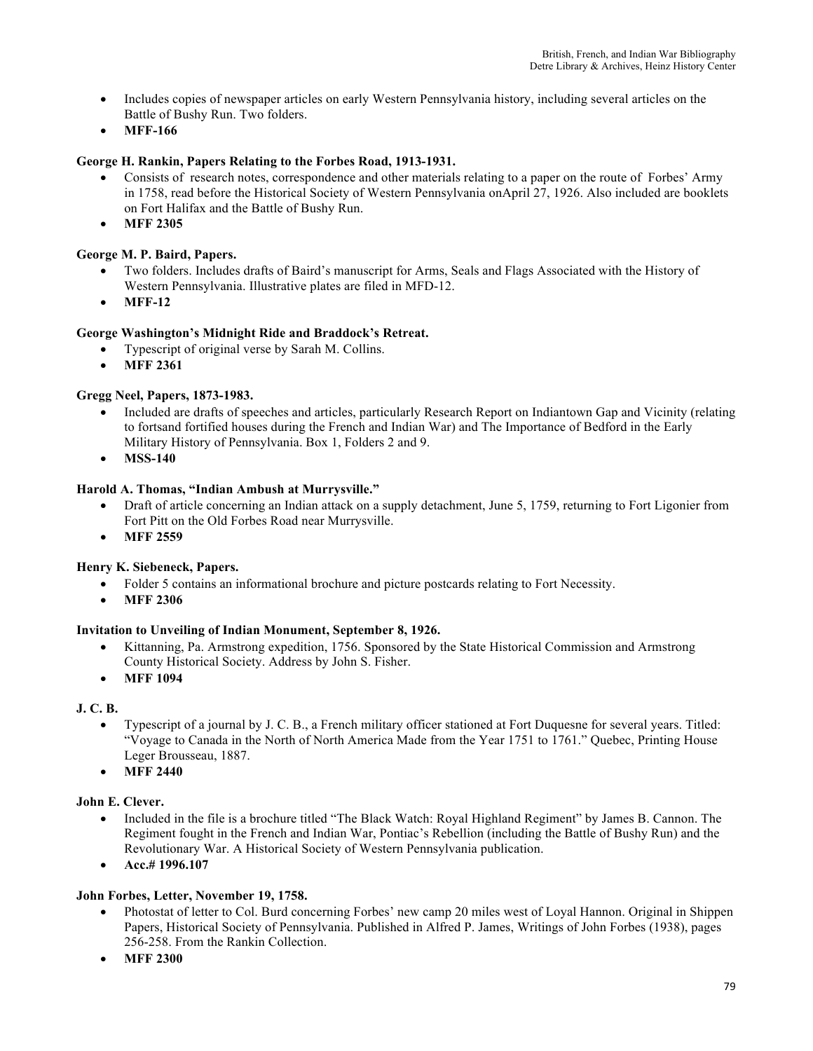- Includes copies of newspaper articles on early Western Pennsylvania history, including several articles on the Battle of Bushy Run. Two folders.
- **MFF-166**

# **George H. Rankin, Papers Relating to the Forbes Road, 1913-1931.**

- Consists of research notes, correspondence and other materials relating to a paper on the route of Forbes' Army in 1758, read before the Historical Society of Western Pennsylvania onApril 27, 1926. Also included are booklets on Fort Halifax and the Battle of Bushy Run.
- **MFF 2305**

# **George M. P. Baird, Papers.**

- Two folders. Includes drafts of Baird's manuscript for Arms, Seals and Flags Associated with the History of Western Pennsylvania. Illustrative plates are filed in MFD-12.
- **MFF-12**

# **George Washington's Midnight Ride and Braddock's Retreat.**

- Typescript of original verse by Sarah M. Collins.
- **MFF 2361**

# **Gregg Neel, Papers, 1873-1983.**

- Included are drafts of speeches and articles, particularly Research Report on Indiantown Gap and Vicinity (relating to fortsand fortified houses during the French and Indian War) and The Importance of Bedford in the Early Military History of Pennsylvania. Box 1, Folders 2 and 9.
- **MSS-140**

# **Harold A. Thomas, "Indian Ambush at Murrysville."**

- Draft of article concerning an Indian attack on a supply detachment, June 5, 1759, returning to Fort Ligonier from Fort Pitt on the Old Forbes Road near Murrysville.
- **MFF 2559**

## **Henry K. Siebeneck, Papers.**

- Folder 5 contains an informational brochure and picture postcards relating to Fort Necessity.
- **MFF 2306**

## **Invitation to Unveiling of Indian Monument, September 8, 1926.**

- Kittanning, Pa. Armstrong expedition, 1756. Sponsored by the State Historical Commission and Armstrong County Historical Society. Address by John S. Fisher.
- **MFF 1094**

## **J. C. B.**

- Typescript of a journal by J. C. B., a French military officer stationed at Fort Duquesne for several years. Titled: "Voyage to Canada in the North of North America Made from the Year 1751 to 1761." Quebec, Printing House Leger Brousseau, 1887.
- **MFF 2440**

## **John E. Clever.**

- Included in the file is a brochure titled "The Black Watch: Royal Highland Regiment" by James B. Cannon. The Regiment fought in the French and Indian War, Pontiac's Rebellion (including the Battle of Bushy Run) and the Revolutionary War. A Historical Society of Western Pennsylvania publication.
- **Acc.# 1996.107**

## **John Forbes, Letter, November 19, 1758.**

- Photostat of letter to Col. Burd concerning Forbes' new camp 20 miles west of Loyal Hannon. Original in Shippen Papers, Historical Society of Pennsylvania. Published in Alfred P. James, Writings of John Forbes (1938), pages 256-258. From the Rankin Collection.
- **MFF 2300**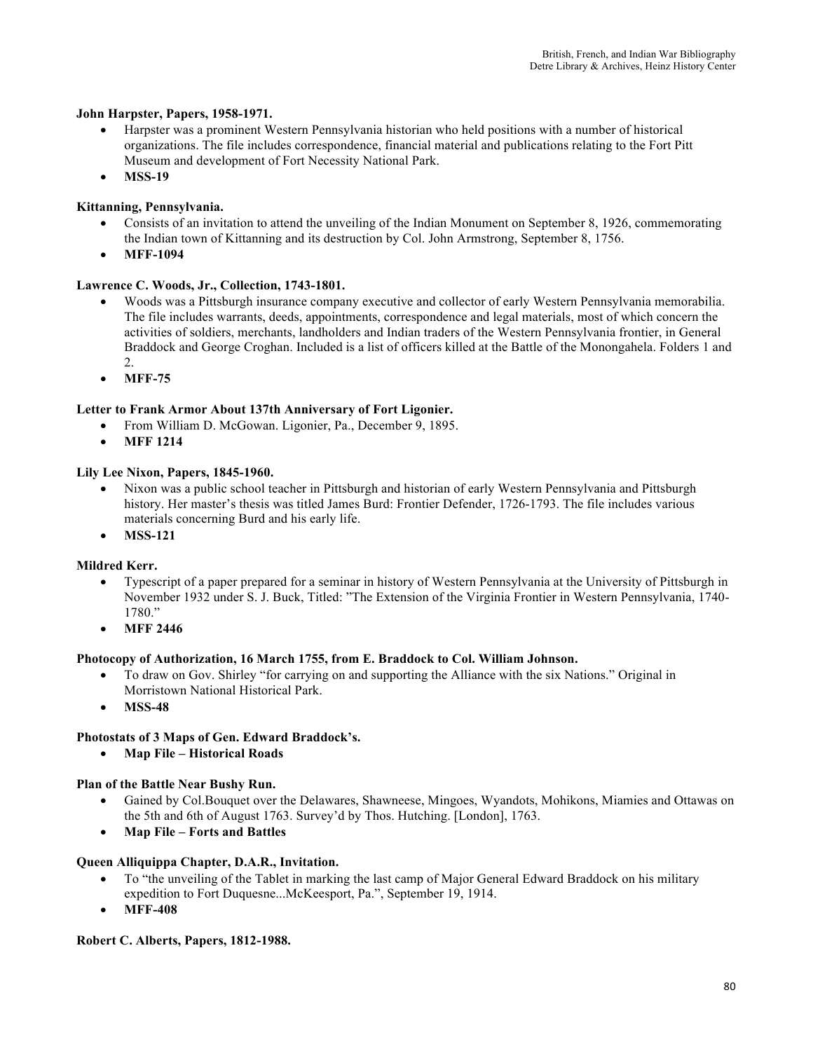## **John Harpster, Papers, 1958-1971.**

- Harpster was a prominent Western Pennsylvania historian who held positions with a number of historical organizations. The file includes correspondence, financial material and publications relating to the Fort Pitt Museum and development of Fort Necessity National Park.
- **MSS-19**

# **Kittanning, Pennsylvania.**

- Consists of an invitation to attend the unveiling of the Indian Monument on September 8, 1926, commemorating the Indian town of Kittanning and its destruction by Col. John Armstrong, September 8, 1756.
- **MFF-1094**

# **Lawrence C. Woods, Jr., Collection, 1743-1801.**

- Woods was a Pittsburgh insurance company executive and collector of early Western Pennsylvania memorabilia. The file includes warrants, deeds, appointments, correspondence and legal materials, most of which concern the activities of soldiers, merchants, landholders and Indian traders of the Western Pennsylvania frontier, in General Braddock and George Croghan. Included is a list of officers killed at the Battle of the Monongahela. Folders 1 and 2.
- **MFF-75**

# **Letter to Frank Armor About 137th Anniversary of Fort Ligonier.**

- From William D. McGowan. Ligonier, Pa., December 9, 1895.
- **MFF 1214**

## **Lily Lee Nixon, Papers, 1845-1960.**

- Nixon was a public school teacher in Pittsburgh and historian of early Western Pennsylvania and Pittsburgh history. Her master's thesis was titled James Burd: Frontier Defender, 1726-1793. The file includes various materials concerning Burd and his early life.
- **MSS-121**

# **Mildred Kerr.**

- Typescript of a paper prepared for a seminar in history of Western Pennsylvania at the University of Pittsburgh in November 1932 under S. J. Buck, Titled: "The Extension of the Virginia Frontier in Western Pennsylvania, 1740- 1780."
- **MFF 2446**

## **Photocopy of Authorization, 16 March 1755, from E. Braddock to Col. William Johnson.**

- To draw on Gov. Shirley "for carrying on and supporting the Alliance with the six Nations." Original in Morristown National Historical Park.
- **MSS-48**

## **Photostats of 3 Maps of Gen. Edward Braddock's.**

• **Map File – Historical Roads**

## **Plan of the Battle Near Bushy Run.**

- Gained by Col.Bouquet over the Delawares, Shawneese, Mingoes, Wyandots, Mohikons, Miamies and Ottawas on the 5th and 6th of August 1763. Survey'd by Thos. Hutching. [London], 1763.
- **Map File – Forts and Battles**

## **Queen Alliquippa Chapter, D.A.R., Invitation.**

- To "the unveiling of the Tablet in marking the last camp of Major General Edward Braddock on his military expedition to Fort Duquesne...McKeesport, Pa.", September 19, 1914.
- **MFF-408**

## **Robert C. Alberts, Papers, 1812-1988.**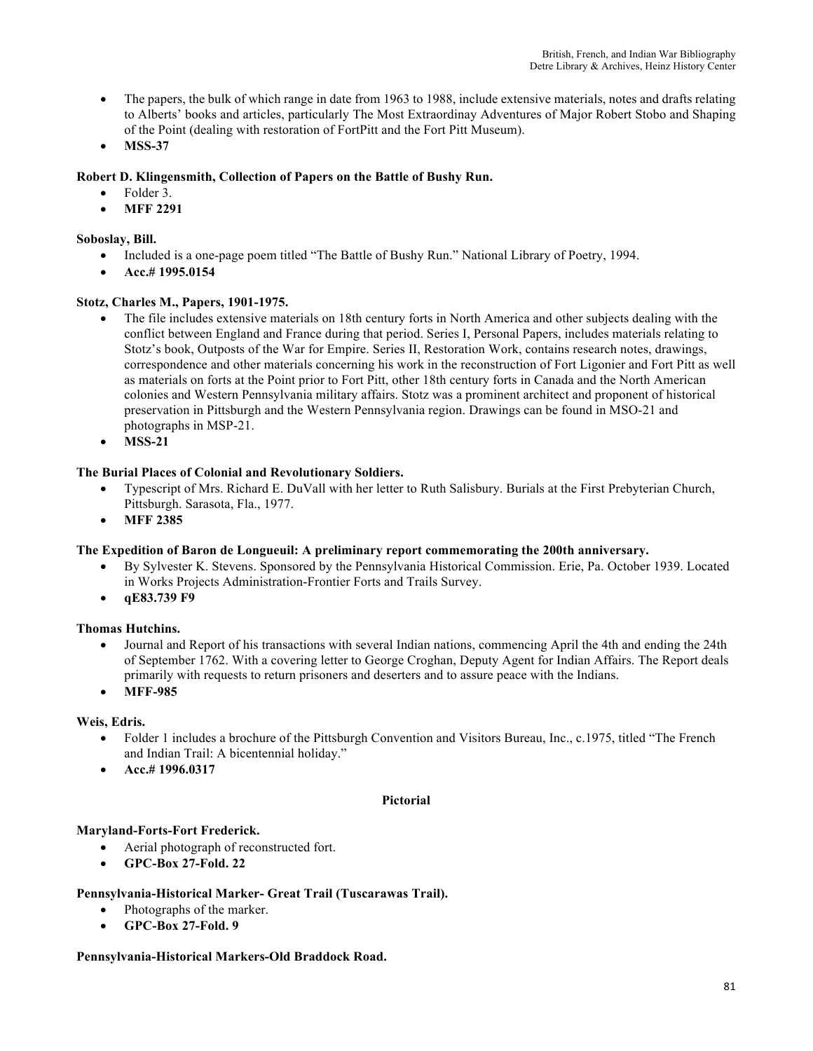- The papers, the bulk of which range in date from 1963 to 1988, include extensive materials, notes and drafts relating to Alberts' books and articles, particularly The Most Extraordinay Adventures of Major Robert Stobo and Shaping of the Point (dealing with restoration of FortPitt and the Fort Pitt Museum).
- **MSS-37**

# **Robert D. Klingensmith, Collection of Papers on the Battle of Bushy Run.**

- Folder 3.
- **MFF 2291**

# **Soboslay, Bill.**

- Included is a one-page poem titled "The Battle of Bushy Run." National Library of Poetry, 1994.
- **Acc.# 1995.0154**

# **Stotz, Charles M., Papers, 1901-1975.**

- The file includes extensive materials on 18th century forts in North America and other subjects dealing with the conflict between England and France during that period. Series I, Personal Papers, includes materials relating to Stotz's book, Outposts of the War for Empire. Series II, Restoration Work, contains research notes, drawings, correspondence and other materials concerning his work in the reconstruction of Fort Ligonier and Fort Pitt as well as materials on forts at the Point prior to Fort Pitt, other 18th century forts in Canada and the North American colonies and Western Pennsylvania military affairs. Stotz was a prominent architect and proponent of historical preservation in Pittsburgh and the Western Pennsylvania region. Drawings can be found in MSO-21 and photographs in MSP-21.
- **MSS-21**

# **The Burial Places of Colonial and Revolutionary Soldiers.**

- Typescript of Mrs. Richard E. DuVall with her letter to Ruth Salisbury. Burials at the First Prebyterian Church, Pittsburgh. Sarasota, Fla., 1977.
- **MFF 2385**

## **The Expedition of Baron de Longueuil: A preliminary report commemorating the 200th anniversary.**

- By Sylvester K. Stevens. Sponsored by the Pennsylvania Historical Commission. Erie, Pa. October 1939. Located in Works Projects Administration-Frontier Forts and Trails Survey.
- **qE83.739 F9**

## **Thomas Hutchins.**

- Journal and Report of his transactions with several Indian nations, commencing April the 4th and ending the 24th of September 1762. With a covering letter to George Croghan, Deputy Agent for Indian Affairs. The Report deals primarily with requests to return prisoners and deserters and to assure peace with the Indians.
- **MFF-985**

## **Weis, Edris.**

- Folder 1 includes a brochure of the Pittsburgh Convention and Visitors Bureau, Inc., c.1975, titled "The French and Indian Trail: A bicentennial holiday."
- **Acc.# 1996.0317**

## **Pictorial**

## **Maryland-Forts-Fort Frederick.**

- Aerial photograph of reconstructed fort.
- **GPC-Box 27-Fold. 22**

## **Pennsylvania-Historical Marker- Great Trail (Tuscarawas Trail).**

- Photographs of the marker.
- **GPC-Box 27-Fold. 9**

## **Pennsylvania-Historical Markers-Old Braddock Road.**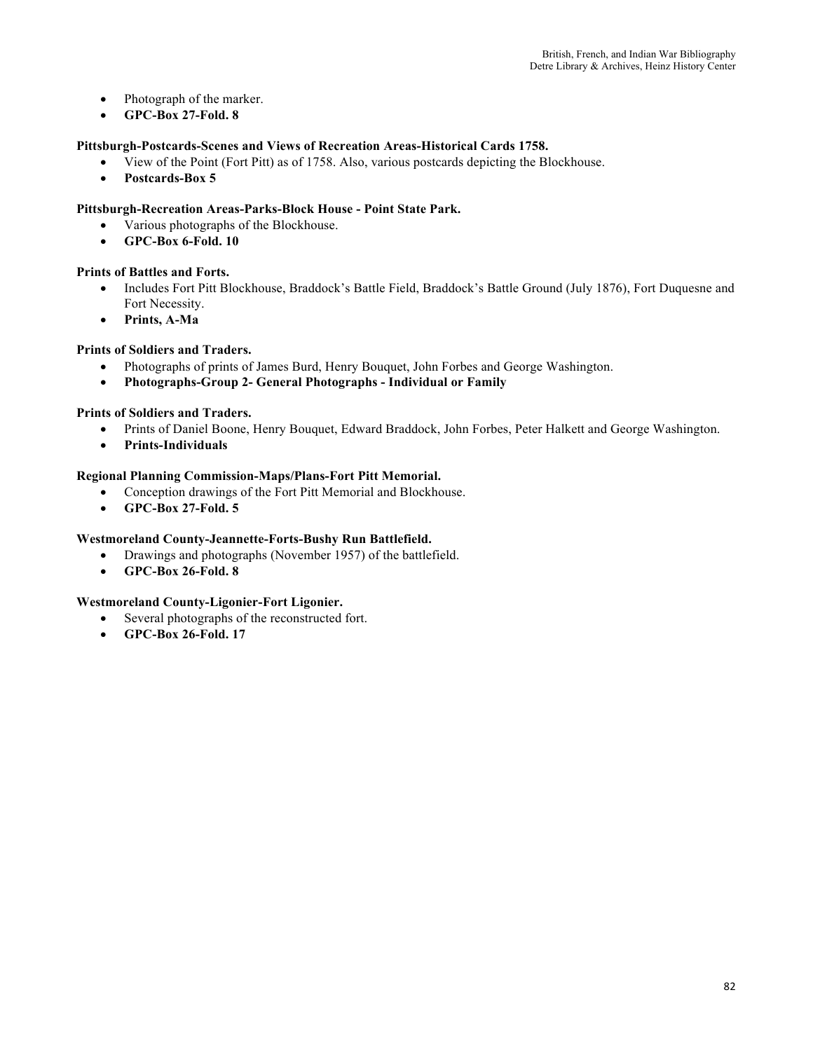- Photograph of the marker.
- **GPC-Box 27-Fold. 8**

## **Pittsburgh-Postcards-Scenes and Views of Recreation Areas-Historical Cards 1758.**

- View of the Point (Fort Pitt) as of 1758. Also, various postcards depicting the Blockhouse.
- **Postcards-Box 5**

## **Pittsburgh-Recreation Areas-Parks-Block House - Point State Park.**

- Various photographs of the Blockhouse.
- **GPC-Box 6-Fold. 10**

## **Prints of Battles and Forts.**

- Includes Fort Pitt Blockhouse, Braddock's Battle Field, Braddock's Battle Ground (July 1876), Fort Duquesne and Fort Necessity.
- **Prints, A-Ma**

# **Prints of Soldiers and Traders.**

- Photographs of prints of James Burd, Henry Bouquet, John Forbes and George Washington.
- **Photographs-Group 2- General Photographs - Individual or Family**

## **Prints of Soldiers and Traders.**

- Prints of Daniel Boone, Henry Bouquet, Edward Braddock, John Forbes, Peter Halkett and George Washington.
- **Prints-Individuals**

## **Regional Planning Commission-Maps/Plans-Fort Pitt Memorial.**

- Conception drawings of the Fort Pitt Memorial and Blockhouse.
- **GPC-Box 27-Fold. 5**

## **Westmoreland County-Jeannette-Forts-Bushy Run Battlefield.**

- Drawings and photographs (November 1957) of the battlefield.
- **GPC-Box 26-Fold. 8**

## **Westmoreland County-Ligonier-Fort Ligonier.**

- Several photographs of the reconstructed fort.
- **GPC-Box 26-Fold. 17**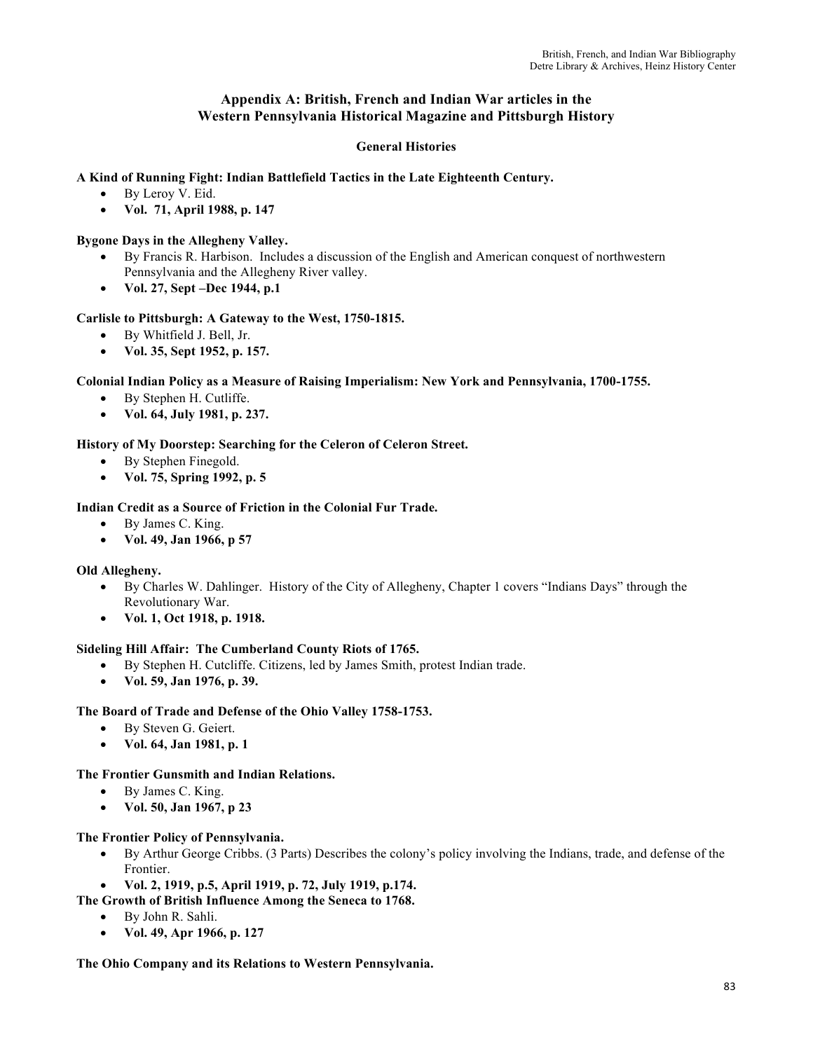# **Appendix A: British, French and Indian War articles in the Western Pennsylvania Historical Magazine and Pittsburgh History**

# **General Histories**

## **A Kind of Running Fight: Indian Battlefield Tactics in the Late Eighteenth Century.**

- By Leroy V. Eid.
- **Vol. 71, April 1988, p. 147**

## **Bygone Days in the Allegheny Valley.**

- By Francis R. Harbison. Includes a discussion of the English and American conquest of northwestern Pennsylvania and the Allegheny River valley.
- **Vol. 27, Sept –Dec 1944, p.1**

## **Carlisle to Pittsburgh: A Gateway to the West, 1750-1815.**

- By Whitfield J. Bell, Jr.
- **Vol. 35, Sept 1952, p. 157.**

## **Colonial Indian Policy as a Measure of Raising Imperialism: New York and Pennsylvania, 1700-1755.**

- By Stephen H. Cutliffe.
- **Vol. 64, July 1981, p. 237.**

# **History of My Doorstep: Searching for the Celeron of Celeron Street.**

- By Stephen Finegold.
- **Vol. 75, Spring 1992, p. 5**

## **Indian Credit as a Source of Friction in the Colonial Fur Trade.**

- By James C. King.
- **Vol. 49, Jan 1966, p 57**

## **Old Allegheny.**

- By Charles W. Dahlinger. History of the City of Allegheny, Chapter 1 covers "Indians Days" through the Revolutionary War.
- **Vol. 1, Oct 1918, p. 1918.**

## **Sideling Hill Affair: The Cumberland County Riots of 1765.**

- By Stephen H. Cutcliffe. Citizens, led by James Smith, protest Indian trade.
- **Vol. 59, Jan 1976, p. 39.**

## **The Board of Trade and Defense of the Ohio Valley 1758-1753.**

- By Steven G. Geiert.
- **Vol. 64, Jan 1981, p. 1**

## **The Frontier Gunsmith and Indian Relations.**

- By James C. King.
- **Vol. 50, Jan 1967, p 23**

### **The Frontier Policy of Pennsylvania.**

- By Arthur George Cribbs. (3 Parts) Describes the colony's policy involving the Indians, trade, and defense of the Frontier.
- **Vol. 2, 1919, p.5, April 1919, p. 72, July 1919, p.174.**

## **The Growth of British Influence Among the Seneca to 1768.**

- By John R. Sahli.
- **Vol. 49, Apr 1966, p. 127**

**The Ohio Company and its Relations to Western Pennsylvania.**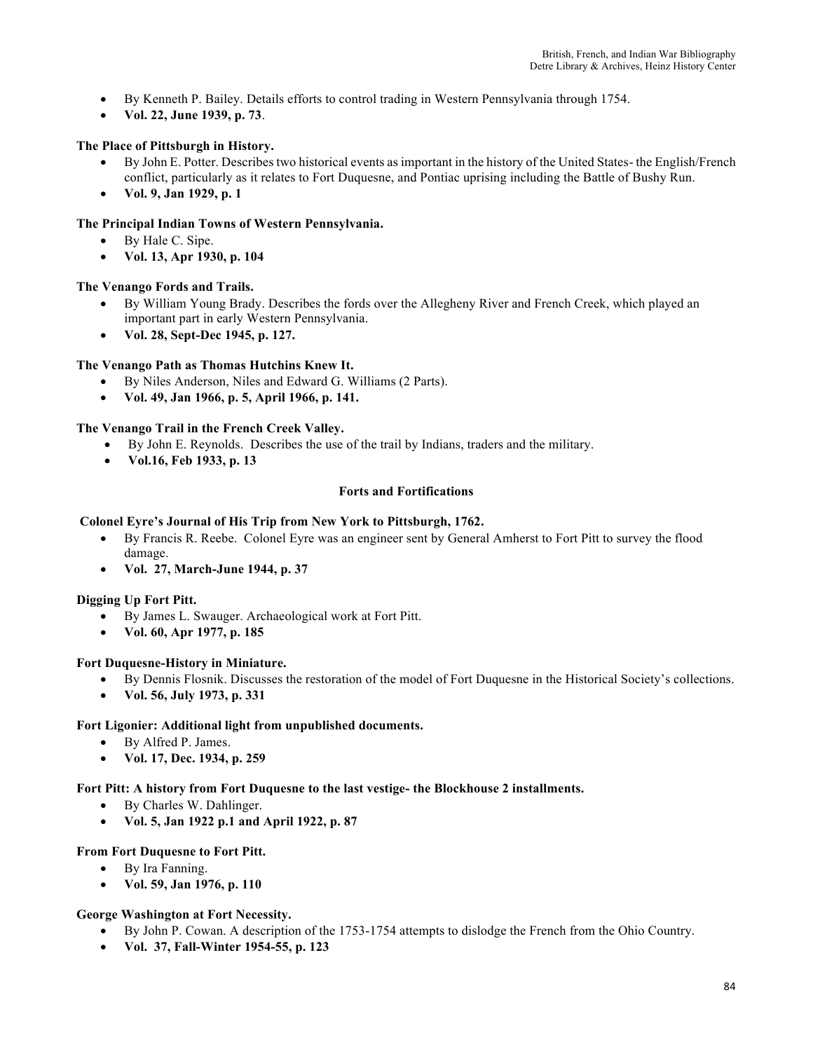- By Kenneth P. Bailey. Details efforts to control trading in Western Pennsylvania through 1754.
- **Vol. 22, June 1939, p. 73**.

# **The Place of Pittsburgh in History.**

- By John E. Potter. Describes two historical events as important in the history of the United States- the English/French conflict, particularly as it relates to Fort Duquesne, and Pontiac uprising including the Battle of Bushy Run.
- **Vol. 9, Jan 1929, p. 1**

## **The Principal Indian Towns of Western Pennsylvania.**

- By Hale C. Sipe.
- **Vol. 13, Apr 1930, p. 104**

### **The Venango Fords and Trails.**

- By William Young Brady. Describes the fords over the Allegheny River and French Creek, which played an important part in early Western Pennsylvania.
- **Vol. 28, Sept-Dec 1945, p. 127.**

## **The Venango Path as Thomas Hutchins Knew It.**

- By Niles Anderson, Niles and Edward G. Williams (2 Parts).
- **Vol. 49, Jan 1966, p. 5, April 1966, p. 141.**

### **The Venango Trail in the French Creek Valley.**

- By John E. Reynolds. Describes the use of the trail by Indians, traders and the military.
- **Vol.16, Feb 1933, p. 13**

### **Forts and Fortifications**

### **Colonel Eyre's Journal of His Trip from New York to Pittsburgh, 1762.**

- By Francis R. Reebe. Colonel Eyre was an engineer sent by General Amherst to Fort Pitt to survey the flood damage.
- **Vol. 27, March-June 1944, p. 37**

### **Digging Up Fort Pitt.**

- By James L. Swauger. Archaeological work at Fort Pitt.
- **Vol. 60, Apr 1977, p. 185**

### **Fort Duquesne-History in Miniature.**

- By Dennis Flosnik. Discusses the restoration of the model of Fort Duquesne in the Historical Society's collections.
- **Vol. 56, July 1973, p. 331**

### **Fort Ligonier: Additional light from unpublished documents.**

- By Alfred P. James.
- **Vol. 17, Dec. 1934, p. 259**

### **Fort Pitt: A history from Fort Duquesne to the last vestige- the Blockhouse 2 installments.**

- By Charles W. Dahlinger.
- **Vol. 5, Jan 1922 p.1 and April 1922, p. 87**

### **From Fort Duquesne to Fort Pitt.**

- By Ira Fanning.
- **Vol. 59, Jan 1976, p. 110**

### **George Washington at Fort Necessity.**

- By John P. Cowan. A description of the 1753-1754 attempts to dislodge the French from the Ohio Country.
- **Vol. 37, Fall-Winter 1954-55, p. 123**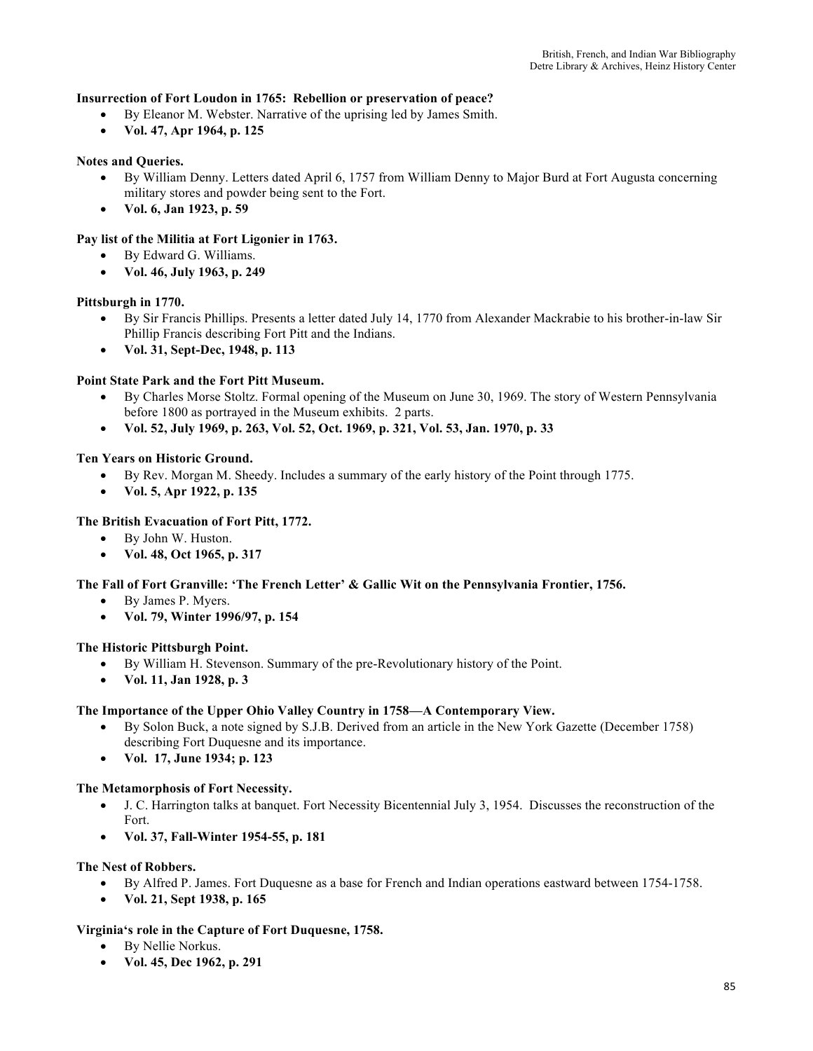### **Insurrection of Fort Loudon in 1765: Rebellion or preservation of peace?**

- By Eleanor M. Webster. Narrative of the uprising led by James Smith.
- **Vol. 47, Apr 1964, p. 125**

## **Notes and Queries.**

- By William Denny. Letters dated April 6, 1757 from William Denny to Major Burd at Fort Augusta concerning military stores and powder being sent to the Fort.
- **Vol. 6, Jan 1923, p. 59**

### **Pay list of the Militia at Fort Ligonier in 1763.**

- By Edward G. Williams.
- **Vol. 46, July 1963, p. 249**

### **Pittsburgh in 1770.**

- By Sir Francis Phillips. Presents a letter dated July 14, 1770 from Alexander Mackrabie to his brother-in-law Sir Phillip Francis describing Fort Pitt and the Indians.
- **Vol. 31, Sept-Dec, 1948, p. 113**

### **Point State Park and the Fort Pitt Museum.**

- By Charles Morse Stoltz. Formal opening of the Museum on June 30, 1969. The story of Western Pennsylvania before 1800 as portrayed in the Museum exhibits. 2 parts.
- **Vol. 52, July 1969, p. 263, Vol. 52, Oct. 1969, p. 321, Vol. 53, Jan. 1970, p. 33**

### **Ten Years on Historic Ground.**

- By Rev. Morgan M. Sheedy. Includes a summary of the early history of the Point through 1775.
- **Vol. 5, Apr 1922, p. 135**

## **The British Evacuation of Fort Pitt, 1772.**

- By John W. Huston.
- **Vol. 48, Oct 1965, p. 317**

### **The Fall of Fort Granville: 'The French Letter' & Gallic Wit on the Pennsylvania Frontier, 1756.**

- By James P. Myers.
- **Vol. 79, Winter 1996/97, p. 154**

### **The Historic Pittsburgh Point.**

- By William H. Stevenson. Summary of the pre-Revolutionary history of the Point.
- **Vol. 11, Jan 1928, p. 3**

### **The Importance of the Upper Ohio Valley Country in 1758—A Contemporary View.**

- By Solon Buck, a note signed by S.J.B. Derived from an article in the New York Gazette (December 1758) describing Fort Duquesne and its importance.
- **Vol. 17, June 1934; p. 123**

### **The Metamorphosis of Fort Necessity.**

- J. C. Harrington talks at banquet. Fort Necessity Bicentennial July 3, 1954. Discusses the reconstruction of the Fort.
- **Vol. 37, Fall-Winter 1954-55, p. 181**

### **The Nest of Robbers.**

- By Alfred P. James. Fort Duquesne as a base for French and Indian operations eastward between 1754-1758.
- **Vol. 21, Sept 1938, p. 165**

## **Virginia's role in the Capture of Fort Duquesne, 1758.**

- By Nellie Norkus.
- **Vol. 45, Dec 1962, p. 291**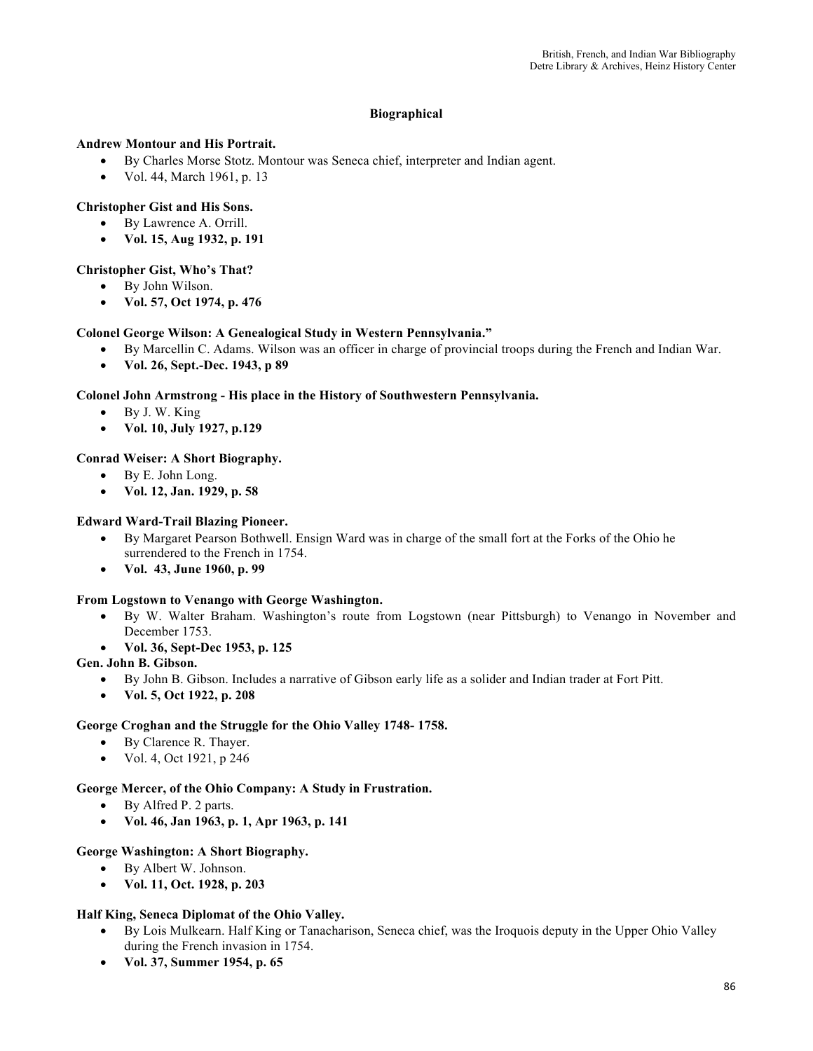# **Biographical**

## **Andrew Montour and His Portrait.**

- By Charles Morse Stotz. Montour was Seneca chief, interpreter and Indian agent.
- Vol. 44, March 1961, p. 13

## **Christopher Gist and His Sons.**

- By Lawrence A. Orrill.
- **Vol. 15, Aug 1932, p. 191**

## **Christopher Gist, Who's That?**

- By John Wilson.
- **Vol. 57, Oct 1974, p. 476**

# **Colonel George Wilson: A Genealogical Study in Western Pennsylvania."**

- By Marcellin C. Adams. Wilson was an officer in charge of provincial troops during the French and Indian War.
- **Vol. 26, Sept.-Dec. 1943, p 89**

# **Colonel John Armstrong - His place in the History of Southwestern Pennsylvania.**

- By J. W. King
- **Vol. 10, July 1927, p.129**

# **Conrad Weiser: A Short Biography.**

- By E. John Long.
- **Vol. 12, Jan. 1929, p. 58**

# **Edward Ward-Trail Blazing Pioneer.**

- By Margaret Pearson Bothwell. Ensign Ward was in charge of the small fort at the Forks of the Ohio he surrendered to the French in 1754.
- **Vol. 43, June 1960, p. 99**

## **From Logstown to Venango with George Washington.**

- By W. Walter Braham. Washington's route from Logstown (near Pittsburgh) to Venango in November and December 1753.
- **Vol. 36, Sept-Dec 1953, p. 125**

## **Gen. John B. Gibson.**

- By John B. Gibson. Includes a narrative of Gibson early life as a solider and Indian trader at Fort Pitt.
- **Vol. 5, Oct 1922, p. 208**

## **George Croghan and the Struggle for the Ohio Valley 1748- 1758.**

- By Clarence R. Thayer.
- Vol. 4, Oct 1921, p 246

## **George Mercer, of the Ohio Company: A Study in Frustration.**

- By Alfred P. 2 parts.
- **Vol. 46, Jan 1963, p. 1, Apr 1963, p. 141**

## **George Washington: A Short Biography.**

- By Albert W. Johnson.
- **Vol. 11, Oct. 1928, p. 203**

## **Half King, Seneca Diplomat of the Ohio Valley.**

- By Lois Mulkearn. Half King or Tanacharison, Seneca chief, was the Iroquois deputy in the Upper Ohio Valley during the French invasion in 1754.
- **Vol. 37, Summer 1954, p. 65**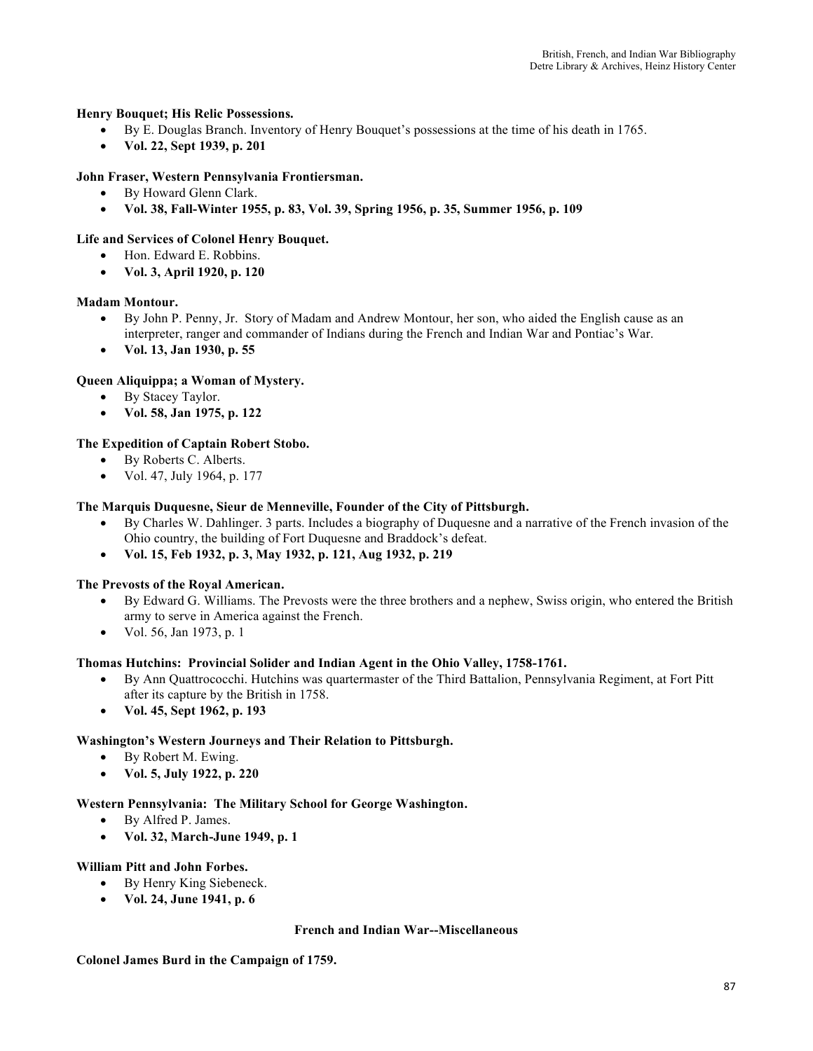## **Henry Bouquet; His Relic Possessions.**

- By E. Douglas Branch. Inventory of Henry Bouquet's possessions at the time of his death in 1765.
- **Vol. 22, Sept 1939, p. 201**

## **John Fraser, Western Pennsylvania Frontiersman.**

- By Howard Glenn Clark.
- **Vol. 38, Fall-Winter 1955, p. 83, Vol. 39, Spring 1956, p. 35, Summer 1956, p. 109**

### **Life and Services of Colonel Henry Bouquet.**

- Hon. Edward E. Robbins.
- **Vol. 3, April 1920, p. 120**

### **Madam Montour.**

- By John P. Penny, Jr. Story of Madam and Andrew Montour, her son, who aided the English cause as an interpreter, ranger and commander of Indians during the French and Indian War and Pontiac's War.
- **Vol. 13, Jan 1930, p. 55**

### **Queen Aliquippa; a Woman of Mystery.**

- By Stacey Taylor.
- **Vol. 58, Jan 1975, p. 122**

### **The Expedition of Captain Robert Stobo.**

- By Roberts C. Alberts.
- Vol. 47, July 1964, p. 177

### **The Marquis Duquesne, Sieur de Menneville, Founder of the City of Pittsburgh.**

- By Charles W. Dahlinger. 3 parts. Includes a biography of Duquesne and a narrative of the French invasion of the Ohio country, the building of Fort Duquesne and Braddock's defeat.
- **Vol. 15, Feb 1932, p. 3, May 1932, p. 121, Aug 1932, p. 219**

### **The Prevosts of the Royal American.**

- By Edward G. Williams. The Prevosts were the three brothers and a nephew, Swiss origin, who entered the British army to serve in America against the French.
- Vol. 56, Jan 1973, p. 1

### **Thomas Hutchins: Provincial Solider and Indian Agent in the Ohio Valley, 1758-1761.**

- By Ann Quattrococchi. Hutchins was quartermaster of the Third Battalion, Pennsylvania Regiment, at Fort Pitt after its capture by the British in 1758.
- **Vol. 45, Sept 1962, p. 193**

### **Washington's Western Journeys and Their Relation to Pittsburgh.**

- By Robert M. Ewing.
- **Vol. 5, July 1922, p. 220**

### **Western Pennsylvania: The Military School for George Washington.**

- By Alfred P. James.
- **Vol. 32, March-June 1949, p. 1**

### **William Pitt and John Forbes.**

- By Henry King Siebeneck.
- **Vol. 24, June 1941, p. 6**

### **French and Indian War--Miscellaneous**

**Colonel James Burd in the Campaign of 1759.**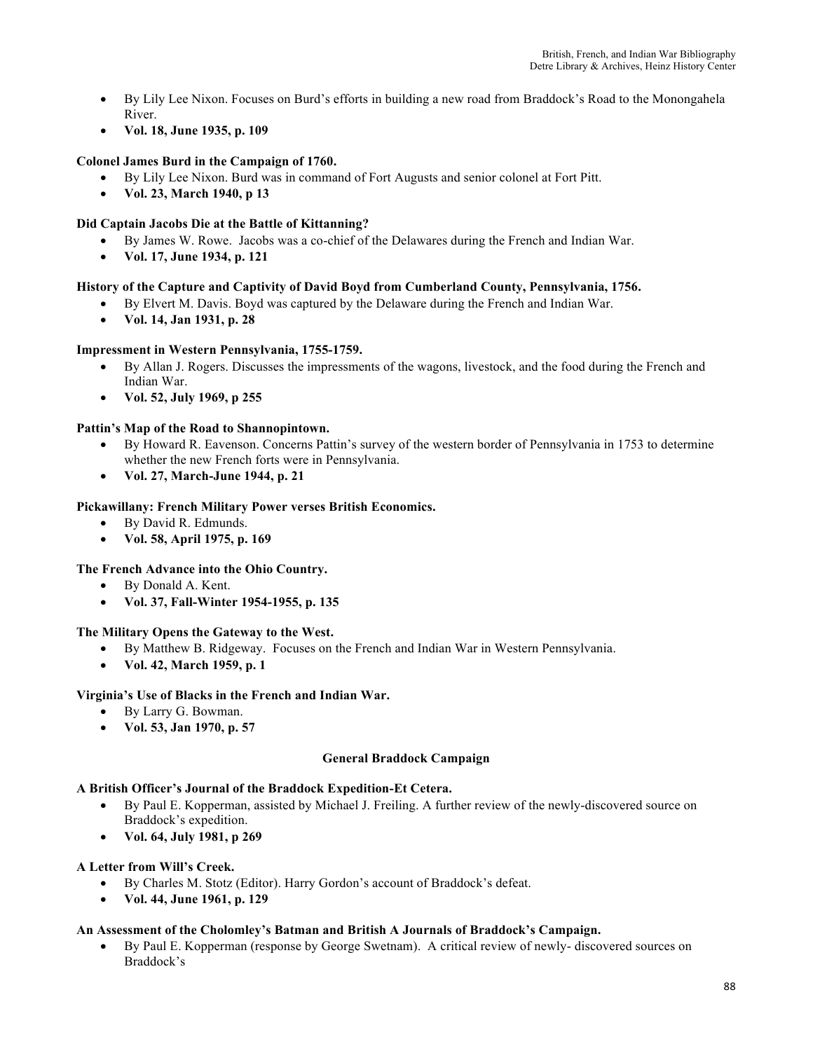- By Lily Lee Nixon. Focuses on Burd's efforts in building a new road from Braddock's Road to the Monongahela River.
- **Vol. 18, June 1935, p. 109**

# **Colonel James Burd in the Campaign of 1760.**

- By Lily Lee Nixon. Burd was in command of Fort Augusts and senior colonel at Fort Pitt.
- **Vol. 23, March 1940, p 13**

## **Did Captain Jacobs Die at the Battle of Kittanning?**

- By James W. Rowe. Jacobs was a co-chief of the Delawares during the French and Indian War.
- **Vol. 17, June 1934, p. 121**

# **History of the Capture and Captivity of David Boyd from Cumberland County, Pennsylvania, 1756.**

- By Elvert M. Davis. Boyd was captured by the Delaware during the French and Indian War.
- **Vol. 14, Jan 1931, p. 28**

## **Impressment in Western Pennsylvania, 1755-1759.**

- By Allan J. Rogers. Discusses the impressments of the wagons, livestock, and the food during the French and Indian War.
- **Vol. 52, July 1969, p 255**

# **Pattin's Map of the Road to Shannopintown.**

- By Howard R. Eavenson. Concerns Pattin's survey of the western border of Pennsylvania in 1753 to determine whether the new French forts were in Pennsylvania.
- **Vol. 27, March-June 1944, p. 21**

## **Pickawillany: French Military Power verses British Economics.**

- By David R. Edmunds.
- **Vol. 58, April 1975, p. 169**

## **The French Advance into the Ohio Country.**

- By Donald A. Kent.
- **Vol. 37, Fall-Winter 1954-1955, p. 135**

## **The Military Opens the Gateway to the West.**

- By Matthew B. Ridgeway. Focuses on the French and Indian War in Western Pennsylvania.
- **Vol. 42, March 1959, p. 1**

## **Virginia's Use of Blacks in the French and Indian War.**

- By Larry G. Bowman.
- **Vol. 53, Jan 1970, p. 57**

## **General Braddock Campaign**

## **A British Officer's Journal of the Braddock Expedition-Et Cetera.**

- By Paul E. Kopperman, assisted by Michael J. Freiling. A further review of the newly-discovered source on Braddock's expedition.
- **Vol. 64, July 1981, p 269**

## **A Letter from Will's Creek.**

- By Charles M. Stotz (Editor). Harry Gordon's account of Braddock's defeat.
- **Vol. 44, June 1961, p. 129**

## **An Assessment of the Cholomley's Batman and British A Journals of Braddock's Campaign.**

• By Paul E. Kopperman (response by George Swetnam). A critical review of newly- discovered sources on Braddock's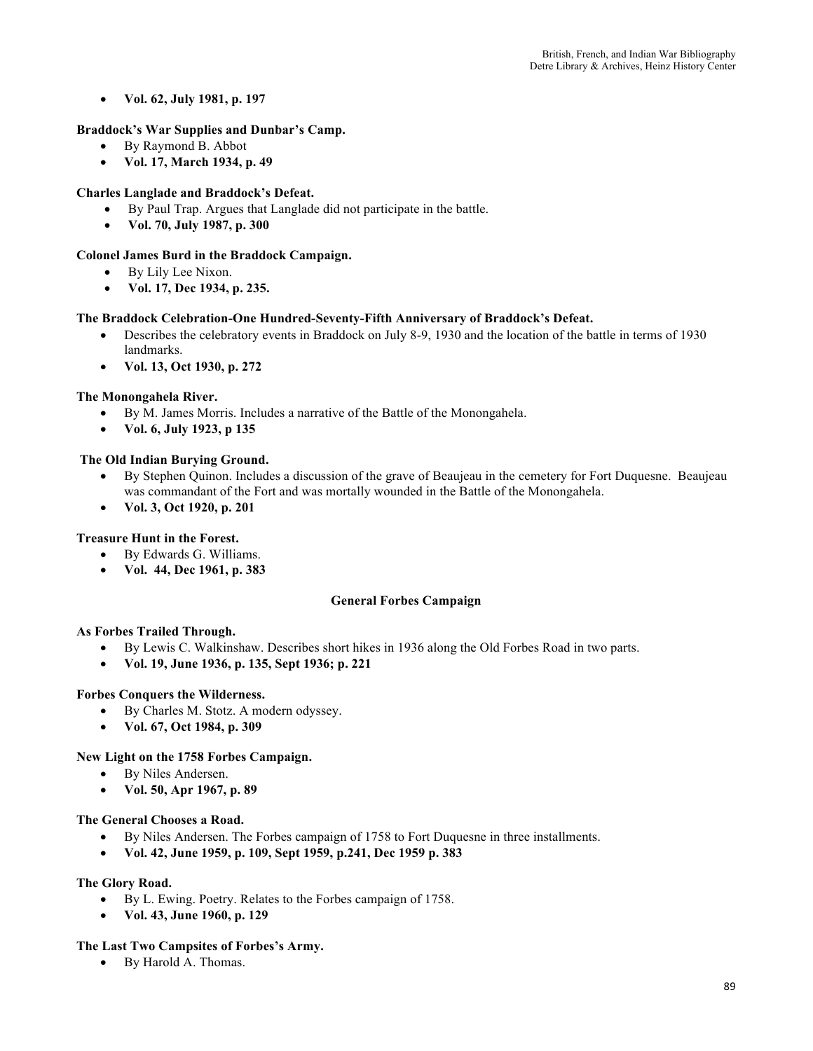• **Vol. 62, July 1981, p. 197**

## **Braddock's War Supplies and Dunbar's Camp.**

- By Raymond B. Abbot
- **Vol. 17, March 1934, p. 49**

# **Charles Langlade and Braddock's Defeat.**

- By Paul Trap. Argues that Langlade did not participate in the battle.
- **Vol. 70, July 1987, p. 300**

## **Colonel James Burd in the Braddock Campaign.**

- By Lily Lee Nixon.
- **Vol. 17, Dec 1934, p. 235.**

# **The Braddock Celebration-One Hundred-Seventy-Fifth Anniversary of Braddock's Defeat.**

- Describes the celebratory events in Braddock on July 8-9, 1930 and the location of the battle in terms of 1930 landmarks.
- **Vol. 13, Oct 1930, p. 272**

## **The Monongahela River.**

- By M. James Morris. Includes a narrative of the Battle of the Monongahela.
- **Vol. 6, July 1923, p 135**

## **The Old Indian Burying Ground.**

- By Stephen Quinon. Includes a discussion of the grave of Beaujeau in the cemetery for Fort Duquesne. Beaujeau was commandant of the Fort and was mortally wounded in the Battle of the Monongahela.
- **Vol. 3, Oct 1920, p. 201**

## **Treasure Hunt in the Forest.**

- By Edwards G. Williams.
- **Vol. 44, Dec 1961, p. 383**

## **General Forbes Campaign**

## **As Forbes Trailed Through.**

- By Lewis C. Walkinshaw. Describes short hikes in 1936 along the Old Forbes Road in two parts.
- **Vol. 19, June 1936, p. 135, Sept 1936; p. 221**

## **Forbes Conquers the Wilderness.**

- By Charles M. Stotz. A modern odyssey.
- **Vol. 67, Oct 1984, p. 309**

## **New Light on the 1758 Forbes Campaign.**

- By Niles Andersen.
- **Vol. 50, Apr 1967, p. 89**

## **The General Chooses a Road.**

- By Niles Andersen. The Forbes campaign of 1758 to Fort Duquesne in three installments.
- **Vol. 42, June 1959, p. 109, Sept 1959, p.241, Dec 1959 p. 383**

## **The Glory Road.**

- By L. Ewing. Poetry. Relates to the Forbes campaign of 1758.
- **Vol. 43, June 1960, p. 129**

## **The Last Two Campsites of Forbes's Army.**

• By Harold A. Thomas.